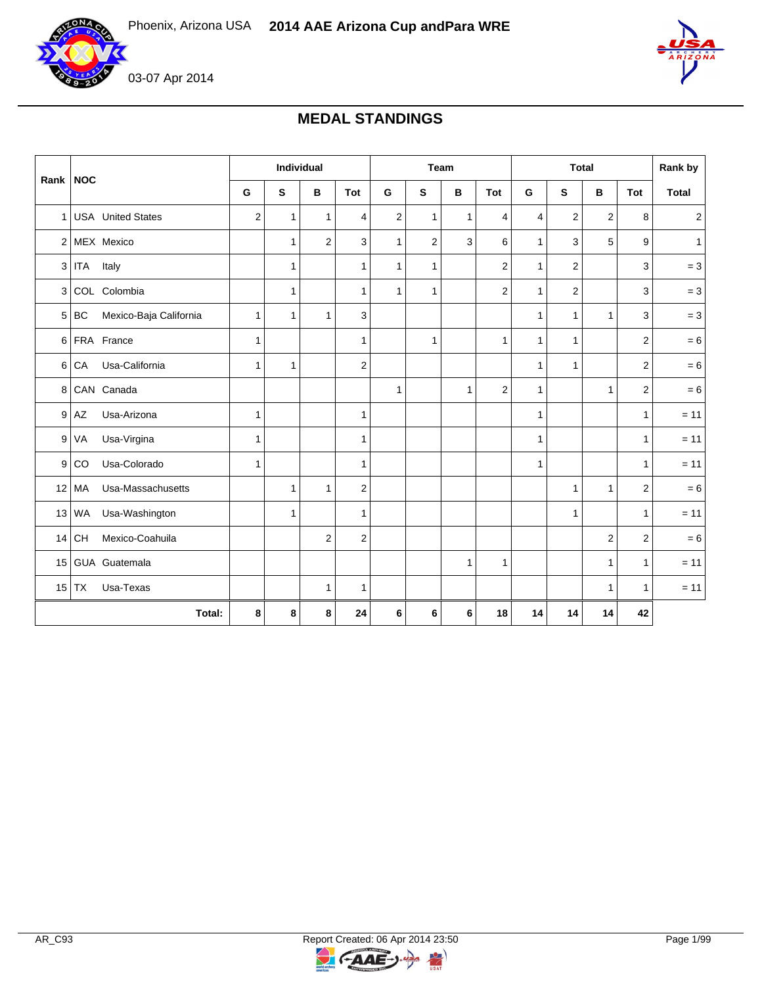

03-07 Apr 2014

# **MEDAL STANDINGS**

| Rank NOC       |                              |                  | Individual   |                |                |                |                         | Team         |     |              |                         | <b>Total</b>   |                | Rank by                 |
|----------------|------------------------------|------------------|--------------|----------------|----------------|----------------|-------------------------|--------------|-----|--------------|-------------------------|----------------|----------------|-------------------------|
|                |                              | G                | S            | B              | <b>Tot</b>     | G              | S                       | в            | Tot | G            | S                       | B              | Tot            | <b>Total</b>            |
| 1 <sup>1</sup> | <b>USA</b> United States     | $\boldsymbol{2}$ | $\mathbf{1}$ | $\mathbf{1}$   | 4              | $\overline{c}$ | $\mathbf{1}$            | $\mathbf{1}$ | 4   | 4            | $\overline{c}$          | $\overline{c}$ | 8              | $\overline{\mathbf{c}}$ |
|                | 2 MEX Mexico                 |                  | $\mathbf{1}$ | $\overline{2}$ | 3              | 1              | $\overline{\mathbf{c}}$ | 3            | 6   | $\mathbf{1}$ | 3                       | 5              | 9              | $\mathbf{1}$            |
| 3              | Italy<br><b>ITA</b>          |                  | $\mathbf{1}$ |                | $\mathbf{1}$   | 1              | $\mathbf{1}$            |              | 2   | $\mathbf{1}$ | $\overline{\mathbf{c}}$ |                | 3              | $= 3$                   |
| 3              | COL Colombia                 |                  | $\mathbf{1}$ |                | $\mathbf{1}$   | 1              | $\mathbf{1}$            |              | 2   | $\mathbf{1}$ | $\overline{2}$          |                | 3              | $= 3$                   |
| 5              | Mexico-Baja California<br>BC | 1                | 1            | $\mathbf{1}$   | 3              |                |                         |              |     | $\mathbf{1}$ | $\mathbf{1}$            | 1              | 3              | $= 3$                   |
| 6              | FRA France                   | 1                |              |                | 1              |                | 1                       |              | 1   | $\mathbf{1}$ | $\mathbf{1}$            |                | 2              | $= 6$                   |
| 6              | Usa-California<br>CA         | 1                | $\mathbf{1}$ |                | $\overline{2}$ |                |                         |              |     | $\mathbf{1}$ | $\mathbf{1}$            |                | $\overline{2}$ | $= 6$                   |
| 8              | CAN Canada                   |                  |              |                |                | 1              |                         | $\mathbf{1}$ | 2   | $\mathbf{1}$ |                         | 1              | $\overline{2}$ | $= 6$                   |
| 9              | Usa-Arizona<br>AZ            | 1                |              |                | 1              |                |                         |              |     | $\mathbf{1}$ |                         |                | $\mathbf{1}$   | $= 11$                  |
| 9              | Usa-Virgina<br>VA            | 1                |              |                | $\mathbf{1}$   |                |                         |              |     | $\mathbf{1}$ |                         |                | $\mathbf{1}$   | $= 11$                  |
| 9              | Usa-Colorado<br>CO           | 1                |              |                | $\mathbf{1}$   |                |                         |              |     | $\mathbf{1}$ |                         |                | $\mathbf{1}$   | $= 11$                  |
| 12             | MA<br>Usa-Massachusetts      |                  | $\mathbf{1}$ | $\mathbf{1}$   | $\overline{2}$ |                |                         |              |     |              | $\mathbf{1}$            | 1              | $\overline{c}$ | $= 6$                   |
| 13             | Usa-Washington<br>WA         |                  | $\mathbf{1}$ |                | $\mathbf{1}$   |                |                         |              |     |              | $\mathbf{1}$            |                | $\mathbf{1}$   | $= 11$                  |
| 14             | <b>CH</b><br>Mexico-Coahuila |                  |              | $\overline{2}$ | $\overline{2}$ |                |                         |              |     |              |                         | 2              | 2              | $= 6$                   |
| 15             | GUA Guatemala                |                  |              |                |                |                |                         | $\mathbf{1}$ | 1   |              |                         | 1              | $\mathbf{1}$   | $= 11$                  |
| 15             | <b>TX</b><br>Usa-Texas       |                  |              | $\mathbf{1}$   | $\mathbf{1}$   |                |                         |              |     |              |                         | 1              | $\mathbf{1}$   | $= 11$                  |
| Total:         |                              | 8                | 8            | 8              | 24             | 6              | 6                       | 6            | 18  | 14           | 14                      | 14             | 42             |                         |



 $\geq$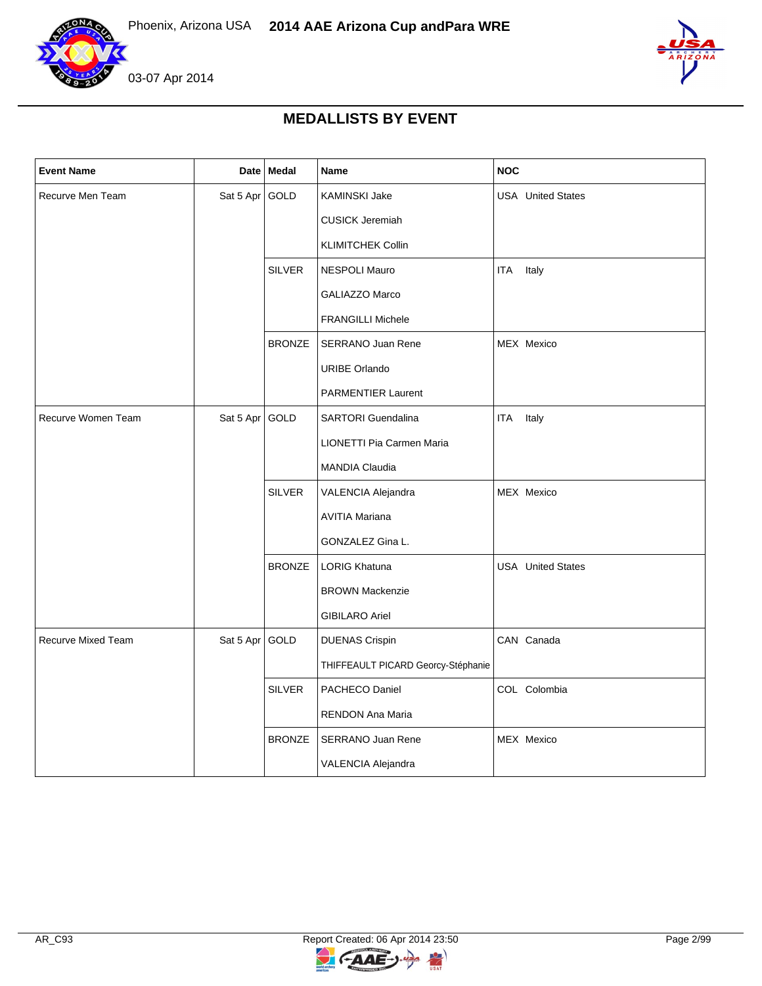

03-07 Apr 2014



## **MEDALLISTS BY EVENT**

| <b>Event Name</b>  | <b>Date</b> | Medal         | Name                               | NOC                      |
|--------------------|-------------|---------------|------------------------------------|--------------------------|
| Recurve Men Team   | Sat 5 Apr   | GOLD          | <b>KAMINSKI Jake</b>               | <b>USA</b> United States |
|                    |             |               | <b>CUSICK Jeremiah</b>             |                          |
|                    |             |               | <b>KLIMITCHEK Collin</b>           |                          |
|                    |             | <b>SILVER</b> | <b>NESPOLI Mauro</b>               | ITA<br>Italy             |
|                    |             |               | <b>GALIAZZO Marco</b>              |                          |
|                    |             |               | <b>FRANGILLI Michele</b>           |                          |
|                    |             | <b>BRONZE</b> | <b>SERRANO Juan Rene</b>           | MEX Mexico               |
|                    |             |               | <b>URIBE Orlando</b>               |                          |
|                    |             |               | <b>PARMENTIER Laurent</b>          |                          |
| Recurve Women Team | Sat 5 Apr   | GOLD          | <b>SARTORI</b> Guendalina          | <b>ITA</b><br>Italy      |
|                    |             |               | LIONETTI Pia Carmen Maria          |                          |
|                    |             |               | <b>MANDIA Claudia</b>              |                          |
|                    |             | <b>SILVER</b> | VALENCIA Alejandra                 | MEX Mexico               |
|                    |             |               | <b>AVITIA Mariana</b>              |                          |
|                    |             |               | GONZALEZ Gina L.                   |                          |
|                    |             | <b>BRONZE</b> | <b>LORIG Khatuna</b>               | <b>USA</b> United States |
|                    |             |               | <b>BROWN Mackenzie</b>             |                          |
|                    |             |               | <b>GIBILARO Ariel</b>              |                          |
| Recurve Mixed Team | Sat 5 Apr   | GOLD          | <b>DUENAS Crispin</b>              | CAN Canada               |
|                    |             |               | THIFFEAULT PICARD Georcy-Stéphanie |                          |
|                    |             | <b>SILVER</b> | PACHECO Daniel                     | COL Colombia             |
|                    |             |               | RENDON Ana Maria                   |                          |
|                    |             | <b>BRONZE</b> | SERRANO Juan Rene                  | MEX Mexico               |
|                    |             |               | VALENCIA Alejandra                 |                          |

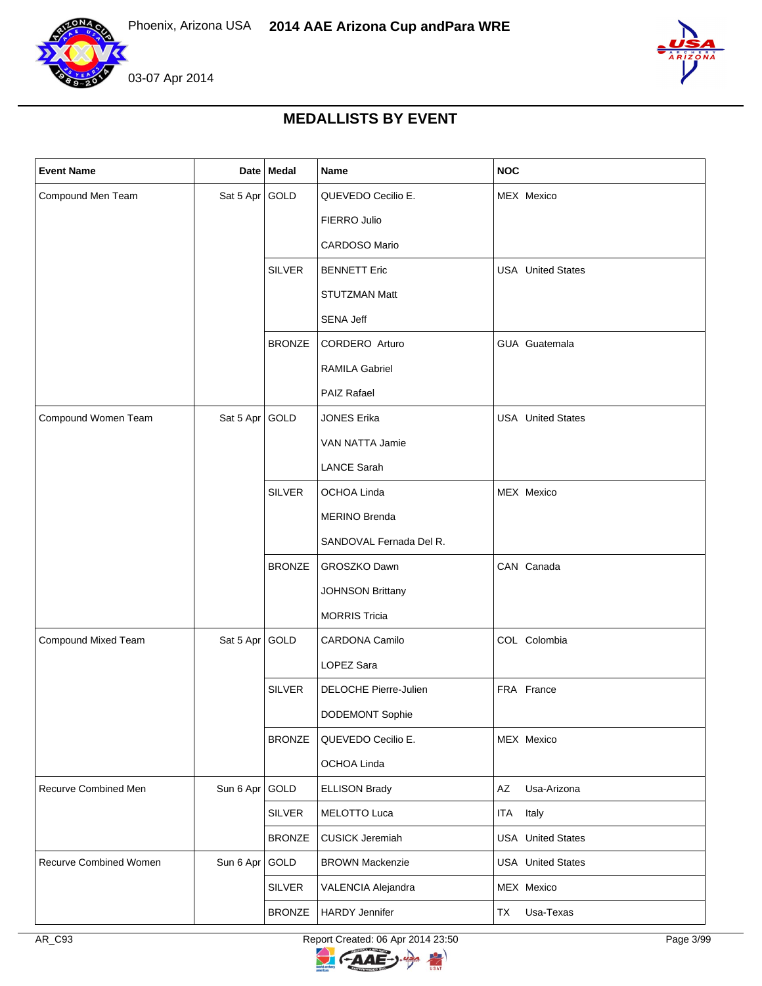



### **MEDALLISTS BY EVENT**

| <b>Event Name</b>      |                | Date   Medal  | Name                    | <b>NOC</b>               |
|------------------------|----------------|---------------|-------------------------|--------------------------|
| Compound Men Team      | Sat 5 Apr GOLD |               | QUEVEDO Cecilio E.      | MEX Mexico               |
|                        |                |               | FIERRO Julio            |                          |
|                        |                |               | CARDOSO Mario           |                          |
|                        |                | <b>SILVER</b> | <b>BENNETT Eric</b>     | <b>USA</b> United States |
|                        |                |               | <b>STUTZMAN Matt</b>    |                          |
|                        |                |               | SENA Jeff               |                          |
|                        |                | <b>BRONZE</b> | CORDERO Arturo          | GUA Guatemala            |
|                        |                |               | <b>RAMILA Gabriel</b>   |                          |
|                        |                |               | PAIZ Rafael             |                          |
| Compound Women Team    | Sat 5 Apr GOLD |               | <b>JONES Erika</b>      | <b>USA</b> United States |
|                        |                |               | VAN NATTA Jamie         |                          |
|                        |                |               | <b>LANCE Sarah</b>      |                          |
|                        |                | <b>SILVER</b> | OCHOA Linda             | MEX Mexico               |
|                        |                |               | <b>MERINO Brenda</b>    |                          |
|                        |                |               | SANDOVAL Fernada Del R. |                          |
|                        |                | <b>BRONZE</b> | GROSZKO Dawn            | CAN Canada               |
|                        |                |               | <b>JOHNSON Brittany</b> |                          |
|                        |                |               | <b>MORRIS Tricia</b>    |                          |
| Compound Mixed Team    | Sat 5 Apr GOLD |               | CARDONA Camilo          | COL Colombia             |
|                        |                |               | LOPEZ Sara              |                          |
|                        |                | <b>SILVER</b> | DELOCHE Pierre-Julien   | FRA France               |
|                        |                |               | DODEMONT Sophie         |                          |
|                        |                | <b>BRONZE</b> | QUEVEDO Cecilio E.      | MEX Mexico               |
|                        |                |               | OCHOA Linda             |                          |
| Recurve Combined Men   | Sun 6 Apr GOLD |               | <b>ELLISON Brady</b>    | AZ<br>Usa-Arizona        |
|                        |                | <b>SILVER</b> | MELOTTO Luca            | Italy<br>ITA             |
|                        |                | <b>BRONZE</b> | <b>CUSICK Jeremiah</b>  | <b>USA</b> United States |
| Recurve Combined Women | Sun 6 Apr GOLD |               | <b>BROWN Mackenzie</b>  | <b>USA</b> United States |
|                        |                | <b>SILVER</b> | VALENCIA Alejandra      | MEX Mexico               |
|                        |                | <b>BRONZE</b> | <b>HARDY Jennifer</b>   | Usa-Texas<br>TX          |

AR\_C93 Report Created: 06 Apr 2014 23:50 Page 3/99

 $\geq$ 

GAAE-J.

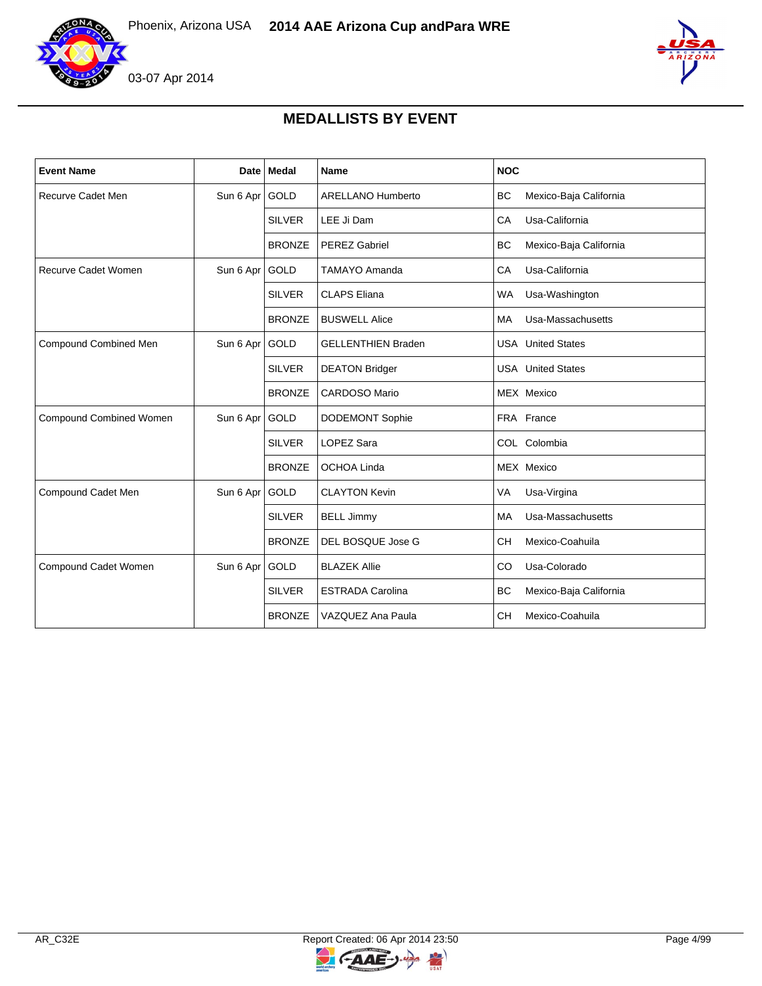

## **MEDALLISTS BY EVENT**

| <b>Event Name</b>          | Date I         | <b>Medal</b>  | Name                      | <b>NOC</b>                          |
|----------------------------|----------------|---------------|---------------------------|-------------------------------------|
| Recurve Cadet Men          | Sun 6 Apr GOLD |               | <b>ARELLANO Humberto</b>  | BC<br>Mexico-Baja California        |
|                            |                | <b>SILVER</b> | LEE Ji Dam                | CA<br>Usa-California                |
|                            |                | <b>BRONZE</b> | <b>PEREZ Gabriel</b>      | <b>BC</b><br>Mexico-Baja California |
| <b>Recurve Cadet Women</b> | Sun 6 Apr GOLD |               | <b>TAMAYO Amanda</b>      | CA<br>Usa-California                |
|                            |                | <b>SILVER</b> | <b>CLAPS Eliana</b>       | <b>WA</b><br>Usa-Washington         |
|                            |                | <b>BRONZE</b> | <b>BUSWELL Alice</b>      | Usa-Massachusetts<br>MA             |
| Compound Combined Men      | Sun 6 Apr      | GOLD          | <b>GELLENTHIEN Braden</b> | <b>USA</b> United States            |
|                            |                | <b>SILVER</b> | <b>DEATON Bridger</b>     | <b>USA</b> United States            |
|                            |                | <b>BRONZE</b> | <b>CARDOSO Mario</b>      | MEX Mexico                          |
| Compound Combined Women    | Sun 6 Apr      | GOLD          | <b>DODEMONT Sophie</b>    | FRA France                          |
|                            |                | <b>SILVER</b> | <b>LOPEZ Sara</b>         | COL Colombia                        |
|                            |                | <b>BRONZE</b> | OCHOA Linda               | MEX Mexico                          |
| Compound Cadet Men         | Sun 6 Apr      | <b>GOLD</b>   | <b>CLAYTON Kevin</b>      | VA<br>Usa-Virgina                   |
|                            |                | <b>SILVER</b> | <b>BELL Jimmy</b>         | Usa-Massachusetts<br>MA             |
|                            |                | <b>BRONZE</b> | DEL BOSQUE Jose G         | <b>CH</b><br>Mexico-Coahuila        |
| Compound Cadet Women       | Sun 6 Apr GOLD |               | <b>BLAZEK Allie</b>       | CO<br>Usa-Colorado                  |
|                            |                | <b>SILVER</b> | <b>ESTRADA Carolina</b>   | <b>BC</b><br>Mexico-Baja California |
|                            |                | <b>BRONZE</b> | VAZQUEZ Ana Paula         | <b>CH</b><br>Mexico-Coahuila        |

 $\geq$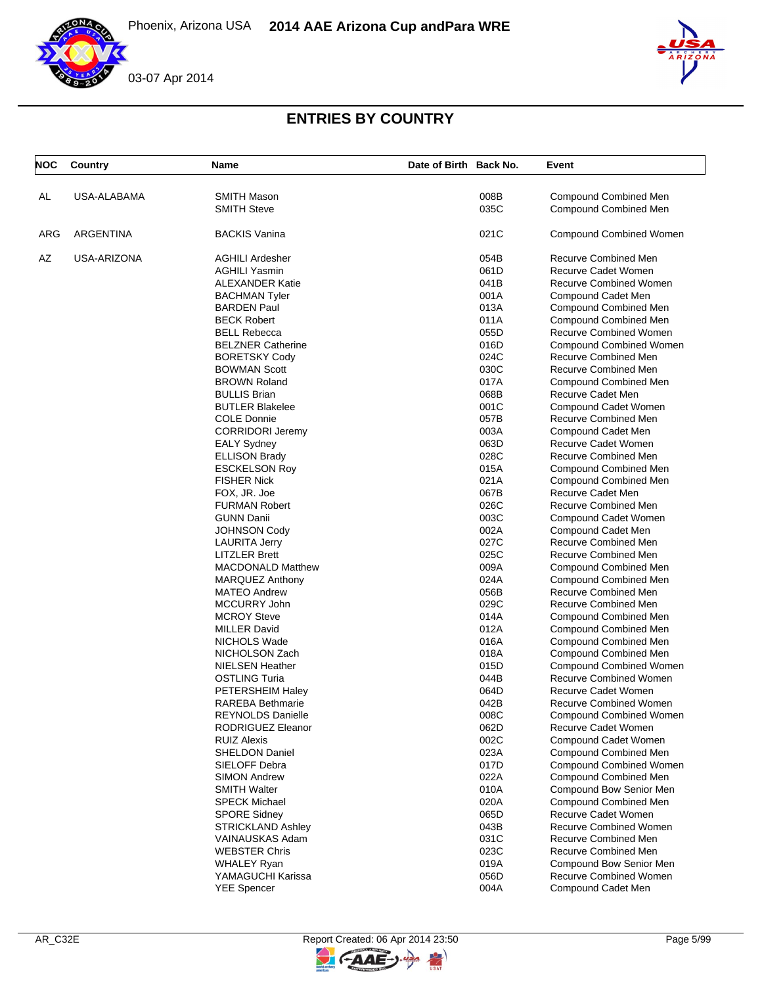





| <b>NOC</b> | Country     | Name                     | Date of Birth Back No. | Event                          |
|------------|-------------|--------------------------|------------------------|--------------------------------|
| AL         | USA-ALABAMA | <b>SMITH Mason</b>       | 008B                   | <b>Compound Combined Men</b>   |
|            |             | <b>SMITH Steve</b>       | 035C                   | Compound Combined Men          |
| ARG        | ARGENTINA   | <b>BACKIS Vanina</b>     | 021C                   | <b>Compound Combined Women</b> |
| AZ         | USA-ARIZONA | <b>AGHILI Ardesher</b>   | 054B                   | Recurve Combined Men           |
|            |             | <b>AGHILI Yasmin</b>     | 061D                   | Recurve Cadet Women            |
|            |             | <b>ALEXANDER Katie</b>   | 041B                   | <b>Recurve Combined Women</b>  |
|            |             | <b>BACHMAN Tyler</b>     | 001A                   | Compound Cadet Men             |
|            |             | <b>BARDEN Paul</b>       | 013A                   | Compound Combined Men          |
|            |             | <b>BECK Robert</b>       | 011A                   | <b>Compound Combined Men</b>   |
|            |             | <b>BELL Rebecca</b>      | 055D                   | <b>Recurve Combined Women</b>  |
|            |             | <b>BELZNER Catherine</b> | 016D                   | <b>Compound Combined Women</b> |
|            |             | <b>BORETSKY Cody</b>     | 024C                   | Recurve Combined Men           |
|            |             | <b>BOWMAN Scott</b>      | 030C                   | Recurve Combined Men           |
|            |             | <b>BROWN Roland</b>      | 017A                   | Compound Combined Men          |
|            |             | <b>BULLIS Brian</b>      | 068B                   | Recurve Cadet Men              |
|            |             | <b>BUTLER Blakelee</b>   | 001C                   | Compound Cadet Women           |
|            |             | <b>COLE Donnie</b>       | 057B                   | Recurve Combined Men           |
|            |             | <b>CORRIDORI Jeremy</b>  | 003A                   | Compound Cadet Men             |
|            |             | <b>EALY Sydney</b>       | 063D                   | Recurve Cadet Women            |
|            |             | <b>ELLISON Brady</b>     | 028C                   | Recurve Combined Men           |
|            |             | <b>ESCKELSON Roy</b>     | 015A                   | Compound Combined Men          |
|            |             | <b>FISHER Nick</b>       | 021A                   | <b>Compound Combined Men</b>   |
|            |             | FOX, JR. Joe             | 067B                   | Recurve Cadet Men              |
|            |             | <b>FURMAN Robert</b>     | 026C                   | <b>Recurve Combined Men</b>    |
|            |             | <b>GUNN Danii</b>        | 003C                   | Compound Cadet Women           |
|            |             | <b>JOHNSON Cody</b>      | 002A                   | Compound Cadet Men             |
|            |             | <b>LAURITA Jerry</b>     | 027C                   | Recurve Combined Men           |
|            |             | <b>LITZLER Brett</b>     | 025C                   | Recurve Combined Men           |
|            |             | <b>MACDONALD Matthew</b> | 009A                   | Compound Combined Men          |
|            |             | <b>MARQUEZ Anthony</b>   | 024A                   | <b>Compound Combined Men</b>   |
|            |             | <b>MATEO Andrew</b>      | 056B                   | <b>Recurve Combined Men</b>    |
|            |             | MCCURRY John             | 029C                   | Recurve Combined Men           |
|            |             | <b>MCROY Steve</b>       | 014A                   | <b>Compound Combined Men</b>   |
|            |             | <b>MILLER David</b>      | 012A                   | <b>Compound Combined Men</b>   |
|            |             | NICHOLS Wade             | 016A                   | Compound Combined Men          |
|            |             | NICHOLSON Zach           | 018A                   | Compound Combined Men          |
|            |             | <b>NIELSEN Heather</b>   | 015D                   | <b>Compound Combined Women</b> |
|            |             | <b>OSTLING Turia</b>     | 044B                   | <b>Recurve Combined Women</b>  |
|            |             | PETERSHEIM Haley         | 064D                   | Recurve Cadet Women            |
|            |             | <b>RAREBA Bethmarie</b>  | 042B                   | <b>Recurve Combined Women</b>  |
|            |             | <b>REYNOLDS Danielle</b> | 008C                   | <b>Compound Combined Women</b> |
|            |             | RODRIGUEZ Eleanor        | 062D                   | Recurve Cadet Women            |
|            |             | <b>RUIZ Alexis</b>       | 002C                   | Compound Cadet Women           |
|            |             | <b>SHELDON Daniel</b>    | 023A                   | <b>Compound Combined Men</b>   |
|            |             | SIELOFF Debra            | 017D                   | <b>Compound Combined Women</b> |
|            |             | <b>SIMON Andrew</b>      | 022A                   | Compound Combined Men          |
|            |             | <b>SMITH Walter</b>      | 010A                   | Compound Bow Senior Men        |
|            |             | <b>SPECK Michael</b>     | 020A                   | Compound Combined Men          |
|            |             | <b>SPORE Sidney</b>      | 065D                   | Recurve Cadet Women            |
|            |             | <b>STRICKLAND Ashley</b> | 043B                   | <b>Recurve Combined Women</b>  |
|            |             | VAINAUSKAS Adam          | 031C                   | Recurve Combined Men           |
|            |             | <b>WEBSTER Chris</b>     | 023C                   | Recurve Combined Men           |
|            |             | <b>WHALEY Ryan</b>       | 019A                   | Compound Bow Senior Men        |
|            |             | YAMAGUCHI Karissa        | 056D                   | Recurve Combined Women         |
|            |             | <b>YEE Spencer</b>       | 004A                   | Compound Cadet Men             |
|            |             |                          |                        |                                |

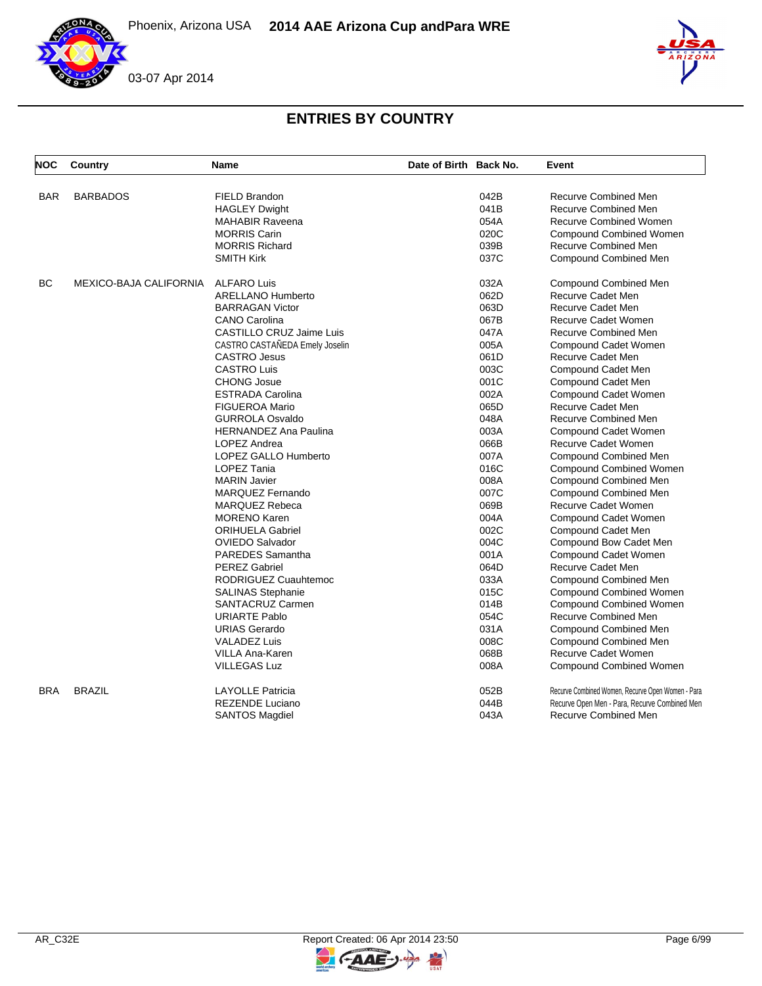



| <b>NOC</b> | Country                | Name                           | Date of Birth Back No. |      | Event                                             |
|------------|------------------------|--------------------------------|------------------------|------|---------------------------------------------------|
|            |                        |                                |                        |      |                                                   |
| <b>BAR</b> | <b>BARBADOS</b>        | FIELD Brandon                  |                        | 042B | Recurve Combined Men                              |
|            |                        | <b>HAGLEY Dwight</b>           |                        | 041B | Recurve Combined Men                              |
|            |                        | <b>MAHABIR Raveena</b>         |                        | 054A | <b>Recurve Combined Women</b>                     |
|            |                        | <b>MORRIS Carin</b>            |                        | 020C | <b>Compound Combined Women</b>                    |
|            |                        | <b>MORRIS Richard</b>          |                        | 039B | Recurve Combined Men                              |
|            |                        | <b>SMITH Kirk</b>              |                        | 037C | <b>Compound Combined Men</b>                      |
| <b>BC</b>  | MEXICO-BAJA CALIFORNIA | <b>ALFARO Luis</b>             |                        | 032A | Compound Combined Men                             |
|            |                        | <b>ARELLANO Humberto</b>       |                        | 062D | Recurve Cadet Men                                 |
|            |                        | <b>BARRAGAN Victor</b>         |                        | 063D | <b>Recurve Cadet Men</b>                          |
|            |                        | <b>CANO Carolina</b>           |                        | 067B | Recurve Cadet Women                               |
|            |                        | CASTILLO CRUZ Jaime Luis       |                        | 047A | Recurve Combined Men                              |
|            |                        | CASTRO CASTAÑEDA Emely Joselin |                        | 005A | Compound Cadet Women                              |
|            |                        | <b>CASTRO Jesus</b>            |                        | 061D | Recurve Cadet Men                                 |
|            |                        | <b>CASTRO Luis</b>             |                        | 003C | Compound Cadet Men                                |
|            |                        | <b>CHONG Josue</b>             |                        | 001C | Compound Cadet Men                                |
|            |                        | <b>ESTRADA Carolina</b>        |                        | 002A | Compound Cadet Women                              |
|            |                        | <b>FIGUEROA Mario</b>          |                        | 065D | <b>Recurve Cadet Men</b>                          |
|            |                        | <b>GURROLA Osvaldo</b>         |                        | 048A | Recurve Combined Men                              |
|            |                        | <b>HERNANDEZ Ana Paulina</b>   |                        | 003A | Compound Cadet Women                              |
|            |                        | LOPEZ Andrea                   |                        | 066B | <b>Recurve Cadet Women</b>                        |
|            |                        | <b>LOPEZ GALLO Humberto</b>    |                        | 007A | <b>Compound Combined Men</b>                      |
|            |                        | LOPEZ Tania                    |                        | 016C | <b>Compound Combined Women</b>                    |
|            |                        | <b>MARIN Javier</b>            |                        | 008A | Compound Combined Men                             |
|            |                        | <b>MARQUEZ Fernando</b>        |                        | 007C | <b>Compound Combined Men</b>                      |
|            |                        | <b>MARQUEZ Rebeca</b>          |                        | 069B | <b>Recurve Cadet Women</b>                        |
|            |                        | <b>MORENO Karen</b>            |                        | 004A | Compound Cadet Women                              |
|            |                        | <b>ORIHUELA Gabriel</b>        |                        | 002C | Compound Cadet Men                                |
|            |                        | <b>OVIEDO Salvador</b>         |                        | 004C | Compound Bow Cadet Men                            |
|            |                        | <b>PAREDES Samantha</b>        |                        | 001A | Compound Cadet Women                              |
|            |                        | <b>PEREZ Gabriel</b>           |                        | 064D | Recurve Cadet Men                                 |
|            |                        | RODRIGUEZ Cuauhtemoc           |                        | 033A | Compound Combined Men                             |
|            |                        | SALINAS Stephanie              |                        | 015C | Compound Combined Women                           |
|            |                        | SANTACRUZ Carmen               |                        | 014B | <b>Compound Combined Women</b>                    |
|            |                        | <b>URIARTE Pablo</b>           |                        | 054C | Recurve Combined Men                              |
|            |                        | <b>URIAS Gerardo</b>           |                        | 031A | <b>Compound Combined Men</b>                      |
|            |                        | <b>VALADEZ Luis</b>            |                        | 008C | <b>Compound Combined Men</b>                      |
|            |                        | VILLA Ana-Karen                |                        | 068B | Recurve Cadet Women                               |
|            |                        | <b>VILLEGAS Luz</b>            |                        | 008A | Compound Combined Women                           |
| <b>BRA</b> | <b>BRAZIL</b>          | <b>LAYOLLE Patricia</b>        |                        | 052B | Recurve Combined Women, Recurve Open Women - Para |
|            |                        | <b>REZENDE Luciano</b>         |                        | 044B | Recurve Open Men - Para, Recurve Combined Men     |
|            |                        | <b>SANTOS Magdiel</b>          |                        | 043A | <b>Recurve Combined Men</b>                       |

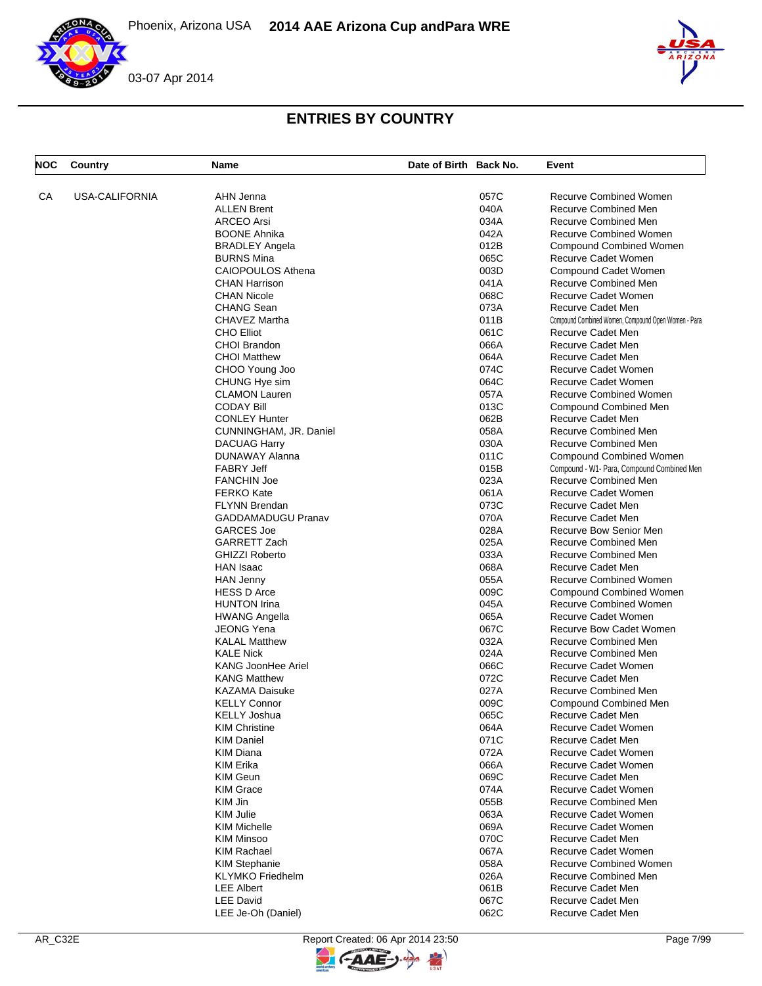



| <b>NOC</b> | Country               | Name                      | Date of Birth Back No. |      | Event                                               |
|------------|-----------------------|---------------------------|------------------------|------|-----------------------------------------------------|
| СA         | <b>USA-CALIFORNIA</b> | AHN Jenna                 |                        | 057C | <b>Recurve Combined Women</b>                       |
|            |                       | <b>ALLEN Brent</b>        |                        | 040A | <b>Recurve Combined Men</b>                         |
|            |                       | <b>ARCEO</b> Arsi         |                        | 034A | <b>Recurve Combined Men</b>                         |
|            |                       | <b>BOONE Ahnika</b>       |                        | 042A | <b>Recurve Combined Women</b>                       |
|            |                       |                           |                        |      |                                                     |
|            |                       | <b>BRADLEY Angela</b>     |                        | 012B | Compound Combined Women                             |
|            |                       | <b>BURNS Mina</b>         |                        | 065C | Recurve Cadet Women                                 |
|            |                       | <b>CAIOPOULOS Athena</b>  |                        | 003D | Compound Cadet Women                                |
|            |                       | <b>CHAN Harrison</b>      |                        | 041A | Recurve Combined Men                                |
|            |                       | <b>CHAN Nicole</b>        |                        | 068C | Recurve Cadet Women                                 |
|            |                       | <b>CHANG Sean</b>         |                        | 073A | Recurve Cadet Men                                   |
|            |                       | CHAVEZ Martha             |                        | 011B | Compound Combined Women, Compound Open Women - Para |
|            |                       | <b>CHO Elliot</b>         |                        | 061C | Recurve Cadet Men                                   |
|            |                       | CHOI Brandon              |                        | 066A | <b>Recurve Cadet Men</b>                            |
|            |                       | <b>CHOI Matthew</b>       |                        | 064A | Recurve Cadet Men                                   |
|            |                       | CHOO Young Joo            |                        | 074C | Recurve Cadet Women                                 |
|            |                       | CHUNG Hye sim             |                        | 064C | Recurve Cadet Women                                 |
|            |                       | <b>CLAMON Lauren</b>      |                        | 057A | <b>Recurve Combined Women</b>                       |
|            |                       | <b>CODAY Bill</b>         |                        | 013C | Compound Combined Men                               |
|            |                       | <b>CONLEY Hunter</b>      |                        | 062B | Recurve Cadet Men                                   |
|            |                       | CUNNINGHAM, JR. Daniel    |                        | 058A | <b>Recurve Combined Men</b>                         |
|            |                       | <b>DACUAG Harry</b>       |                        | 030A | <b>Recurve Combined Men</b>                         |
|            |                       | DUNAWAY Alanna            |                        | 011C | Compound Combined Women                             |
|            |                       | <b>FABRY Jeff</b>         |                        | 015B | Compound - W1- Para, Compound Combined Men          |
|            |                       | <b>FANCHIN Joe</b>        |                        | 023A | Recurve Combined Men                                |
|            |                       | <b>FERKO Kate</b>         |                        | 061A | Recurve Cadet Women                                 |
|            |                       |                           |                        | 073C | Recurve Cadet Men                                   |
|            |                       | <b>FLYNN Brendan</b>      |                        |      |                                                     |
|            |                       | <b>GADDAMADUGU Pranav</b> |                        | 070A | Recurve Cadet Men                                   |
|            |                       | <b>GARCES Joe</b>         |                        | 028A | Recurve Bow Senior Men                              |
|            |                       | GARRETT Zach              |                        | 025A | <b>Recurve Combined Men</b>                         |
|            |                       | <b>GHIZZI Roberto</b>     |                        | 033A | <b>Recurve Combined Men</b>                         |
|            |                       | <b>HAN Isaac</b>          |                        | 068A | Recurve Cadet Men                                   |
|            |                       | <b>HAN Jenny</b>          |                        | 055A | <b>Recurve Combined Women</b>                       |
|            |                       | <b>HESS D Arce</b>        |                        | 009C | Compound Combined Women                             |
|            |                       | <b>HUNTON Irina</b>       |                        | 045A | <b>Recurve Combined Women</b>                       |
|            |                       | <b>HWANG Angella</b>      |                        | 065A | Recurve Cadet Women                                 |
|            |                       | <b>JEONG Yena</b>         |                        | 067C | <b>Recurve Bow Cadet Women</b>                      |
|            |                       | <b>KALAL Matthew</b>      |                        | 032A | Recurve Combined Men                                |
|            |                       | <b>KALE Nick</b>          |                        | 024A | <b>Recurve Combined Men</b>                         |
|            |                       | <b>KANG JoonHee Ariel</b> |                        | 066C | <b>Recurve Cadet Women</b>                          |
|            |                       | <b>KANG Matthew</b>       |                        | 072C | Recurve Cadet Men                                   |
|            |                       | <b>KAZAMA Daisuke</b>     |                        | 027A | <b>Recurve Combined Men</b>                         |
|            |                       | <b>KELLY Connor</b>       |                        | 009C | <b>Compound Combined Men</b>                        |
|            |                       | KELLY Joshua              |                        | 065C | Recurve Cadet Men                                   |
|            |                       | <b>KIM Christine</b>      |                        | 064A | Recurve Cadet Women                                 |
|            |                       | <b>KIM Daniel</b>         |                        | 071C | Recurve Cadet Men                                   |
|            |                       | <b>KIM Diana</b>          |                        | 072A | Recurve Cadet Women                                 |
|            |                       | KIM Erika                 |                        | 066A | Recurve Cadet Women                                 |
|            |                       | <b>KIM Geun</b>           |                        | 069C | Recurve Cadet Men                                   |
|            |                       | <b>KIM Grace</b>          |                        | 074A | Recurve Cadet Women                                 |
|            |                       | KIM Jin                   |                        | 055B | Recurve Combined Men                                |
|            |                       | <b>KIM Julie</b>          |                        | 063A | Recurve Cadet Women                                 |
|            |                       | <b>KIM Michelle</b>       |                        | 069A | Recurve Cadet Women                                 |
|            |                       |                           |                        |      |                                                     |
|            |                       | <b>KIM Minsoo</b>         |                        | 070C | Recurve Cadet Men                                   |
|            |                       | <b>KIM Rachael</b>        |                        | 067A | Recurve Cadet Women                                 |
|            |                       | <b>KIM Stephanie</b>      |                        | 058A | <b>Recurve Combined Women</b>                       |
|            |                       | <b>KLYMKO</b> Friedhelm   |                        | 026A | Recurve Combined Men                                |
|            |                       | <b>LEE Albert</b>         |                        | 061B | Recurve Cadet Men                                   |
|            |                       | <b>LEE David</b>          |                        | 067C | Recurve Cadet Men                                   |
|            |                       | LEE Je-Oh (Daniel)        |                        | 062C | Recurve Cadet Men                                   |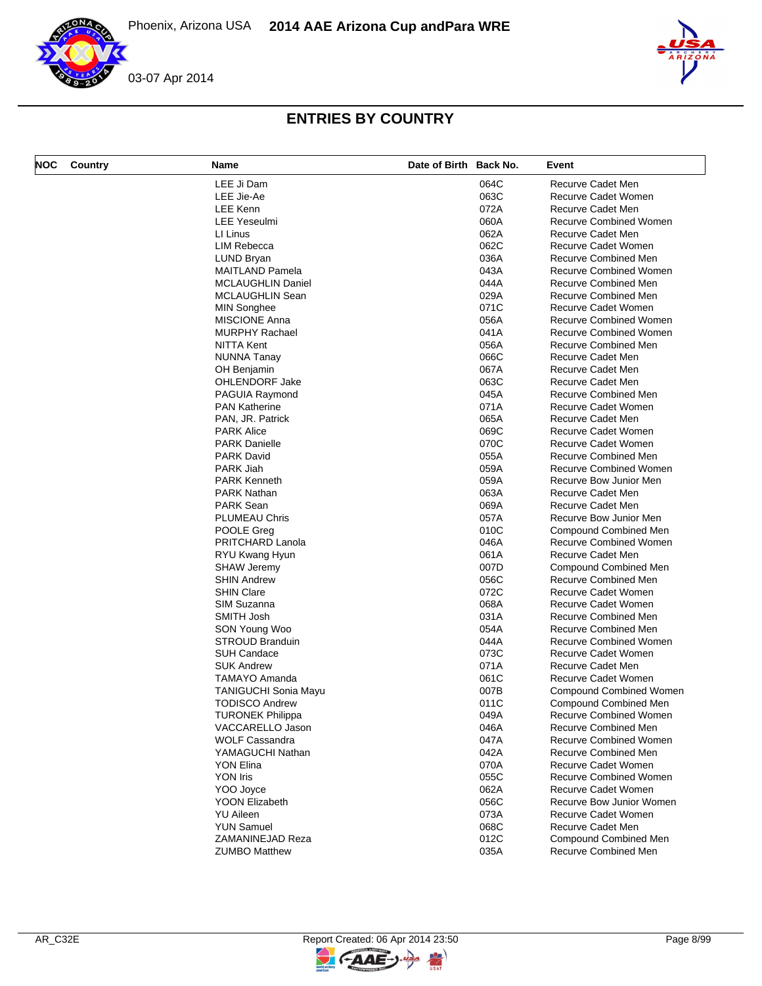

| LEE Ji Dam<br>064C<br>Recurve Cadet Men<br>063C<br>LEE Jie-Ae<br>Recurve Cadet Women<br>LEE Kenn<br>072A<br>Recurve Cadet Men<br><b>LEE Yeseulmi</b><br>060A<br>Recurve Combined Women<br>062A<br>LI Linus<br>Recurve Cadet Men<br>062C<br><b>LIM Rebecca</b><br>Recurve Cadet Women<br>036A<br><b>Recurve Combined Men</b><br>LUND Bryan<br>043A<br><b>MAITLAND Pamela</b><br><b>Recurve Combined Women</b><br><b>MCLAUGHLIN Daniel</b><br>044A<br>Recurve Combined Men<br>029A<br>Recurve Combined Men<br>MCLAUGHLIN Sean<br>071C<br>Recurve Cadet Women<br><b>MIN Songhee</b><br><b>MISCIONE Anna</b><br>056A<br><b>Recurve Combined Women</b><br><b>MURPHY Rachael</b><br>041A<br><b>Recurve Combined Women</b><br>NITTA Kent<br>056A<br>Recurve Combined Men<br>066C<br>Recurve Cadet Men<br>NUNNA Tanay<br>067A<br>Recurve Cadet Men<br>OH Benjamin<br>063C<br>Recurve Cadet Men<br><b>OHLENDORF Jake</b><br>045A<br>Recurve Combined Men<br>PAGUIA Raymond<br>071A<br>Recurve Cadet Women<br><b>PAN Katherine</b><br>PAN, JR. Patrick<br>065A<br>Recurve Cadet Men<br>069C<br><b>PARK Alice</b><br>Recurve Cadet Women<br>070C<br><b>PARK Danielle</b><br>Recurve Cadet Women<br>055A<br><b>PARK David</b><br>Recurve Combined Men<br>PARK Jiah<br>059A<br>Recurve Combined Women<br>059A<br><b>PARK Kenneth</b><br>Recurve Bow Junior Men<br>063A<br>PARK Nathan<br>Recurve Cadet Men<br><b>PARK Sean</b><br>069A<br>Recurve Cadet Men<br>057A<br>PLUMEAU Chris<br>Recurve Bow Junior Men<br>010C<br>POOLE Greg<br>Compound Combined Men<br>PRITCHARD Lanola<br>046A<br><b>Recurve Combined Women</b><br>061A<br>Recurve Cadet Men<br>RYU Kwang Hyun<br>007D<br><b>SHAW Jeremy</b><br>Compound Combined Men<br>056C<br><b>SHIN Andrew</b><br>Recurve Combined Men<br>072C<br><b>SHIN Clare</b><br>Recurve Cadet Women<br>SIM Suzanna<br>068A<br>Recurve Cadet Women<br>SMITH Josh<br>031A<br>Recurve Combined Men<br>054A<br><b>Recurve Combined Men</b><br>SON Young Woo<br><b>STROUD Branduin</b><br>044A<br><b>Recurve Combined Women</b><br>073C<br><b>SUH Candace</b><br>Recurve Cadet Women<br>071A<br>Recurve Cadet Men<br><b>SUK Andrew</b><br><b>TAMAYO Amanda</b><br>061C<br>Recurve Cadet Women<br>007B<br><b>TANIGUCHI Sonia Mayu</b><br><b>Compound Combined Women</b><br><b>TODISCO Andrew</b><br>011C<br><b>Compound Combined Men</b><br><b>TURONEK Philippa</b><br>049A<br>Recurve Combined Women<br>VACCARELLO Jason<br>046A<br>Recurve Combined Men<br>047A<br><b>WOLF Cassandra</b><br><b>Recurve Combined Women</b><br>042A<br>YAMAGUCHI Nathan<br>Recurve Combined Men<br>070A<br>Recurve Cadet Women<br>YON Elina<br><b>YON Iris</b><br>055C<br><b>Recurve Combined Women</b><br>YOO Joyce<br>062A<br>Recurve Cadet Women<br><b>YOON Elizabeth</b><br>056C<br>Recurve Bow Junior Women<br>073A<br><b>YU Aileen</b><br>Recurve Cadet Women<br><b>YUN Samuel</b><br>068C<br>Recurve Cadet Men<br>012C<br>ZAMANINEJAD Reza<br><b>Compound Combined Men</b> | <b>NOC</b> | Country | Name                 | Date of Birth Back No. |      | Event                |
|---------------------------------------------------------------------------------------------------------------------------------------------------------------------------------------------------------------------------------------------------------------------------------------------------------------------------------------------------------------------------------------------------------------------------------------------------------------------------------------------------------------------------------------------------------------------------------------------------------------------------------------------------------------------------------------------------------------------------------------------------------------------------------------------------------------------------------------------------------------------------------------------------------------------------------------------------------------------------------------------------------------------------------------------------------------------------------------------------------------------------------------------------------------------------------------------------------------------------------------------------------------------------------------------------------------------------------------------------------------------------------------------------------------------------------------------------------------------------------------------------------------------------------------------------------------------------------------------------------------------------------------------------------------------------------------------------------------------------------------------------------------------------------------------------------------------------------------------------------------------------------------------------------------------------------------------------------------------------------------------------------------------------------------------------------------------------------------------------------------------------------------------------------------------------------------------------------------------------------------------------------------------------------------------------------------------------------------------------------------------------------------------------------------------------------------------------------------------------------------------------------------------------------------------------------------------------------------------------------------------------------------------------------------------------------------------------------------------------------------------------------------------------------------------------------------------------------------------------------------------------------------------------------------------------------------------------------------------------------------|------------|---------|----------------------|------------------------|------|----------------------|
|                                                                                                                                                                                                                                                                                                                                                                                                                                                                                                                                                                                                                                                                                                                                                                                                                                                                                                                                                                                                                                                                                                                                                                                                                                                                                                                                                                                                                                                                                                                                                                                                                                                                                                                                                                                                                                                                                                                                                                                                                                                                                                                                                                                                                                                                                                                                                                                                                                                                                                                                                                                                                                                                                                                                                                                                                                                                                                                                                                                       |            |         |                      |                        |      |                      |
|                                                                                                                                                                                                                                                                                                                                                                                                                                                                                                                                                                                                                                                                                                                                                                                                                                                                                                                                                                                                                                                                                                                                                                                                                                                                                                                                                                                                                                                                                                                                                                                                                                                                                                                                                                                                                                                                                                                                                                                                                                                                                                                                                                                                                                                                                                                                                                                                                                                                                                                                                                                                                                                                                                                                                                                                                                                                                                                                                                                       |            |         |                      |                        |      |                      |
|                                                                                                                                                                                                                                                                                                                                                                                                                                                                                                                                                                                                                                                                                                                                                                                                                                                                                                                                                                                                                                                                                                                                                                                                                                                                                                                                                                                                                                                                                                                                                                                                                                                                                                                                                                                                                                                                                                                                                                                                                                                                                                                                                                                                                                                                                                                                                                                                                                                                                                                                                                                                                                                                                                                                                                                                                                                                                                                                                                                       |            |         |                      |                        |      |                      |
|                                                                                                                                                                                                                                                                                                                                                                                                                                                                                                                                                                                                                                                                                                                                                                                                                                                                                                                                                                                                                                                                                                                                                                                                                                                                                                                                                                                                                                                                                                                                                                                                                                                                                                                                                                                                                                                                                                                                                                                                                                                                                                                                                                                                                                                                                                                                                                                                                                                                                                                                                                                                                                                                                                                                                                                                                                                                                                                                                                                       |            |         |                      |                        |      |                      |
|                                                                                                                                                                                                                                                                                                                                                                                                                                                                                                                                                                                                                                                                                                                                                                                                                                                                                                                                                                                                                                                                                                                                                                                                                                                                                                                                                                                                                                                                                                                                                                                                                                                                                                                                                                                                                                                                                                                                                                                                                                                                                                                                                                                                                                                                                                                                                                                                                                                                                                                                                                                                                                                                                                                                                                                                                                                                                                                                                                                       |            |         |                      |                        |      |                      |
|                                                                                                                                                                                                                                                                                                                                                                                                                                                                                                                                                                                                                                                                                                                                                                                                                                                                                                                                                                                                                                                                                                                                                                                                                                                                                                                                                                                                                                                                                                                                                                                                                                                                                                                                                                                                                                                                                                                                                                                                                                                                                                                                                                                                                                                                                                                                                                                                                                                                                                                                                                                                                                                                                                                                                                                                                                                                                                                                                                                       |            |         |                      |                        |      |                      |
|                                                                                                                                                                                                                                                                                                                                                                                                                                                                                                                                                                                                                                                                                                                                                                                                                                                                                                                                                                                                                                                                                                                                                                                                                                                                                                                                                                                                                                                                                                                                                                                                                                                                                                                                                                                                                                                                                                                                                                                                                                                                                                                                                                                                                                                                                                                                                                                                                                                                                                                                                                                                                                                                                                                                                                                                                                                                                                                                                                                       |            |         |                      |                        |      |                      |
|                                                                                                                                                                                                                                                                                                                                                                                                                                                                                                                                                                                                                                                                                                                                                                                                                                                                                                                                                                                                                                                                                                                                                                                                                                                                                                                                                                                                                                                                                                                                                                                                                                                                                                                                                                                                                                                                                                                                                                                                                                                                                                                                                                                                                                                                                                                                                                                                                                                                                                                                                                                                                                                                                                                                                                                                                                                                                                                                                                                       |            |         |                      |                        |      |                      |
|                                                                                                                                                                                                                                                                                                                                                                                                                                                                                                                                                                                                                                                                                                                                                                                                                                                                                                                                                                                                                                                                                                                                                                                                                                                                                                                                                                                                                                                                                                                                                                                                                                                                                                                                                                                                                                                                                                                                                                                                                                                                                                                                                                                                                                                                                                                                                                                                                                                                                                                                                                                                                                                                                                                                                                                                                                                                                                                                                                                       |            |         |                      |                        |      |                      |
|                                                                                                                                                                                                                                                                                                                                                                                                                                                                                                                                                                                                                                                                                                                                                                                                                                                                                                                                                                                                                                                                                                                                                                                                                                                                                                                                                                                                                                                                                                                                                                                                                                                                                                                                                                                                                                                                                                                                                                                                                                                                                                                                                                                                                                                                                                                                                                                                                                                                                                                                                                                                                                                                                                                                                                                                                                                                                                                                                                                       |            |         |                      |                        |      |                      |
|                                                                                                                                                                                                                                                                                                                                                                                                                                                                                                                                                                                                                                                                                                                                                                                                                                                                                                                                                                                                                                                                                                                                                                                                                                                                                                                                                                                                                                                                                                                                                                                                                                                                                                                                                                                                                                                                                                                                                                                                                                                                                                                                                                                                                                                                                                                                                                                                                                                                                                                                                                                                                                                                                                                                                                                                                                                                                                                                                                                       |            |         |                      |                        |      |                      |
|                                                                                                                                                                                                                                                                                                                                                                                                                                                                                                                                                                                                                                                                                                                                                                                                                                                                                                                                                                                                                                                                                                                                                                                                                                                                                                                                                                                                                                                                                                                                                                                                                                                                                                                                                                                                                                                                                                                                                                                                                                                                                                                                                                                                                                                                                                                                                                                                                                                                                                                                                                                                                                                                                                                                                                                                                                                                                                                                                                                       |            |         |                      |                        |      |                      |
|                                                                                                                                                                                                                                                                                                                                                                                                                                                                                                                                                                                                                                                                                                                                                                                                                                                                                                                                                                                                                                                                                                                                                                                                                                                                                                                                                                                                                                                                                                                                                                                                                                                                                                                                                                                                                                                                                                                                                                                                                                                                                                                                                                                                                                                                                                                                                                                                                                                                                                                                                                                                                                                                                                                                                                                                                                                                                                                                                                                       |            |         |                      |                        |      |                      |
|                                                                                                                                                                                                                                                                                                                                                                                                                                                                                                                                                                                                                                                                                                                                                                                                                                                                                                                                                                                                                                                                                                                                                                                                                                                                                                                                                                                                                                                                                                                                                                                                                                                                                                                                                                                                                                                                                                                                                                                                                                                                                                                                                                                                                                                                                                                                                                                                                                                                                                                                                                                                                                                                                                                                                                                                                                                                                                                                                                                       |            |         |                      |                        |      |                      |
|                                                                                                                                                                                                                                                                                                                                                                                                                                                                                                                                                                                                                                                                                                                                                                                                                                                                                                                                                                                                                                                                                                                                                                                                                                                                                                                                                                                                                                                                                                                                                                                                                                                                                                                                                                                                                                                                                                                                                                                                                                                                                                                                                                                                                                                                                                                                                                                                                                                                                                                                                                                                                                                                                                                                                                                                                                                                                                                                                                                       |            |         |                      |                        |      |                      |
|                                                                                                                                                                                                                                                                                                                                                                                                                                                                                                                                                                                                                                                                                                                                                                                                                                                                                                                                                                                                                                                                                                                                                                                                                                                                                                                                                                                                                                                                                                                                                                                                                                                                                                                                                                                                                                                                                                                                                                                                                                                                                                                                                                                                                                                                                                                                                                                                                                                                                                                                                                                                                                                                                                                                                                                                                                                                                                                                                                                       |            |         |                      |                        |      |                      |
|                                                                                                                                                                                                                                                                                                                                                                                                                                                                                                                                                                                                                                                                                                                                                                                                                                                                                                                                                                                                                                                                                                                                                                                                                                                                                                                                                                                                                                                                                                                                                                                                                                                                                                                                                                                                                                                                                                                                                                                                                                                                                                                                                                                                                                                                                                                                                                                                                                                                                                                                                                                                                                                                                                                                                                                                                                                                                                                                                                                       |            |         |                      |                        |      |                      |
|                                                                                                                                                                                                                                                                                                                                                                                                                                                                                                                                                                                                                                                                                                                                                                                                                                                                                                                                                                                                                                                                                                                                                                                                                                                                                                                                                                                                                                                                                                                                                                                                                                                                                                                                                                                                                                                                                                                                                                                                                                                                                                                                                                                                                                                                                                                                                                                                                                                                                                                                                                                                                                                                                                                                                                                                                                                                                                                                                                                       |            |         |                      |                        |      |                      |
|                                                                                                                                                                                                                                                                                                                                                                                                                                                                                                                                                                                                                                                                                                                                                                                                                                                                                                                                                                                                                                                                                                                                                                                                                                                                                                                                                                                                                                                                                                                                                                                                                                                                                                                                                                                                                                                                                                                                                                                                                                                                                                                                                                                                                                                                                                                                                                                                                                                                                                                                                                                                                                                                                                                                                                                                                                                                                                                                                                                       |            |         |                      |                        |      |                      |
|                                                                                                                                                                                                                                                                                                                                                                                                                                                                                                                                                                                                                                                                                                                                                                                                                                                                                                                                                                                                                                                                                                                                                                                                                                                                                                                                                                                                                                                                                                                                                                                                                                                                                                                                                                                                                                                                                                                                                                                                                                                                                                                                                                                                                                                                                                                                                                                                                                                                                                                                                                                                                                                                                                                                                                                                                                                                                                                                                                                       |            |         |                      |                        |      |                      |
|                                                                                                                                                                                                                                                                                                                                                                                                                                                                                                                                                                                                                                                                                                                                                                                                                                                                                                                                                                                                                                                                                                                                                                                                                                                                                                                                                                                                                                                                                                                                                                                                                                                                                                                                                                                                                                                                                                                                                                                                                                                                                                                                                                                                                                                                                                                                                                                                                                                                                                                                                                                                                                                                                                                                                                                                                                                                                                                                                                                       |            |         |                      |                        |      |                      |
|                                                                                                                                                                                                                                                                                                                                                                                                                                                                                                                                                                                                                                                                                                                                                                                                                                                                                                                                                                                                                                                                                                                                                                                                                                                                                                                                                                                                                                                                                                                                                                                                                                                                                                                                                                                                                                                                                                                                                                                                                                                                                                                                                                                                                                                                                                                                                                                                                                                                                                                                                                                                                                                                                                                                                                                                                                                                                                                                                                                       |            |         |                      |                        |      |                      |
|                                                                                                                                                                                                                                                                                                                                                                                                                                                                                                                                                                                                                                                                                                                                                                                                                                                                                                                                                                                                                                                                                                                                                                                                                                                                                                                                                                                                                                                                                                                                                                                                                                                                                                                                                                                                                                                                                                                                                                                                                                                                                                                                                                                                                                                                                                                                                                                                                                                                                                                                                                                                                                                                                                                                                                                                                                                                                                                                                                                       |            |         |                      |                        |      |                      |
|                                                                                                                                                                                                                                                                                                                                                                                                                                                                                                                                                                                                                                                                                                                                                                                                                                                                                                                                                                                                                                                                                                                                                                                                                                                                                                                                                                                                                                                                                                                                                                                                                                                                                                                                                                                                                                                                                                                                                                                                                                                                                                                                                                                                                                                                                                                                                                                                                                                                                                                                                                                                                                                                                                                                                                                                                                                                                                                                                                                       |            |         |                      |                        |      |                      |
|                                                                                                                                                                                                                                                                                                                                                                                                                                                                                                                                                                                                                                                                                                                                                                                                                                                                                                                                                                                                                                                                                                                                                                                                                                                                                                                                                                                                                                                                                                                                                                                                                                                                                                                                                                                                                                                                                                                                                                                                                                                                                                                                                                                                                                                                                                                                                                                                                                                                                                                                                                                                                                                                                                                                                                                                                                                                                                                                                                                       |            |         |                      |                        |      |                      |
|                                                                                                                                                                                                                                                                                                                                                                                                                                                                                                                                                                                                                                                                                                                                                                                                                                                                                                                                                                                                                                                                                                                                                                                                                                                                                                                                                                                                                                                                                                                                                                                                                                                                                                                                                                                                                                                                                                                                                                                                                                                                                                                                                                                                                                                                                                                                                                                                                                                                                                                                                                                                                                                                                                                                                                                                                                                                                                                                                                                       |            |         |                      |                        |      |                      |
|                                                                                                                                                                                                                                                                                                                                                                                                                                                                                                                                                                                                                                                                                                                                                                                                                                                                                                                                                                                                                                                                                                                                                                                                                                                                                                                                                                                                                                                                                                                                                                                                                                                                                                                                                                                                                                                                                                                                                                                                                                                                                                                                                                                                                                                                                                                                                                                                                                                                                                                                                                                                                                                                                                                                                                                                                                                                                                                                                                                       |            |         |                      |                        |      |                      |
|                                                                                                                                                                                                                                                                                                                                                                                                                                                                                                                                                                                                                                                                                                                                                                                                                                                                                                                                                                                                                                                                                                                                                                                                                                                                                                                                                                                                                                                                                                                                                                                                                                                                                                                                                                                                                                                                                                                                                                                                                                                                                                                                                                                                                                                                                                                                                                                                                                                                                                                                                                                                                                                                                                                                                                                                                                                                                                                                                                                       |            |         |                      |                        |      |                      |
|                                                                                                                                                                                                                                                                                                                                                                                                                                                                                                                                                                                                                                                                                                                                                                                                                                                                                                                                                                                                                                                                                                                                                                                                                                                                                                                                                                                                                                                                                                                                                                                                                                                                                                                                                                                                                                                                                                                                                                                                                                                                                                                                                                                                                                                                                                                                                                                                                                                                                                                                                                                                                                                                                                                                                                                                                                                                                                                                                                                       |            |         |                      |                        |      |                      |
|                                                                                                                                                                                                                                                                                                                                                                                                                                                                                                                                                                                                                                                                                                                                                                                                                                                                                                                                                                                                                                                                                                                                                                                                                                                                                                                                                                                                                                                                                                                                                                                                                                                                                                                                                                                                                                                                                                                                                                                                                                                                                                                                                                                                                                                                                                                                                                                                                                                                                                                                                                                                                                                                                                                                                                                                                                                                                                                                                                                       |            |         |                      |                        |      |                      |
|                                                                                                                                                                                                                                                                                                                                                                                                                                                                                                                                                                                                                                                                                                                                                                                                                                                                                                                                                                                                                                                                                                                                                                                                                                                                                                                                                                                                                                                                                                                                                                                                                                                                                                                                                                                                                                                                                                                                                                                                                                                                                                                                                                                                                                                                                                                                                                                                                                                                                                                                                                                                                                                                                                                                                                                                                                                                                                                                                                                       |            |         |                      |                        |      |                      |
|                                                                                                                                                                                                                                                                                                                                                                                                                                                                                                                                                                                                                                                                                                                                                                                                                                                                                                                                                                                                                                                                                                                                                                                                                                                                                                                                                                                                                                                                                                                                                                                                                                                                                                                                                                                                                                                                                                                                                                                                                                                                                                                                                                                                                                                                                                                                                                                                                                                                                                                                                                                                                                                                                                                                                                                                                                                                                                                                                                                       |            |         |                      |                        |      |                      |
|                                                                                                                                                                                                                                                                                                                                                                                                                                                                                                                                                                                                                                                                                                                                                                                                                                                                                                                                                                                                                                                                                                                                                                                                                                                                                                                                                                                                                                                                                                                                                                                                                                                                                                                                                                                                                                                                                                                                                                                                                                                                                                                                                                                                                                                                                                                                                                                                                                                                                                                                                                                                                                                                                                                                                                                                                                                                                                                                                                                       |            |         |                      |                        |      |                      |
|                                                                                                                                                                                                                                                                                                                                                                                                                                                                                                                                                                                                                                                                                                                                                                                                                                                                                                                                                                                                                                                                                                                                                                                                                                                                                                                                                                                                                                                                                                                                                                                                                                                                                                                                                                                                                                                                                                                                                                                                                                                                                                                                                                                                                                                                                                                                                                                                                                                                                                                                                                                                                                                                                                                                                                                                                                                                                                                                                                                       |            |         |                      |                        |      |                      |
|                                                                                                                                                                                                                                                                                                                                                                                                                                                                                                                                                                                                                                                                                                                                                                                                                                                                                                                                                                                                                                                                                                                                                                                                                                                                                                                                                                                                                                                                                                                                                                                                                                                                                                                                                                                                                                                                                                                                                                                                                                                                                                                                                                                                                                                                                                                                                                                                                                                                                                                                                                                                                                                                                                                                                                                                                                                                                                                                                                                       |            |         |                      |                        |      |                      |
|                                                                                                                                                                                                                                                                                                                                                                                                                                                                                                                                                                                                                                                                                                                                                                                                                                                                                                                                                                                                                                                                                                                                                                                                                                                                                                                                                                                                                                                                                                                                                                                                                                                                                                                                                                                                                                                                                                                                                                                                                                                                                                                                                                                                                                                                                                                                                                                                                                                                                                                                                                                                                                                                                                                                                                                                                                                                                                                                                                                       |            |         |                      |                        |      |                      |
|                                                                                                                                                                                                                                                                                                                                                                                                                                                                                                                                                                                                                                                                                                                                                                                                                                                                                                                                                                                                                                                                                                                                                                                                                                                                                                                                                                                                                                                                                                                                                                                                                                                                                                                                                                                                                                                                                                                                                                                                                                                                                                                                                                                                                                                                                                                                                                                                                                                                                                                                                                                                                                                                                                                                                                                                                                                                                                                                                                                       |            |         |                      |                        |      |                      |
|                                                                                                                                                                                                                                                                                                                                                                                                                                                                                                                                                                                                                                                                                                                                                                                                                                                                                                                                                                                                                                                                                                                                                                                                                                                                                                                                                                                                                                                                                                                                                                                                                                                                                                                                                                                                                                                                                                                                                                                                                                                                                                                                                                                                                                                                                                                                                                                                                                                                                                                                                                                                                                                                                                                                                                                                                                                                                                                                                                                       |            |         |                      |                        |      |                      |
|                                                                                                                                                                                                                                                                                                                                                                                                                                                                                                                                                                                                                                                                                                                                                                                                                                                                                                                                                                                                                                                                                                                                                                                                                                                                                                                                                                                                                                                                                                                                                                                                                                                                                                                                                                                                                                                                                                                                                                                                                                                                                                                                                                                                                                                                                                                                                                                                                                                                                                                                                                                                                                                                                                                                                                                                                                                                                                                                                                                       |            |         |                      |                        |      |                      |
|                                                                                                                                                                                                                                                                                                                                                                                                                                                                                                                                                                                                                                                                                                                                                                                                                                                                                                                                                                                                                                                                                                                                                                                                                                                                                                                                                                                                                                                                                                                                                                                                                                                                                                                                                                                                                                                                                                                                                                                                                                                                                                                                                                                                                                                                                                                                                                                                                                                                                                                                                                                                                                                                                                                                                                                                                                                                                                                                                                                       |            |         |                      |                        |      |                      |
|                                                                                                                                                                                                                                                                                                                                                                                                                                                                                                                                                                                                                                                                                                                                                                                                                                                                                                                                                                                                                                                                                                                                                                                                                                                                                                                                                                                                                                                                                                                                                                                                                                                                                                                                                                                                                                                                                                                                                                                                                                                                                                                                                                                                                                                                                                                                                                                                                                                                                                                                                                                                                                                                                                                                                                                                                                                                                                                                                                                       |            |         |                      |                        |      |                      |
|                                                                                                                                                                                                                                                                                                                                                                                                                                                                                                                                                                                                                                                                                                                                                                                                                                                                                                                                                                                                                                                                                                                                                                                                                                                                                                                                                                                                                                                                                                                                                                                                                                                                                                                                                                                                                                                                                                                                                                                                                                                                                                                                                                                                                                                                                                                                                                                                                                                                                                                                                                                                                                                                                                                                                                                                                                                                                                                                                                                       |            |         |                      |                        |      |                      |
|                                                                                                                                                                                                                                                                                                                                                                                                                                                                                                                                                                                                                                                                                                                                                                                                                                                                                                                                                                                                                                                                                                                                                                                                                                                                                                                                                                                                                                                                                                                                                                                                                                                                                                                                                                                                                                                                                                                                                                                                                                                                                                                                                                                                                                                                                                                                                                                                                                                                                                                                                                                                                                                                                                                                                                                                                                                                                                                                                                                       |            |         |                      |                        |      |                      |
|                                                                                                                                                                                                                                                                                                                                                                                                                                                                                                                                                                                                                                                                                                                                                                                                                                                                                                                                                                                                                                                                                                                                                                                                                                                                                                                                                                                                                                                                                                                                                                                                                                                                                                                                                                                                                                                                                                                                                                                                                                                                                                                                                                                                                                                                                                                                                                                                                                                                                                                                                                                                                                                                                                                                                                                                                                                                                                                                                                                       |            |         |                      |                        |      |                      |
|                                                                                                                                                                                                                                                                                                                                                                                                                                                                                                                                                                                                                                                                                                                                                                                                                                                                                                                                                                                                                                                                                                                                                                                                                                                                                                                                                                                                                                                                                                                                                                                                                                                                                                                                                                                                                                                                                                                                                                                                                                                                                                                                                                                                                                                                                                                                                                                                                                                                                                                                                                                                                                                                                                                                                                                                                                                                                                                                                                                       |            |         |                      |                        |      |                      |
|                                                                                                                                                                                                                                                                                                                                                                                                                                                                                                                                                                                                                                                                                                                                                                                                                                                                                                                                                                                                                                                                                                                                                                                                                                                                                                                                                                                                                                                                                                                                                                                                                                                                                                                                                                                                                                                                                                                                                                                                                                                                                                                                                                                                                                                                                                                                                                                                                                                                                                                                                                                                                                                                                                                                                                                                                                                                                                                                                                                       |            |         |                      |                        |      |                      |
|                                                                                                                                                                                                                                                                                                                                                                                                                                                                                                                                                                                                                                                                                                                                                                                                                                                                                                                                                                                                                                                                                                                                                                                                                                                                                                                                                                                                                                                                                                                                                                                                                                                                                                                                                                                                                                                                                                                                                                                                                                                                                                                                                                                                                                                                                                                                                                                                                                                                                                                                                                                                                                                                                                                                                                                                                                                                                                                                                                                       |            |         |                      |                        |      |                      |
|                                                                                                                                                                                                                                                                                                                                                                                                                                                                                                                                                                                                                                                                                                                                                                                                                                                                                                                                                                                                                                                                                                                                                                                                                                                                                                                                                                                                                                                                                                                                                                                                                                                                                                                                                                                                                                                                                                                                                                                                                                                                                                                                                                                                                                                                                                                                                                                                                                                                                                                                                                                                                                                                                                                                                                                                                                                                                                                                                                                       |            |         |                      |                        |      |                      |
|                                                                                                                                                                                                                                                                                                                                                                                                                                                                                                                                                                                                                                                                                                                                                                                                                                                                                                                                                                                                                                                                                                                                                                                                                                                                                                                                                                                                                                                                                                                                                                                                                                                                                                                                                                                                                                                                                                                                                                                                                                                                                                                                                                                                                                                                                                                                                                                                                                                                                                                                                                                                                                                                                                                                                                                                                                                                                                                                                                                       |            |         |                      |                        |      |                      |
|                                                                                                                                                                                                                                                                                                                                                                                                                                                                                                                                                                                                                                                                                                                                                                                                                                                                                                                                                                                                                                                                                                                                                                                                                                                                                                                                                                                                                                                                                                                                                                                                                                                                                                                                                                                                                                                                                                                                                                                                                                                                                                                                                                                                                                                                                                                                                                                                                                                                                                                                                                                                                                                                                                                                                                                                                                                                                                                                                                                       |            |         |                      |                        |      |                      |
|                                                                                                                                                                                                                                                                                                                                                                                                                                                                                                                                                                                                                                                                                                                                                                                                                                                                                                                                                                                                                                                                                                                                                                                                                                                                                                                                                                                                                                                                                                                                                                                                                                                                                                                                                                                                                                                                                                                                                                                                                                                                                                                                                                                                                                                                                                                                                                                                                                                                                                                                                                                                                                                                                                                                                                                                                                                                                                                                                                                       |            |         |                      |                        |      |                      |
|                                                                                                                                                                                                                                                                                                                                                                                                                                                                                                                                                                                                                                                                                                                                                                                                                                                                                                                                                                                                                                                                                                                                                                                                                                                                                                                                                                                                                                                                                                                                                                                                                                                                                                                                                                                                                                                                                                                                                                                                                                                                                                                                                                                                                                                                                                                                                                                                                                                                                                                                                                                                                                                                                                                                                                                                                                                                                                                                                                                       |            |         |                      |                        |      |                      |
|                                                                                                                                                                                                                                                                                                                                                                                                                                                                                                                                                                                                                                                                                                                                                                                                                                                                                                                                                                                                                                                                                                                                                                                                                                                                                                                                                                                                                                                                                                                                                                                                                                                                                                                                                                                                                                                                                                                                                                                                                                                                                                                                                                                                                                                                                                                                                                                                                                                                                                                                                                                                                                                                                                                                                                                                                                                                                                                                                                                       |            |         |                      |                        |      |                      |
|                                                                                                                                                                                                                                                                                                                                                                                                                                                                                                                                                                                                                                                                                                                                                                                                                                                                                                                                                                                                                                                                                                                                                                                                                                                                                                                                                                                                                                                                                                                                                                                                                                                                                                                                                                                                                                                                                                                                                                                                                                                                                                                                                                                                                                                                                                                                                                                                                                                                                                                                                                                                                                                                                                                                                                                                                                                                                                                                                                                       |            |         |                      |                        |      |                      |
|                                                                                                                                                                                                                                                                                                                                                                                                                                                                                                                                                                                                                                                                                                                                                                                                                                                                                                                                                                                                                                                                                                                                                                                                                                                                                                                                                                                                                                                                                                                                                                                                                                                                                                                                                                                                                                                                                                                                                                                                                                                                                                                                                                                                                                                                                                                                                                                                                                                                                                                                                                                                                                                                                                                                                                                                                                                                                                                                                                                       |            |         |                      |                        |      |                      |
|                                                                                                                                                                                                                                                                                                                                                                                                                                                                                                                                                                                                                                                                                                                                                                                                                                                                                                                                                                                                                                                                                                                                                                                                                                                                                                                                                                                                                                                                                                                                                                                                                                                                                                                                                                                                                                                                                                                                                                                                                                                                                                                                                                                                                                                                                                                                                                                                                                                                                                                                                                                                                                                                                                                                                                                                                                                                                                                                                                                       |            |         |                      |                        |      |                      |
|                                                                                                                                                                                                                                                                                                                                                                                                                                                                                                                                                                                                                                                                                                                                                                                                                                                                                                                                                                                                                                                                                                                                                                                                                                                                                                                                                                                                                                                                                                                                                                                                                                                                                                                                                                                                                                                                                                                                                                                                                                                                                                                                                                                                                                                                                                                                                                                                                                                                                                                                                                                                                                                                                                                                                                                                                                                                                                                                                                                       |            |         | <b>ZUMBO Matthew</b> |                        | 035A | Recurve Combined Men |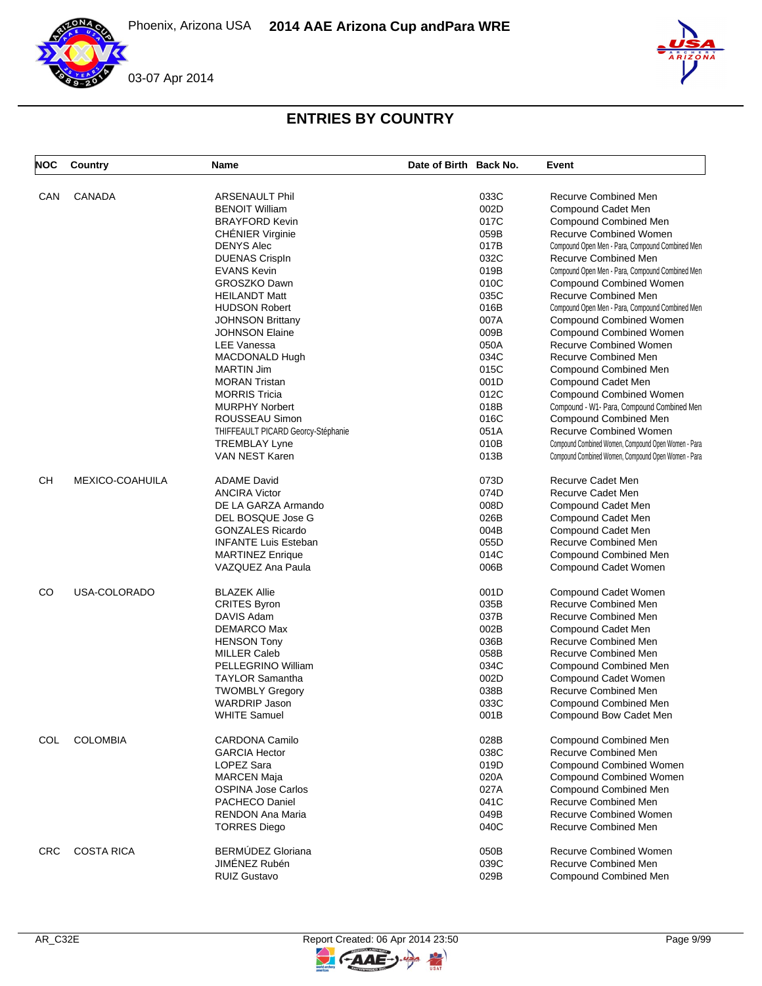



| <b>NOC</b> | Country           | <b>Name</b>                        | Date of Birth Back No. |      | Event                                               |
|------------|-------------------|------------------------------------|------------------------|------|-----------------------------------------------------|
|            | <b>CANADA</b>     |                                    |                        |      |                                                     |
| CAN        |                   | ARSENAULT Phil                     |                        | 033C | Recurve Combined Men                                |
|            |                   | <b>BENOIT William</b>              |                        | 002D | Compound Cadet Men                                  |
|            |                   | <b>BRAYFORD Kevin</b>              |                        | 017C | Compound Combined Men                               |
|            |                   | <b>CHÉNIER Virginie</b>            |                        | 059B | <b>Recurve Combined Women</b>                       |
|            |                   | <b>DENYS Alec</b>                  |                        | 017B | Compound Open Men - Para, Compound Combined Men     |
|            |                   | <b>DUENAS Crispln</b>              |                        | 032C | Recurve Combined Men                                |
|            |                   | <b>EVANS Kevin</b>                 |                        | 019B | Compound Open Men - Para, Compound Combined Men     |
|            |                   | GROSZKO Dawn                       |                        | 010C | <b>Compound Combined Women</b>                      |
|            |                   | <b>HEILANDT Matt</b>               |                        | 035C | Recurve Combined Men                                |
|            |                   | <b>HUDSON Robert</b>               |                        | 016B | Compound Open Men - Para, Compound Combined Men     |
|            |                   | <b>JOHNSON Brittany</b>            |                        | 007A | <b>Compound Combined Women</b>                      |
|            |                   | JOHNSON Elaine                     |                        | 009B | <b>Compound Combined Women</b>                      |
|            |                   | <b>LEE Vanessa</b>                 |                        | 050A | <b>Recurve Combined Women</b>                       |
|            |                   | MACDONALD Hugh                     |                        | 034C | Recurve Combined Men                                |
|            |                   | <b>MARTIN Jim</b>                  |                        | 015C | Compound Combined Men                               |
|            |                   | <b>MORAN Tristan</b>               |                        | 001D | Compound Cadet Men                                  |
|            |                   | <b>MORRIS Tricia</b>               |                        | 012C | <b>Compound Combined Women</b>                      |
|            |                   | <b>MURPHY Norbert</b>              |                        | 018B | Compound - W1- Para, Compound Combined Men          |
|            |                   |                                    |                        | 016C | Compound Combined Men                               |
|            |                   | ROUSSEAU Simon                     |                        |      |                                                     |
|            |                   | THIFFEAULT PICARD Georcy-Stéphanie |                        | 051A | <b>Recurve Combined Women</b>                       |
|            |                   | <b>TREMBLAY Lyne</b>               |                        | 010B | Compound Combined Women, Compound Open Women - Para |
|            |                   | <b>VAN NEST Karen</b>              |                        | 013B | Compound Combined Women, Compound Open Women - Para |
| <b>CH</b>  | MEXICO-COAHUILA   | <b>ADAME David</b>                 |                        | 073D | Recurve Cadet Men                                   |
|            |                   | <b>ANCIRA Victor</b>               |                        | 074D | Recurve Cadet Men                                   |
|            |                   | DE LA GARZA Armando                |                        | 008D | Compound Cadet Men                                  |
|            |                   | DEL BOSQUE Jose G                  |                        | 026B | Compound Cadet Men                                  |
|            |                   | <b>GONZALES Ricardo</b>            |                        | 004B | Compound Cadet Men                                  |
|            |                   | <b>INFANTE Luis Esteban</b>        |                        | 055D | Recurve Combined Men                                |
|            |                   | <b>MARTINEZ Enrique</b>            |                        | 014C | Compound Combined Men                               |
|            |                   | VAZQUEZ Ana Paula                  |                        | 006B | Compound Cadet Women                                |
| CO         | USA-COLORADO      | <b>BLAZEK Allie</b>                |                        | 001D | Compound Cadet Women                                |
|            |                   | <b>CRITES Byron</b>                |                        | 035B | Recurve Combined Men                                |
|            |                   | DAVIS Adam                         |                        | 037B | Recurve Combined Men                                |
|            |                   | DEMARCO Max                        |                        | 002B | Compound Cadet Men                                  |
|            |                   | <b>HENSON Tony</b>                 |                        | 036B | Recurve Combined Men                                |
|            |                   | <b>MILLER Caleb</b>                |                        | 058B | Recurve Combined Men                                |
|            |                   | PELLEGRINO William                 |                        | 034C | Compound Combined Men                               |
|            |                   | <b>TAYLOR Samantha</b>             |                        | 002D | Compound Cadet Women                                |
|            |                   | <b>TWOMBLY Gregory</b>             |                        | 038B | Recurve Combined Men                                |
|            |                   | <b>WARDRIP Jason</b>               |                        | 033C | <b>Compound Combined Men</b>                        |
|            |                   | <b>WHITE Samuel</b>                |                        | 001B |                                                     |
|            |                   |                                    |                        |      | Compound Bow Cadet Men                              |
| COL        | <b>COLOMBIA</b>   | <b>CARDONA Camilo</b>              |                        | 028B | Compound Combined Men                               |
|            |                   | <b>GARCIA Hector</b>               |                        | 038C | Recurve Combined Men                                |
|            |                   | LOPEZ Sara                         |                        | 019D | <b>Compound Combined Women</b>                      |
|            |                   | <b>MARCEN Maja</b>                 |                        | 020A | <b>Compound Combined Women</b>                      |
|            |                   | <b>OSPINA Jose Carlos</b>          |                        | 027A | Compound Combined Men                               |
|            |                   | <b>PACHECO Daniel</b>              |                        | 041C | Recurve Combined Men                                |
|            |                   | RENDON Ana Maria                   |                        | 049B | <b>Recurve Combined Women</b>                       |
|            |                   | <b>TORRES Diego</b>                |                        | 040C | Recurve Combined Men                                |
| <b>CRC</b> | <b>COSTA RICA</b> | BERMÚDEZ Gloriana                  |                        | 050B | <b>Recurve Combined Women</b>                       |
|            |                   | JIMÉNEZ Rubén                      |                        | 039C | <b>Recurve Combined Men</b>                         |
|            |                   | <b>RUIZ Gustavo</b>                |                        | 029B | Compound Combined Men                               |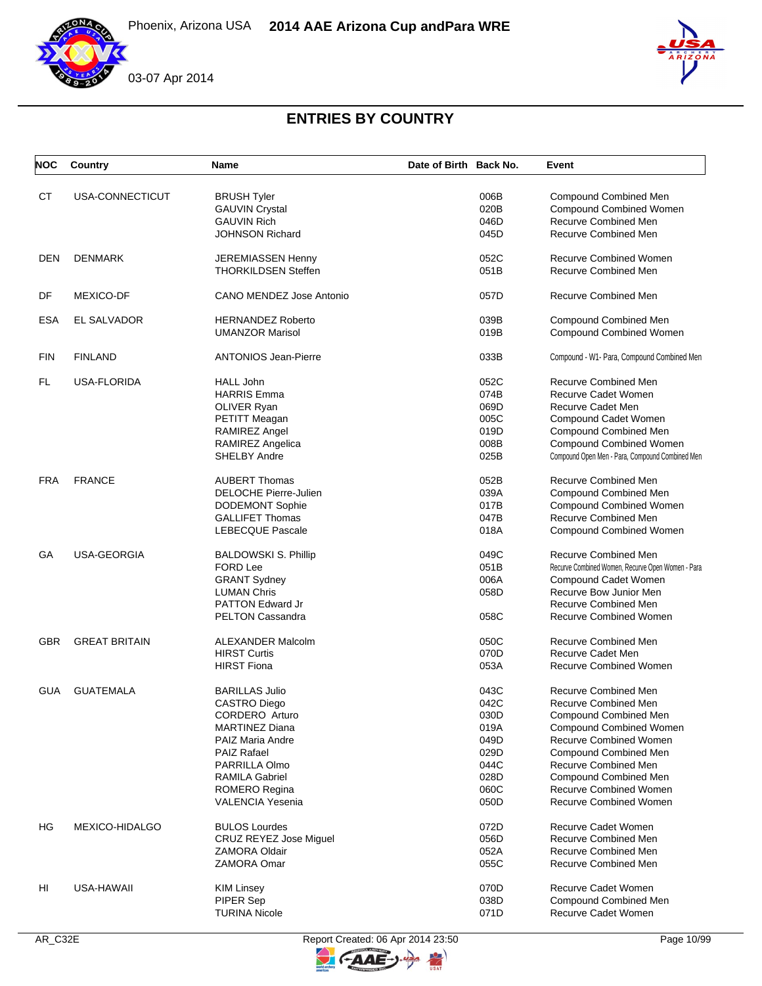





## **ENTRIES BY COUNTRY**

| <b>NOC</b> | Country              | <b>Name</b>                   | Date of Birth Back No. | Event                                             |
|------------|----------------------|-------------------------------|------------------------|---------------------------------------------------|
| <b>CT</b>  | USA-CONNECTICUT      | <b>BRUSH Tyler</b>            | 006B                   | <b>Compound Combined Men</b>                      |
|            |                      | <b>GAUVIN Crystal</b>         | 020B                   | <b>Compound Combined Women</b>                    |
|            |                      | <b>GAUVIN Rich</b>            | 046D                   | Recurve Combined Men                              |
|            |                      | JOHNSON Richard               | 045D                   | <b>Recurve Combined Men</b>                       |
| DEN        | <b>DENMARK</b>       | <b>JEREMIASSEN Henny</b>      | 052C                   | <b>Recurve Combined Women</b>                     |
|            |                      | <b>THORKILDSEN Steffen</b>    | 051B                   | <b>Recurve Combined Men</b>                       |
| DF         | <b>MEXICO-DF</b>     | CANO MENDEZ Jose Antonio      | 057D                   | Recurve Combined Men                              |
| <b>ESA</b> | EL SALVADOR          | <b>HERNANDEZ Roberto</b>      | 039B                   | Compound Combined Men                             |
|            |                      | <b>UMANZOR Marisol</b>        | 019B                   | <b>Compound Combined Women</b>                    |
| <b>FIN</b> | <b>FINLAND</b>       | <b>ANTONIOS Jean-Pierre</b>   | 033B                   | Compound - W1- Para, Compound Combined Men        |
| FL         | USA-FLORIDA          | <b>HALL John</b>              | 052C                   | <b>Recurve Combined Men</b>                       |
|            |                      | HARRIS Emma                   | 074B                   | Recurve Cadet Women                               |
|            |                      | OLIVER Ryan                   | 069D                   | Recurve Cadet Men                                 |
|            |                      | PETITT Meagan                 | 005C                   | Compound Cadet Women                              |
|            |                      | <b>RAMIREZ Angel</b>          | 019D                   | Compound Combined Men                             |
|            |                      | RAMIREZ Angelica              | 008B                   | <b>Compound Combined Women</b>                    |
|            |                      | <b>SHELBY Andre</b>           | 025B                   | Compound Open Men - Para, Compound Combined Men   |
| <b>FRA</b> | <b>FRANCE</b>        | <b>AUBERT Thomas</b>          | 052B                   | Recurve Combined Men                              |
|            |                      | DELOCHE Pierre-Julien         | 039A                   | <b>Compound Combined Men</b>                      |
|            |                      | <b>DODEMONT Sophie</b>        | 017B                   | <b>Compound Combined Women</b>                    |
|            |                      | <b>GALLIFET Thomas</b>        | 047B                   | Recurve Combined Men                              |
|            |                      | LEBECQUE Pascale              | 018A                   | Compound Combined Women                           |
| GА         | USA-GEORGIA          | <b>BALDOWSKI S. Phillip</b>   | 049C                   | Recurve Combined Men                              |
|            |                      | <b>FORD Lee</b>               | 051B                   | Recurve Combined Women, Recurve Open Women - Para |
|            |                      | <b>GRANT Sydney</b>           | 006A                   | Compound Cadet Women                              |
|            |                      | <b>LUMAN Chris</b>            | 058D                   | Recurve Bow Junior Men                            |
|            |                      | <b>PATTON Edward Jr</b>       |                        | <b>Recurve Combined Men</b>                       |
|            |                      | <b>PELTON Cassandra</b>       | 058C                   | <b>Recurve Combined Women</b>                     |
| <b>GBR</b> | <b>GREAT BRITAIN</b> | <b>ALEXANDER Malcolm</b>      | 050C                   | Recurve Combined Men                              |
|            |                      | <b>HIRST Curtis</b>           | 070D                   | <b>Recurve Cadet Men</b>                          |
|            |                      | <b>HIRST Fiona</b>            | 053A                   | <b>Recurve Combined Women</b>                     |
| <b>GUA</b> | <b>GUATEMALA</b>     | <b>BARILLAS Julio</b>         | 043C                   | <b>Recurve Combined Men</b>                       |
|            |                      | <b>CASTRO Diego</b>           | 042C                   | Recurve Combined Men                              |
|            |                      | CORDERO Arturo                | 030D                   | Compound Combined Men                             |
|            |                      | <b>MARTINEZ Diana</b>         | 019A                   | <b>Compound Combined Women</b>                    |
|            |                      | PAIZ Maria Andre              | 049D                   | Recurve Combined Women                            |
|            |                      | PAIZ Rafael                   | 029D                   | Compound Combined Men                             |
|            |                      | <b>PARRILLA Olmo</b>          | 044C                   | Recurve Combined Men                              |
|            |                      | <b>RAMILA Gabriel</b>         | 028D                   | Compound Combined Men                             |
|            |                      | <b>ROMERO Regina</b>          | 060C                   | <b>Recurve Combined Women</b>                     |
|            |                      | VALENCIA Yesenia              | 050D                   | <b>Recurve Combined Women</b>                     |
| HG         | MEXICO-HIDALGO       | <b>BULOS Lourdes</b>          | 072D                   | Recurve Cadet Women                               |
|            |                      | <b>CRUZ REYEZ Jose Miquel</b> | 056D                   | <b>Recurve Combined Men</b>                       |
|            |                      | <b>ZAMORA Oldair</b>          | 052A                   | <b>Recurve Combined Men</b>                       |
|            |                      | ZAMORA Omar                   | 055C                   | Recurve Combined Men                              |
| HI         | USA-HAWAII           | KIM Linsey                    | 070D                   | Recurve Cadet Women                               |
|            |                      | PIPER Sep                     | 038D                   | <b>Compound Combined Men</b>                      |
|            |                      | <b>TURINA Nicole</b>          | 071D                   | Recurve Cadet Women                               |



**FAAE** 

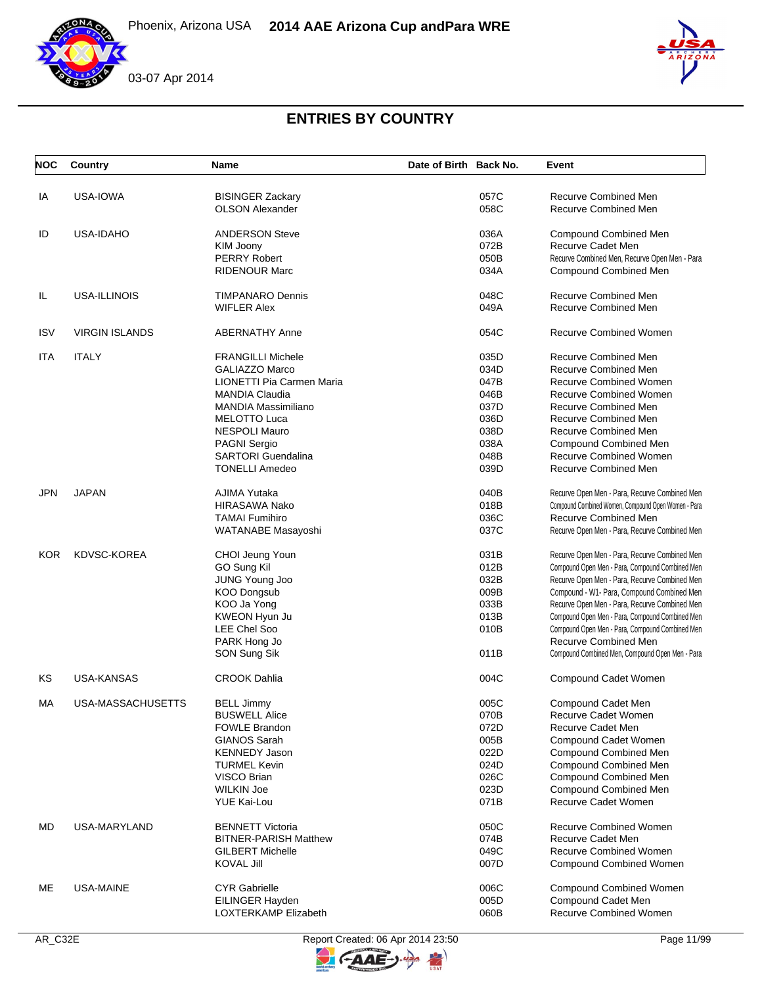





## **ENTRIES BY COUNTRY**

| <b>NOC</b> | Country               | Name                         | Date of Birth Back No. | Event                                               |
|------------|-----------------------|------------------------------|------------------------|-----------------------------------------------------|
| IA         | USA-IOWA              | <b>BISINGER Zackary</b>      | 057C                   | Recurve Combined Men                                |
|            |                       | <b>OLSON Alexander</b>       | 058C                   | <b>Recurve Combined Men</b>                         |
| ID         | USA-IDAHO             | <b>ANDERSON Steve</b>        | 036A                   | Compound Combined Men                               |
|            |                       | KIM Joony                    | 072B                   | Recurve Cadet Men                                   |
|            |                       | <b>PERRY Robert</b>          | 050B                   | Recurve Combined Men, Recurve Open Men - Para       |
|            |                       | <b>RIDENOUR Marc</b>         | 034A                   | Compound Combined Men                               |
| IL         | USA-ILLINOIS          | <b>TIMPANARO Dennis</b>      | 048C                   | <b>Recurve Combined Men</b>                         |
|            |                       | <b>WIFLER Alex</b>           | 049A                   | Recurve Combined Men                                |
| <b>ISV</b> | <b>VIRGIN ISLANDS</b> | <b>ABERNATHY Anne</b>        | 054C                   | <b>Recurve Combined Women</b>                       |
| ITA        | <b>ITALY</b>          | <b>FRANGILLI Michele</b>     | 035D                   | Recurve Combined Men                                |
|            |                       | <b>GALIAZZO Marco</b>        | 034D                   | <b>Recurve Combined Men</b>                         |
|            |                       | LIONETTI Pia Carmen Maria    | 047B                   | <b>Recurve Combined Women</b>                       |
|            |                       | <b>MANDIA Claudia</b>        | 046B                   | <b>Recurve Combined Women</b>                       |
|            |                       | <b>MANDIA Massimiliano</b>   | 037D                   | <b>Recurve Combined Men</b>                         |
|            |                       | <b>MELOTTO Luca</b>          | 036D                   | <b>Recurve Combined Men</b>                         |
|            |                       | <b>NESPOLI Mauro</b>         | 038D                   | <b>Recurve Combined Men</b>                         |
|            |                       | <b>PAGNI Sergio</b>          | 038A                   | <b>Compound Combined Men</b>                        |
|            |                       | <b>SARTORI</b> Guendalina    | 048B                   | <b>Recurve Combined Women</b>                       |
|            |                       | <b>TONELLI Amedeo</b>        | 039D                   | Recurve Combined Men                                |
| <b>JPN</b> | <b>JAPAN</b>          | AJIMA Yutaka                 | 040B                   | Recurve Open Men - Para, Recurve Combined Men       |
|            |                       | <b>HIRASAWA Nako</b>         | 018B                   | Compound Combined Women, Compound Open Women - Para |
|            |                       | <b>TAMAI Fumihiro</b>        | 036C                   | Recurve Combined Men                                |
|            |                       | WATANABE Masayoshi           | 037C                   | Recurve Open Men - Para, Recurve Combined Men       |
| <b>KOR</b> | <b>KDVSC-KOREA</b>    | CHOI Jeung Youn              | 031B                   | Recurve Open Men - Para, Recurve Combined Men       |
|            |                       | GO Sung Kil                  | 012B                   | Compound Open Men - Para, Compound Combined Men     |
|            |                       | JUNG Young Joo               | 032B                   | Recurve Open Men - Para, Recurve Combined Men       |
|            |                       | <b>KOO Dongsub</b>           | 009B                   | Compound - W1- Para, Compound Combined Men          |
|            |                       | KOO Ja Yong                  | 033B                   | Recurve Open Men - Para, Recurve Combined Men       |
|            |                       | KWEON Hyun Ju                | 013B                   | Compound Open Men - Para, Compound Combined Men     |
|            |                       | <b>LEE Chel Soo</b>          | 010B                   | Compound Open Men - Para, Compound Combined Men     |
|            |                       | PARK Hong Jo                 |                        | Recurve Combined Men                                |
|            |                       | SON Sung Sik                 | 011B                   | Compound Combined Men, Compound Open Men - Para     |
| KS         | <b>USA-KANSAS</b>     | <b>CROOK Dahlia</b>          | 004C                   | Compound Cadet Women                                |
| МA         | USA-MASSACHUSETTS     | BELL Jimmy                   | 005C                   | Compound Cadet Men                                  |
|            |                       | <b>BUSWELL Alice</b>         | 070B                   | Recurve Cadet Women                                 |
|            |                       | <b>FOWLE Brandon</b>         | 072D                   | Recurve Cadet Men                                   |
|            |                       | <b>GIANOS Sarah</b>          | 005B                   | Compound Cadet Women                                |
|            |                       | <b>KENNEDY Jason</b>         | 022D                   | Compound Combined Men                               |
|            |                       | <b>TURMEL Kevin</b>          | 024D                   | <b>Compound Combined Men</b>                        |
|            |                       | VISCO Brian                  | 026C                   | <b>Compound Combined Men</b>                        |
|            |                       | <b>WILKIN Joe</b>            | 023D                   | <b>Compound Combined Men</b>                        |
|            |                       | <b>YUE Kai-Lou</b>           | 071B                   | Recurve Cadet Women                                 |
| MD         | <b>USA-MARYLAND</b>   | <b>BENNETT Victoria</b>      | 050C                   | <b>Recurve Combined Women</b>                       |
|            |                       | <b>BITNER-PARISH Matthew</b> | 074B                   | Recurve Cadet Men                                   |
|            |                       | <b>GILBERT Michelle</b>      | 049C                   | <b>Recurve Combined Women</b>                       |
|            |                       | <b>KOVAL Jill</b>            | 007D                   | <b>Compound Combined Women</b>                      |
| ME         | USA-MAINE             | <b>CYR Gabrielle</b>         | 006C                   | <b>Compound Combined Women</b>                      |
|            |                       | EILINGER Hayden              | 005D                   | Compound Cadet Men                                  |
|            |                       | LOXTERKAMP Elizabeth         | 060B                   | <b>Recurve Combined Women</b>                       |



 $-AAE$ 

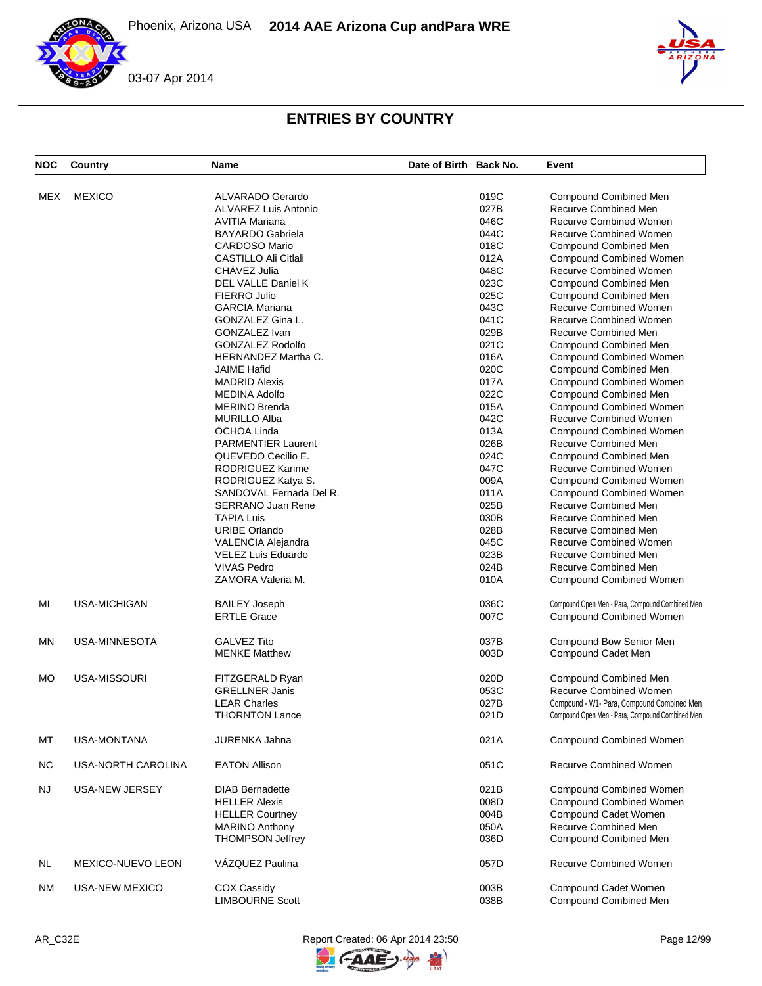

# **ENTRIES BY COUNTRY**

| <b>NOC</b> | Country               | Name                        | Date of Birth Back No. |      | Event                                           |
|------------|-----------------------|-----------------------------|------------------------|------|-------------------------------------------------|
| <b>MEX</b> | <b>MEXICO</b>         | ALVARADO Gerardo            |                        | 019C | Compound Combined Men                           |
|            |                       |                             |                        |      |                                                 |
|            |                       | <b>ALVAREZ Luis Antonio</b> |                        | 027B | Recurve Combined Men                            |
|            |                       | <b>AVITIA Mariana</b>       |                        | 046C | <b>Recurve Combined Women</b>                   |
|            |                       | <b>BAYARDO Gabriela</b>     |                        | 044C | <b>Recurve Combined Women</b>                   |
|            |                       | <b>CARDOSO Mario</b>        |                        | 018C | <b>Compound Combined Men</b>                    |
|            |                       | CASTILLO Ali Citlali        |                        | 012A | <b>Compound Combined Women</b>                  |
|            |                       | CHÀVEZ Julia                |                        | 048C | <b>Recurve Combined Women</b>                   |
|            |                       | DEL VALLE Daniel K          |                        | 023C | <b>Compound Combined Men</b>                    |
|            |                       | FIERRO Julio                |                        | 025C | <b>Compound Combined Men</b>                    |
|            |                       |                             |                        |      | <b>Recurve Combined Women</b>                   |
|            |                       | <b>GARCIA Mariana</b>       |                        | 043C |                                                 |
|            |                       | GONZALEZ Gina L.            |                        | 041C | <b>Recurve Combined Women</b>                   |
|            |                       | GONZALEZ Ivan               |                        | 029B | Recurve Combined Men                            |
|            |                       | <b>GONZALEZ Rodolfo</b>     |                        | 021C | <b>Compound Combined Men</b>                    |
|            |                       | HERNANDEZ Martha C.         |                        | 016A | <b>Compound Combined Women</b>                  |
|            |                       | <b>JAIME Hafid</b>          |                        | 020C | Compound Combined Men                           |
|            |                       | <b>MADRID Alexis</b>        |                        | 017A | <b>Compound Combined Women</b>                  |
|            |                       | <b>MEDINA Adolfo</b>        |                        | 022C | Compound Combined Men                           |
|            |                       |                             |                        |      |                                                 |
|            |                       | <b>MERINO Brenda</b>        |                        | 015A | <b>Compound Combined Women</b>                  |
|            |                       | <b>MURILLO Alba</b>         |                        | 042C | Recurve Combined Women                          |
|            |                       | <b>OCHOA Linda</b>          |                        | 013A | <b>Compound Combined Women</b>                  |
|            |                       | <b>PARMENTIER Laurent</b>   |                        | 026B | <b>Recurve Combined Men</b>                     |
|            |                       | QUEVEDO Cecilio E.          |                        | 024C | <b>Compound Combined Men</b>                    |
|            |                       | RODRIGUEZ Karime            |                        | 047C | <b>Recurve Combined Women</b>                   |
|            |                       | RODRIGUEZ Katya S.          |                        | 009A | <b>Compound Combined Women</b>                  |
|            |                       | SANDOVAL Fernada Del R.     |                        | 011A | <b>Compound Combined Women</b>                  |
|            |                       | <b>SERRANO Juan Rene</b>    |                        | 025B | Recurve Combined Men                            |
|            |                       |                             |                        |      |                                                 |
|            |                       | <b>TAPIA Luis</b>           |                        | 030B | Recurve Combined Men                            |
|            |                       | <b>URIBE Orlando</b>        |                        | 028B | Recurve Combined Men                            |
|            |                       | VALENCIA Alejandra          |                        | 045C | <b>Recurve Combined Women</b>                   |
|            |                       | VELEZ Luis Eduardo          |                        | 023B | Recurve Combined Men                            |
|            |                       | <b>VIVAS Pedro</b>          |                        | 024B | Recurve Combined Men                            |
|            |                       | ZAMORA Valeria M.           |                        | 010A | <b>Compound Combined Women</b>                  |
| MI         | <b>USA-MICHIGAN</b>   | <b>BAILEY Joseph</b>        |                        | 036C | Compound Open Men - Para, Compound Combined Men |
|            |                       | <b>ERTLE Grace</b>          |                        | 007C | <b>Compound Combined Women</b>                  |
| MN         | USA-MINNESOTA         | <b>GALVEZ Tito</b>          |                        | 037B | Compound Bow Senior Men                         |
|            |                       | <b>MENKE Matthew</b>        |                        | 003D | Compound Cadet Men                              |
|            |                       |                             |                        |      |                                                 |
| MO         | USA-MISSOURI          | FITZGERALD Ryan             |                        | 020D | <b>Compound Combined Men</b>                    |
|            |                       | <b>GRELLNER Janis</b>       |                        |      | <b>Recurve Combined Women</b>                   |
|            |                       |                             |                        | 053C |                                                 |
|            |                       | <b>LEAR Charles</b>         |                        | 027B | Compound - W1- Para, Compound Combined Men      |
|            |                       | <b>THORNTON Lance</b>       |                        | 021D | Compound Open Men - Para, Compound Combined Men |
| MT         | <b>USA-MONTANA</b>    | <b>JURENKA Jahna</b>        |                        | 021A | <b>Compound Combined Women</b>                  |
| <b>NC</b>  | USA-NORTH CAROLINA    | <b>EATON Allison</b>        |                        | 051C | <b>Recurve Combined Women</b>                   |
| <b>NJ</b>  | USA-NEW JERSEY        | <b>DIAB Bernadette</b>      |                        | 021B | <b>Compound Combined Women</b>                  |
|            |                       | <b>HELLER Alexis</b>        |                        | 008D | <b>Compound Combined Women</b>                  |
|            |                       | <b>HELLER Courtney</b>      |                        | 004B | Compound Cadet Women                            |
|            |                       | <b>MARINO Anthony</b>       |                        | 050A | Recurve Combined Men                            |
|            |                       |                             |                        |      |                                                 |
|            |                       | <b>THOMPSON Jeffrey</b>     |                        | 036D | Compound Combined Men                           |
| NL         | MEXICO-NUEVO LEON     | VÁZQUEZ Paulina             |                        | 057D | <b>Recurve Combined Women</b>                   |
| ΝM         | <b>USA-NEW MEXICO</b> | COX Cassidy                 |                        | 003B | Compound Cadet Women                            |
|            |                       | <b>LIMBOURNE Scott</b>      |                        | 038B | Compound Combined Men                           |

 $\geq$ 

GAAE-J.

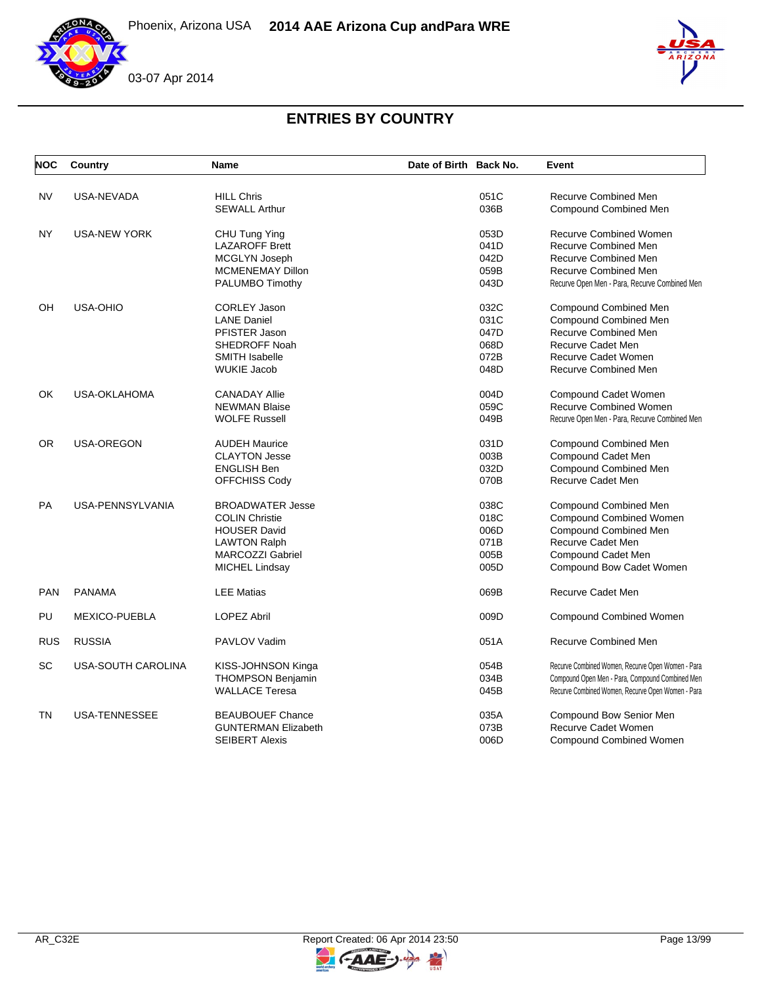





| <b>NOC</b> | Country                   | <b>Name</b>                | Date of Birth Back No. |      | Event                                             |
|------------|---------------------------|----------------------------|------------------------|------|---------------------------------------------------|
| <b>NV</b>  | USA-NEVADA                | <b>HILL Chris</b>          |                        | 051C | <b>Recurve Combined Men</b>                       |
|            |                           | <b>SEWALL Arthur</b>       |                        | 036B | Compound Combined Men                             |
| <b>NY</b>  | <b>USA-NEW YORK</b>       | CHU Tung Ying              |                        | 053D | <b>Recurve Combined Women</b>                     |
|            |                           | <b>LAZAROFF Brett</b>      |                        | 041D | Recurve Combined Men                              |
|            |                           | MCGLYN Joseph              |                        | 042D | <b>Recurve Combined Men</b>                       |
|            |                           | <b>MCMENEMAY Dillon</b>    |                        | 059B | <b>Recurve Combined Men</b>                       |
|            |                           | PALUMBO Timothy            |                        | 043D | Recurve Open Men - Para, Recurve Combined Men     |
| OH         | <b>USA-OHIO</b>           | <b>CORLEY Jason</b>        |                        | 032C | Compound Combined Men                             |
|            |                           | <b>LANE Daniel</b>         |                        | 031C | Compound Combined Men                             |
|            |                           | PFISTER Jason              |                        | 047D | Recurve Combined Men                              |
|            |                           | SHEDROFF Noah              |                        | 068D | <b>Recurve Cadet Men</b>                          |
|            |                           | SMITH Isabelle             |                        | 072B | Recurve Cadet Women                               |
|            |                           | <b>WUKIE Jacob</b>         |                        | 048D | Recurve Combined Men                              |
| OK         | USA-OKLAHOMA              | <b>CANADAY Allie</b>       |                        | 004D | Compound Cadet Women                              |
|            |                           | <b>NEWMAN Blaise</b>       |                        | 059C | <b>Recurve Combined Women</b>                     |
|            |                           | <b>WOLFE Russell</b>       |                        | 049B | Recurve Open Men - Para, Recurve Combined Men     |
| <b>OR</b>  | <b>USA-OREGON</b>         | <b>AUDEH Maurice</b>       |                        | 031D | Compound Combined Men                             |
|            |                           | <b>CLAYTON Jesse</b>       |                        | 003B | Compound Cadet Men                                |
|            |                           | <b>ENGLISH Ben</b>         |                        | 032D | Compound Combined Men                             |
|            |                           | OFFCHISS Cody              |                        | 070B | Recurve Cadet Men                                 |
| PA         | USA-PENNSYLVANIA          | <b>BROADWATER Jesse</b>    |                        | 038C | Compound Combined Men                             |
|            |                           | <b>COLIN Christie</b>      |                        | 018C | Compound Combined Women                           |
|            |                           | <b>HOUSER David</b>        |                        | 006D | Compound Combined Men                             |
|            |                           | <b>LAWTON Ralph</b>        |                        | 071B | Recurve Cadet Men                                 |
|            |                           | <b>MARCOZZI Gabriel</b>    |                        | 005B | Compound Cadet Men                                |
|            |                           | <b>MICHEL Lindsay</b>      |                        | 005D | Compound Bow Cadet Women                          |
| <b>PAN</b> | <b>PANAMA</b>             | <b>LEE Matias</b>          |                        | 069B | Recurve Cadet Men                                 |
| PU         | MEXICO-PUEBLA             | <b>LOPEZ Abril</b>         |                        | 009D | <b>Compound Combined Women</b>                    |
| <b>RUS</b> | <b>RUSSIA</b>             | PAVLOV Vadim               |                        | 051A | <b>Recurve Combined Men</b>                       |
| SC         | <b>USA-SOUTH CAROLINA</b> | KISS-JOHNSON Kinga         |                        | 054B | Recurve Combined Women, Recurve Open Women - Para |
|            |                           | <b>THOMPSON Benjamin</b>   |                        | 034B | Compound Open Men - Para, Compound Combined Men   |
|            |                           | <b>WALLACE Teresa</b>      |                        | 045B | Recurve Combined Women, Recurve Open Women - Para |
| <b>TN</b>  | <b>USA-TENNESSEE</b>      | <b>BEAUBOUEF Chance</b>    |                        | 035A | Compound Bow Senior Men                           |
|            |                           | <b>GUNTERMAN Elizabeth</b> |                        | 073B | <b>Recurve Cadet Women</b>                        |
|            |                           | <b>SEIBERT Alexis</b>      |                        | 006D | Compound Combined Women                           |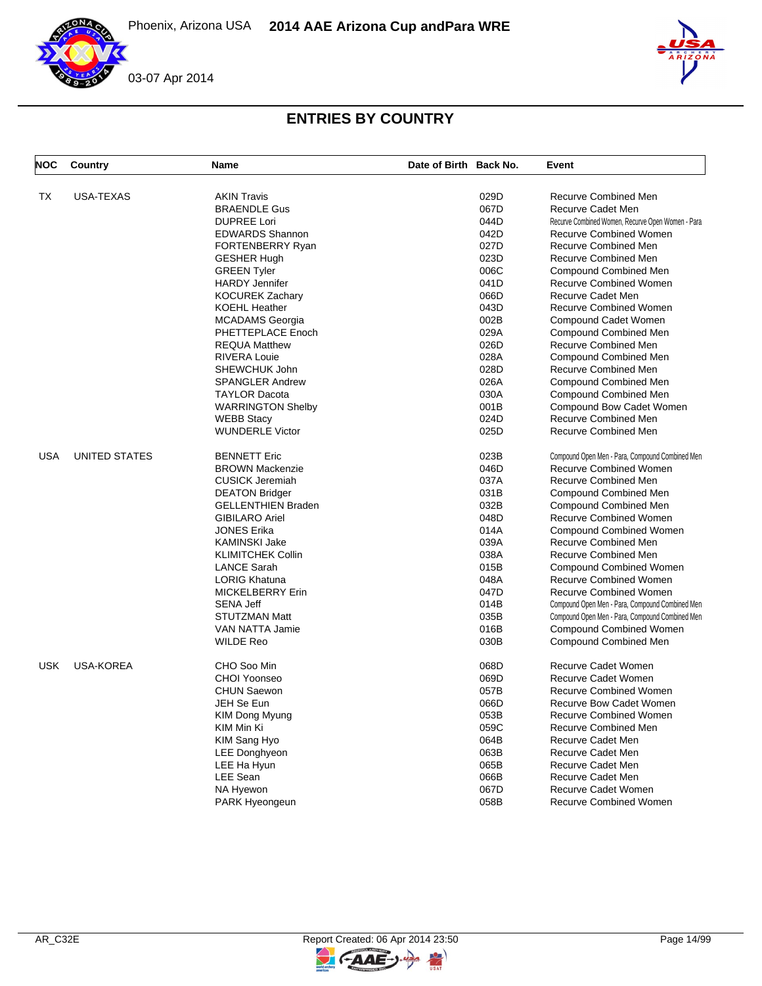



| <b>NOC</b> | Country              | <b>Name</b>               | Date of Birth Back No. |      | Event                                             |
|------------|----------------------|---------------------------|------------------------|------|---------------------------------------------------|
| TX         | USA-TEXAS            | <b>AKIN Travis</b>        |                        | 029D | Recurve Combined Men                              |
|            |                      | <b>BRAENDLE Gus</b>       |                        | 067D | <b>Recurve Cadet Men</b>                          |
|            |                      | <b>DUPREE Lori</b>        |                        | 044D | Recurve Combined Women, Recurve Open Women - Para |
|            |                      | <b>EDWARDS Shannon</b>    |                        | 042D | <b>Recurve Combined Women</b>                     |
|            |                      |                           |                        | 027D | <b>Recurve Combined Men</b>                       |
|            |                      | FORTENBERRY Ryan          |                        | 023D | <b>Recurve Combined Men</b>                       |
|            |                      | <b>GESHER Hugh</b>        |                        |      |                                                   |
|            |                      | <b>GREEN Tyler</b>        |                        | 006C | Compound Combined Men                             |
|            |                      | <b>HARDY Jennifer</b>     |                        | 041D | <b>Recurve Combined Women</b>                     |
|            |                      | <b>KOCUREK Zachary</b>    |                        | 066D | <b>Recurve Cadet Men</b>                          |
|            |                      | <b>KOEHL Heather</b>      |                        | 043D | <b>Recurve Combined Women</b>                     |
|            |                      | <b>MCADAMS</b> Georgia    |                        | 002B | Compound Cadet Women                              |
|            |                      | PHETTEPLACE Enoch         |                        | 029A | <b>Compound Combined Men</b>                      |
|            |                      | <b>REQUA Matthew</b>      |                        | 026D | <b>Recurve Combined Men</b>                       |
|            |                      | <b>RIVERA Louie</b>       |                        | 028A | <b>Compound Combined Men</b>                      |
|            |                      | SHEWCHUK John             |                        | 028D | Recurve Combined Men                              |
|            |                      | <b>SPANGLER Andrew</b>    |                        | 026A | <b>Compound Combined Men</b>                      |
|            |                      | <b>TAYLOR Dacota</b>      |                        | 030A | Compound Combined Men                             |
|            |                      | <b>WARRINGTON Shelby</b>  |                        | 001B | Compound Bow Cadet Women                          |
|            |                      | <b>WEBB Stacy</b>         |                        | 024D | <b>Recurve Combined Men</b>                       |
|            |                      | <b>WUNDERLE Victor</b>    |                        | 025D | Recurve Combined Men                              |
| <b>USA</b> | <b>UNITED STATES</b> | <b>BENNETT Eric</b>       |                        | 023B | Compound Open Men - Para, Compound Combined Men   |
|            |                      | <b>BROWN Mackenzie</b>    |                        | 046D | Recurve Combined Women                            |
|            |                      | <b>CUSICK Jeremiah</b>    |                        | 037A | <b>Recurve Combined Men</b>                       |
|            |                      | <b>DEATON Bridger</b>     |                        | 031B | <b>Compound Combined Men</b>                      |
|            |                      | <b>GELLENTHIEN Braden</b> |                        | 032B | <b>Compound Combined Men</b>                      |
|            |                      | <b>GIBILARO Ariel</b>     |                        | 048D | <b>Recurve Combined Women</b>                     |
|            |                      | <b>JONES Erika</b>        |                        | 014A | <b>Compound Combined Women</b>                    |
|            |                      | <b>KAMINSKI Jake</b>      |                        | 039A | <b>Recurve Combined Men</b>                       |
|            |                      | <b>KLIMITCHEK Collin</b>  |                        | 038A | <b>Recurve Combined Men</b>                       |
|            |                      | <b>LANCE Sarah</b>        |                        | 015B | <b>Compound Combined Women</b>                    |
|            |                      | <b>LORIG Khatuna</b>      |                        | 048A | <b>Recurve Combined Women</b>                     |
|            |                      | <b>MICKELBERRY Erin</b>   |                        | 047D | <b>Recurve Combined Women</b>                     |
|            |                      |                           |                        |      |                                                   |
|            |                      | <b>SENA Jeff</b>          |                        | 014B | Compound Open Men - Para, Compound Combined Men   |
|            |                      | STUTZMAN Matt             |                        | 035B | Compound Open Men - Para, Compound Combined Men   |
|            |                      | VAN NATTA Jamie           |                        | 016B | <b>Compound Combined Women</b>                    |
|            |                      | <b>WILDE Reo</b>          |                        | 030B | <b>Compound Combined Men</b>                      |
| <b>USK</b> | <b>USA-KOREA</b>     | CHO Soo Min               |                        | 068D | <b>Recurve Cadet Women</b>                        |
|            |                      | CHOI Yoonseo              |                        | 069D | <b>Recurve Cadet Women</b>                        |
|            |                      | <b>CHUN Saewon</b>        |                        | 057B | <b>Recurve Combined Women</b>                     |
|            |                      | JEH Se Eun                |                        | 066D | Recurve Bow Cadet Women                           |
|            |                      | <b>KIM Dong Myung</b>     |                        | 053B | <b>Recurve Combined Women</b>                     |
|            |                      | KIM Min Ki                |                        | 059C | Recurve Combined Men                              |
|            |                      | KIM Sang Hyo              |                        | 064B | Recurve Cadet Men                                 |
|            |                      | LEE Donghyeon             |                        | 063B | <b>Recurve Cadet Men</b>                          |
|            |                      | LEE Ha Hyun               |                        | 065B | Recurve Cadet Men                                 |
|            |                      | LEE Sean                  |                        | 066B | <b>Recurve Cadet Men</b>                          |
|            |                      | NA Hyewon                 |                        | 067D | <b>Recurve Cadet Women</b>                        |
|            |                      | <b>PARK Hyeongeun</b>     |                        | 058B | <b>Recurve Combined Women</b>                     |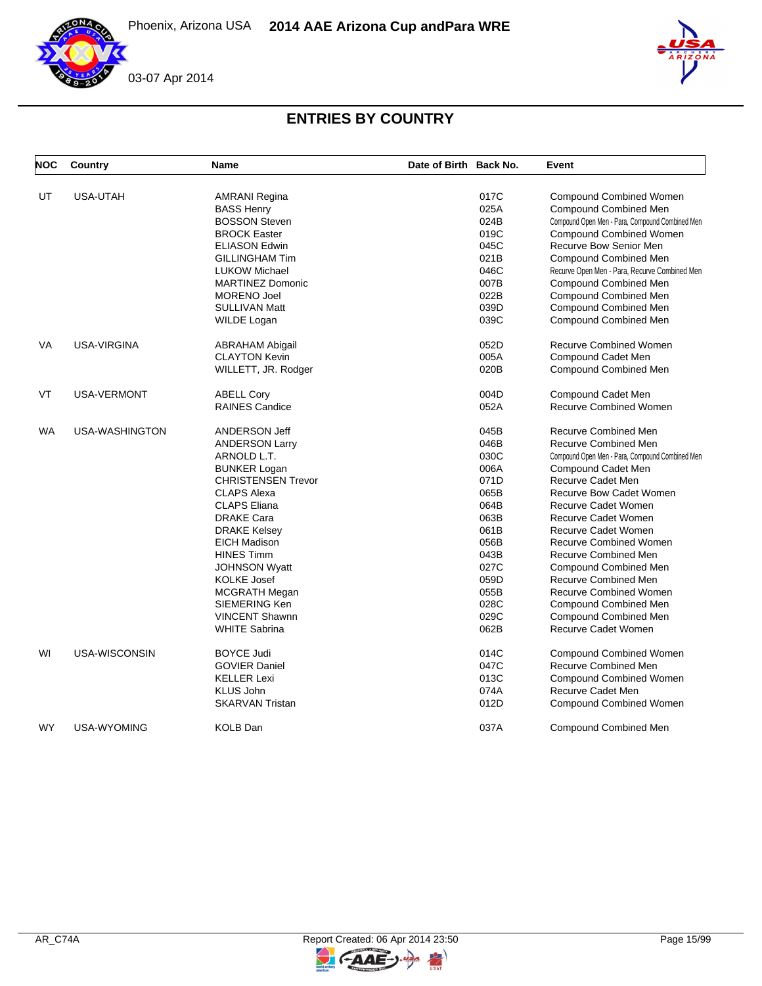



| <b>NOC</b> | Country            | <b>Name</b>               | Date of Birth Back No. |      | Event                                           |
|------------|--------------------|---------------------------|------------------------|------|-------------------------------------------------|
| UT         | <b>USA-UTAH</b>    | <b>AMRANI Regina</b>      |                        | 017C | <b>Compound Combined Women</b>                  |
|            |                    | <b>BASS Henry</b>         |                        | 025A | Compound Combined Men                           |
|            |                    | <b>BOSSON Steven</b>      |                        | 024B | Compound Open Men - Para, Compound Combined Men |
|            |                    | <b>BROCK Easter</b>       |                        | 019C | Compound Combined Women                         |
|            |                    | <b>ELIASON Edwin</b>      |                        | 045C | Recurve Bow Senior Men                          |
|            |                    | <b>GILLINGHAM Tim</b>     |                        | 021B | <b>Compound Combined Men</b>                    |
|            |                    | <b>LUKOW Michael</b>      |                        | 046C | Recurve Open Men - Para, Recurve Combined Men   |
|            |                    | <b>MARTINEZ Domonic</b>   |                        | 007B | Compound Combined Men                           |
|            |                    | <b>MORENO Joel</b>        |                        | 022B | Compound Combined Men                           |
|            |                    | <b>SULLIVAN Matt</b>      |                        | 039D | <b>Compound Combined Men</b>                    |
|            |                    |                           |                        | 039C |                                                 |
|            |                    | WILDE Logan               |                        |      | <b>Compound Combined Men</b>                    |
| VA         | USA-VIRGINA        | ABRAHAM Abigail           |                        | 052D | <b>Recurve Combined Women</b>                   |
|            |                    | <b>CLAYTON Kevin</b>      |                        | 005A | Compound Cadet Men                              |
|            |                    | WILLETT, JR. Rodger       |                        | 020B | <b>Compound Combined Men</b>                    |
| VT         | <b>USA-VERMONT</b> | <b>ABELL Cory</b>         |                        | 004D | Compound Cadet Men                              |
|            |                    | <b>RAINES Candice</b>     |                        | 052A | <b>Recurve Combined Women</b>                   |
|            |                    |                           |                        |      |                                                 |
| WA         | USA-WASHINGTON     | ANDERSON Jeff             |                        | 045B | <b>Recurve Combined Men</b>                     |
|            |                    | <b>ANDERSON Larry</b>     |                        | 046B | <b>Recurve Combined Men</b>                     |
|            |                    | ARNOLD L.T.               |                        | 030C | Compound Open Men - Para, Compound Combined Men |
|            |                    | <b>BUNKER Logan</b>       |                        | 006A | Compound Cadet Men                              |
|            |                    | <b>CHRISTENSEN Trevor</b> |                        | 071D | Recurve Cadet Men                               |
|            |                    | <b>CLAPS Alexa</b>        |                        | 065B | Recurve Bow Cadet Women                         |
|            |                    | <b>CLAPS Eliana</b>       |                        | 064B | Recurve Cadet Women                             |
|            |                    | <b>DRAKE Cara</b>         |                        | 063B | Recurve Cadet Women                             |
|            |                    | <b>DRAKE Kelsey</b>       |                        | 061B | Recurve Cadet Women                             |
|            |                    | <b>EICH Madison</b>       |                        | 056B | <b>Recurve Combined Women</b>                   |
|            |                    | <b>HINES Timm</b>         |                        | 043B | Recurve Combined Men                            |
|            |                    | <b>JOHNSON Wyatt</b>      |                        | 027C | Compound Combined Men                           |
|            |                    | <b>KOLKE Josef</b>        |                        | 059D | Recurve Combined Men                            |
|            |                    | MCGRATH Megan             |                        | 055B | <b>Recurve Combined Women</b>                   |
|            |                    | SIEMERING Ken             |                        | 028C | Compound Combined Men                           |
|            |                    | <b>VINCENT Shawnn</b>     |                        | 029C | Compound Combined Men                           |
|            |                    | <b>WHITE Sabrina</b>      |                        | 062B | <b>Recurve Cadet Women</b>                      |
| WI         | USA-WISCONSIN      | <b>BOYCE Judi</b>         |                        | 014C | Compound Combined Women                         |
|            |                    | <b>GOVIER Daniel</b>      |                        | 047C | <b>Recurve Combined Men</b>                     |
|            |                    | <b>KELLER Lexi</b>        |                        | 013C | <b>Compound Combined Women</b>                  |
|            |                    | <b>KLUS John</b>          |                        | 074A | Recurve Cadet Men                               |
|            |                    | <b>SKARVAN Tristan</b>    |                        | 012D | <b>Compound Combined Women</b>                  |
| <b>WY</b>  | <b>USA-WYOMING</b> | <b>KOLB Dan</b>           |                        | 037A | <b>Compound Combined Men</b>                    |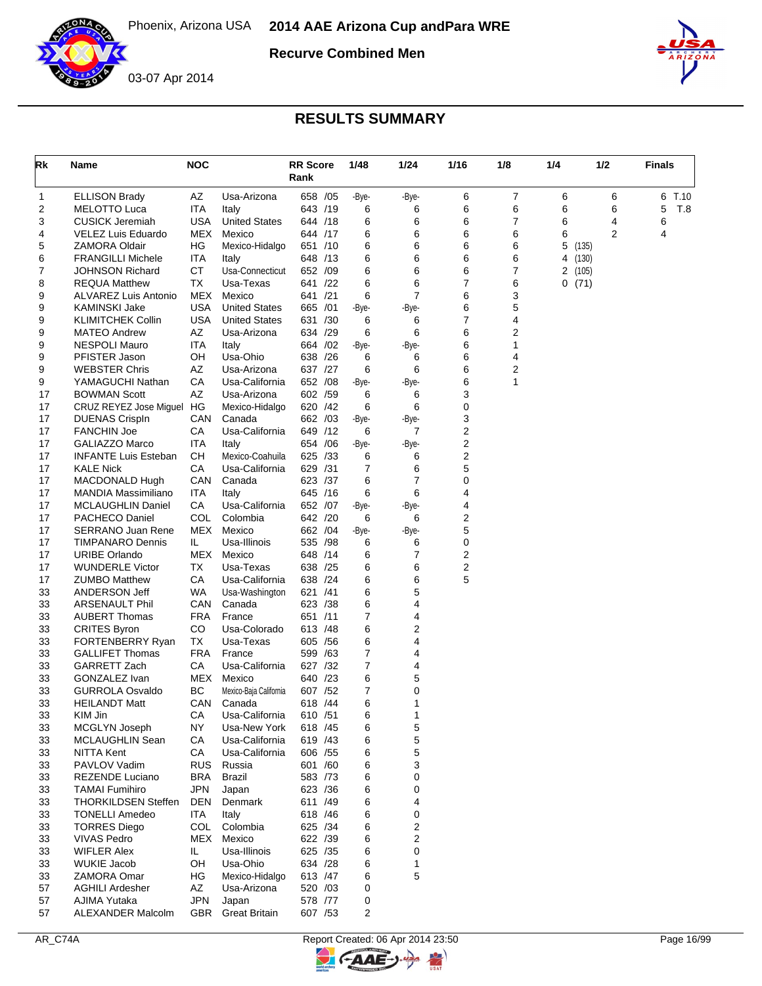



## **RESULTS SUMMARY**

| Rk       | Name                                            | <b>NOC</b> |                                     | <b>RR</b> Score<br>Rank | 1/48   | 1/24           | 1/16                | 1/8            | 1/4 | 1/2            | <b>Finals</b> |
|----------|-------------------------------------------------|------------|-------------------------------------|-------------------------|--------|----------------|---------------------|----------------|-----|----------------|---------------|
| 1        | <b>ELLISON Brady</b>                            | AΖ         | Usa-Arizona                         | 658 /05                 | -Bye-  | -Bye-          | 6                   | $\overline{7}$ | 6   | 6              | 6 T.10        |
| 2        | <b>MELOTTO Luca</b>                             | ITA        | Italy                               | 643 /19                 | 6      | 6              | 6                   | 6              | 6   | 6              | 5<br>T.8      |
| 3        | <b>CUSICK Jeremiah</b>                          | USA        | <b>United States</b>                | 644 /18                 | 6      | 6              | 6                   | 7              | 6   | 4              | 6             |
| 4        | VELEZ Luis Eduardo                              | MEX        | Mexico                              | 644 /17                 | 6      | 6              | 6                   | 6              | 6   | $\overline{2}$ | 4             |
| 5        | <b>ZAMORA Oldair</b>                            | HG         | Mexico-Hidalgo                      | 651 /10                 | 6      | 6              | 6                   | 6              | 5   | (135)          |               |
| 6        | <b>FRANGILLI Michele</b>                        | ITA        | Italy                               | 648 /13                 | 6      | 6              | 6                   | 6              | 4   | (130)          |               |
| 7        | <b>JOHNSON Richard</b>                          | <b>CT</b>  | Usa-Connecticut                     | 652 /09                 | 6      | 6              | 6                   | 7              | 2   | (105)          |               |
| 8        | <b>REQUA Matthew</b>                            | ТX         | Usa-Texas                           | 641 /22                 | 6      | 6              | $\overline{7}$      | 6              |     | 0(71)          |               |
| 9        | <b>ALVAREZ Luis Antonio</b>                     | MEX        | Mexico                              | 641 /21                 | 6      | $\overline{7}$ | 6                   | 3              |     |                |               |
| 9        | KAMINSKI Jake                                   | USA        | <b>United States</b>                | 665 /01                 | -Bye-  | -Bye-          | 6<br>$\overline{7}$ | 5              |     |                |               |
| 9<br>9   | <b>KLIMITCHEK Collin</b><br><b>MATEO Andrew</b> | USA<br>AZ  | <b>United States</b><br>Usa-Arizona | 631 /30<br>634 /29      | 6<br>6 | 6<br>6         | 6                   | 4<br>2         |     |                |               |
| 9        | <b>NESPOLI Mauro</b>                            | ITA        | Italy                               | 664 / 02                | -Bye-  | -Bye-          | 6                   | 1              |     |                |               |
| 9        | PFISTER Jason                                   | OН         | Usa-Ohio                            | 638 /26                 | 6      | 6              | 6                   | 4              |     |                |               |
| 9        | <b>WEBSTER Chris</b>                            | ΑZ         | Usa-Arizona                         | 637 /27                 | 6      | 6              | 6                   | 2              |     |                |               |
| 9        | YAMAGUCHI Nathan                                | СA         | Usa-California                      | 652 /08                 | -Bye-  | -Bye-          | 6                   | 1              |     |                |               |
| 17       | <b>BOWMAN Scott</b>                             | AZ         | Usa-Arizona                         | 602 /59                 | 6      | 6              | 3                   |                |     |                |               |
| 17       | CRUZ REYEZ Jose Miguel HG                       |            | Mexico-Hidalgo                      | 620<br>/42              | 6      | 6              | 0                   |                |     |                |               |
| 17       | <b>DUENAS Crispln</b>                           | CAN        | Canada                              | 662 /03                 | -Bye-  | -Bye-          | 3                   |                |     |                |               |
| 17       | <b>FANCHIN Joe</b>                              | CA         | Usa-California                      | 649 /12                 | 6      | $\overline{7}$ | 2                   |                |     |                |               |
| 17       | <b>GALIAZZO Marco</b>                           | ITA        | Italy                               | 654 / 06                | -Bye-  | -Bye-          | 2                   |                |     |                |               |
| 17       | <b>INFANTE Luis Esteban</b>                     | CН         | Mexico-Coahuila                     | 625 /33                 | 6      | 6              | 2                   |                |     |                |               |
| 17       | <b>KALE Nick</b>                                | СA         | Usa-California                      | 629<br>/31              | 7      | 6              | 5                   |                |     |                |               |
| 17       | MACDONALD Hugh                                  | CAN        | Canada                              | 623 /37                 | 6      | $\overline{7}$ | 0                   |                |     |                |               |
| 17       | MANDIA Massimiliano                             | ITA        | Italy                               | 645 /16                 | 6      | 6              | 4                   |                |     |                |               |
| 17       | <b>MCLAUGHLIN Daniel</b>                        | СA         | Usa-California                      | 652 /07                 | -Bye-  | -Bye-          | 4                   |                |     |                |               |
| 17       | PACHECO Daniel                                  | COL        | Colombia                            | 642 /20                 | 6      | 6              | 2                   |                |     |                |               |
| 17       | <b>SERRANO Juan Rene</b>                        | MEX        | Mexico                              | 662 / 04                | -Bye-  | -Bye-          | 5                   |                |     |                |               |
| 17       | <b>TIMPANARO Dennis</b>                         | IL.        | Usa-Illinois                        | 535<br>/98              | 6      | 6              | 0                   |                |     |                |               |
| 17       | <b>URIBE Orlando</b>                            | MEX        | Mexico                              | 648 /14                 | 6      | 7              | 2                   |                |     |                |               |
| 17       | <b>WUNDERLE Victor</b>                          | ТX         | Usa-Texas                           | 638 /25                 | 6      | 6              | 2                   |                |     |                |               |
| 17       | <b>ZUMBO Matthew</b>                            | СA         | Usa-California                      | 638 /24                 | 6      | 6              | 5                   |                |     |                |               |
| 33       | ANDERSON Jeff                                   | WA         | Usa-Washington                      | 621<br>/41              | 6      | 5              |                     |                |     |                |               |
| 33       | <b>ARSENAULT Phil</b>                           | CAN        | Canada                              | 623 /38                 | 6      | 4              |                     |                |     |                |               |
| 33       | <b>AUBERT Thomas</b>                            | FRA        | France                              | /11<br>651              | 7      | 4              |                     |                |     |                |               |
| 33       | <b>CRITES Byron</b>                             | CO         | Usa-Colorado                        | 613 /48                 | 6      | 2              |                     |                |     |                |               |
| 33       | FORTENBERRY Ryan                                | ТX         | Usa-Texas                           | 605 / 56                | 6      | 4              |                     |                |     |                |               |
| 33       | <b>GALLIFET Thomas</b>                          | FRA        | France                              | 599 /63                 | 7      | 4              |                     |                |     |                |               |
| 33       | <b>GARRETT Zach</b>                             | СA         | Usa-California                      | 627 /32                 | 7      | 4              |                     |                |     |                |               |
| 33<br>33 | GONZALEZ Ivan                                   | MEX<br>BC  | Mexico                              | 640 /23<br>607 /52      | 6<br>7 | 5<br>0         |                     |                |     |                |               |
| 33       | <b>GURROLA Osvaldo</b><br><b>HEILANDT Matt</b>  | CAN        | Mexico-Baja California<br>Canada    | 618 / 44                | 6      | 1              |                     |                |     |                |               |
| 33       | KIM Jin                                         | CА         | Usa-California                      | 610 / 51                | 6      | 1              |                     |                |     |                |               |
| 33       | MCGLYN Joseph                                   | ΝY         | Usa-New York                        | 618 / 45                | 6      | 5              |                     |                |     |                |               |
| 33       | MCLAUGHLIN Sean                                 | CA         | Usa-California                      | 619 / 43                | 6      | 5              |                     |                |     |                |               |
| 33       | <b>NITTA Kent</b>                               | CA         | Usa-California                      | 606 / 55                | 6      | 5              |                     |                |     |                |               |
| 33       | PAVLOV Vadim                                    | <b>RUS</b> | Russia                              | 601 /60                 | 6      | 3              |                     |                |     |                |               |
| 33       | <b>REZENDE Luciano</b>                          | BRA        | <b>Brazil</b>                       | 583 /73                 | 6      | 0              |                     |                |     |                |               |
| 33       | <b>TAMAI Fumihiro</b>                           | <b>JPN</b> | Japan                               | 623 /36                 | 6      | 0              |                     |                |     |                |               |
| 33       | <b>THORKILDSEN Steffen</b>                      | DEN        | Denmark                             | 611 /49                 | 6      | 4              |                     |                |     |                |               |
| 33       | <b>TONELLI Amedeo</b>                           | ITA        | Italy                               | 618 / 46                | 6      | 0              |                     |                |     |                |               |
| 33       | <b>TORRES Diego</b>                             | <b>COL</b> | Colombia                            | 625 /34                 | 6      | 2              |                     |                |     |                |               |
| 33       | <b>VIVAS Pedro</b>                              | MEX        | Mexico                              | 622 /39                 | 6      | 2              |                     |                |     |                |               |
| 33       | <b>WIFLER Alex</b>                              | IL.        | Usa-Illinois                        | 625 /35                 | 6      | 0              |                     |                |     |                |               |
| 33       | <b>WUKIE Jacob</b>                              | OH         | Usa-Ohio                            | 634 /28                 | 6      | 1              |                     |                |     |                |               |
| 33       | ZAMORA Omar                                     | HG         | Mexico-Hidalgo                      | 613 /47                 | 6      | 5              |                     |                |     |                |               |
| 57       | <b>AGHILI Ardesher</b>                          | AZ         | Usa-Arizona                         | 520 /03                 | 0      |                |                     |                |     |                |               |
| 57       | AJIMA Yutaka                                    | <b>JPN</b> | Japan                               | 578 /77                 | 0      |                |                     |                |     |                |               |
| 57       | ALEXANDER Malcolm                               | GBR        | <b>Great Britain</b>                | 607 / 53                | 2      |                |                     |                |     |                |               |



 $\blacktriangleright$ 

G-AAE-J-

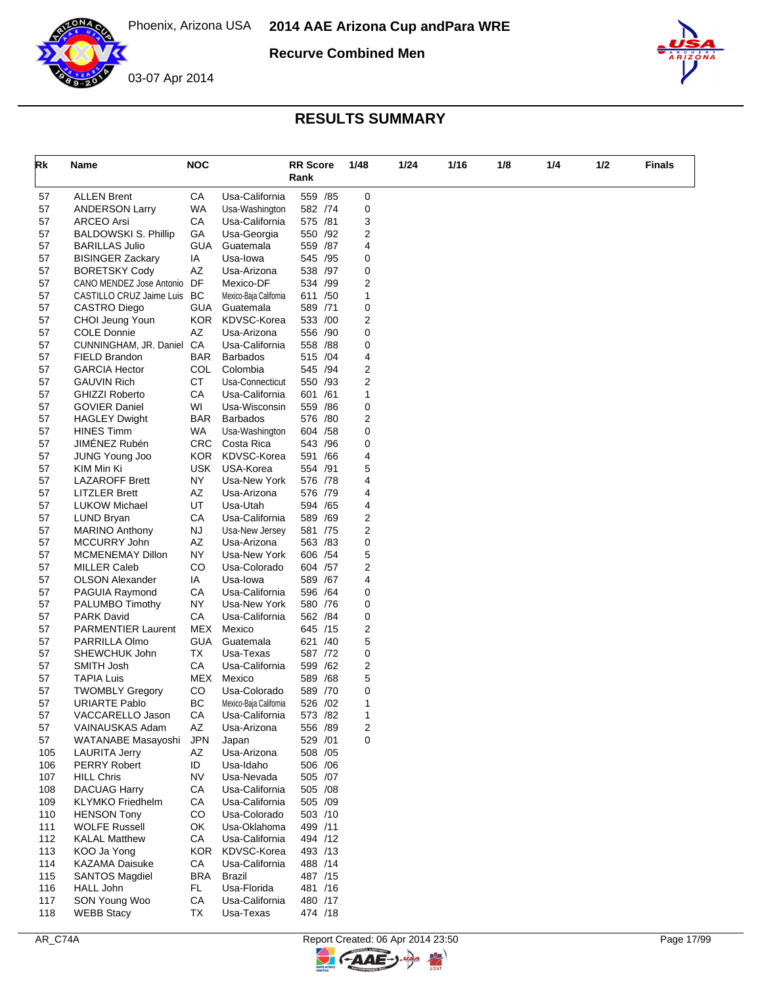



### **RESULTS SUMMARY**

| Rk       | <b>Name</b>                            | <b>NOC</b>        |                                  | <b>RR</b> Score<br>Rank | 1/48   | 1/24 | 1/16 | 1/8 | 1/4 | 1/2 | Finals |
|----------|----------------------------------------|-------------------|----------------------------------|-------------------------|--------|------|------|-----|-----|-----|--------|
| 57       | <b>ALLEN Brent</b>                     | СA                | Usa-California                   | 559 /85                 | 0      |      |      |     |     |     |        |
| 57       | <b>ANDERSON Larry</b>                  | <b>WA</b>         | Usa-Washington                   | 582 /74                 | 0      |      |      |     |     |     |        |
| 57       | <b>ARCEO Arsi</b>                      | СA                | Usa-California                   | 575 /81                 | 3      |      |      |     |     |     |        |
| 57       | <b>BALDOWSKI S. Phillip</b>            | GА                | Usa-Georgia                      | 550 /92                 | 2      |      |      |     |     |     |        |
| 57       | <b>BARILLAS Julio</b>                  | GUA               | Guatemala                        | 559 /87                 | 4      |      |      |     |     |     |        |
| 57       | <b>BISINGER Zackary</b>                | IA                | Usa-lowa                         | 545 /95                 | 0      |      |      |     |     |     |        |
| 57       | <b>BORETSKY Cody</b>                   | ΑZ                | Usa-Arizona                      | 538 /97                 | 0      |      |      |     |     |     |        |
| 57       | CANO MENDEZ Jose Antonio               | DF                | Mexico-DF                        | 534 /99                 | 2      |      |      |     |     |     |        |
| 57       | CASTILLO CRUZ Jaime Luis               | BC                | Mexico-Baja California           | 611 /50                 | 1      |      |      |     |     |     |        |
| 57<br>57 | <b>CASTRO Diego</b><br>CHOI Jeung Youn | GUA<br><b>KOR</b> | Guatemala<br>KDVSC-Korea         | 589 /71<br>533 /00      | 0<br>2 |      |      |     |     |     |        |
| 57       | <b>COLE Donnie</b>                     | AZ                | Usa-Arizona                      | 556 /90                 | 0      |      |      |     |     |     |        |
| 57       | CUNNINGHAM, JR. Daniel                 | CA                | Usa-California                   | 558 / 88                | 0      |      |      |     |     |     |        |
| 57       | FIELD Brandon                          | <b>BAR</b>        | <b>Barbados</b>                  | 515 /04                 | 4      |      |      |     |     |     |        |
| 57       | <b>GARCIA Hector</b>                   | <b>COL</b>        | Colombia                         | 545 /94                 | 2      |      |      |     |     |     |        |
| 57       | <b>GAUVIN Rich</b>                     | CT                | Usa-Connecticut                  | 550 /93                 | 2      |      |      |     |     |     |        |
| 57       | <b>GHIZZI Roberto</b>                  | CA                | Usa-California                   | 601 /61                 | 1      |      |      |     |     |     |        |
| 57       | <b>GOVIER Daniel</b>                   | WI                | Usa-Wisconsin                    | 559 /86                 | 0      |      |      |     |     |     |        |
| 57       | <b>HAGLEY Dwight</b>                   | BAR               | <b>Barbados</b>                  | 576 /80                 | 2      |      |      |     |     |     |        |
| 57       | <b>HINES Timm</b>                      | WA.               | Usa-Washington                   | 604 / 58                | 0      |      |      |     |     |     |        |
| 57       | JIMÉNEZ Rubén                          | <b>CRC</b>        | Costa Rica                       | 543 / 96                | 0      |      |      |     |     |     |        |
| 57       | <b>JUNG Young Joo</b>                  | KOR.              | KDVSC-Korea                      | 591 /66                 | 4      |      |      |     |     |     |        |
| 57       | KIM Min Ki                             | <b>USK</b>        | USA-Korea                        | 554 /91                 | 5      |      |      |     |     |     |        |
| 57       | <b>LAZAROFF Brett</b>                  | NY                | Usa-New York                     | 576 /78                 | 4      |      |      |     |     |     |        |
| 57       | <b>LITZLER Brett</b>                   | AZ                | Usa-Arizona                      | 576 /79                 | 4      |      |      |     |     |     |        |
| 57       | <b>LUKOW Michael</b>                   | UT                | Usa-Utah                         | 594 /65                 | 4      |      |      |     |     |     |        |
| 57<br>57 | LUND Bryan<br><b>MARINO Anthony</b>    | CA<br>NJ          | Usa-California<br>Usa-New Jersey | 589 /69<br>581 /75      | 2<br>2 |      |      |     |     |     |        |
| 57       | MCCURRY John                           | AZ                | Usa-Arizona                      | 563 /83                 | 0      |      |      |     |     |     |        |
| 57       | MCMENEMAY Dillon                       | <b>NY</b>         | Usa-New York                     | 606 / 54                | 5      |      |      |     |     |     |        |
| 57       | <b>MILLER Caleb</b>                    | CO                | Usa-Colorado                     | 604 /57                 | 2      |      |      |     |     |     |        |
| 57       | <b>OLSON Alexander</b>                 | IA                | Usa-lowa                         | 589 /67                 | 4      |      |      |     |     |     |        |
| 57       | PAGUIA Raymond                         | CA                | Usa-California                   | 596 /64                 | 0      |      |      |     |     |     |        |
| 57       | PALUMBO Timothy                        | ΝY                | Usa-New York                     | 580 /76                 | 0      |      |      |     |     |     |        |
| 57       | <b>PARK David</b>                      | СA                | Usa-California                   | 562 / 84                | 0      |      |      |     |     |     |        |
| 57       | <b>PARMENTIER Laurent</b>              | MEX               | Mexico                           | 645 /15                 | 2      |      |      |     |     |     |        |
| 57       | PARRILLA Olmo                          | <b>GUA</b>        | Guatemala                        | 621 /40                 | 5      |      |      |     |     |     |        |
| 57       | SHEWCHUK John                          | ТX                | Usa-Texas                        | 587 /72                 | 0      |      |      |     |     |     |        |
| 57       | SMITH Josh                             | CA                | Usa-California                   | 599 /62                 | 2      |      |      |     |     |     |        |
| 57       | <b>TAPIA Luis</b>                      | MEX               | Mexico                           | 589 /68                 | 5      |      |      |     |     |     |        |
| 57       | <b>TWOMBLY Gregory</b>                 | CO                | Usa-Colorado                     | 589 /70                 | 0      |      |      |     |     |     |        |
| 57       | <b>URIARTE Pablo</b>                   | ВC                | Mexico-Baja California           | 526 / 02                | 1      |      |      |     |     |     |        |
| 57       | VACCARELLO Jason                       | CA                | Usa-California                   | 573 /82                 | 1      |      |      |     |     |     |        |
| 57<br>57 | VAINAUSKAS Adam<br>WATANABE Masayoshi  | AZ<br><b>JPN</b>  | Usa-Arizona<br>Japan             | 556 /89<br>529 /01      | 2<br>0 |      |      |     |     |     |        |
| 105      | <b>LAURITA Jerry</b>                   | AZ                | Usa-Arizona                      | 508 /05                 |        |      |      |     |     |     |        |
| 106      | <b>PERRY Robert</b>                    | ID                | Usa-Idaho                        | 506 /06                 |        |      |      |     |     |     |        |
| 107      | <b>HILL Chris</b>                      | <b>NV</b>         | Usa-Nevada                       | 505 /07                 |        |      |      |     |     |     |        |
| 108      | <b>DACUAG Harry</b>                    | СA                | Usa-California                   | 505 /08                 |        |      |      |     |     |     |        |
| 109      | <b>KLYMKO Friedhelm</b>                | CA                | Usa-California                   | 505 /09                 |        |      |      |     |     |     |        |
| 110      | <b>HENSON Tony</b>                     | CO                | Usa-Colorado                     | 503 /10                 |        |      |      |     |     |     |        |
| 111      | <b>WOLFE Russell</b>                   | OK                | Usa-Oklahoma                     | 499 /11                 |        |      |      |     |     |     |        |
| 112      | <b>KALAL Matthew</b>                   | CA                | Usa-California                   | 494 /12                 |        |      |      |     |     |     |        |
| 113      | KOO Ja Yong                            | KOR               | KDVSC-Korea                      | 493 /13                 |        |      |      |     |     |     |        |
| 114      | <b>KAZAMA Daisuke</b>                  | CA                | Usa-California                   | 488 /14                 |        |      |      |     |     |     |        |
| 115      | <b>SANTOS Magdiel</b>                  | BRA               | <b>Brazil</b>                    | 487 /15                 |        |      |      |     |     |     |        |
| 116      | HALL John                              | FL.               | Usa-Florida                      | 481 /16                 |        |      |      |     |     |     |        |
| 117      | SON Young Woo                          | CA                | Usa-California                   | 480 /17                 |        |      |      |     |     |     |        |
| 118      | <b>WEBB Stacy</b>                      | TX                | Usa-Texas                        | 474 /18                 |        |      |      |     |     |     |        |

 $\blacktriangleright$ 

G-AAE-J-

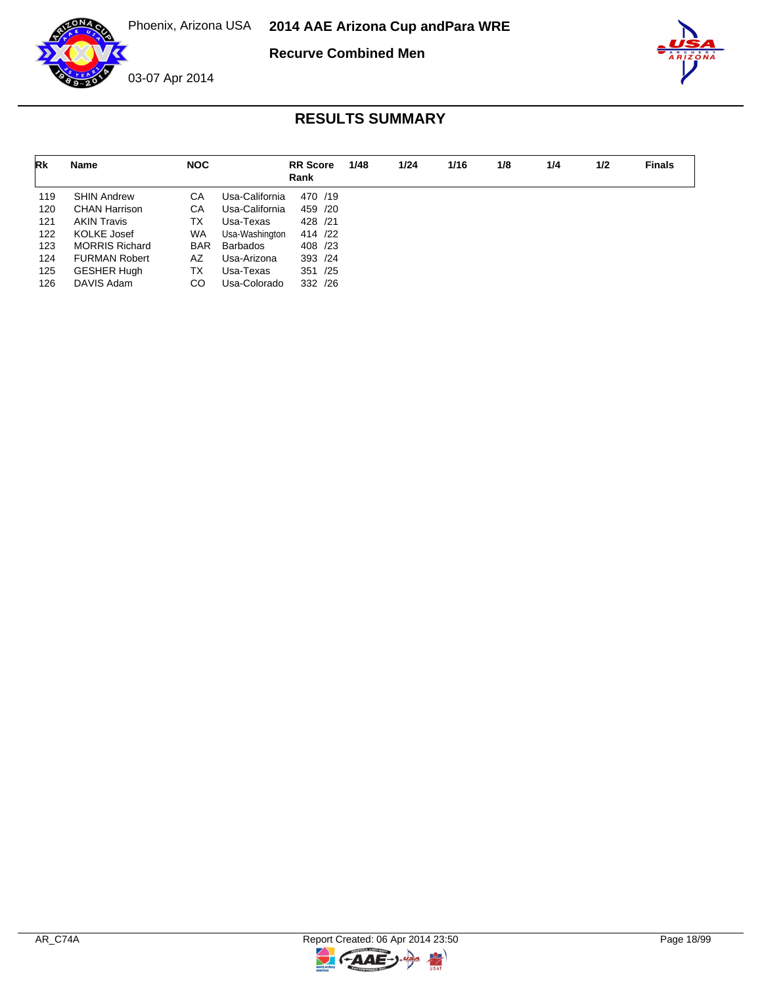



| Rk  | Name                  | <b>NOC</b> |                | <b>RR</b> Score<br>Rank | 1/48 | 1/24 | 1/16 | 1/8 | 1/4 | 1/2 | <b>Finals</b> |
|-----|-----------------------|------------|----------------|-------------------------|------|------|------|-----|-----|-----|---------------|
| 119 | <b>SHIN Andrew</b>    | СA         | Usa-California | 470 /19                 |      |      |      |     |     |     |               |
| 120 | <b>CHAN Harrison</b>  | CA         | Usa-California | 459 /20                 |      |      |      |     |     |     |               |
| 121 | <b>AKIN Travis</b>    | TX         | Usa-Texas      | 428 /21                 |      |      |      |     |     |     |               |
| 122 | <b>KOLKE Josef</b>    | <b>WA</b>  | Usa-Washington | 414 /22                 |      |      |      |     |     |     |               |
| 123 | <b>MORRIS Richard</b> | <b>BAR</b> | Barbados       | 408 /23                 |      |      |      |     |     |     |               |
| 124 | <b>FURMAN Robert</b>  | AZ         | Usa-Arizona    | 393 /24                 |      |      |      |     |     |     |               |
| 125 | <b>GESHER Hugh</b>    | ТX         | Usa-Texas      | 351 /25                 |      |      |      |     |     |     |               |
| 126 | DAVIS Adam            | CO         | Usa-Colorado   | 332 /26                 |      |      |      |     |     |     |               |

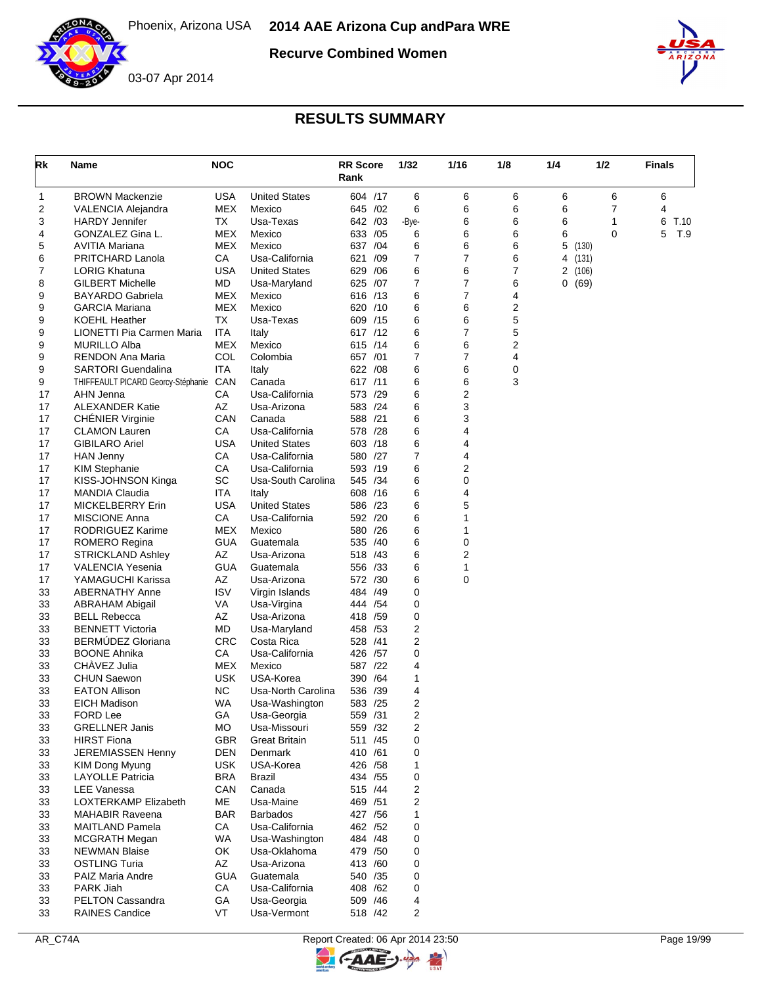





| Rk       | Name                                            | <b>NOC</b>         |                                        | <b>RR Score</b><br>Rank  | 1/32  |                | 1/16   | 1/8    | 1/4            | 1/2              | <b>Finals</b> |
|----------|-------------------------------------------------|--------------------|----------------------------------------|--------------------------|-------|----------------|--------|--------|----------------|------------------|---------------|
| 1        | <b>BROWN Mackenzie</b>                          | <b>USA</b>         | <b>United States</b>                   | 604 /17                  |       | 6              | 6      | 6      | 6              | 6                | 6             |
| 2        | VALENCIA Alejandra                              | MEX                | Mexico                                 | 645 / 02                 |       | 6              | 6      | 6      | 6              | 7                | 4             |
| 3        | <b>HARDY Jennifer</b>                           | TX                 | Usa-Texas                              | 642 /03                  | -Bye- |                | 6      | 6      | 6              | 1                | 6<br>T.10     |
| 4        | GONZALEZ Gina L.                                | MEX                | Mexico                                 | 633<br>/05               |       | 6              | 6      | 6      | 6              | 0                | 5<br>T.9      |
| 5        | AVITIA Mariana                                  | <b>MEX</b>         | Mexico                                 | 637 /04                  |       | 6<br>7         | 6<br>7 | 6      | 5              | (130)            |               |
| 6<br>7   | PRITCHARD Lanola<br><b>LORIG Khatuna</b>        | СA<br><b>USA</b>   | Usa-California<br><b>United States</b> | 621<br>/09<br>629<br>/06 |       | 6              | 6      | 6<br>7 | $\overline{2}$ | 4 (131)<br>(106) |               |
| 8        | <b>GILBERT Michelle</b>                         | MD                 | Usa-Maryland                           | 625 /07                  |       | 7              | 7      | 6      |                | 0(69)            |               |
| 9        | BAYARDO Gabriela                                | <b>MEX</b>         | Mexico                                 | 616 /13                  |       | 6              | 7      | 4      |                |                  |               |
| 9        | <b>GARCIA Mariana</b>                           | <b>MEX</b>         | Mexico                                 | 620 /10                  |       | 6              | 6      | 2      |                |                  |               |
| 9        | <b>KOEHL Heather</b>                            | TX                 | Usa-Texas                              | 609 /15                  |       | 6              | 6      | 5      |                |                  |               |
| 9        | LIONETTI Pia Carmen Maria                       | <b>ITA</b>         | Italy                                  | 617 /12                  |       | 6              | 7      | 5      |                |                  |               |
| 9        | <b>MURILLO Alba</b>                             | <b>MEX</b>         | Mexico                                 | 615 /14                  |       | 6              | 6      | 2      |                |                  |               |
| 9        | RENDON Ana Maria                                | COL                | Colombia                               | 657 /01                  |       | $\overline{7}$ | 7      | 4      |                |                  |               |
| 9        | <b>SARTORI Guendalina</b>                       | <b>ITA</b>         | Italy                                  | 622 / 08                 |       | 6              | 6      | 0      |                |                  |               |
| 9        | THIFFEAULT PICARD Georcy-Stéphanie              | CAN                | Canada                                 | 617 /11                  |       | 6              | 6      | 3      |                |                  |               |
| 17       | AHN Jenna                                       | CA                 | Usa-California                         | 573 /29                  |       | 6              | 2      |        |                |                  |               |
| 17<br>17 | <b>ALEXANDER Katie</b>                          | AZ<br>CAN          | Usa-Arizona<br>Canada                  | 583 /24<br>588 /21       |       | 6<br>6         | 3      |        |                |                  |               |
| 17       | <b>CHENIER Virginie</b><br><b>CLAMON Lauren</b> | CA                 | Usa-California                         | 578 /28                  |       | 6              | 3<br>4 |        |                |                  |               |
| 17       | <b>GIBILARO Ariel</b>                           | USA                | <b>United States</b>                   | 603 /18                  |       | 6              | 4      |        |                |                  |               |
| 17       | <b>HAN Jenny</b>                                | CA                 | Usa-California                         | 580 /27                  |       | 7              | 4      |        |                |                  |               |
| 17       | <b>KIM Stephanie</b>                            | СA                 | Usa-California                         | 593 /19                  |       | 6              | 2      |        |                |                  |               |
| 17       | KISS-JOHNSON Kinga                              | <b>SC</b>          | Usa-South Carolina                     | 545 /34                  |       | 6              | 0      |        |                |                  |               |
| 17       | <b>MANDIA Claudia</b>                           | ITA                | Italy                                  | 608 / 16                 |       | 6              | 4      |        |                |                  |               |
| 17       | <b>MICKELBERRY Erin</b>                         | <b>USA</b>         | <b>United States</b>                   | 586 /23                  |       | 6              | 5      |        |                |                  |               |
| 17       | <b>MISCIONE Anna</b>                            | CA                 | Usa-California                         | 592 /20                  |       | 6              | 1      |        |                |                  |               |
| 17       | RODRIGUEZ Karime                                | <b>MEX</b>         | Mexico                                 | 580 /26                  |       | 6              | 1      |        |                |                  |               |
| 17       | <b>ROMERO Regina</b>                            | <b>GUA</b>         | Guatemala                              | 535<br>/40               |       | 6              | 0      |        |                |                  |               |
| 17       | <b>STRICKLAND Ashley</b>                        | AZ                 | Usa-Arizona                            | 518<br>/43               |       | 6              | 2      |        |                |                  |               |
| 17       | <b>VALENCIA Yesenia</b>                         | <b>GUA</b>         | Guatemala                              | 556 /33                  |       | 6              | 1      |        |                |                  |               |
| 17       | YAMAGUCHI Karissa                               | AZ                 | Usa-Arizona                            | 572 /30                  |       | 6              | 0      |        |                |                  |               |
| 33<br>33 | <b>ABERNATHY Anne</b><br><b>ABRAHAM Abigail</b> | <b>ISV</b><br>VA   | Virgin Islands<br>Usa-Virgina          | 484 /49<br>444 / 54      |       | 0<br>0         |        |        |                |                  |               |
| 33       | <b>BELL Rebecca</b>                             | AZ                 | Usa-Arizona                            | 418 / 59                 |       | 0              |        |        |                |                  |               |
| 33       | <b>BENNETT Victoria</b>                         | MD                 | Usa-Maryland                           | /53<br>458               |       | 2              |        |        |                |                  |               |
| 33       | <b>BERMUDEZ Gloriana</b>                        | <b>CRC</b>         | Costa Rica                             | 528 /41                  |       | 2              |        |        |                |                  |               |
| 33       | <b>BOONE Ahnika</b>                             | CA                 | Usa-California                         | 426<br>/57               |       | 0              |        |        |                |                  |               |
| 33       | CHÀVEZ Julia                                    | MEX                | Mexico                                 | 587 /22                  |       | 4              |        |        |                |                  |               |
| 33       | <b>CHUN Saewon</b>                              | <b>USK</b>         | USA-Korea                              | /64<br>390               |       | 1              |        |        |                |                  |               |
| 33       | <b>EATON Allison</b>                            | NC.                | Usa-North Carolina                     | /39<br>536               |       | 4              |        |        |                |                  |               |
| 33       | EICH Madison                                    | WA                 | Usa-Washington                         | 583 /25                  |       | 2              |        |        |                |                  |               |
| 33       | <b>FORD Lee</b>                                 | GА                 | Usa-Georgia                            | 559 /31                  |       | 2              |        |        |                |                  |               |
| 33       | <b>GRELLNER Janis</b>                           | МO                 | Usa-Missouri                           | 559 /32                  |       | 2              |        |        |                |                  |               |
| 33       | <b>HIRST Fiona</b>                              | <b>GBR</b>         | <b>Great Britain</b>                   | 511 /45                  |       | 0              |        |        |                |                  |               |
| 33       | <b>JEREMIASSEN Henny</b>                        | DEN                | <b>Denmark</b>                         | 410 /61                  |       | 0              |        |        |                |                  |               |
| 33<br>33 | KIM Dong Myung<br><b>LAYOLLE Patricia</b>       | USK.<br><b>BRA</b> | USA-Korea<br><b>Brazil</b>             | 426 / 58                 |       | 1<br>0         |        |        |                |                  |               |
| 33       | <b>LEE Vanessa</b>                              | CAN                | Canada                                 | 434 / 55<br>515 /44      |       | 2              |        |        |                |                  |               |
| 33       | LOXTERKAMP Elizabeth                            | МE                 | Usa-Maine                              | 469 / 51                 |       | 2              |        |        |                |                  |               |
| 33       | <b>MAHABIR Raveena</b>                          | <b>BAR</b>         | <b>Barbados</b>                        | 427 / 56                 |       | 1              |        |        |                |                  |               |
| 33       | MAITLAND Pamela                                 | CA                 | Usa-California                         | 462 /52                  |       | 0              |        |        |                |                  |               |
| 33       | <b>MCGRATH Megan</b>                            | WA                 | Usa-Washington                         | 484 / 48                 |       | 0              |        |        |                |                  |               |
| 33       | <b>NEWMAN Blaise</b>                            | OK                 | Usa-Oklahoma                           | 479 /50                  |       | 0              |        |        |                |                  |               |
| 33       | <b>OSTLING Turia</b>                            | AZ                 | Usa-Arizona                            | 413 /60                  |       | 0              |        |        |                |                  |               |
| 33       | PAIZ Maria Andre                                | <b>GUA</b>         | Guatemala                              | 540 /35                  |       | 0              |        |        |                |                  |               |
| 33       | PARK Jiah                                       | CA                 | Usa-California                         | 408 / 62                 |       | 0              |        |        |                |                  |               |
| 33       | PELTON Cassandra                                | GA                 | Usa-Georgia                            | 509 /46                  |       | 4              |        |        |                |                  |               |
| 33       | <b>RAINES Candice</b>                           | VT                 | Usa-Vermont                            | 518 /42                  |       | 2              |        |        |                |                  |               |

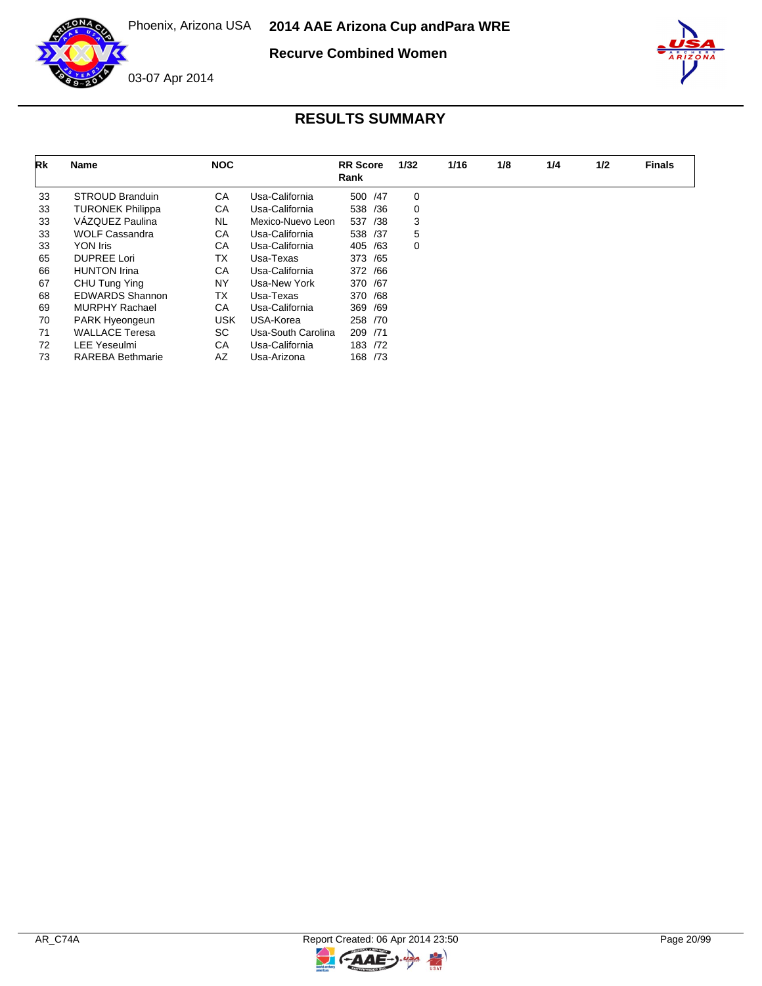



| Rk | Name                    | <b>NOC</b> |                    | <b>RR</b> Score<br>Rank | 1/32 | 1/16 | 1/8 | 1/4 | 1/2 | <b>Finals</b> |
|----|-------------------------|------------|--------------------|-------------------------|------|------|-----|-----|-----|---------------|
| 33 | <b>STROUD Branduin</b>  | CA         | Usa-California     | 500 / 47                | 0    |      |     |     |     |               |
| 33 | <b>TURONEK Philippa</b> | СA         | Usa-California     | 538<br>/36              | 0    |      |     |     |     |               |
| 33 | VÁZQUEZ Paulina         | <b>NL</b>  | Mexico-Nuevo Leon  | 537<br>/38              | 3    |      |     |     |     |               |
| 33 | <b>WOLF Cassandra</b>   | CA         | Usa-California     | 538 /37                 | 5    |      |     |     |     |               |
| 33 | YON Iris                | CA         | Usa-California     | 405<br>/63              | 0    |      |     |     |     |               |
| 65 | <b>DUPREE Lori</b>      | TX         | Usa-Texas          | 373 / 65                |      |      |     |     |     |               |
| 66 | <b>HUNTON Irina</b>     | CA         | Usa-California     | 372 / 66                |      |      |     |     |     |               |
| 67 | CHU Tung Ying           | NY.        | Usa-New York       | 370 /67                 |      |      |     |     |     |               |
| 68 | <b>EDWARDS Shannon</b>  | TX         | Usa-Texas          | 370 /68                 |      |      |     |     |     |               |
| 69 | <b>MURPHY Rachael</b>   | CA         | Usa-California     | 369 /69                 |      |      |     |     |     |               |
| 70 | PARK Hyeongeun          | <b>USK</b> | USA-Korea          | 258 /70                 |      |      |     |     |     |               |
| 71 | <b>WALLACE Teresa</b>   | SC.        | Usa-South Carolina | 209 /71                 |      |      |     |     |     |               |
| 72 | <b>LEE Yeseulmi</b>     | CA         | Usa-California     | 183 /72                 |      |      |     |     |     |               |
| 73 | <b>RAREBA Bethmarie</b> | AZ         | Usa-Arizona        | 168 /73                 |      |      |     |     |     |               |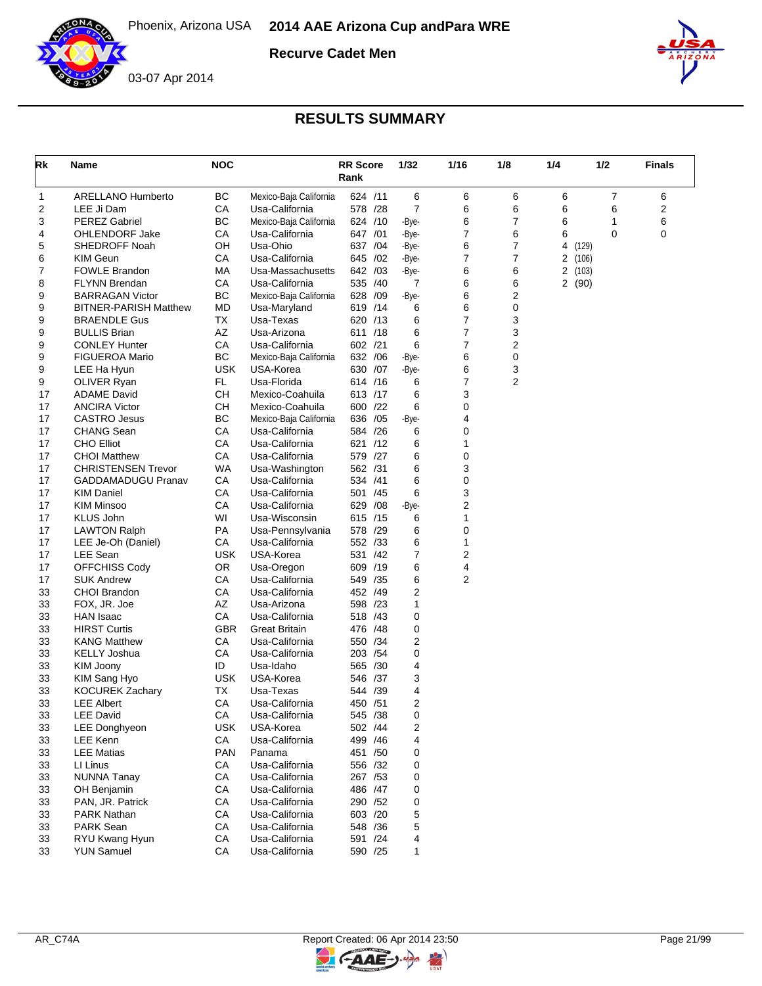

**Recurve Cadet Men**



| Rk       | Name                                | <b>NOC</b> |                                  | <b>RR</b> Score<br>Rank |          | 1/32           | 1/16           | 1/8            | 1/4    | 1/2         | <b>Finals</b> |
|----------|-------------------------------------|------------|----------------------------------|-------------------------|----------|----------------|----------------|----------------|--------|-------------|---------------|
| 1        | <b>ARELLANO Humberto</b>            | BC         | Mexico-Baja California           | 624 /11                 |          | 6              | 6              | 6              | 6      | 7           | 6             |
| 2        | LEE Ji Dam                          | СA         | Usa-California                   | 578 /28                 |          | $\overline{7}$ | 6              | 6              | 6      | 6           | 2             |
| 3        | <b>PEREZ Gabriel</b>                | BC         | Mexico-Baja California           | 624 /10                 |          | -Bye-          | 6              | 7              | 6      | 1           | 6             |
| 4        | <b>OHLENDORF Jake</b>               | CA         | Usa-California                   | 647 /01                 |          | -Bye-          | 7              | 6              | 6      | $\mathbf 0$ | 0             |
| 5        | SHEDROFF Noah                       | OН         | Usa-Ohio                         | 637 /04                 |          | -Bye-          | 6              | 7              | 4      | (129)       |               |
| 6        | <b>KIM Geun</b>                     | СA         | Usa-California                   | 645 /02                 |          | -Bye-          | 7              | 7              | 2      | (106)       |               |
| 7        | <b>FOWLE Brandon</b>                | МA         | Usa-Massachusetts                | 642 /03                 |          | -Bye-          | 6              | 6              | 2(103) |             |               |
| 8        | <b>FLYNN Brendan</b>                | СA         | Usa-California                   | 535 /40                 |          | 7              | 6              | 6              | 2(90)  |             |               |
| 9        | <b>BARRAGAN Victor</b>              | BC         | Mexico-Baja California           | 628 /09                 |          | -Bye-          | 6              | 2              |        |             |               |
| 9        | <b>BITNER-PARISH Matthew</b>        | MD         | Usa-Maryland                     | 619 /14                 |          | 6              | 6              | 0              |        |             |               |
| 9        | <b>BRAENDLE Gus</b>                 | TX         | Usa-Texas                        | 620 /13                 |          | 6              | 7              | 3              |        |             |               |
| 9        | <b>BULLIS Brian</b>                 | AZ         | Usa-Arizona                      | 611 /18                 |          | 6              | 7              | 3              |        |             |               |
| 9        | <b>CONLEY Hunter</b>                | CA         | Usa-California                   | 602 /21                 |          | 6              | 7              | 2              |        |             |               |
| 9        | <b>FIGUEROA Mario</b>               | BC         | Mexico-Baja California           | 632 /06                 |          | -Bye-          | 6              | 0              |        |             |               |
| 9        | LEE Ha Hyun                         | <b>USK</b> | USA-Korea                        | 630 /07                 |          | -Bye-          | 6              | 3              |        |             |               |
| 9        | OLIVER Ryan                         | FL.        | Usa-Florida                      | 614 /16                 |          | 6              | 7              | $\overline{2}$ |        |             |               |
| 17       | <b>ADAME David</b>                  | CН         | Mexico-Coahuila                  | 613 /17                 |          | 6              | 3              |                |        |             |               |
| 17       | <b>ANCIRA Victor</b>                | <b>CH</b>  | Mexico-Coahuila                  | 600 /22                 |          | 6              | 0              |                |        |             |               |
| 17       | CASTRO Jesus                        | <b>BC</b>  | Mexico-Baja California           | 636 /05                 |          | -Bye-          | 4              |                |        |             |               |
| 17       | <b>CHANG Sean</b>                   | СA         | Usa-California                   | 584 /26                 |          | 6              | 0              |                |        |             |               |
| 17       | <b>CHO Elliot</b>                   | CA         | Usa-California                   | 621 /12                 |          | 6              | 1              |                |        |             |               |
| 17       | <b>CHOI Matthew</b>                 | CA         | Usa-California                   | 579 /27                 |          | 6              | 0              |                |        |             |               |
| 17       | <b>CHRISTENSEN Trevor</b>           | WA         | Usa-Washington                   | 562 /31                 |          | 6              | 3              |                |        |             |               |
| 17       | <b>GADDAMADUGU Pranav</b>           | CA         | Usa-California                   | 534 /41                 |          | 6              | 0              |                |        |             |               |
| 17       | <b>KIM Daniel</b>                   | СA         | Usa-California                   | 501 /45                 |          | 6              | 3              |                |        |             |               |
| 17       | <b>KIM Minsoo</b>                   | СA         | Usa-California                   | 629 / 08                |          | -Bye-          | 2              |                |        |             |               |
| 17       | <b>KLUS John</b>                    | WI         | Usa-Wisconsin                    | 615 /15                 |          | 6              | 1              |                |        |             |               |
| 17       | <b>LAWTON Ralph</b>                 | PA         | Usa-Pennsylvania                 | 578 /29                 |          | 6              | 0              |                |        |             |               |
| 17       | LEE Je-Oh (Daniel)                  | CA         | Usa-California                   | 552 /33                 |          | 6              | 1              |                |        |             |               |
| 17       | LEE Sean                            | <b>USK</b> | USA-Korea                        | 531 /42                 |          | 7              | 2              |                |        |             |               |
| 17       | OFFCHISS Cody                       | <b>OR</b>  | Usa-Oregon                       | 609 /19                 |          | 6              | 4              |                |        |             |               |
| 17       | <b>SUK Andrew</b>                   | СA         | Usa-California                   | 549 /35                 |          | 6              | $\overline{2}$ |                |        |             |               |
| 33       | CHOI Brandon                        | CA         | Usa-California                   | 452 /49                 |          | 2              |                |                |        |             |               |
| 33       | FOX, JR. Joe                        | AZ         | Usa-Arizona                      | 598 /23                 |          | 1              |                |                |        |             |               |
| 33       | HAN Isaac                           | СA         | Usa-California                   | 518 /43                 |          | 0              |                |                |        |             |               |
| 33       | <b>HIRST Curtis</b>                 | <b>GBR</b> | <b>Great Britain</b>             | 476 / 48                |          | 0              |                |                |        |             |               |
| 33       | <b>KANG Matthew</b>                 | CA         | Usa-California                   | 550 /34                 |          | 2              |                |                |        |             |               |
| 33       | <b>KELLY Joshua</b>                 | СA         | Usa-California                   | 203 / 54                |          | 0              |                |                |        |             |               |
| 33       | KIM Joony                           | ID         | Usa-Idaho                        | 565 /30                 |          | 4              |                |                |        |             |               |
| 33       | KIM Sang Hyo                        | <b>USK</b> | USA-Korea                        | 546 /37                 |          | 3              |                |                |        |             |               |
| 33       | <b>KOCUREK Zachary</b>              | ТX         | Usa-Texas                        | 544 /39                 |          | 4              |                |                |        |             |               |
| 33       | <b>LEE Albert</b>                   | CA         | Usa-California                   | 450 /51                 |          | $\overline{2}$ |                |                |        |             |               |
| 33       | <b>LEE David</b>                    | СA         | Usa-California                   | 545 /38                 |          | 0              |                |                |        |             |               |
| 33       | LEE Donghyeon                       | <b>USK</b> | USA-Korea                        |                         | 502 /44  | 2              |                |                |        |             |               |
| 33       | LEE Kenn                            | CA         | Usa-California                   |                         | 499 / 46 | 4              |                |                |        |             |               |
| 33       | <b>LEE Matias</b>                   | <b>PAN</b> | Panama                           |                         | 451 /50  | 0              |                |                |        |             |               |
| 33       | LI Linus                            | CA         | Usa-California                   | 556 /32                 |          | 0              |                |                |        |             |               |
| 33       | <b>NUNNA Tanay</b>                  | CA         | Usa-California                   | 267 / 53                |          | 0              |                |                |        |             |               |
|          |                                     |            |                                  | 486 / 47                |          |                |                |                |        |             |               |
| 33<br>33 | OH Benjamin<br>PAN, JR. Patrick     | СA<br>CA   | Usa-California<br>Usa-California |                         | 290 /52  | 0<br>0         |                |                |        |             |               |
|          |                                     | CA         |                                  |                         | 603 /20  |                |                |                |        |             |               |
| 33       | <b>PARK Nathan</b>                  |            | Usa-California                   |                         |          | 5              |                |                |        |             |               |
| 33       | <b>PARK Sean</b>                    | CA         | Usa-California                   | 548 / 36                |          | 5              |                |                |        |             |               |
| 33       | RYU Kwang Hyun<br><b>YUN Samuel</b> | CA         | Usa-California                   |                         | 591 /24  | 4              |                |                |        |             |               |
| 33       |                                     | CA         | Usa-California                   |                         | 590 /25  | 1              |                |                |        |             |               |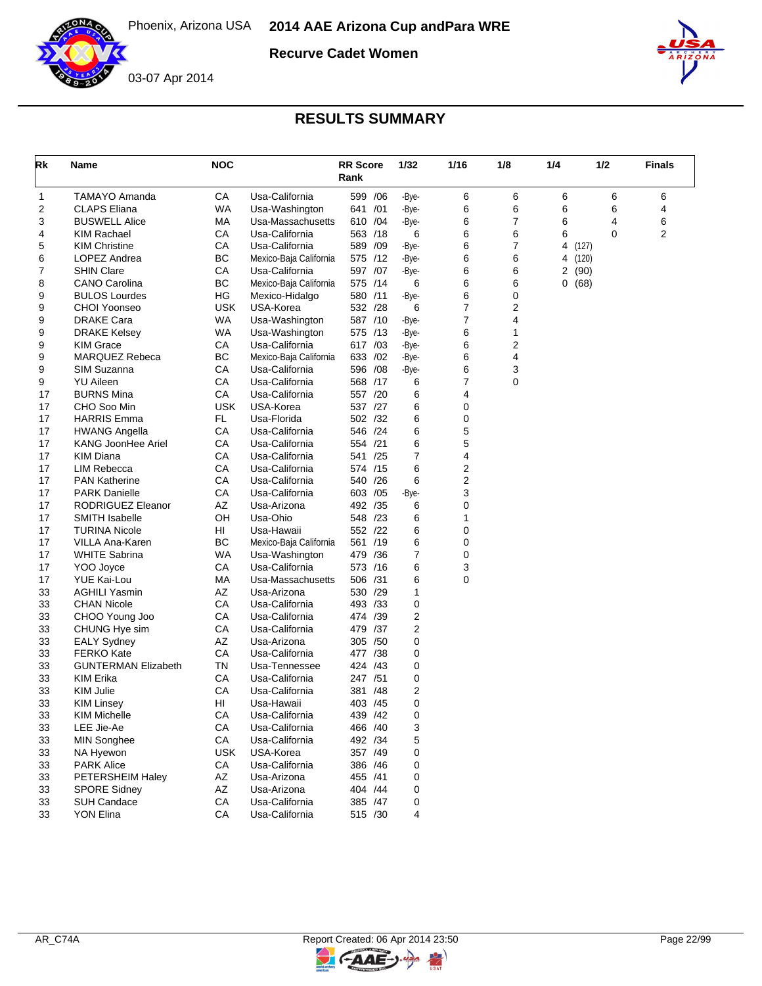

**Recurve Cadet Women**



## **RESULTS SUMMARY**

| Rk | Name                       | <b>NOC</b> |                        | <b>RR Score</b><br>Rank |         | 1/32  | 1/16             | 1/8 | 1/4 | 1/2         | <b>Finals</b> |
|----|----------------------------|------------|------------------------|-------------------------|---------|-------|------------------|-----|-----|-------------|---------------|
| 1  | <b>TAMAYO Amanda</b>       | CA         | Usa-California         | 599 /06                 |         | -Bye- | 6                | 6   | 6   | 6           | 6             |
| 2  | <b>CLAPS Eliana</b>        | <b>WA</b>  | Usa-Washington         | 641 /01                 |         | -Bye- | 6                | 6   | 6   | 6           | 4             |
| 3  | <b>BUSWELL Alice</b>       | МA         | Usa-Massachusetts      | 610 /04                 |         | -Bye- | 6                | 7   | 6   | 4           | 6             |
| 4  | <b>KIM Rachael</b>         | CA         | Usa-California         | 563 /18                 |         | 6     | 6                | 6   | 6   | $\mathbf 0$ | 2             |
| 5  | <b>KIM Christine</b>       | CA         | Usa-California         | 589 /09                 |         | -Bye- | 6                | 7   | 4   | (127)       |               |
| 6  | LOPEZ Andrea               | BC         | Mexico-Baja California | 575 /12                 |         | -Bye- | 6                | 6   | 4   | (120)       |               |
| 7  | <b>SHIN Clare</b>          | CA         | Usa-California         | 597 /07                 |         | -Bye- | 6                | 6   | 2   | (90)        |               |
| 8  | <b>CANO Carolina</b>       | ВC         | Mexico-Baja California | 575 /14                 |         | 6     | 6                | 6   | 0   | (68)        |               |
| 9  | <b>BULOS Lourdes</b>       | HG         | Mexico-Hidalgo         | 580 /11                 |         | -Bye- | 6                | 0   |     |             |               |
| 9  | <b>CHOI Yoonseo</b>        | <b>USK</b> | USA-Korea              | 532 /28                 |         | 6     | 7                | 2   |     |             |               |
| 9  | <b>DRAKE Cara</b>          | WA         | Usa-Washington         | 587 /10                 |         | -Bye- | 7                | 4   |     |             |               |
| 9  | <b>DRAKE Kelsey</b>        | <b>WA</b>  | Usa-Washington         | 575 /13                 |         | -Bye- | 6                | 1   |     |             |               |
| 9  | <b>KIM Grace</b>           | СA         | Usa-California         | 617 /03                 |         | -Bye- | 6                | 2   |     |             |               |
| 9  | <b>MARQUEZ Rebeca</b>      | BC         | Mexico-Baja California | 633 /02                 |         | -Bye- | 6                | 4   |     |             |               |
| 9  | SIM Suzanna                | СA         | Usa-California         | 596 /08                 |         | -Bye- | 6                | 3   |     |             |               |
| 9  | <b>YU Aileen</b>           | СA         | Usa-California         | 568 /17                 |         | 6     | $\overline{7}$   | 0   |     |             |               |
| 17 | <b>BURNS Mina</b>          | СA         | Usa-California         | 557 /20                 |         | 6     | 4                |     |     |             |               |
| 17 | CHO Soo Min                | <b>USK</b> | USA-Korea              | 537 /27                 |         | 6     | 0                |     |     |             |               |
| 17 | <b>HARRIS Emma</b>         | FL.        | Usa-Florida            | 502 /32                 |         | 6     | 0                |     |     |             |               |
| 17 | <b>HWANG Angella</b>       | CA         | Usa-California         | 546 /24                 |         | 6     | 5                |     |     |             |               |
| 17 | KANG JoonHee Ariel         | СA         | Usa-California         | 554 /21                 |         | 6     | 5                |     |     |             |               |
| 17 | <b>KIM Diana</b>           | СA         | Usa-California         | 541 /25                 |         | 7     | 4                |     |     |             |               |
| 17 | <b>LIM Rebecca</b>         | СA         | Usa-California         | 574 /15                 |         | 6     | $\overline{2}$   |     |     |             |               |
| 17 | <b>PAN Katherine</b>       | CA         | Usa-California         | 540 /26                 |         | 6     | $\boldsymbol{2}$ |     |     |             |               |
| 17 | <b>PARK Danielle</b>       | CA         | Usa-California         | 603 / 05                |         | -Bye- | 3                |     |     |             |               |
| 17 | RODRIGUEZ Eleanor          | AΖ         | Usa-Arizona            | 492 /35                 |         | 6     | 0                |     |     |             |               |
| 17 | <b>SMITH Isabelle</b>      | OH         | Usa-Ohio               | 548 /23                 |         | 6     | 1                |     |     |             |               |
| 17 | <b>TURINA Nicole</b>       | HI         | Usa-Hawaii             | 552 /22                 |         | 6     | 0                |     |     |             |               |
| 17 | VILLA Ana-Karen            | ВC         | Mexico-Baja California | 561 /19                 |         | 6     | 0                |     |     |             |               |
| 17 | <b>WHITE Sabrina</b>       | <b>WA</b>  | Usa-Washington         | 479 /36                 |         | 7     | 0                |     |     |             |               |
| 17 | YOO Joyce                  | СA         | Usa-California         | 573 /16                 |         | 6     | 3                |     |     |             |               |
| 17 | <b>YUE Kai-Lou</b>         | МA         | Usa-Massachusetts      | 506 /31                 |         | 6     | $\mathbf 0$      |     |     |             |               |
| 33 | <b>AGHILI Yasmin</b>       | AZ         | Usa-Arizona            | 530 /29                 |         | 1     |                  |     |     |             |               |
| 33 | <b>CHAN Nicole</b>         | СA         | Usa-California         | 493 /33                 |         | 0     |                  |     |     |             |               |
| 33 | CHOO Young Joo             | СA         | Usa-California         | 474 /39                 |         | 2     |                  |     |     |             |               |
| 33 | CHUNG Hye sim              | СA         | Usa-California         | 479 /37                 |         | 2     |                  |     |     |             |               |
| 33 | <b>EALY Sydney</b>         | AΖ         | Usa-Arizona            | 305 /50                 |         | 0     |                  |     |     |             |               |
| 33 | <b>FERKO Kate</b>          | CA         | Usa-California         | 477 /38                 |         | 0     |                  |     |     |             |               |
| 33 | <b>GUNTERMAN Elizabeth</b> | ΤN         | Usa-Tennessee          | 424 /43                 |         | 0     |                  |     |     |             |               |
| 33 | <b>KIM Erika</b>           | СA         | Usa-California         | 247 /51                 |         | 0     |                  |     |     |             |               |
| 33 | KIM Julie                  | СA         | Usa-California         | 381                     | /48     | 2     |                  |     |     |             |               |
| 33 | <b>KIM Linsey</b>          | HI         | Usa-Hawaii             | 403 / 45                |         | 0     |                  |     |     |             |               |
| 33 | KIM Michelle               | CА         | Usa-California         |                         | 439 /42 | 0     |                  |     |     |             |               |
| 33 | LEE Jie-Ae                 | CA         | Usa-California         | 466 / 40                |         | 3     |                  |     |     |             |               |
| 33 | <b>MIN Songhee</b>         | CA         | Usa-California         | 492 /34                 |         | 5     |                  |     |     |             |               |
| 33 | NA Hyewon                  | <b>USK</b> | USA-Korea              | 357 /49                 |         | 0     |                  |     |     |             |               |
| 33 | <b>PARK Alice</b>          | CA         | Usa-California         | 386 /46                 |         | 0     |                  |     |     |             |               |
| 33 | PETERSHEIM Haley           | AZ         | Usa-Arizona            | 455 /41                 |         | 0     |                  |     |     |             |               |
| 33 | <b>SPORE Sidney</b>        | AZ         | Usa-Arizona            | 404 / 44                |         | 0     |                  |     |     |             |               |
| 33 | <b>SUH Candace</b>         | CA         | Usa-California         | 385 /47                 |         | 0     |                  |     |     |             |               |
| 33 | YON Elina                  | CA         | Usa-California         |                         | 515 /30 | 4     |                  |     |     |             |               |

 $\blacktriangleright$ 

G-AAE-J-

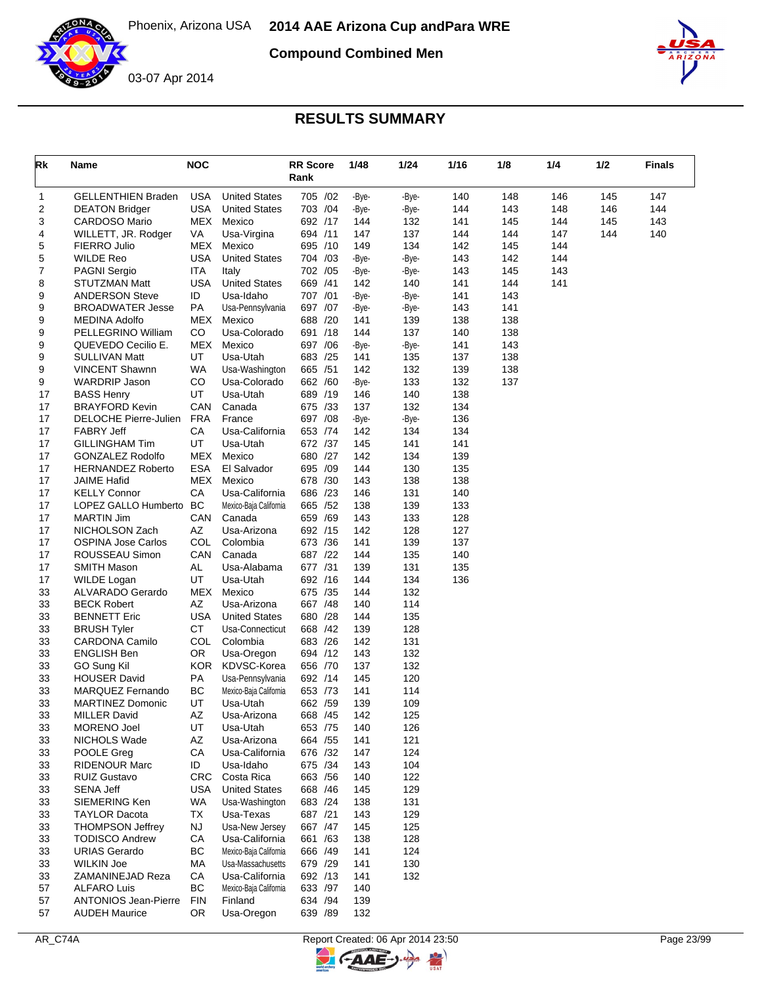

**Compound Combined Men**



| Rk       | Name                                                  | NOC               |                                          | <b>RR Score</b><br>Rank | 1/48         | 1/24         | 1/16       | 1/8        | 1/4        | 1/2 | <b>Finals</b> |
|----------|-------------------------------------------------------|-------------------|------------------------------------------|-------------------------|--------------|--------------|------------|------------|------------|-----|---------------|
| 1        | <b>GELLENTHIEN Braden</b>                             | USA               | <b>United States</b>                     | 705 /02                 | -Bye-        | -Bye-        | 140        | 148        | 146        | 145 | 147           |
| 2        | <b>DEATON Bridger</b>                                 | <b>USA</b>        | <b>United States</b>                     | 703 /04                 | -Bye-        | -Bye-        | 144        | 143        | 148        | 146 | 144           |
| 3        | CARDOSO Mario                                         | MEX               | Mexico                                   | 692 /17                 | 144          | 132          | 141        | 145        | 144        | 145 | 143           |
| 4        | WILLETT, JR. Rodger                                   | VA                | Usa-Virgina                              | 694 /11                 | 147          | 137          | 144        | 144        | 147        | 144 | 140           |
| 5        | FIERRO Julio                                          | MEX               | Mexico                                   | 695 /10                 | 149          | 134          | 142        | 145        | 144        |     |               |
| 5<br>7   | <b>WILDE Reo</b>                                      | USA<br><b>ITA</b> | <b>United States</b>                     | 704 /03<br>702 /05      | -Bye-        | -Bye-        | 143<br>143 | 142<br>145 | 144<br>143 |     |               |
| 8        | <b>PAGNI Sergio</b><br>STUTZMAN Matt                  | USA               | Italy<br><b>United States</b>            | 669 /41                 | -Bye-<br>142 | -Bye-<br>140 | 141        | 144        | 141        |     |               |
| 9        | <b>ANDERSON Steve</b>                                 | ID                | Usa-Idaho                                | 707 /01                 | -Bye-        | -Bye-        | 141        | 143        |            |     |               |
| 9        | <b>BROADWATER Jesse</b>                               | PA                | Usa-Pennsylvania                         | 697 /07                 | -Bye-        | -Bye-        | 143        | 141        |            |     |               |
| 9        | <b>MEDINA Adolfo</b>                                  | MEX               | Mexico                                   | 688 /20                 | 141          | 139          | 138        | 138        |            |     |               |
| 9        | PELLEGRINO William                                    | CO                | Usa-Colorado                             | 691 /18                 | 144          | 137          | 140        | 138        |            |     |               |
| 9        | QUEVEDO Cecilio E.                                    | <b>MEX</b>        | Mexico                                   | 697 / 06                | -Bye-        | -Bye-        | 141        | 143        |            |     |               |
| 9        | <b>SULLIVAN Matt</b>                                  | UT                | Usa-Utah                                 | 683 /25                 | 141          | 135          | 137        | 138        |            |     |               |
| 9        | <b>VINCENT Shawnn</b>                                 | WA                | Usa-Washington                           | 665 / 51                | 142          | 132          | 139        | 138        |            |     |               |
| 9        | <b>WARDRIP Jason</b>                                  | CO                | Usa-Colorado                             | 662 /60                 | -Bye-        | 133          | 132        | 137        |            |     |               |
| 17       | <b>BASS Henry</b>                                     | UT                | Usa-Utah                                 | 689 /19                 | 146          | 140          | 138        |            |            |     |               |
| 17       | <b>BRAYFORD Kevin</b><br><b>DELOCHE Pierre-Julien</b> | CAN               | Canada                                   | 675 /33                 | 137          | 132          | 134        |            |            |     |               |
| 17<br>17 | <b>FABRY Jeff</b>                                     | <b>FRA</b><br>СA  | France<br>Usa-California                 | 697 /08<br>653 /74      | -Bye-<br>142 | -Bye-<br>134 | 136<br>134 |            |            |     |               |
| 17       | <b>GILLINGHAM Tim</b>                                 | UT                | Usa-Utah                                 | 672 /37                 | 145          | 141          | 141        |            |            |     |               |
| 17       | <b>GONZALEZ Rodolfo</b>                               | MEX               | Mexico                                   | 680 /27                 | 142          | 134          | 139        |            |            |     |               |
| 17       | <b>HERNANDEZ Roberto</b>                              | <b>ESA</b>        | El Salvador                              | 695 /09                 | 144          | 130          | 135        |            |            |     |               |
| 17       | <b>JAIME Hafid</b>                                    | MEX               | Mexico                                   | 678 /30                 | 143          | 138          | 138        |            |            |     |               |
| 17       | <b>KELLY Connor</b>                                   | СA                | Usa-California                           | 686 /23                 | 146          | 131          | 140        |            |            |     |               |
| 17       | LOPEZ GALLO Humberto                                  | BC                | Mexico-Baja California                   | 665 / 52                | 138          | 139          | 133        |            |            |     |               |
| 17       | <b>MARTIN Jim</b>                                     | CAN               | Canada                                   | 659 /69                 | 143          | 133          | 128        |            |            |     |               |
| 17       | NICHOLSON Zach                                        | AΖ                | Usa-Arizona                              | 692 /15                 | 142          | 128          | 127        |            |            |     |               |
| 17       | <b>OSPINA Jose Carlos</b>                             | COL               | Colombia                                 | 673 /36                 | 141          | 139          | 137        |            |            |     |               |
| 17       | ROUSSEAU Simon                                        | CAN               | Canada                                   | 687 /22                 | 144          | 135          | 140        |            |            |     |               |
| 17<br>17 | <b>SMITH Mason</b><br><b>WILDE Logan</b>              | AL<br>UT          | Usa-Alabama<br>Usa-Utah                  | 677 /31<br>692 /16      | 139<br>144   | 131<br>134   | 135<br>136 |            |            |     |               |
| 33       | ALVARADO Gerardo                                      | <b>MEX</b>        | Mexico                                   | 675 /35                 | 144          | 132          |            |            |            |     |               |
| 33       | <b>BECK Robert</b>                                    | AZ                | Usa-Arizona                              | 667 / 48                | 140          | 114          |            |            |            |     |               |
| 33       | <b>BENNETT Eric</b>                                   | <b>USA</b>        | <b>United States</b>                     | 680 /28                 | 144          | 135          |            |            |            |     |               |
| 33       | <b>BRUSH Tyler</b>                                    | СT                | Usa-Connecticut                          | 668 /42                 | 139          | 128          |            |            |            |     |               |
| 33       | <b>CARDONA Camilo</b>                                 | COL               | Colombia                                 | 683 /26                 | 142          | 131          |            |            |            |     |               |
| 33       | <b>ENGLISH Ben</b>                                    | OR.               | Usa-Oregon                               | 694 /12                 | 143          | 132          |            |            |            |     |               |
| 33       | GO Sung Kil                                           | <b>KOR</b>        | KDVSC-Korea                              | 656 /70                 | 137          | 132          |            |            |            |     |               |
| 33       | <b>HOUSER David</b>                                   | PA                | Usa-Pennsylvania                         | 692 /14                 | 145          | 120          |            |            |            |     |               |
| 33       | MARQUEZ Fernando                                      | BC                | Mexico-Baja California                   | 653 /73                 | 141          | 114          |            |            |            |     |               |
| 33       | <b>MARTINEZ Domonic</b>                               | UT                | Usa-Utah                                 | 662 /59                 | 139          | 109          |            |            |            |     |               |
| 33<br>33 | MILLER David<br>MORENO Joel                           | ΑZ<br>UT          | Usa-Arizona<br>Usa-Utah                  | 668 / 45<br>653 /75     | 142<br>140   | 125<br>126   |            |            |            |     |               |
| 33       | NICHOLS Wade                                          | AZ                | Usa-Arizona                              | 664 / 55                | 141          | 121          |            |            |            |     |               |
| 33       | POOLE Greg                                            | CA                | Usa-California                           | 676 /32                 | 147          | 124          |            |            |            |     |               |
| 33       | <b>RIDENOUR Marc</b>                                  | ID                | Usa-Idaho                                | 675 /34                 | 143          | 104          |            |            |            |     |               |
| 33       | <b>RUIZ Gustavo</b>                                   | <b>CRC</b>        | Costa Rica                               | 663 / 56                | 140          | 122          |            |            |            |     |               |
| 33       | <b>SENA Jeff</b>                                      | <b>USA</b>        | <b>United States</b>                     | 668 /46                 | 145          | 129          |            |            |            |     |               |
| 33       | SIEMERING Ken                                         | WA                | Usa-Washington                           | 683 /24                 | 138          | 131          |            |            |            |     |               |
| 33       | <b>TAYLOR Dacota</b>                                  | TX                | Usa-Texas                                | 687 /21                 | 143          | 129          |            |            |            |     |               |
| 33       | <b>THOMPSON Jeffrey</b>                               | <b>NJ</b>         | Usa-New Jersey                           | 667 / 47                | 145          | 125          |            |            |            |     |               |
| 33       | <b>TODISCO Andrew</b>                                 | CA                | Usa-California                           | 661 /63                 | 138          | 128          |            |            |            |     |               |
| 33       | <b>URIAS Gerardo</b>                                  | BC                | Mexico-Baja California                   | 666 /49                 | 141          | 124          |            |            |            |     |               |
| 33       | <b>WILKIN Joe</b>                                     | MA                | Usa-Massachusetts                        | 679 /29                 | 141          | 130          |            |            |            |     |               |
| 33<br>57 | ZAMANINEJAD Reza<br><b>ALFARO Luis</b>                | CA<br>BС          | Usa-California<br>Mexico-Baja California | 692 /13<br>633 /97      | 141<br>140   | 132          |            |            |            |     |               |
| 57       | <b>ANTONIOS Jean-Pierre</b>                           | <b>FIN</b>        | Finland                                  | 634 /94                 | 139          |              |            |            |            |     |               |
| 57       | <b>AUDEH Maurice</b>                                  | OR                | Usa-Oregon                               | 639 / 89                | 132          |              |            |            |            |     |               |

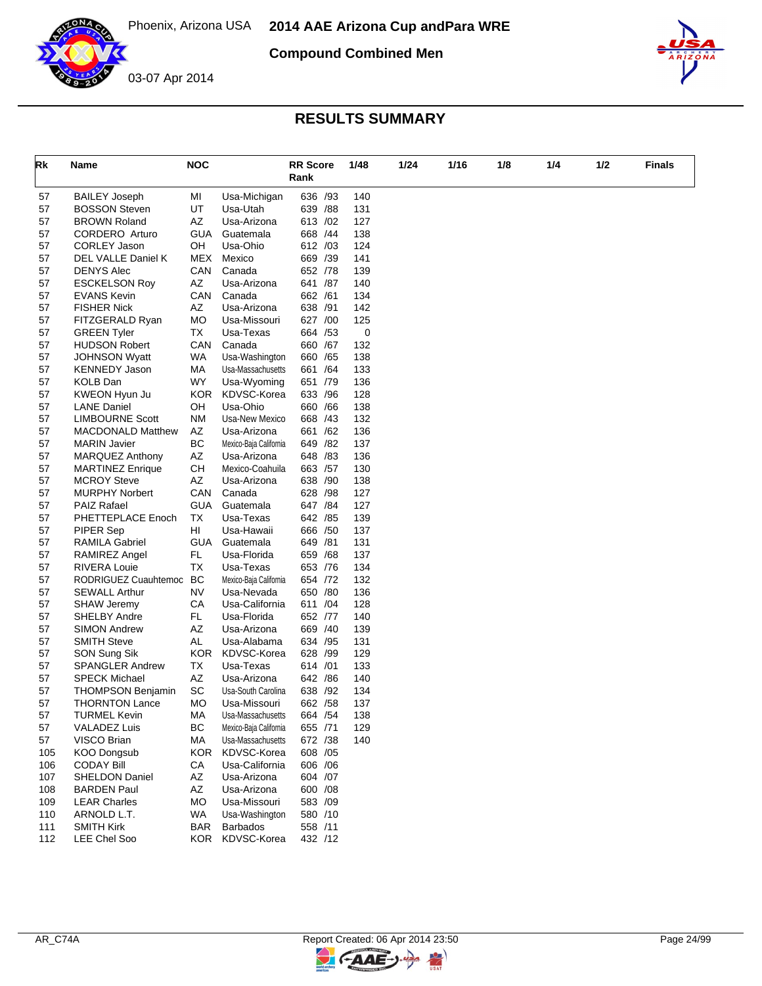

**Compound Combined Men**



## **RESULTS SUMMARY**

| Rk       | Name                                        | <b>NOC</b> |                        | <b>RR Score</b><br>Rank | 1/48       | 1/24 | 1/16 | 1/8 | 1/4 | 1/2 | Finals |
|----------|---------------------------------------------|------------|------------------------|-------------------------|------------|------|------|-----|-----|-----|--------|
| 57       | <b>BAILEY Joseph</b>                        | MI         | Usa-Michigan           | 636 /93                 | 140        |      |      |     |     |     |        |
| 57       | <b>BOSSON Steven</b>                        | UT         | Usa-Utah               | 639 / 88                | 131        |      |      |     |     |     |        |
| 57       | <b>BROWN Roland</b>                         | AΖ         | Usa-Arizona            | 613 /02                 | 127        |      |      |     |     |     |        |
| 57       | <b>CORDERO</b> Arturo                       | GUA        | Guatemala              | 668 /44                 | 138        |      |      |     |     |     |        |
| 57       | <b>CORLEY Jason</b>                         | OH         | Usa-Ohio               | 612 /03                 | 124        |      |      |     |     |     |        |
| 57       | DEL VALLE Daniel K                          | MEX        | Mexico                 | 669 /39                 | 141        |      |      |     |     |     |        |
| 57       | <b>DENYS Alec</b>                           | CAN        | Canada                 | 652 /78                 | 139        |      |      |     |     |     |        |
| 57       | <b>ESCKELSON Roy</b>                        | AZ         | Usa-Arizona            | 641 /87                 | 140        |      |      |     |     |     |        |
| 57       | <b>EVANS Kevin</b>                          | CAN        | Canada                 | 662 /61                 | 134        |      |      |     |     |     |        |
| 57       | <b>FISHER Nick</b>                          | AZ         | Usa-Arizona            | 638 /91                 | 142        |      |      |     |     |     |        |
| 57       | FITZGERALD Ryan                             | <b>MO</b>  | Usa-Missouri           | 627 /00                 | 125        |      |      |     |     |     |        |
| 57       | <b>GREEN Tyler</b>                          | TX         | Usa-Texas              | 664 / 53                | 0          |      |      |     |     |     |        |
| 57       | <b>HUDSON Robert</b>                        | CAN        | Canada                 | 660 / 67                | 132        |      |      |     |     |     |        |
| 57       | <b>JOHNSON Wyatt</b>                        | <b>WA</b>  | Usa-Washington         | 660 / 65                | 138        |      |      |     |     |     |        |
| 57       | <b>KENNEDY Jason</b>                        | МA         | Usa-Massachusetts      | 661 / 64                | 133        |      |      |     |     |     |        |
| 57       | <b>KOLB Dan</b>                             | WY         | Usa-Wyoming            | 651 /79                 | 136        |      |      |     |     |     |        |
| 57       | KWEON Hyun Ju                               | <b>KOR</b> | KDVSC-Korea            | 633 / 96                | 128        |      |      |     |     |     |        |
| 57       | <b>LANE Daniel</b>                          | OH         | Usa-Ohio               | 660 / 66                | 138        |      |      |     |     |     |        |
| 57       | <b>LIMBOURNE Scott</b>                      | ΝM         | Usa-New Mexico         | 668 / 43                | 132        |      |      |     |     |     |        |
| 57       | <b>MACDONALD Matthew</b>                    | AZ         | Usa-Arizona            | 661 /62                 | 136        |      |      |     |     |     |        |
| 57       | <b>MARIN Javier</b>                         | BC         | Mexico-Baja California | 649 / 82                | 137        |      |      |     |     |     |        |
| 57       | <b>MARQUEZ Anthony</b>                      | AZ         | Usa-Arizona            | 648 / 83                | 136        |      |      |     |     |     |        |
| 57       | <b>MARTINEZ Enrique</b>                     | CН         | Mexico-Coahuila        | 663 /57                 | 130        |      |      |     |     |     |        |
| 57       | <b>MCROY Steve</b>                          | AZ<br>CAN  | Usa-Arizona            | 638 /90<br>628 / 98     | 138<br>127 |      |      |     |     |     |        |
| 57<br>57 | <b>MURPHY Norbert</b><br><b>PAIZ Rafael</b> | <b>GUA</b> | Canada<br>Guatemala    | 647 / 84                | 127        |      |      |     |     |     |        |
| 57       | PHETTEPLACE Enoch                           | ТX         | Usa-Texas              | 642 / 85                | 139        |      |      |     |     |     |        |
| 57       | PIPER Sep                                   | HI         | Usa-Hawaii             | 666 /50                 | 137        |      |      |     |     |     |        |
| 57       | <b>RAMILA Gabriel</b>                       | GUA        | Guatemala              | 649 / 81                | 131        |      |      |     |     |     |        |
| 57       | <b>RAMIREZ Angel</b>                        | FL.        | Usa-Florida            | 659 / 68                | 137        |      |      |     |     |     |        |
| 57       | <b>RIVERA Louie</b>                         | ТX         | Usa-Texas              | 653 /76                 | 134        |      |      |     |     |     |        |
| 57       | RODRIGUEZ Cuauhtemoc                        | BC         | Mexico-Baja California | 654 /72                 | 132        |      |      |     |     |     |        |
| 57       | <b>SEWALL Arthur</b>                        | NV         | Usa-Nevada             | 650 /80                 | 136        |      |      |     |     |     |        |
| 57       | <b>SHAW Jeremy</b>                          | CA         | Usa-California         | 611 /04                 | 128        |      |      |     |     |     |        |
| 57       | <b>SHELBY Andre</b>                         | FL.        | Usa-Florida            | 652 /77                 | 140        |      |      |     |     |     |        |
| 57       | <b>SIMON Andrew</b>                         | AZ         | Usa-Arizona            | 669 /40                 | 139        |      |      |     |     |     |        |
| 57       | <b>SMITH Steve</b>                          | AL         | Usa-Alabama            | 634 /95                 | 131        |      |      |     |     |     |        |
| 57       | SON Sung Sik                                | KOR.       | KDVSC-Korea            | 628 /99                 | 129        |      |      |     |     |     |        |
| 57       | <b>SPANGLER Andrew</b>                      | ТX         | Usa-Texas              | 614 /01                 | 133        |      |      |     |     |     |        |
| 57       | <b>SPECK Michael</b>                        | AZ         | Usa-Arizona            | 642 / 86                | 140        |      |      |     |     |     |        |
| 57       | <b>THOMPSON Benjamin</b>                    | SC         | Usa-South Carolina     | 638 /92                 | 134        |      |      |     |     |     |        |
| 57       | <b>THORNTON Lance</b>                       | МO         | Usa-Missouri           | 662 / 58                | 137        |      |      |     |     |     |        |
| 57       | <b>TURMEL Kevin</b>                         | MA         | Usa-Massachusetts      | 664 / 54                | 138        |      |      |     |     |     |        |
| 57       | <b>VALADEZ Luis</b>                         | BC         | Mexico-Baja California | 655 /71                 | 129        |      |      |     |     |     |        |
| 57       | VISCO Brian                                 | МA         | Usa-Massachusetts      | 672 /38                 | 140        |      |      |     |     |     |        |
| 105      | <b>KOO Dongsub</b>                          | KOR.       | KDVSC-Korea            | 608 / 05                |            |      |      |     |     |     |        |
| 106      | <b>CODAY Bill</b>                           | CA         | Usa-California         | 606 / 06                |            |      |      |     |     |     |        |
| 107      | <b>SHELDON Daniel</b>                       | AZ         | Usa-Arizona            | 604 /07                 |            |      |      |     |     |     |        |
| 108      | <b>BARDEN Paul</b>                          | AZ         | Usa-Arizona            | 600 / 08                |            |      |      |     |     |     |        |
| 109      | <b>LEAR Charles</b>                         | МO         | Usa-Missouri           | 583 /09                 |            |      |      |     |     |     |        |
| 110      | ARNOLD L.T.                                 | WA         | Usa-Washington         | 580 /10                 |            |      |      |     |     |     |        |
| 111      | <b>SMITH Kirk</b>                           | <b>BAR</b> | <b>Barbados</b>        | 558 /11                 |            |      |      |     |     |     |        |
| 112      | LEE Chel Soo                                | KOR        | KDVSC-Korea            | 432 /12                 |            |      |      |     |     |     |        |

 $\blacktriangleright$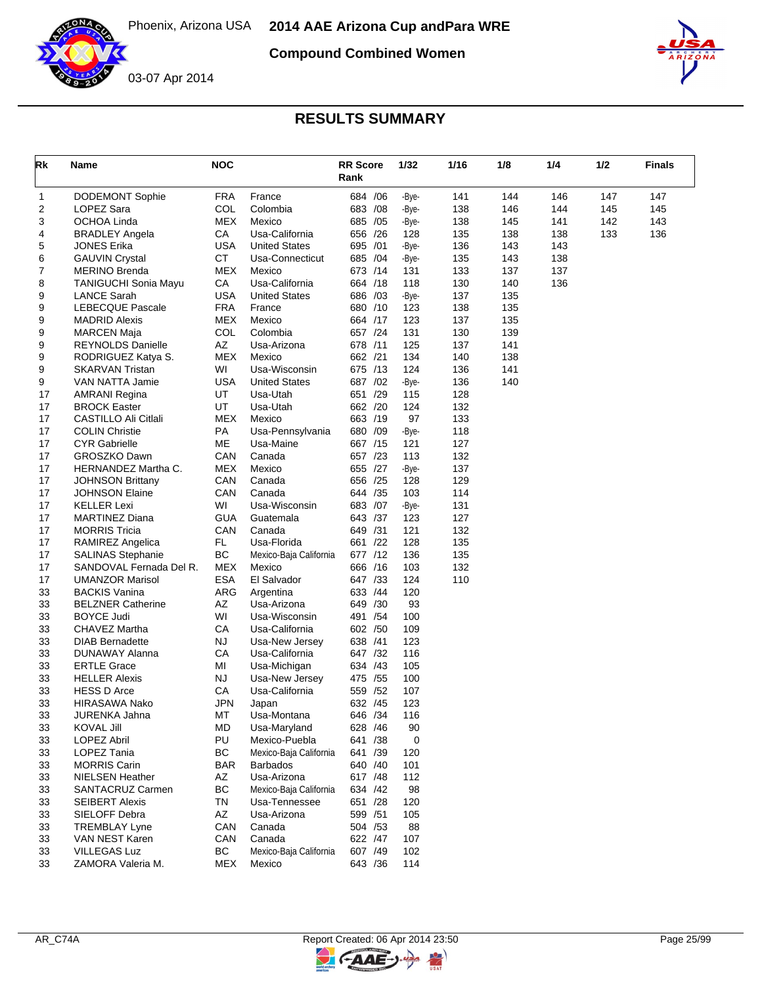

**Compound Combined Women**





| Rk | Name                        | <b>NOC</b> |                        | <b>RR Score</b><br>Rank |     | 1/32  | 1/16 | 1/8 | 1/4 | 1/2 | <b>Finals</b> |
|----|-----------------------------|------------|------------------------|-------------------------|-----|-------|------|-----|-----|-----|---------------|
| 1  | <b>DODEMONT Sophie</b>      | <b>FRA</b> | France                 | 684 / 06                |     | -Bye- | 141  | 144 | 146 | 147 | 147           |
| 2  | <b>LOPEZ Sara</b>           | COL        | Colombia               | 683 / 08                |     | -Bye- | 138  | 146 | 144 | 145 | 145           |
| 3  | <b>OCHOA Linda</b>          | <b>MEX</b> | Mexico                 | 685 /05                 |     | -Bye- | 138  | 145 | 141 | 142 | 143           |
| 4  | <b>BRADLEY Angela</b>       | CA         | Usa-California         | 656 /26                 |     | 128   | 135  | 138 | 138 | 133 | 136           |
| 5  | <b>JONES Erika</b>          | <b>USA</b> | <b>United States</b>   | 695 /01                 |     | -Bye- | 136  | 143 | 143 |     |               |
| 6  | <b>GAUVIN Crystal</b>       | <b>CT</b>  | Usa-Connecticut        | 685 /04                 |     | -Bye- | 135  | 143 | 138 |     |               |
| 7  | <b>MERINO Brenda</b>        | <b>MEX</b> | Mexico                 | 673 /14                 |     | 131   | 133  | 137 | 137 |     |               |
| 8  | <b>TANIGUCHI Sonia Mayu</b> | СA         | Usa-California         | 664 /18                 |     | 118   | 130  | 140 | 136 |     |               |
| 9  | <b>LANCE Sarah</b>          | <b>USA</b> | <b>United States</b>   | 686 /03                 |     | -Bye- | 137  | 135 |     |     |               |
| 9  | <b>LEBECQUE Pascale</b>     | <b>FRA</b> | France                 | 680 /10                 |     | 123   | 138  | 135 |     |     |               |
| 9  | <b>MADRID Alexis</b>        | MEX        | Mexico                 | 664 /17                 |     | 123   | 137  | 135 |     |     |               |
| 9  | <b>MARCEN Maja</b>          | COL        | Colombia               | 657 /24                 |     | 131   | 130  | 139 |     |     |               |
| 9  | <b>REYNOLDS Danielle</b>    | AZ         | Usa-Arizona            | 678 /11                 |     | 125   | 137  | 141 |     |     |               |
| 9  | RODRIGUEZ Katya S.          | MEX        | Mexico                 | 662 /21                 |     | 134   | 140  | 138 |     |     |               |
| 9  | <b>SKARVAN Tristan</b>      | WI         | Usa-Wisconsin          | 675 /13                 |     | 124   | 136  | 141 |     |     |               |
| 9  | VAN NATTA Jamie             | <b>USA</b> | <b>United States</b>   | 687 / 02                |     | -Bye- | 136  | 140 |     |     |               |
| 17 | <b>AMRANI Regina</b>        | UT         | Usa-Utah               | 651 /29                 |     | 115   | 128  |     |     |     |               |
| 17 | <b>BROCK Easter</b>         | UT         | Usa-Utah               | 662 /20                 |     | 124   | 132  |     |     |     |               |
| 17 | CASTILLO Ali Citlali        | MEX        | Mexico                 | 663 /19                 |     | 97    | 133  |     |     |     |               |
| 17 | <b>COLIN Christie</b>       | PA         | Usa-Pennsylvania       | 680 /09                 |     | -Bye- | 118  |     |     |     |               |
| 17 | <b>CYR Gabrielle</b>        | ME         | Usa-Maine              | 667 /15                 |     | 121   | 127  |     |     |     |               |
| 17 | <b>GROSZKO Dawn</b>         | CAN        | Canada                 | 657 /23                 |     | 113   | 132  |     |     |     |               |
| 17 | HERNANDEZ Martha C.         | <b>MEX</b> | Mexico                 | 655 /27                 |     | -Bye- | 137  |     |     |     |               |
| 17 | <b>JOHNSON Brittany</b>     | CAN        | Canada                 | 656 /25                 |     | 128   | 129  |     |     |     |               |
| 17 | <b>JOHNSON Elaine</b>       | CAN        | Canada                 | 644 /35                 |     | 103   | 114  |     |     |     |               |
| 17 | <b>KELLER Lexi</b>          | WI         | Usa-Wisconsin          | 683 /07                 |     | -Bye- | 131  |     |     |     |               |
| 17 | <b>MARTINEZ Diana</b>       | <b>GUA</b> | Guatemala              | 643 /37                 |     | 123   | 127  |     |     |     |               |
| 17 | <b>MORRIS Tricia</b>        | CAN        | Canada                 | 649 /31                 |     | 121   | 132  |     |     |     |               |
| 17 | RAMIREZ Angelica            | FL.        | Usa-Florida            | 661 /22                 |     | 128   | 135  |     |     |     |               |
| 17 | <b>SALINAS Stephanie</b>    | <b>BC</b>  | Mexico-Baja California | 677 /12                 |     | 136   | 135  |     |     |     |               |
| 17 | SANDOVAL Fernada Del R.     | MEX        | Mexico                 | 666 /16                 |     | 103   | 132  |     |     |     |               |
| 17 | <b>UMANZOR Marisol</b>      | <b>ESA</b> | El Salvador            | 647 /33                 |     | 124   | 110  |     |     |     |               |
| 33 | <b>BACKIS Vanina</b>        | <b>ARG</b> | Argentina              | 633 /44                 |     | 120   |      |     |     |     |               |
| 33 | <b>BELZNER Catherine</b>    | AΖ         | Usa-Arizona            | 649 /30                 |     | 93    |      |     |     |     |               |
| 33 | <b>BOYCE Judi</b>           | WI         | Usa-Wisconsin          | 491 / 54                |     | 100   |      |     |     |     |               |
| 33 | CHAVEZ Martha               | CA         | Usa-California         | 602 /50                 |     | 109   |      |     |     |     |               |
| 33 | <b>DIAB Bernadette</b>      | NJ         | Usa-New Jersey         | 638 /41                 |     | 123   |      |     |     |     |               |
| 33 | DUNAWAY Alanna              | CA         | Usa-California         | 647 /32                 |     | 116   |      |     |     |     |               |
| 33 | <b>ERTLE Grace</b>          | ΜI         | Usa-Michigan           | 634 /43                 |     | 105   |      |     |     |     |               |
| 33 | <b>HELLER Alexis</b>        | <b>NJ</b>  | Usa-New Jersey         | 475 / 55                |     | 100   |      |     |     |     |               |
| 33 | <b>HESS D Arce</b>          | СA         | Usa-California         | 559                     | /52 | 107   |      |     |     |     |               |
| 33 | <b>HIRASAWA Nako</b>        | JPN        | Japan                  | 632 /45                 |     | 123   |      |     |     |     |               |
| 33 | JURENKA Jahna               | МT         | Usa-Montana            | 646 / 34                |     | 116   |      |     |     |     |               |
| 33 | KOVAL Jill                  | MD         | Usa-Maryland           | 628 /46                 |     | 90    |      |     |     |     |               |
| 33 | <b>LOPEZ Abril</b>          | PU         | Mexico-Puebla          | 641 /38                 |     | 0     |      |     |     |     |               |
| 33 | LOPEZ Tania                 | <b>BC</b>  | Mexico-Baja California | 641 /39                 |     | 120   |      |     |     |     |               |
| 33 | <b>MORRIS Carin</b>         | BAR        | <b>Barbados</b>        | 640 /40                 |     | 101   |      |     |     |     |               |
| 33 | <b>NIELSEN Heather</b>      | AZ         | Usa-Arizona            | 617 / 48                |     | 112   |      |     |     |     |               |
| 33 | SANTACRUZ Carmen            | <b>BC</b>  | Mexico-Baja California | 634 /42                 |     | 98    |      |     |     |     |               |
| 33 | <b>SEIBERT Alexis</b>       | TN         | Usa-Tennessee          | 651 /28                 |     | 120   |      |     |     |     |               |
| 33 | SIELOFF Debra               | AZ         | Usa-Arizona            | 599 /51                 |     | 105   |      |     |     |     |               |
| 33 | <b>TREMBLAY Lyne</b>        | CAN        | Canada                 | 504 / 53                |     | 88    |      |     |     |     |               |
| 33 | VAN NEST Karen              | CAN        | Canada                 | 622 / 47                |     | 107   |      |     |     |     |               |
| 33 | <b>VILLEGAS Luz</b>         | ВC         | Mexico-Baja California | 607 /49                 |     | 102   |      |     |     |     |               |
| 33 | ZAMORA Valeria M.           | MEX        | Mexico                 | 643 / 36                |     | 114   |      |     |     |     |               |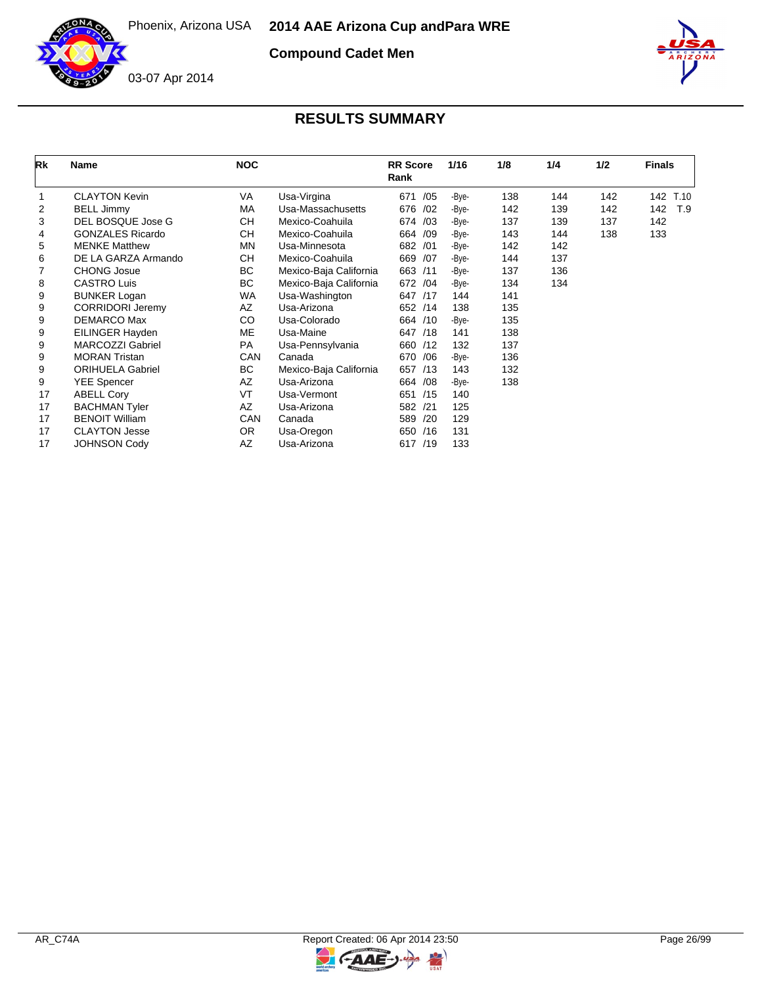

**Compound Cadet Men**



| Rk | <b>Name</b>             | <b>NOC</b> |                        | <b>RR</b> Score<br>Rank | 1/16  | 1/8 | 1/4 | 1/2 | <b>Finals</b> |
|----|-------------------------|------------|------------------------|-------------------------|-------|-----|-----|-----|---------------|
|    | <b>CLAYTON Kevin</b>    | VA         | Usa-Virgina            | 671<br>/05              | -Bye- | 138 | 144 | 142 | 142<br>T.10   |
| 2  | <b>BELL Jimmy</b>       | <b>MA</b>  | Usa-Massachusetts      | 676 /02                 | -Bye- | 142 | 139 | 142 | 142<br>T.9    |
| 3  | DEL BOSQUE Jose G       | CН         | Mexico-Coahuila        | 674 /03                 | -Bye- | 137 | 139 | 137 | 142           |
| 4  | <b>GONZALES Ricardo</b> | CН         | Mexico-Coahuila        | 664 /09                 | -Bye- | 143 | 144 | 138 | 133           |
| 5  | <b>MENKE Matthew</b>    | <b>MN</b>  | Usa-Minnesota          | 682 /01                 | -Bye- | 142 | 142 |     |               |
| 6  | DE LA GARZA Armando     | CН         | Mexico-Coahuila        | 669 /07                 | -Bye- | 144 | 137 |     |               |
| 7  | <b>CHONG Josue</b>      | BC         | Mexico-Baja California | 663 /11                 | -Bye- | 137 | 136 |     |               |
| 8  | <b>CASTRO Luis</b>      | BC         | Mexico-Baja California | 672 /04                 | -Bye- | 134 | 134 |     |               |
| 9  | <b>BUNKER Logan</b>     | WA         | Usa-Washington         | 647 /17                 | 144   | 141 |     |     |               |
| 9  | <b>CORRIDORI Jeremy</b> | AZ         | Usa-Arizona            | 652 /14                 | 138   | 135 |     |     |               |
| 9  | DEMARCO Max             | CO         | Usa-Colorado           | 664 /10                 | -Bye- | 135 |     |     |               |
| 9  | EILINGER Hayden         | ME         | Usa-Maine              | 647 /18                 | 141   | 138 |     |     |               |
| 9  | <b>MARCOZZI Gabriel</b> | <b>PA</b>  | Usa-Pennsylvania       | 660 /12                 | 132   | 137 |     |     |               |
| 9  | <b>MORAN Tristan</b>    | CAN        | Canada                 | 670 / 06                | -Bye- | 136 |     |     |               |
| 9  | <b>ORIHUELA Gabriel</b> | BC         | Mexico-Baja California | 657 /13                 | 143   | 132 |     |     |               |
| 9  | <b>YEE Spencer</b>      | AZ         | Usa-Arizona            | 664 / 08                | -Bye- | 138 |     |     |               |
| 17 | <b>ABELL Cory</b>       | VT         | Usa-Vermont            | 651 /15                 | 140   |     |     |     |               |
| 17 | <b>BACHMAN Tyler</b>    | AZ         | Usa-Arizona            | 582 /21                 | 125   |     |     |     |               |
| 17 | <b>BENOIT William</b>   | CAN        | Canada                 | /20<br>589              | 129   |     |     |     |               |
| 17 | <b>CLAYTON Jesse</b>    | OR.        | Usa-Oregon             | 650 /16                 | 131   |     |     |     |               |
| 17 | <b>JOHNSON Cody</b>     | AZ         | Usa-Arizona            | 617 /19                 | 133   |     |     |     |               |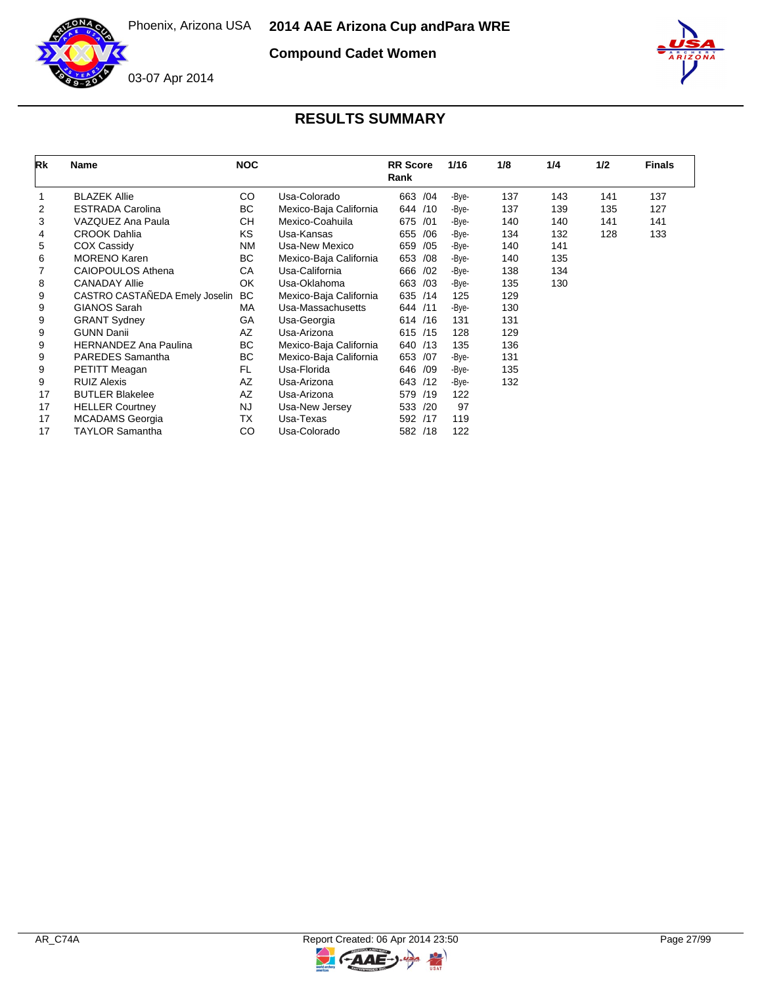

**Compound Cadet Women**



| Rk | <b>Name</b>                    | <b>NOC</b> |                        | <b>RR</b> Score<br>Rank | 1/16  | 1/8 | 1/4 | 1/2 | <b>Finals</b> |
|----|--------------------------------|------------|------------------------|-------------------------|-------|-----|-----|-----|---------------|
|    | <b>BLAZEK Allie</b>            | CO         | Usa-Colorado           | 663<br>/04              | -Bye- | 137 | 143 | 141 | 137           |
| 2  | <b>ESTRADA Carolina</b>        | BC         | Mexico-Baja California | /10<br>644              | -Bye- | 137 | 139 | 135 | 127           |
| 3  | VAZQUEZ Ana Paula              | СH         | Mexico-Coahuila        | 675<br>/01              | -Bye- | 140 | 140 | 141 | 141           |
| 4  | <b>CROOK Dahlia</b>            | <b>KS</b>  | Usa-Kansas             | /06<br>655              | -Bye- | 134 | 132 | 128 | 133           |
| 5  | COX Cassidy                    | <b>NM</b>  | Usa-New Mexico         | /05<br>659              | -Bye- | 140 | 141 |     |               |
| 6  | <b>MORENO Karen</b>            | BC         | Mexico-Baja California | 653<br>/08              | -Bye- | 140 | 135 |     |               |
|    | <b>CAIOPOULOS Athena</b>       | CA         | Usa-California         | 666<br>/02              | -Bye- | 138 | 134 |     |               |
| 8  | <b>CANADAY Allie</b>           | OK         | Usa-Oklahoma           | 663<br>/03              | -Bye- | 135 | 130 |     |               |
| 9  | CASTRO CASTAÑEDA Emely Joselin | <b>BC</b>  | Mexico-Baja California | 635<br>/14              | 125   | 129 |     |     |               |
| 9  | GIANOS Sarah                   | <b>MA</b>  | Usa-Massachusetts      | 644<br>/11              | -Bye- | 130 |     |     |               |
| 9  | <b>GRANT Sydney</b>            | GA         | Usa-Georgia            | /16<br>614              | 131   | 131 |     |     |               |
| 9  | <b>GUNN Danii</b>              | AZ         | Usa-Arizona            | 615 /15                 | 128   | 129 |     |     |               |
| 9  | <b>HERNANDEZ Ana Paulina</b>   | BC         | Mexico-Baja California | /13<br>640              | 135   | 136 |     |     |               |
| 9  | <b>PAREDES</b> Samantha        | BC         | Mexico-Baja California | 653<br>/07              | -Bye- | 131 |     |     |               |
| 9  | PETITT Meagan                  | FL.        | Usa-Florida            | 646<br>/09              | -Bye- | 135 |     |     |               |
| 9  | <b>RUIZ Alexis</b>             | <b>AZ</b>  | Usa-Arizona            | 643<br>/12              | -Bye- | 132 |     |     |               |
| 17 | <b>BUTLER Blakelee</b>         | AZ         | Usa-Arizona            | 579<br>/19              | 122   |     |     |     |               |
| 17 | <b>HELLER Courtney</b>         | <b>NJ</b>  | Usa-New Jersey         | 533<br>/20              | 97    |     |     |     |               |
| 17 | <b>MCADAMS</b> Georgia         | ТX         | Usa-Texas              | 592<br>/17              | 119   |     |     |     |               |
| 17 | <b>TAYLOR Samantha</b>         | CO         | Usa-Colorado           | 582<br>/18              | 122   |     |     |     |               |

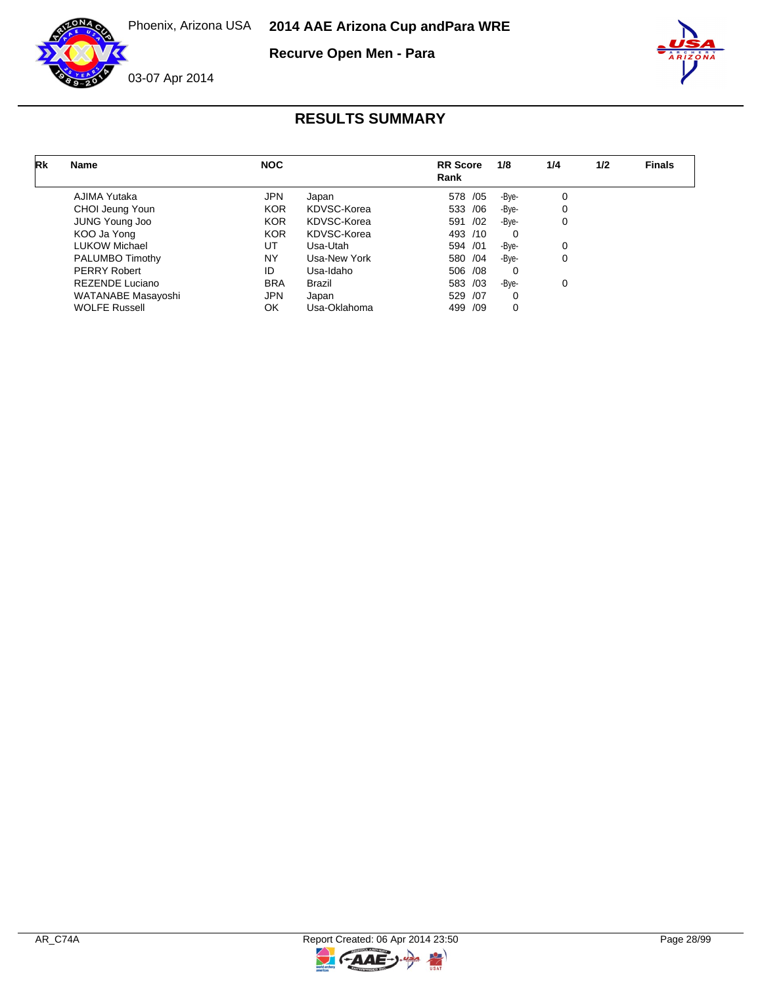

**Recurve Open Men - Para**



| Rk | <b>Name</b>            | <b>NOC</b> |              | <b>RR</b> Score<br>Rank | 1/8      | 1/4 | 1/2 | <b>Finals</b> |
|----|------------------------|------------|--------------|-------------------------|----------|-----|-----|---------------|
|    | AJIMA Yutaka           | <b>JPN</b> | Japan        | 578 / 05                | -Bye-    | 0   |     |               |
|    | CHOI Jeung Youn        | <b>KOR</b> | KDVSC-Korea  | 533 /06                 | -Bye-    | 0   |     |               |
|    | <b>JUNG Young Joo</b>  | <b>KOR</b> | KDVSC-Korea  | 591 /02                 | -Bye-    | 0   |     |               |
|    | KOO Ja Yong            | <b>KOR</b> | KDVSC-Korea  | 493 /10                 | $\Omega$ |     |     |               |
|    | <b>LUKOW Michael</b>   | UT         | Usa-Utah     | 594 /01                 | -Bye-    | 0   |     |               |
|    | PALUMBO Timothy        | NY         | Usa-New York | 580 /04                 | -Bye-    | 0   |     |               |
|    | PERRY Robert           | ID         | Usa-Idaho    | 506 /08                 | $\Omega$ |     |     |               |
|    | <b>REZENDE Luciano</b> | <b>BRA</b> | Brazil       | 583 /03                 | -Bye-    | 0   |     |               |
|    | WATANABE Masayoshi     | <b>JPN</b> | Japan        | 529 /07                 | $\Omega$ |     |     |               |
|    | <b>WOLFE Russell</b>   | OK         | Usa-Oklahoma | 499 /09                 | 0        |     |     |               |

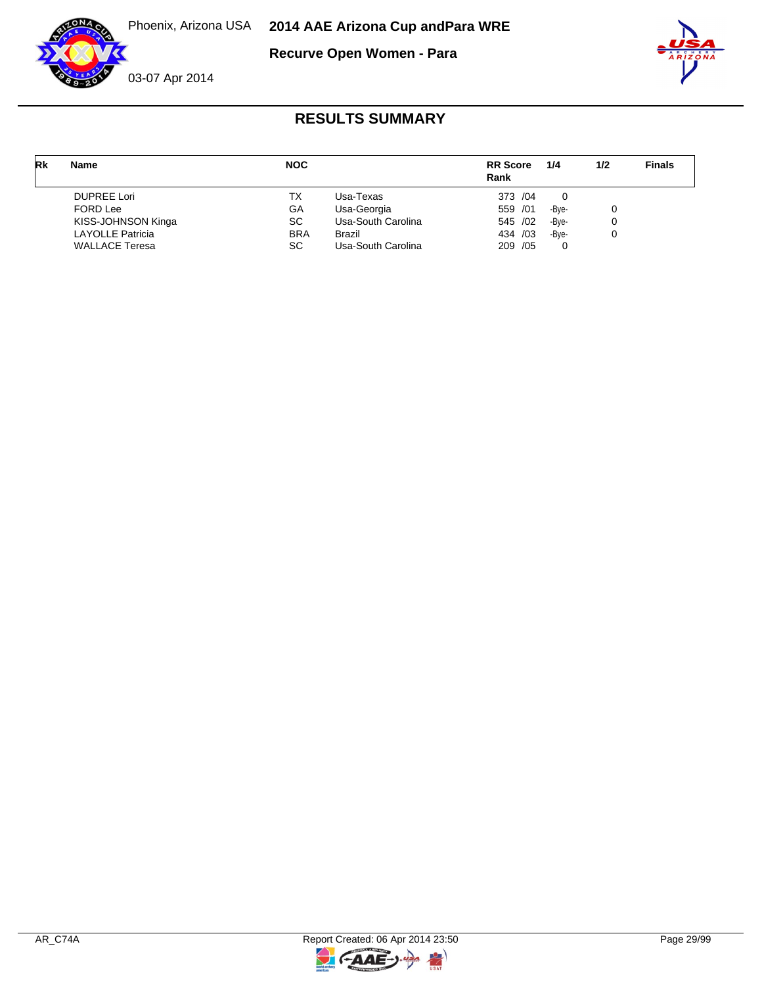

**Recurve Open Women - Para**



| Rk | <b>Name</b>             | <b>NOC</b> |                    | <b>RR</b> Score<br>Rank | 1/4   | 1/2 | <b>Finals</b> |
|----|-------------------------|------------|--------------------|-------------------------|-------|-----|---------------|
|    | <b>DUPREE Lori</b>      | ТX         | Usa-Texas          | 373 / 04                | 0     |     |               |
|    | <b>FORD Lee</b>         | GA         | Usa-Georgia        | 559 /01                 | -Bve- | 0   |               |
|    | KISS-JOHNSON Kinga      | SC.        | Usa-South Carolina | 545 /02                 | -Bve- | 0   |               |
|    | <b>LAYOLLE Patricia</b> | <b>BRA</b> | <b>Brazil</b>      | 434 /03                 | -Bye- | 0   |               |
|    | <b>WALLACE Teresa</b>   | SC         | Usa-South Carolina | 209 / 05                | 0     |     |               |

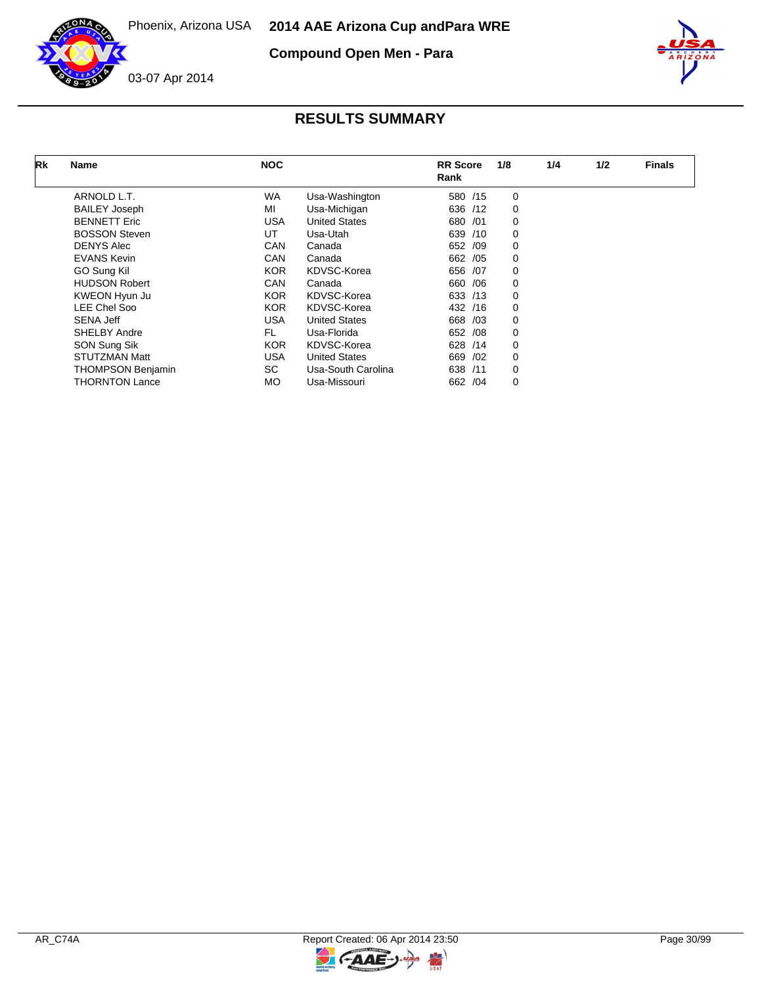

**Compound Open Men - Para**



| Rk | Name                     | <b>NOC</b> |                      | <b>RR</b> Score<br>Rank | 1/8 | 1/4 | 1/2 | <b>Finals</b> |
|----|--------------------------|------------|----------------------|-------------------------|-----|-----|-----|---------------|
|    | ARNOLD L.T.              | <b>WA</b>  | Usa-Washington       | 580 /15                 | 0   |     |     |               |
|    | <b>BAILEY Joseph</b>     | MI         | Usa-Michigan         | 636 /12                 | 0   |     |     |               |
|    | <b>BENNETT Eric</b>      | USA        | <b>United States</b> | 680<br>/01              | 0   |     |     |               |
|    | <b>BOSSON Steven</b>     | UT         | Usa-Utah             | 639<br>/10              | 0   |     |     |               |
|    | <b>DENYS Alec</b>        | CAN        | Canada               | 652 /09                 | 0   |     |     |               |
|    | <b>EVANS Kevin</b>       | CAN        | Canada               | 662 / 05                | 0   |     |     |               |
|    | GO Sung Kil              | <b>KOR</b> | KDVSC-Korea          | 656 /07                 | 0   |     |     |               |
|    | <b>HUDSON Robert</b>     | CAN        | Canada               | 660<br>/06              | 0   |     |     |               |
|    | KWEON Hyun Ju            | <b>KOR</b> | KDVSC-Korea          | 633 /13                 | 0   |     |     |               |
|    | LEE Chel Soo             | <b>KOR</b> | KDVSC-Korea          | 432 /16                 | 0   |     |     |               |
|    | <b>SENA Jeff</b>         | USA        | <b>United States</b> | /03<br>668              | 0   |     |     |               |
|    | <b>SHELBY Andre</b>      | <b>FL</b>  | Usa-Florida          | /08<br>652              | 0   |     |     |               |
|    | SON Sung Sik             | <b>KOR</b> | KDVSC-Korea          | 628<br>/14              | 0   |     |     |               |
|    | <b>STUTZMAN Matt</b>     | USA        | <b>United States</b> | /02<br>669              | 0   |     |     |               |
|    | <b>THOMPSON Benjamin</b> | SC         | Usa-South Carolina   | 638<br>/11              | 0   |     |     |               |
|    | <b>THORNTON Lance</b>    | МO         | Usa-Missouri         | 662 / 04                | 0   |     |     |               |



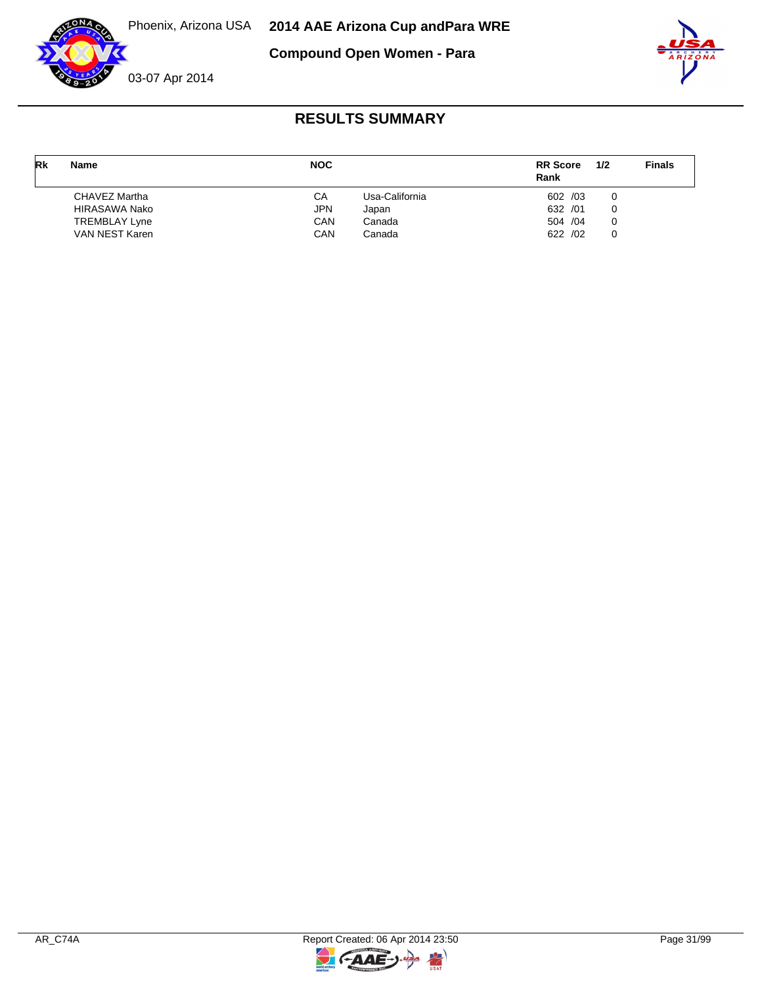

**Compound Open Women - Para**



## 03-07 Apr 2014

| Rk | Name                 | <b>NOC</b> |                | <b>RR</b> Score<br>Rank | 1/2 | <b>Finals</b> |
|----|----------------------|------------|----------------|-------------------------|-----|---------------|
|    | CHAVEZ Martha        | СA         | Usa-California | 602 /03                 |     |               |
|    | HIRASAWA Nako        | JPN        | Japan          | 632 /01                 |     |               |
|    | <b>TREMBLAY Lyne</b> | CAN        | Canada         | 504 /04                 |     |               |
|    | VAN NEST Karen       | CAN        | Canada         | 622 /02                 |     |               |

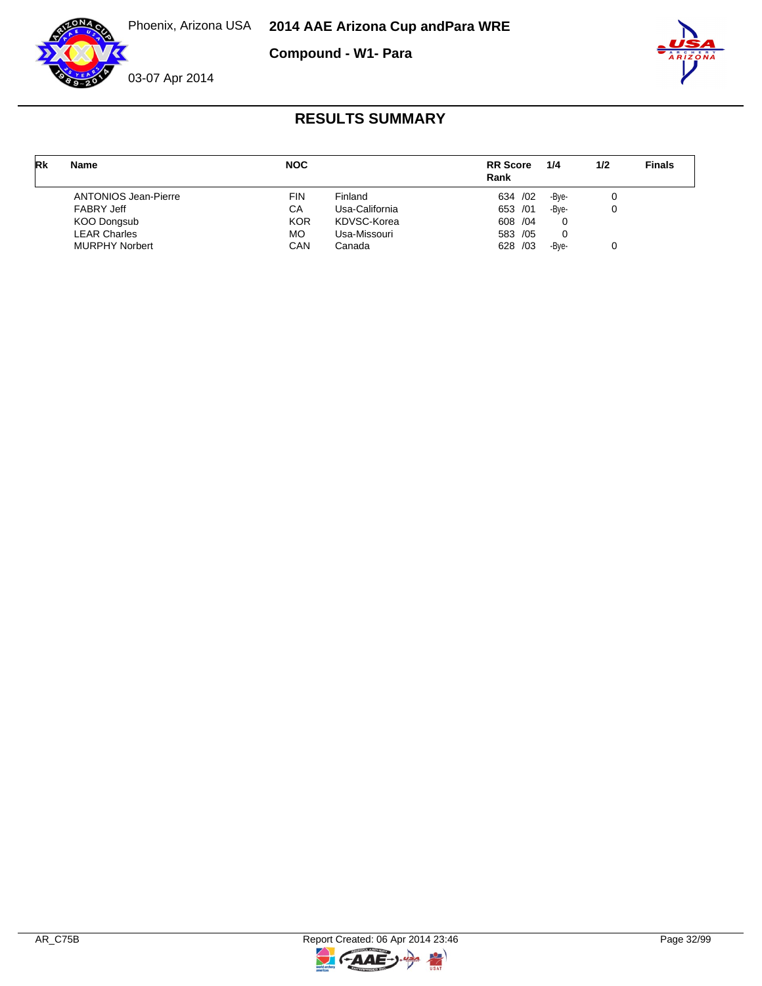**RESULTS SUMMARY**

**Compound - W1- Para**





| Rk | <b>Name</b>                 | <b>NOC</b> |                | <b>RR</b> Score<br>Rank | 1/4   | 1/2 | <b>Finals</b> |
|----|-----------------------------|------------|----------------|-------------------------|-------|-----|---------------|
|    | <b>ANTONIOS Jean-Pierre</b> | <b>FIN</b> | Finland        | 634 / 02                | -Bve- |     |               |
|    | <b>FABRY Jeff</b>           | СA         | Usa-California | 653 /01                 | -Bye- |     |               |
|    | KOO Dongsub                 | <b>KOR</b> | KDVSC-Korea    | 608 / 04                | 0     |     |               |
|    | <b>LEAR Charles</b>         | МO         | Usa-Missouri   | 583 /05                 | 0     |     |               |
|    | <b>MURPHY Norbert</b>       | CAN        | Canada         | 628 /03                 | -Bve- |     |               |



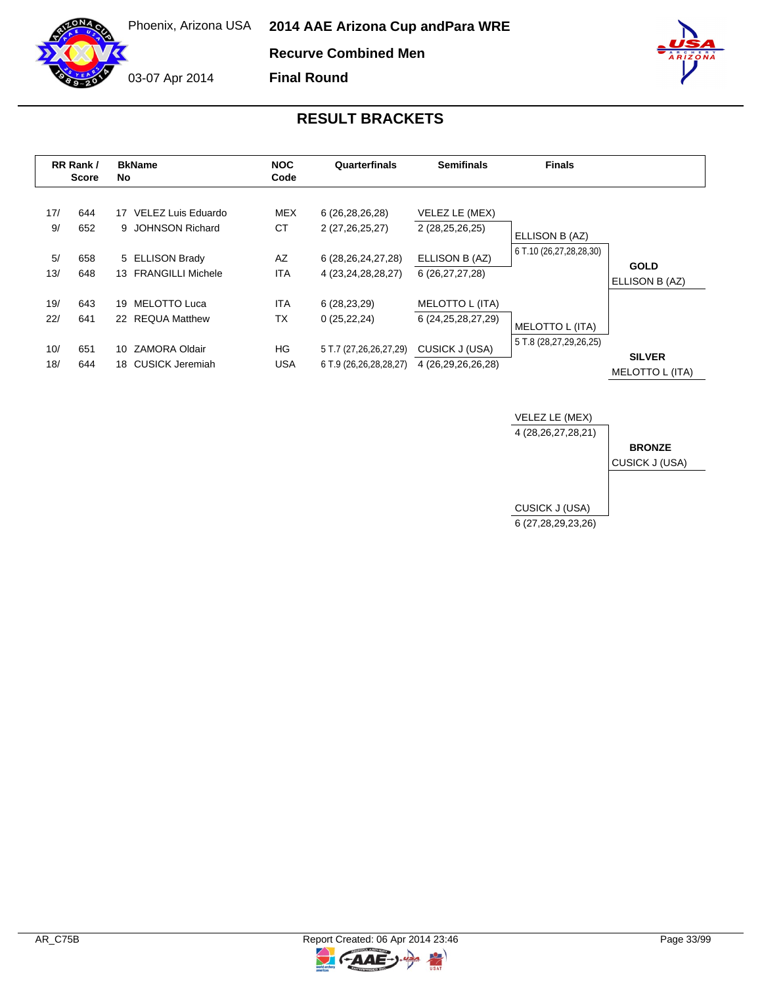**Final Round**

03-07 Apr 2014

|                          | RR Rank /<br><b>Score</b> | <b>BkName</b><br>No.                                                                  | <b>NOC</b><br>Code                          | Quarterfinals                                                                          | <b>Semifinals</b>                                                                 | <b>Finals</b>                             |                                  |
|--------------------------|---------------------------|---------------------------------------------------------------------------------------|---------------------------------------------|----------------------------------------------------------------------------------------|-----------------------------------------------------------------------------------|-------------------------------------------|----------------------------------|
| 17/<br>9/<br>5/<br>13/   | 644<br>652<br>658<br>648  | 17 VELEZ Luis Eduardo<br>9 JOHNSON Richard<br>5 ELLISON Brady<br>13 FRANGILLI Michele | <b>MEX</b><br>СT<br>AZ<br><b>ITA</b>        | 6 (26,28,26,28)<br>2 (27,26,25,27)<br>6 (28, 26, 24, 27, 28)<br>4 (23, 24, 28, 28, 27) | VELEZ LE (MEX)<br>2 (28,25,26,25)<br>ELLISON B (AZ)<br>6 (26,27,27,28)            | ELLISON B (AZ)<br>6 T.10 (26,27,28,28,30) | <b>GOLD</b><br>ELLISON B (AZ)    |
| 19/<br>22/<br>10/<br>18/ | 643<br>641<br>651<br>644  | MELOTTO Luca<br>19<br>22 REQUA Matthew<br>ZAMORA Oldair<br>10.<br>18 CUSICK Jeremiah  | <b>ITA</b><br><b>TX</b><br>HG<br><b>USA</b> | 6(28, 23, 29)<br>0(25, 22, 24)<br>5 T.7 (27,26,26,27,29)<br>6 T.9 (26,26,28,28,27)     | MELOTTO L (ITA)<br>6 (24, 25, 28, 27, 29)<br>CUSICK J (USA)<br>4 (26,29,26,26,28) | MELOTTO L (ITA)<br>5 T.8 (28,27,29,26,25) | <b>SILVER</b><br>MELOTTO L (ITA) |



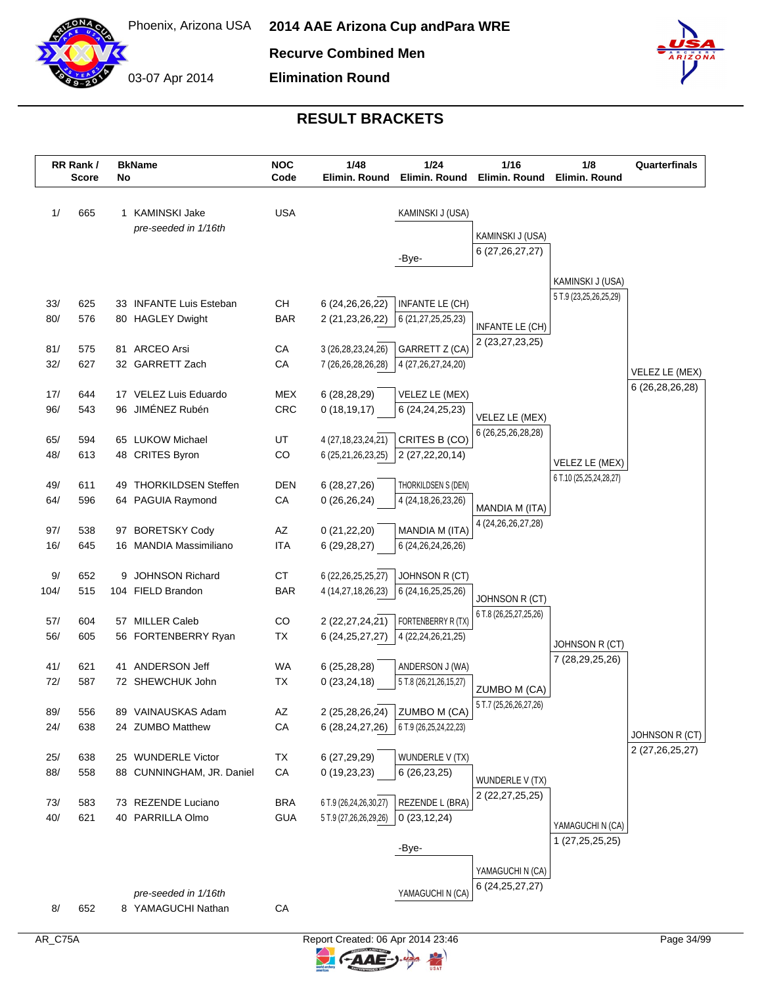

03-07 Apr 2014

**Recurve Combined Men**

**Elimination Round**



|            | RR Rank /<br><b>Score</b> | No | <b>BkName</b>                          | <b>NOC</b><br>Code | 1/48<br>Elimin. Round                 | 1/24<br>Elimin. Round                        | 1/16<br>Elimin. Round              | 1/8<br>Elimin. Round                       | Quarterfinals                     |
|------------|---------------------------|----|----------------------------------------|--------------------|---------------------------------------|----------------------------------------------|------------------------------------|--------------------------------------------|-----------------------------------|
| 1/         | 665                       |    | 1 KAMINSKI Jake                        | <b>USA</b>         |                                       | KAMINSKI J (USA)                             |                                    |                                            |                                   |
|            |                           |    | pre-seeded in 1/16th                   |                    |                                       |                                              | KAMINSKI J (USA)                   |                                            |                                   |
|            |                           |    |                                        |                    |                                       | -Bye-                                        | 6 (27,26,27,27)                    |                                            |                                   |
|            |                           |    |                                        |                    |                                       |                                              |                                    |                                            |                                   |
|            |                           |    |                                        |                    |                                       |                                              |                                    | KAMINSKI J (USA)<br>5 T.9 (23,25,26,25,29) |                                   |
| 33/        | 625                       |    | 33 INFANTE Luis Esteban                | <b>CH</b>          | 6 (24, 26, 26, 22)                    | INFANTE LE (CH)                              |                                    |                                            |                                   |
| 80/        | 576                       |    | 80 HAGLEY Dwight                       | <b>BAR</b>         | 2 (21,23,26,22)                       | 6 (21,27,25,25,23)                           | INFANTE LE (CH)                    |                                            |                                   |
| 81/        | 575                       |    | 81 ARCEO Arsi                          | CA                 | 3 (26,28,23,24,26)                    | GARRETT Z (CA)                               | 2 (23, 27, 23, 25)                 |                                            |                                   |
| 32/        | 627                       |    | 32 GARRETT Zach                        | CA                 | 7 (26,26,28,26,28)                    | 4 (27, 26, 27, 24, 20)                       |                                    |                                            |                                   |
|            |                           |    |                                        |                    |                                       |                                              |                                    |                                            | VELEZ LE (MEX)<br>6 (26,28,26,28) |
| 17/        | 644                       |    | 17 VELEZ Luis Eduardo                  | <b>MEX</b>         | 6(28, 28, 29)                         | VELEZ LE (MEX)                               |                                    |                                            |                                   |
| 96/        | 543                       |    | 96 JIMÉNEZ Rubén                       | CRC                | 0(18, 19, 17)                         | 6 (24, 24, 25, 23)                           | VELEZ LE (MEX)                     |                                            |                                   |
| 65/        | 594                       |    | 65 LUKOW Michael                       | UT                 | 4 (27, 18, 23, 24, 21)                | CRITES B (CO)                                | 6 (26, 25, 26, 28, 28)             |                                            |                                   |
| 48/        | 613                       |    | 48 CRITES Byron                        | CO                 | 6 (25,21,26,23,25)                    | 2 (27,22,20,14)                              |                                    |                                            |                                   |
|            |                           |    |                                        |                    |                                       |                                              |                                    | VELEZ LE (MEX)<br>6 T.10 (25,25,24,28,27)  |                                   |
| 49/        | 611                       | 49 | <b>THORKILDSEN Steffen</b>             | <b>DEN</b>         | 6(28, 27, 26)                         | THORKILDSEN S (DEN)                          |                                    |                                            |                                   |
| 64/        | 596                       |    | 64 PAGUIA Raymond                      | CA                 | 0(26, 26, 24)                         | 4 (24, 18, 26, 23, 26)                       | MANDIA M (ITA)                     |                                            |                                   |
| 97/        | 538                       |    | 97 BORETSKY Cody                       | AZ                 | 0(21,22,20)                           | MANDIA M (ITA)                               | 4 (24, 26, 26, 27, 28)             |                                            |                                   |
| 16/        | 645                       |    | 16 MANDIA Massimiliano                 | <b>ITA</b>         | 6(29, 28, 27)                         | 6 (24, 26, 24, 26, 26)                       |                                    |                                            |                                   |
|            |                           |    |                                        |                    |                                       |                                              |                                    |                                            |                                   |
| 9/         | 652                       | 9  | <b>JOHNSON Richard</b>                 | <b>CT</b>          | 6 (22, 26, 25, 25, 27)                | JOHNSON R (CT)                               |                                    |                                            |                                   |
| 104/       | 515                       |    | 104 FIELD Brandon                      | <b>BAR</b>         | 4 (14,27,18,26,23)                    | 6 (24, 16, 25, 25, 26)                       | JOHNSON R (CT)                     |                                            |                                   |
|            |                           |    |                                        |                    |                                       |                                              | 6 T.8 (26,25,27,25,26)             |                                            |                                   |
| 57/<br>56/ | 604<br>605                |    | 57 MILLER Caleb<br>56 FORTENBERRY Ryan | CO<br><b>TX</b>    | 2 (22,27,24,21)<br>6 (24, 25, 27, 27) | FORTENBERRY R (TX)<br>4 (22, 24, 26, 21, 25) |                                    |                                            |                                   |
|            |                           |    |                                        |                    |                                       |                                              |                                    | JOHNSON R (CT)                             |                                   |
| 41/        | 621                       |    | 41 ANDERSON Jeff                       | WA                 | 6(25, 28, 28)                         | ANDERSON J (WA)                              |                                    | 7 (28,29,25,26)                            |                                   |
| 72/        | 587                       |    | 72 SHEWCHUK John                       | <b>TX</b>          | 0(23, 24, 18)                         | 5 T.8 (26,21,26,15,27)                       | ZUMBO M (CA)                       |                                            |                                   |
|            |                           |    |                                        |                    |                                       |                                              | 5 T.7 (25,26,26,27,26)             |                                            |                                   |
| 89/        | 556                       |    | 89 VAINAUSKAS Adam                     | AZ                 |                                       | 2 (25,28,26,24) ZUMBO M (CA)                 |                                    |                                            |                                   |
| 24/        | 638                       |    | 24 ZUMBO Matthew                       | CA                 |                                       | 6 (28,24,27,26) 6 T.9 (26,25,24,22,23)       |                                    |                                            | JOHNSON R (CT)                    |
| 25/        | 638                       |    | 25 WUNDERLE Victor                     | <b>TX</b>          | 6 (27,29,29)                          | WUNDERLE V (TX)                              |                                    |                                            | 2 (27,26,25,27)                   |
| 88/        | 558                       |    | 88 CUNNINGHAM, JR. Daniel              | ${\sf CA}$         | 0(19,23,23)                           | 6(26, 23, 25)                                |                                    |                                            |                                   |
|            |                           |    |                                        |                    |                                       |                                              | WUNDERLE V (TX)<br>2 (22,27,25,25) |                                            |                                   |
| 73/        | 583                       |    | 73 REZENDE Luciano                     | <b>BRA</b>         | 6 T.9 (26,24,26,30,27)                | REZENDE L (BRA)                              |                                    |                                            |                                   |
| 40/        | 621                       |    | 40 PARRILLA Olmo                       | <b>GUA</b>         | 5 T.9 (27,26,26,29,26)                | 0(23, 12, 24)                                |                                    | YAMAGUCHI N (CA)                           |                                   |
|            |                           |    |                                        |                    |                                       |                                              |                                    | 1 (27,25,25,25)                            |                                   |
|            |                           |    |                                        |                    |                                       | -Bye-                                        |                                    |                                            |                                   |
|            |                           |    |                                        |                    |                                       |                                              | YAMAGUCHI N (CA)                   |                                            |                                   |
|            |                           |    | pre-seeded in 1/16th                   |                    |                                       | YAMAGUCHI N (CA)                             | 6 (24, 25, 27, 27)                 |                                            |                                   |
| 8/         | 652                       |    | 8 YAMAGUCHI Nathan                     | CA                 |                                       |                                              |                                    |                                            |                                   |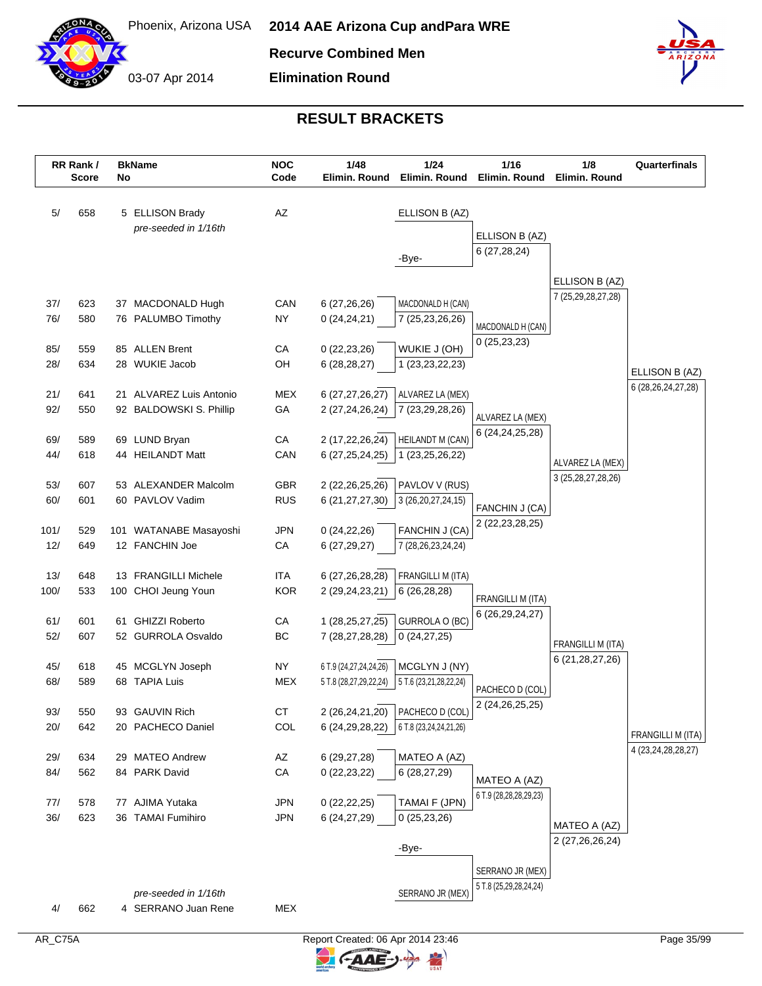

03-07 Apr 2014

**Recurve Combined Men**

**Elimination Round**



|             | RR Rank /<br><b>Score</b> | No | <b>BkName</b>                               | <b>NOC</b><br>Code       | 1/48<br>Elimin. Round              | 1/24<br>Elimin. Round                         | 1/16<br>Elimin. Round                  | 1/8<br>Elimin. Round   | Quarterfinals                               |
|-------------|---------------------------|----|---------------------------------------------|--------------------------|------------------------------------|-----------------------------------------------|----------------------------------------|------------------------|---------------------------------------------|
| 5/          | 658                       |    | 5 ELLISON Brady                             | AZ                       |                                    | ELLISON B (AZ)                                |                                        |                        |                                             |
|             |                           |    | pre-seeded in 1/16th                        |                          |                                    |                                               | ELLISON B (AZ)                         |                        |                                             |
|             |                           |    |                                             |                          |                                    |                                               | 6(27, 28, 24)                          |                        |                                             |
|             |                           |    |                                             |                          |                                    | -Bye-                                         |                                        |                        |                                             |
|             |                           |    |                                             |                          |                                    |                                               |                                        | ELLISON B (AZ)         |                                             |
| 37/         | 623                       |    | 37 MACDONALD Hugh                           | CAN                      | 6(27, 26, 26)                      | MACDONALD H (CAN)                             |                                        | 7 (25,29,28,27,28)     |                                             |
| 76/         | 580                       |    | 76 PALUMBO Timothy                          | <b>NY</b>                | 0(24,24,21)                        | 7 (25,23,26,26)                               | MACDONALD H (CAN)                      |                        |                                             |
|             |                           |    |                                             |                          |                                    |                                               | 0(25, 23, 23)                          |                        |                                             |
| 85/         | 559                       |    | 85 ALLEN Brent                              | CA                       | 0(22, 23, 26)                      | WUKIE J (OH)                                  |                                        |                        |                                             |
| 28/         | 634                       |    | 28 WUKIE Jacob                              | OH                       | 6(28, 28, 27)                      | 1 (23, 23, 22, 23)                            |                                        |                        | ELLISON B (AZ)                              |
| 21/         | 641                       |    | 21 ALVAREZ Luis Antonio                     | <b>MEX</b>               | 6 (27,27,26,27)                    | ALVAREZ LA (MEX)                              |                                        |                        | 6 (28, 26, 24, 27, 28)                      |
| 92/         | 550                       |    | 92 BALDOWSKI S. Phillip                     | GA                       | 2 (27,24,26,24)                    | 7 (23, 29, 28, 26)                            |                                        |                        |                                             |
|             |                           |    |                                             |                          |                                    |                                               | ALVAREZ LA (MEX)<br>6 (24, 24, 25, 28) |                        |                                             |
| 69/         | 589                       |    | 69 LUND Bryan                               | ${\sf CA}$               | 2 (17,22,26,24)                    | <b>HEILANDT M (CAN)</b>                       |                                        |                        |                                             |
| 44/         | 618                       |    | 44 HEILANDT Matt                            | CAN                      | 6 (27, 25, 24, 25)                 | 1 (23, 25, 26, 22)                            |                                        | ALVAREZ LA (MEX)       |                                             |
| 53/         | 607                       |    | 53 ALEXANDER Malcolm                        | GBR                      | 2 (22, 26, 25, 26)                 | PAVLOV V (RUS)                                |                                        | 3 (25, 28, 27, 28, 26) |                                             |
| 60/         | 601                       |    | 60 PAVLOV Vadim                             | <b>RUS</b>               | 6 (21,27,27,30)                    | 3 (26, 20, 27, 24, 15)                        |                                        |                        |                                             |
|             |                           |    |                                             |                          |                                    |                                               | FANCHIN J (CA)                         |                        |                                             |
| 101/        | 529                       |    | 101 WATANABE Masayoshi                      | <b>JPN</b>               | 0(24, 22, 26)                      | FANCHIN J (CA)                                | 2 (22, 23, 28, 25)                     |                        |                                             |
| 12/         | 649                       |    | 12 FANCHIN Joe                              | CA                       | 6(27, 29, 27)                      | 7 (28, 26, 23, 24, 24)                        |                                        |                        |                                             |
|             |                           |    |                                             |                          |                                    |                                               |                                        |                        |                                             |
| 13/<br>100/ | 648<br>533                |    | 13 FRANGILLI Michele<br>100 CHOI Jeung Youn | <b>ITA</b><br><b>KOR</b> | 6 (27,26,28,28)<br>2 (29,24,23,21) | FRANGILLI M (ITA)<br>6 (26,28,28)             |                                        |                        |                                             |
|             |                           |    |                                             |                          |                                    |                                               | FRANGILLI M (ITA)                      |                        |                                             |
| 61/         | 601                       |    | 61 GHIZZI Roberto                           | CA                       | 1 (28,25,27,25)                    | GURROLA O (BC)                                | 6 (26,29,24,27)                        |                        |                                             |
| 52/         | 607                       |    | 52 GURROLA Osvaldo                          | BC                       | 7 (28,27,28,28)                    | 0(24, 27, 25)                                 |                                        | FRANGILLI M (ITA)      |                                             |
|             |                           |    |                                             |                          |                                    |                                               |                                        | 6 (21, 28, 27, 26)     |                                             |
| 45/         | 618                       |    | 45 MCGLYN Joseph                            | <b>NY</b>                | 6 T.9 (24,27,24,24,26)             | MCGLYN J (NY)                                 |                                        |                        |                                             |
| 68/         | 589                       |    | 68 TAPIA Luis                               | <b>MEX</b>               | 5 T.8 (28,27,29,22,24)             | 5 T.6 (23,21,28,22,24)                        | PACHECO D (COL)                        |                        |                                             |
| 93/         | 550                       |    | 93 GAUVIN Rich                              | CT                       |                                    | 2 (26,24,21,20) PACHECO D (COL)               | 2 (24, 26, 25, 25)                     |                        |                                             |
| 20/         | 642                       |    | 20 PACHECO Daniel                           | COL                      |                                    | 6 (24, 29, 28, 22) 6 T.8 (23, 24, 24, 21, 26) |                                        |                        |                                             |
|             |                           |    |                                             |                          |                                    |                                               |                                        |                        | FRANGILLI M (ITA)<br>4 (23, 24, 28, 28, 27) |
| 29/         | 634                       |    | 29 MATEO Andrew                             | AZ                       | 6 (29,27,28)                       | MATEO A (AZ)                                  |                                        |                        |                                             |
| 84/         | 562                       |    | 84 PARK David                               | ${\sf CA}$               | 0(22, 23, 22)                      | 6(28, 27, 29)                                 | MATEO A (AZ)                           |                        |                                             |
| 77/         | 578                       |    | 77 AJIMA Yutaka                             | <b>JPN</b>               | 0(22, 22, 25)                      | TAMAI F (JPN)                                 | 6 T.9 (28,28,28,29,23)                 |                        |                                             |
| 36/         | 623                       |    | 36 TAMAI Fumihiro                           | <b>JPN</b>               | 6 (24,27,29)                       | 0(25, 23, 26)                                 |                                        |                        |                                             |
|             |                           |    |                                             |                          |                                    |                                               |                                        | MATEO A (AZ)           |                                             |
|             |                           |    |                                             |                          |                                    | -Bye-                                         |                                        | 2 (27,26,26,24)        |                                             |
|             |                           |    |                                             |                          |                                    |                                               | SERRANO JR (MEX)                       |                        |                                             |
|             |                           |    |                                             |                          |                                    |                                               | 5 T.8 (25,29,28,24,24)                 |                        |                                             |
| 4/          | 662                       |    | pre-seeded in 1/16th<br>4 SERRANO Juan Rene | <b>MEX</b>               |                                    | SERRANO JR (MEX)                              |                                        |                        |                                             |
|             |                           |    |                                             |                          |                                    |                                               |                                        |                        |                                             |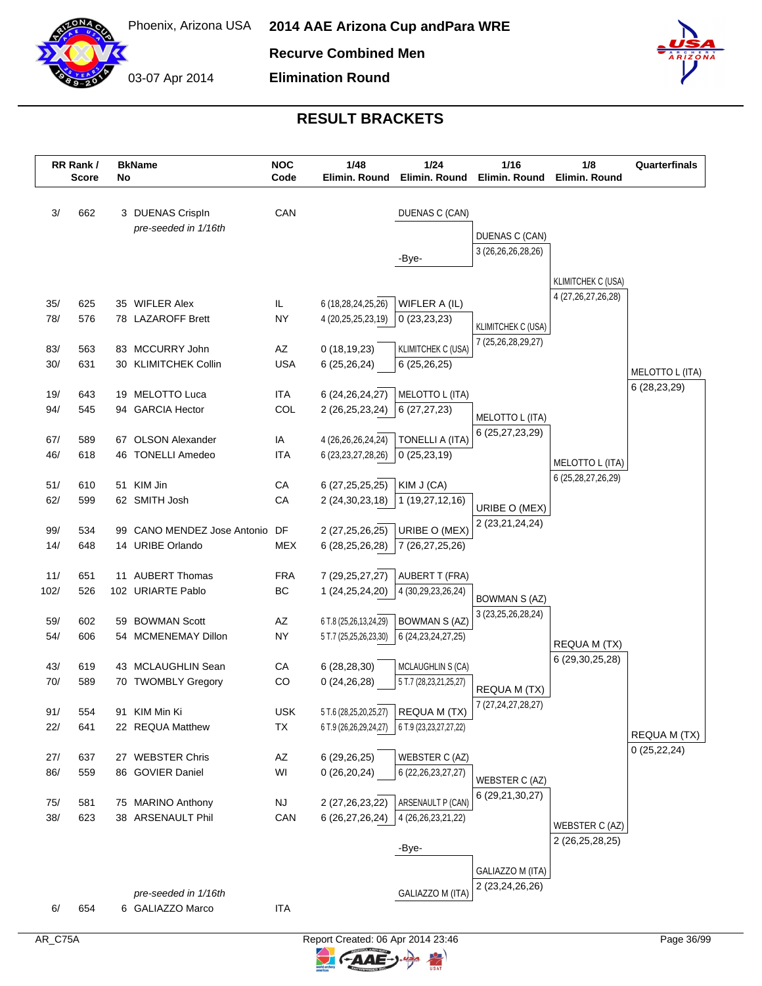

03-07 Apr 2014 **Elimination Round**



|             | RR Rank /<br><b>Score</b> | No | <b>BkName</b>               | <b>NOC</b><br>Code | 1/48<br>Elimin. Round                    | 1/24<br>Elimin. Round                       | 1/16<br>Elimin. Round                  | 1/8<br>Elimin. Round   | Quarterfinals   |
|-------------|---------------------------|----|-----------------------------|--------------------|------------------------------------------|---------------------------------------------|----------------------------------------|------------------------|-----------------|
|             |                           |    |                             |                    |                                          |                                             |                                        |                        |                 |
| 3/          | 662                       |    | 3 DUENAS Crispln            | CAN                |                                          | DUENAS C (CAN)                              |                                        |                        |                 |
|             |                           |    | pre-seeded in 1/16th        |                    |                                          |                                             | DUENAS C (CAN)                         |                        |                 |
|             |                           |    |                             |                    |                                          | -Bye-                                       | 3 (26, 26, 26, 28, 26)                 |                        |                 |
|             |                           |    |                             |                    |                                          |                                             |                                        |                        |                 |
|             |                           |    |                             |                    |                                          |                                             |                                        | KLIMITCHEK C (USA)     |                 |
| 35/         | 625                       |    | 35 WIFLER Alex              | IL                 | 6 (18,28,24,25,26)                       | WIFLER A (IL)                               |                                        | 4 (27, 26, 27, 26, 28) |                 |
| 78/         | 576                       |    | 78 LAZAROFF Brett           | NY                 | 4 (20,25,25,23,19)                       | 0(23,23,23)                                 | <b>KLIMITCHEK C (USA)</b>              |                        |                 |
|             |                           |    | 83 MCCURRY John             |                    |                                          |                                             | 7 (25,26,28,29,27)                     |                        |                 |
| 83/<br>30/  | 563<br>631                |    | 30 KLIMITCHEK Collin        | AZ<br><b>USA</b>   | 0(18, 19, 23)<br>6(25, 26, 24)           | <b>KLIMITCHEK C (USA)</b><br>6(25, 26, 25)  |                                        |                        |                 |
|             |                           |    |                             |                    |                                          |                                             |                                        |                        | MELOTTO L (ITA) |
| 19/         | 643                       |    | 19 MELOTTO Luca             | <b>ITA</b>         | 6 (24, 26, 24, 27)                       | MELOTTO L (ITA)                             |                                        |                        | 6 (28,23,29)    |
| 94/         | 545                       |    | 94 GARCIA Hector            | COL                | 2 (26,25,23,24)                          | 6(27, 27, 23)                               | MELOTTO L (ITA)                        |                        |                 |
|             |                           |    |                             |                    |                                          |                                             | 6 (25,27,23,29)                        |                        |                 |
| 67/         | 589                       |    | 67 OLSON Alexander          | IA                 | 4 (26,26,26,24,24)                       | TONELLI A (ITA)                             |                                        |                        |                 |
| 46/         | 618                       |    | 46 TONELLI Amedeo           | <b>ITA</b>         | 6 (23, 23, 27, 28, 26)                   | 0(25, 23, 19)                               |                                        | MELOTTO L (ITA)        |                 |
| 51/         | 610                       |    | 51 KIM Jin                  | CA                 | 6 (27, 25, 25, 25)                       | KIM J (CA)                                  |                                        | 6 (25, 28, 27, 26, 29) |                 |
| 62/         | 599                       |    | 62 SMITH Josh               | CA                 | 2 (24, 30, 23, 18)                       | 1 (19,27,12,16)                             |                                        |                        |                 |
|             |                           |    |                             |                    |                                          |                                             | URIBE O (MEX)                          |                        |                 |
| 99/         | 534                       |    | 99 CANO MENDEZ Jose Antonio | DF                 | 2 (27, 25, 26, 25)                       | URIBE O (MEX)                               | 2 (23,21,24,24)                        |                        |                 |
| 14/         | 648                       |    | 14 URIBE Orlando            | <b>MEX</b>         | 6 (28, 25, 26, 28)                       | 7 (26,27,25,26)                             |                                        |                        |                 |
|             |                           |    | 11 AUBERT Thomas            |                    |                                          |                                             |                                        |                        |                 |
| 11/<br>102/ | 651<br>526                |    | 102 URIARTE Pablo           | <b>FRA</b><br>BC   | 7 (29, 25, 27, 27)<br>1 (24, 25, 24, 20) | <b>AUBERT T (FRA)</b><br>4 (30,29,23,26,24) |                                        |                        |                 |
|             |                           |    |                             |                    |                                          |                                             | <b>BOWMAN S (AZ)</b>                   |                        |                 |
| 59/         | 602                       | 59 | <b>BOWMAN Scott</b>         | AZ                 | 6 T.8 (25,26,13,24,29)                   | <b>BOWMAN S (AZ)</b>                        | 3 (23, 25, 26, 28, 24)                 |                        |                 |
| 54/         | 606                       |    | 54 MCMENEMAY Dillon         | <b>NY</b>          | 5 T.7 (25,25,26,23,30)                   | 6 (24, 23, 24, 27, 25)                      |                                        | REQUA M (TX)           |                 |
|             |                           |    |                             |                    |                                          |                                             |                                        | 6 (29, 30, 25, 28)     |                 |
| 43/         | 619                       |    | 43 MCLAUGHLIN Sean          | CA                 | 6(28, 28, 30)                            | MCLAUGHLIN S (CA)                           |                                        |                        |                 |
| 70/         | 589                       |    | 70 TWOMBLY Gregory          | CO                 | 0(24,26,28)                              | 5 T.7 (28,23,21,25,27)                      | REQUA M (TX)                           |                        |                 |
| 91/         | 554                       |    | 91 KIM Min Ki               | <b>USK</b>         |                                          | 5 T.6 (28,25,20,25,27) REQUA M (TX)         | 7 (27, 24, 27, 28, 27)                 |                        |                 |
| 22/         | 641                       |    | 22 REQUA Matthew            | TX                 | 6 T.9 (26,26,29,24,27)                   | 6 T.9 (23, 23, 27, 27, 22)                  |                                        |                        |                 |
|             |                           |    |                             |                    |                                          |                                             |                                        |                        | REQUA M (TX)    |
| 27/         | 637                       |    | 27 WEBSTER Chris            | AZ                 | 6(29, 26, 25)                            | WEBSTER C (AZ)                              |                                        |                        | 0(25, 22, 24)   |
| 86/         | 559                       |    | 86 GOVIER Daniel            | WI                 | 0(26,20,24)                              | 6 (22, 26, 23, 27, 27)                      | WEBSTER C (AZ)                         |                        |                 |
|             |                           |    |                             |                    |                                          |                                             | 6 (29,21,30,27)                        |                        |                 |
| 75/         | 581                       |    | 75 MARINO Anthony           | <b>NJ</b>          | 2 (27, 26, 23, 22)                       | ARSENAULT P (CAN)                           |                                        |                        |                 |
| 38/         | 623                       |    | 38 ARSENAULT Phil           | CAN                | 6 (26,27,26,24)                          | 4 (26, 26, 23, 21, 22)                      |                                        | WEBSTER C (AZ)         |                 |
|             |                           |    |                             |                    |                                          | -Bye-                                       |                                        | 2 (26,25,28,25)        |                 |
|             |                           |    |                             |                    |                                          |                                             |                                        |                        |                 |
|             |                           |    |                             |                    |                                          |                                             | GALIAZZO M (ITA)<br>2 (23, 24, 26, 26) |                        |                 |
|             |                           |    | pre-seeded in 1/16th        |                    |                                          | GALIAZZO M (ITA)                            |                                        |                        |                 |
| 6/          | 654                       |    | 6 GALIAZZO Marco            | ITA                |                                          |                                             |                                        |                        |                 |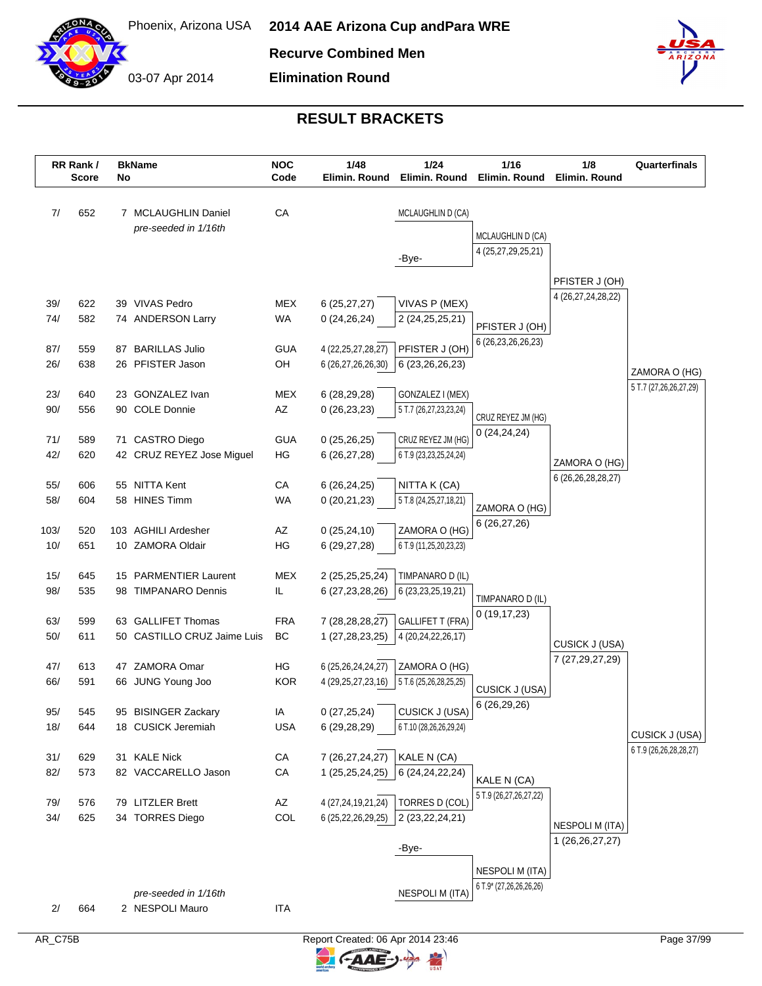

**Recurve Combined Men**

03-07 Apr 2014 **Elimination Round**



|            | RR Rank /<br><b>Score</b> | No  | <b>BkName</b>                                     | <b>NOC</b><br>Code     | 1/48<br>Elimin. Round                        | 1/24<br>Elimin. Round                         | 1/16<br>Elimin. Round                 | 1/8<br>Elimin, Round   | Quarterfinals          |
|------------|---------------------------|-----|---------------------------------------------------|------------------------|----------------------------------------------|-----------------------------------------------|---------------------------------------|------------------------|------------------------|
| 7/         | 652                       |     | 7 MCLAUGHLIN Daniel<br>pre-seeded in 1/16th       | CA                     |                                              | MCLAUGHLIN D (CA)                             | MCLAUGHLIN D (CA)                     |                        |                        |
|            |                           |     |                                                   |                        |                                              | -Bye-                                         | 4 (25,27,29,25,21)                    |                        |                        |
|            |                           |     |                                                   |                        |                                              |                                               |                                       | PFISTER J (OH)         |                        |
| 39/        | 622                       |     | 39 VIVAS Pedro                                    | MEX                    | 6(25, 27, 27)                                | VIVAS P (MEX)                                 |                                       | 4 (26,27,24,28,22)     |                        |
| 74/        | 582                       |     | 74 ANDERSON Larry                                 | <b>WA</b>              | 0(24, 26, 24)                                | 2 (24, 25, 25, 21)                            | PFISTER J (OH)                        |                        |                        |
|            |                           |     |                                                   |                        |                                              |                                               | 6 (26, 23, 26, 26, 23)                |                        |                        |
| 87/<br>26/ | 559<br>638                | 87  | <b>BARILLAS Julio</b><br>26 PFISTER Jason         | <b>GUA</b><br>OH       | 4 (22, 25, 27, 28, 27)<br>6 (26,27,26,26,30) | PFISTER J (OH)<br>6 (23,26,26,23)             |                                       |                        |                        |
|            |                           |     |                                                   |                        |                                              |                                               |                                       |                        | ZAMORA O (HG)          |
| 23/        | 640                       | 23  | <b>GONZALEZ Ivan</b>                              | <b>MEX</b>             | 6 (28,29,28)                                 | GONZALEZ I (MEX)                              |                                       |                        | 5 T.7 (27,26,26,27,29) |
| 90/        | 556                       | 90  | <b>COLE Donnie</b>                                | AZ                     | 0(26, 23, 23)                                | 5 T.7 (26,27,23,23,24)                        | CRUZ REYEZ JM (HG)                    |                        |                        |
| 71/        | 589                       |     | 71 CASTRO Diego                                   | <b>GUA</b>             | 0(25,26,25)                                  | CRUZ REYEZ JM (HG)                            | 0(24, 24, 24)                         |                        |                        |
| 42/        | 620                       |     | 42 CRUZ REYEZ Jose Miguel                         | HG                     | 6(26, 27, 28)                                | 6 T.9 (23,23,25,24,24)                        |                                       | ZAMORA O (HG)          |                        |
|            |                           |     |                                                   |                        |                                              |                                               |                                       | 6 (26, 26, 28, 28, 27) |                        |
| 55/<br>58/ | 606<br>604                |     | 55 NITTA Kent<br>58 HINES Timm                    | CA<br><b>WA</b>        | 6(26, 24, 25)<br>0(20,21,23)                 | NITTA K (CA)<br>5 T.8 (24,25,27,18,21)        |                                       |                        |                        |
|            |                           |     |                                                   |                        |                                              |                                               | ZAMORA O (HG)                         |                        |                        |
| 103/       | 520                       | 103 | <b>AGHILI Ardesher</b>                            | AZ                     | 0(25, 24, 10)                                | ZAMORA O (HG)                                 | 6(26, 27, 26)                         |                        |                        |
| 10/        | 651                       |     | 10 ZAMORA Oldair                                  | HG                     | 6 (29,27,28)                                 | 6 T.9 (11,25,20,23,23)                        |                                       |                        |                        |
| 15/        | 645                       |     | 15 PARMENTIER Laurent                             | <b>MEX</b>             | 2 (25,25,25,24)                              | TIMPANARO D (IL)                              |                                       |                        |                        |
| 98/        | 535                       |     | 98 TIMPANARO Dennis                               | IL                     | 6 (27, 23, 28, 26)                           | 6 (23, 23, 25, 19, 21)                        | TIMPANARO D (IL)                      |                        |                        |
|            |                           |     |                                                   |                        |                                              |                                               | 0(19, 17, 23)                         |                        |                        |
| 63/<br>50/ | 599<br>611                |     | 63 GALLIFET Thomas<br>50 CASTILLO CRUZ Jaime Luis | <b>FRA</b><br>BC       | 7 (28, 28, 28, 27)<br>1 (27,28,23,25)        | <b>GALLIFET T (FRA)</b><br>4 (20,24,22,26,17) |                                       |                        |                        |
|            |                           |     |                                                   |                        |                                              |                                               |                                       | CUSICK J (USA)         |                        |
| 47/        | 613                       |     | 47 ZAMORA Omar                                    | HG                     | 6 (25,26,24,24,27)                           | ZAMORA O (HG)                                 |                                       | 7 (27, 29, 27, 29)     |                        |
| 66/        | 591                       |     | 66 JUNG Young Joo                                 | <b>KOR</b>             | 4 (29,25,27,23,16)                           | 5 T.6 (25,26,28,25,25)                        | <b>CUSICK J (USA)</b>                 |                        |                        |
| 95/        | 545                       |     | 95 BISINGER Zackary                               | IA                     | 0(27,25,24)                                  | CUSICK J (USA)                                | 6(26, 29, 26)                         |                        |                        |
| 18/        | 644                       |     | 18 CUSICK Jeremiah                                | <b>USA</b>             | 6 (29,28,29)                                 | 6 T.10 (28,26,26,29,24)                       |                                       |                        | CUSICK J (USA)         |
|            |                           |     |                                                   |                        |                                              |                                               |                                       |                        | 6 T.9 (26,26,28,28,27) |
| 31/<br>82/ | 629<br>573                |     | 31 KALE Nick<br>82 VACCARELLO Jason               | ${\sf CA}$<br>CA       | 7 (26,27,24,27)<br>1 (25,25,24,25)           | KALE N (CA)<br>6 (24, 24, 22, 24)             |                                       |                        |                        |
|            |                           |     |                                                   |                        |                                              |                                               | KALE N (CA)<br>5 T.9 (26,27,26,27,22) |                        |                        |
| 79/        | 576                       |     | 79 LITZLER Brett                                  | $\mathsf{A}\mathsf{Z}$ | 4 (27,24,19,21,24)                           | TORRES D (COL)                                |                                       |                        |                        |
| 34/        | 625                       |     | 34 TORRES Diego                                   | COL                    | 6 (25,22,26,29,25)                           | 2 (23, 22, 24, 21)                            |                                       | <b>NESPOLI M (ITA)</b> |                        |
|            |                           |     |                                                   |                        |                                              | -Bye-                                         |                                       | 1 (26, 26, 27, 27)     |                        |
|            |                           |     |                                                   |                        |                                              |                                               | <b>NESPOLI M (ITA)</b>                |                        |                        |
|            |                           |     |                                                   |                        |                                              |                                               | 6 T.9* (27,26,26,26,26)               |                        |                        |
| 2/         | 664                       |     | pre-seeded in 1/16th<br>2 NESPOLI Mauro           | <b>ITA</b>             |                                              | <b>NESPOLI M (ITA)</b>                        |                                       |                        |                        |
|            |                           |     |                                                   |                        |                                              |                                               |                                       |                        |                        |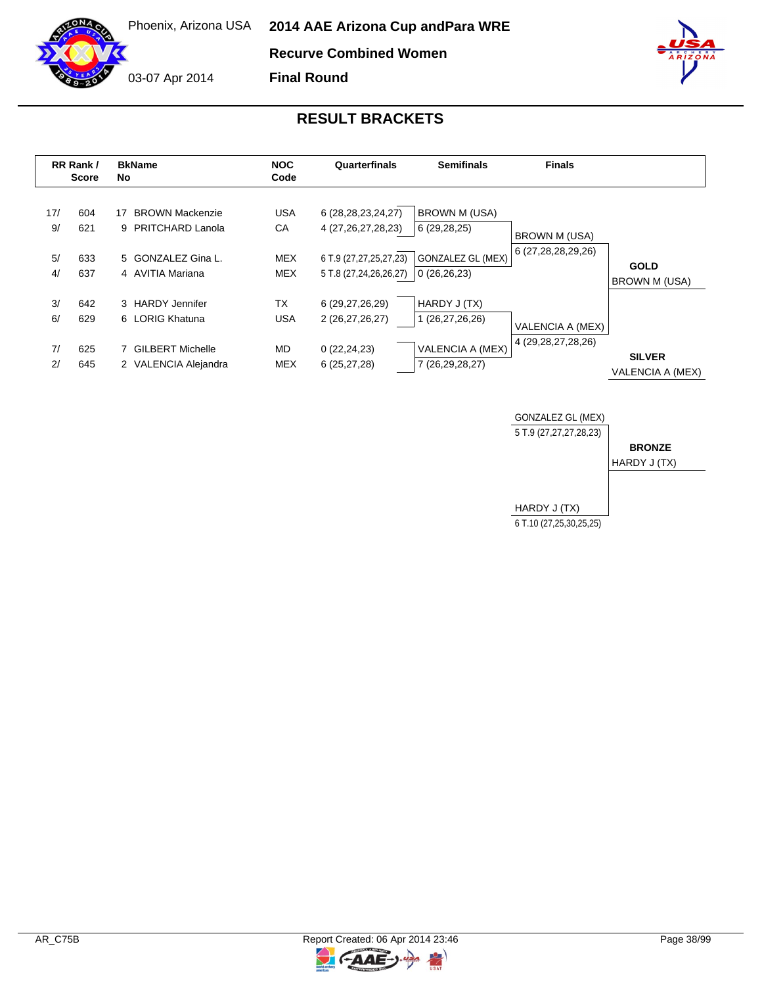**Recurve Combined Women**

**Final Round**

03-07 Apr 2014

|           | RR Rank /<br><b>Score</b> | <b>BkName</b><br>No.                               | <b>NOC</b><br>Code       | Quarterfinals                                    | <b>Semifinals</b>                       | <b>Finals</b>                       |                                          |
|-----------|---------------------------|----------------------------------------------------|--------------------------|--------------------------------------------------|-----------------------------------------|-------------------------------------|------------------------------------------|
| 17/<br>9/ | 604<br>621                | <b>BROWN Mackenzie</b><br>17<br>9 PRITCHARD Lanola | <b>USA</b><br>CA         | 6 (28, 28, 23, 24, 27)<br>4 (27, 26, 27, 28, 23) | <b>BROWN M (USA)</b><br>6(29, 28, 25)   | BROWN M (USA)<br>6 (27,28,28,29,26) |                                          |
| 5/<br>4/  | 633<br>637                | 5 GONZALEZ Gina L.<br>4 AVITIA Mariana             | <b>MEX</b><br><b>MEX</b> | 6 T.9 (27,27,25,27,23)<br>5 T.8 (27,24,26,26,27) | <b>GONZALEZ GL (MEX)</b><br>0(26,26,23) |                                     | <b>GOLD</b><br><b>BROWN M (USA)</b>      |
| 3/<br>6/  | 642<br>629                | 3 HARDY Jennifer<br>6 LORIG Khatuna                | <b>TX</b><br><b>USA</b>  | 6 (29,27,26,29)<br>2 (26,27,26,27)               | HARDY J (TX)<br>1 (26,27,26,26)         | VALENCIA A (MEX)                    |                                          |
| 7/<br>2/  | 625<br>645                | 7 GILBERT Michelle<br>2 VALENCIA Alejandra         | <b>MD</b><br><b>MEX</b>  | 0(22, 24, 23)<br>6(25, 27, 28)                   | VALENCIA A (MEX)<br>7 (26,29,28,27)     | 4 (29, 28, 27, 28, 26)              | <b>SILVER</b><br><b>VALENCIA A (MEX)</b> |





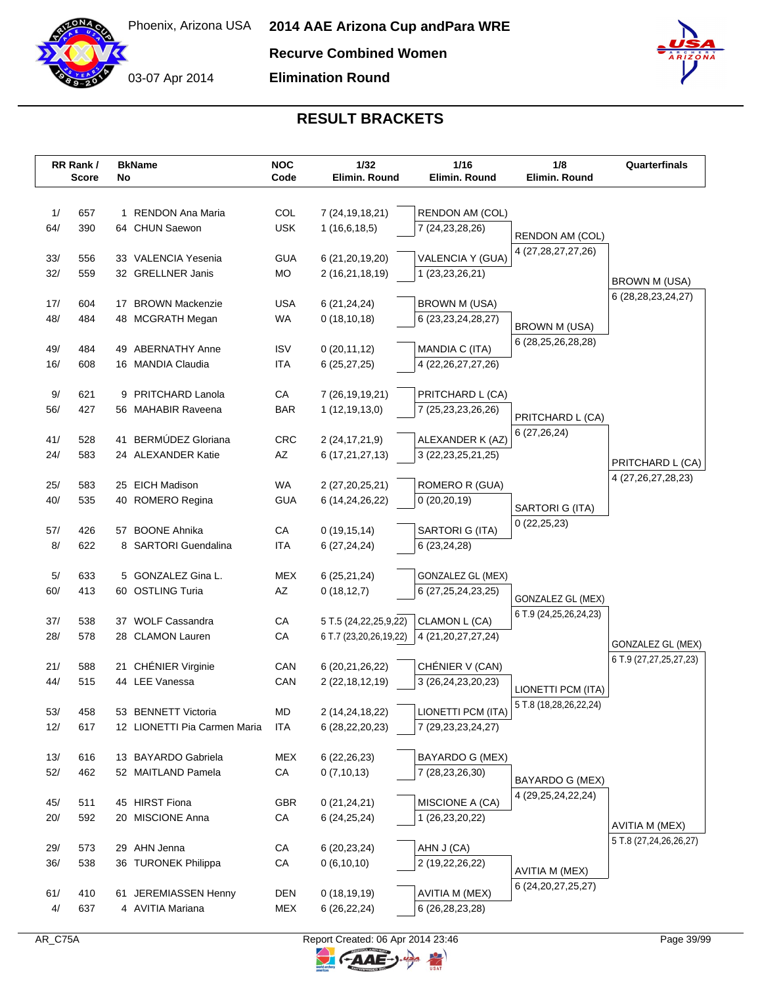

**Recurve Combined Women**

**Elimination Round**



# **RESULT BRACKETS**

|            | RR Rank /<br>Score | No | <b>BkName</b>                              | <b>NOC</b><br>Code | 1/32<br>Elimin. Round                 | 1/16<br>Elimin. Round                       | 1/8<br>Elimin. Round       | Quarterfinals                               |
|------------|--------------------|----|--------------------------------------------|--------------------|---------------------------------------|---------------------------------------------|----------------------------|---------------------------------------------|
|            |                    |    |                                            |                    |                                       |                                             |                            |                                             |
| 1/         | 657                |    | 1 RENDON Ana Maria                         | COL                | 7 (24, 19, 18, 21)                    | RENDON AM (COL)                             |                            |                                             |
| 64/        | 390                |    | 64 CHUN Saewon                             | <b>USK</b>         | 1(16,6,18,5)                          | 7 (24, 23, 28, 26)                          |                            |                                             |
|            |                    |    |                                            |                    |                                       |                                             | RENDON AM (COL)            |                                             |
| 33/        | 556                |    | 33 VALENCIA Yesenia                        | <b>GUA</b>         | 6 (21, 20, 19, 20)                    | VALENCIA Y (GUA)                            | 4 (27, 28, 27, 27, 26)     |                                             |
| 32/        | 559                |    | 32 GRELLNER Janis                          | MO                 | 2 (16,21,18,19)                       | 1 (23,23,26,21)                             |                            | BROWN M (USA)                               |
|            |                    |    |                                            |                    |                                       |                                             |                            | 6 (28, 28, 23, 24, 27)                      |
| 17/        | 604                |    | 17 BROWN Mackenzie                         | <b>USA</b>         | 6(21, 24, 24)                         | <b>BROWN M (USA)</b>                        |                            |                                             |
| 48/        | 484                |    | 48 MCGRATH Megan                           | WA                 | 0(18, 10, 18)                         | 6 (23, 23, 24, 28, 27)                      | <b>BROWN M (USA)</b>       |                                             |
| 49/        | 484                |    | 49 ABERNATHY Anne                          | <b>ISV</b>         | 0(20, 11, 12)                         | MANDIA C (ITA)                              | 6 (28,25,26,28,28)         |                                             |
| 16/        | 608                |    | 16 MANDIA Claudia                          | <b>ITA</b>         | 6(25, 27, 25)                         | 4 (22, 26, 27, 27, 26)                      |                            |                                             |
|            |                    |    |                                            |                    |                                       |                                             |                            |                                             |
| 9/         | 621                |    | 9 PRITCHARD Lanola                         | CA                 | 7 (26, 19, 19, 21)                    | PRITCHARD L (CA)                            |                            |                                             |
| 56/        | 427                |    | 56 MAHABIR Raveena                         | <b>BAR</b>         | 1(12, 19, 13, 0)                      | 7 (25,23,23,26,26)                          | PRITCHARD L (CA)           |                                             |
|            |                    |    |                                            |                    |                                       |                                             | 6 (27,26,24)               |                                             |
| 41/<br>24/ | 528<br>583         |    | 41 BERMÚDEZ Gloriana<br>24 ALEXANDER Katie | CRC<br>AZ          | 2 (24, 17, 21, 9)                     | ALEXANDER K (AZ)                            |                            |                                             |
|            |                    |    |                                            |                    | 6 (17,21,27,13)                       | 3 (22, 23, 25, 21, 25)                      |                            | PRITCHARD L (CA)                            |
| 25/        | 583                |    | 25 EICH Madison                            | WA                 | 2 (27,20,25,21)                       | ROMERO R (GUA)                              |                            | 4 (27, 26, 27, 28, 23)                      |
| 40/        | 535                |    | 40 ROMERO Regina                           | <b>GUA</b>         | 6 (14,24,26,22)                       | 0(20, 20, 19)                               |                            |                                             |
|            |                    |    |                                            |                    |                                       |                                             | SARTORI G (ITA)            |                                             |
| 57/        | 426                |    | 57 BOONE Ahnika                            | CA                 | 0(19, 15, 14)                         | SARTORI G (ITA)                             | 0(22,25,23)                |                                             |
| 8/         | 622                |    | 8 SARTORI Guendalina                       | ITA                | 6(27, 24, 24)                         | 6 (23,24,28)                                |                            |                                             |
|            |                    |    |                                            |                    |                                       |                                             |                            |                                             |
| 5/<br>60/  | 633<br>413         |    | 5 GONZALEZ Gina L.<br>60 OSTLING Turia     | <b>MEX</b><br>AZ   | 6(25,21,24)<br>0(18, 12, 7)           | GONZALEZ GL (MEX)<br>6 (27, 25, 24, 23, 25) |                            |                                             |
|            |                    |    |                                            |                    |                                       |                                             | GONZALEZ GL (MEX)          |                                             |
| 37/        | 538                |    | 37 WOLF Cassandra                          | CA                 | 5 T.5 (24, 22, 25, 9, 22)             | CLAMON L (CA)                               | 6 T.9 (24, 25, 26, 24, 23) |                                             |
| 28/        | 578                |    | 28 CLAMON Lauren                           | CA                 | 6 T.7 (23,20,26,19,22)                | 4 (21, 20, 27, 27, 24)                      |                            |                                             |
|            |                    |    |                                            |                    |                                       |                                             |                            | GONZALEZ GL (MEX)<br>6 T.9 (27,27,25,27,23) |
| 21/        | 588                |    | 21 CHÉNIER Virginie                        | CAN                | 6 (20,21,26,22)                       | CHÉNIER V (CAN)                             |                            |                                             |
| 44/        | 515                |    | 44 LEE Vanessa                             | CAN                | 2 (22, 18, 12, 19)                    | 3 (26,24,23,20,23)                          | LIONETTI PCM (ITA)         |                                             |
| 53/        | 458                |    | 53 BENNETT Victoria                        | MD                 |                                       | LIONETTI PCM (ITA)                          | 5 T.8 (18,28,26,22,24)     |                                             |
| 12/        | 617                |    | 12 LIONETTI Pia Carmen Maria               | ITA                | 2 (14,24,18,22)<br>6 (28, 22, 20, 23) | 7 (29, 23, 23, 24, 27)                      |                            |                                             |
|            |                    |    |                                            |                    |                                       |                                             |                            |                                             |
| 13/        | 616                |    | 13 BAYARDO Gabriela                        | MEX                | 6(22, 26, 23)                         | BAYARDO G (MEX)                             |                            |                                             |
| 52/        | 462                |    | 52 MAITLAND Pamela                         | ${\sf CA}$         | 0(7,10,13)                            | 7 (28,23,26,30)                             | BAYARDO G (MEX)            |                                             |
|            |                    |    |                                            |                    |                                       |                                             | 4 (29, 25, 24, 22, 24)     |                                             |
| 45/        | 511                |    | 45 HIRST Fiona                             | <b>GBR</b>         | 0(21, 24, 21)                         | MISCIONE A (CA)                             |                            |                                             |
| 20/        | 592                |    | 20 MISCIONE Anna                           | CA                 | 6(24, 25, 24)                         | 1 (26,23,20,22)                             |                            | AVITIA M (MEX)                              |
| 29/        | 573                |    | 29 AHN Jenna                               | СA                 | 6 (20, 23, 24)                        | AHN J (CA)                                  |                            | 5 T.8 (27,24,26,26,27)                      |
| 36/        | 538                |    | 36 TURONEK Philippa                        | CA                 | 0(6,10,10)                            | 2 (19,22,26,22)                             |                            |                                             |
|            |                    |    |                                            |                    |                                       |                                             | AVITIA M (MEX)             |                                             |
| 61/        | 410                |    | 61 JEREMIASSEN Henny                       | <b>DEN</b>         | 0(18, 19, 19)                         | <b>AVITIA M (MEX)</b>                       | 6 (24, 20, 27, 25, 27)     |                                             |
| 4/         | 637                |    | 4 AVITIA Mariana                           | MEX                | 6(26, 22, 24)                         | 6 (26, 28, 23, 28)                          |                            |                                             |

 $\mathbb{F}$ 

C-AAE-J-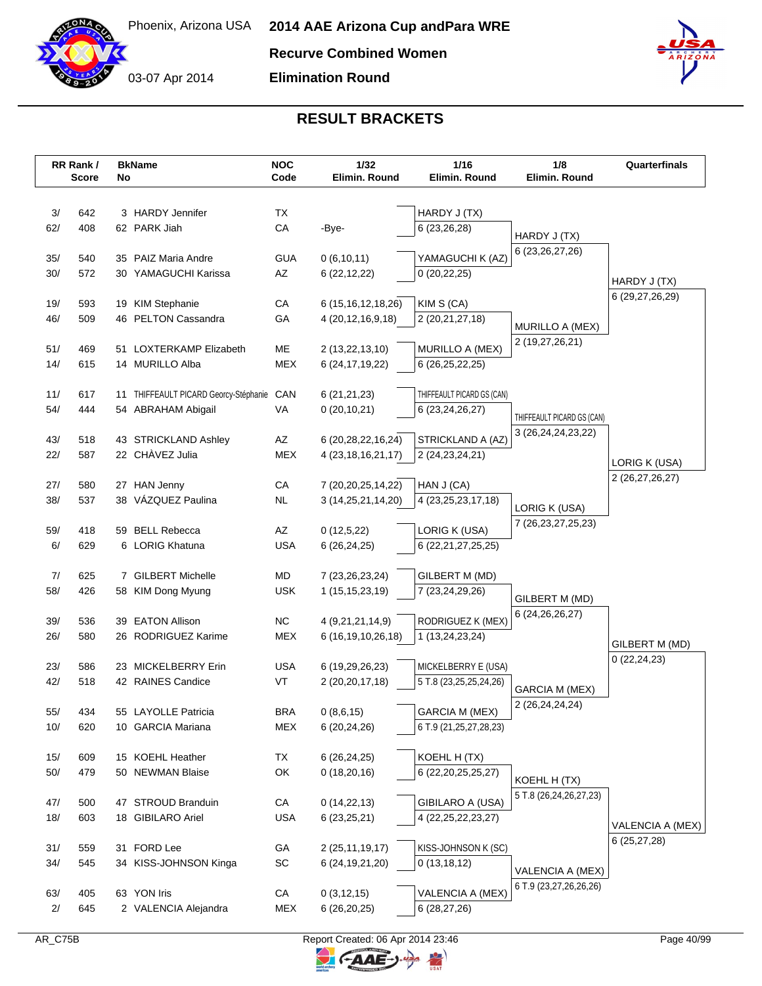

**Elimination Round**



# **RESULT BRACKETS**

|            | RR Rank /<br><b>Score</b> | No | <b>BkName</b>                            | <b>NOC</b><br>Code       | 1/32<br>Elimin. Round  | 1/16<br>Elimin. Round      | 1/8<br>Elimin, Round               | Quarterfinals    |
|------------|---------------------------|----|------------------------------------------|--------------------------|------------------------|----------------------------|------------------------------------|------------------|
|            |                           |    |                                          |                          |                        |                            |                                    |                  |
| 3/         | 642                       |    | 3 HARDY Jennifer                         | TX                       |                        | HARDY J (TX)               |                                    |                  |
| 62/        | 408                       |    | 62 PARK Jiah                             | CA                       | -Bye-                  | 6 (23,26,28)               | HARDY J (TX)                       |                  |
|            |                           |    |                                          |                          |                        |                            | 6 (23, 26, 27, 26)                 |                  |
| 35/        | 540                       |    | 35 PAIZ Maria Andre                      | <b>GUA</b>               | 0(6,10,11)             | YAMAGUCHI K (AZ)           |                                    |                  |
| 30/        | 572                       |    | 30 YAMAGUCHI Karissa                     | AZ                       | 6(22, 12, 22)          | 0(20, 22, 25)              |                                    | HARDY J (TX)     |
| 19/        | 593                       |    | 19 KIM Stephanie                         | СA                       | 6 (15, 16, 12, 18, 26) | KIM S (CA)                 |                                    | 6 (29,27,26,29)  |
| 46/        | 509                       |    | 46 PELTON Cassandra                      | GA                       | 4 (20, 12, 16, 9, 18)  | 2 (20,21,27,18)            |                                    |                  |
|            |                           |    |                                          |                          |                        |                            | MURILLO A (MEX)<br>2 (19,27,26,21) |                  |
| 51/        | 469                       |    | 51 LOXTERKAMP Elizabeth                  | ME                       | 2 (13,22,13,10)        | MURILLO A (MEX)            |                                    |                  |
| 14/        | 615                       |    | 14 MURILLO Alba                          | <b>MEX</b>               | 6 (24, 17, 19, 22)     | 6 (26,25,22,25)            |                                    |                  |
| 11/        | 617                       |    | 11 THIFFEAULT PICARD Georcy-Stéphanie    | CAN                      | 6(21,21,23)            | THIFFEAULT PICARD GS (CAN) |                                    |                  |
| 54/        | 444                       |    | 54 ABRAHAM Abigail                       | VA                       | 0(20, 10, 21)          | 6 (23, 24, 26, 27)         |                                    |                  |
|            |                           |    |                                          |                          |                        |                            | THIFFEAULT PICARD GS (CAN)         |                  |
| 43/        | 518                       |    | 43 STRICKLAND Ashley                     | AZ                       | 6 (20,28,22,16,24)     | STRICKLAND A (AZ)          | 3 (26, 24, 24, 23, 22)             |                  |
| 22/        | 587                       |    | 22 CHÀVEZ Julia                          | <b>MEX</b>               | 4 (23, 18, 16, 21, 17) | 2 (24, 23, 24, 21)         |                                    | LORIG K (USA)    |
|            |                           |    |                                          |                          |                        |                            |                                    | 2 (26,27,26,27)  |
| 27/        | 580                       |    | 27 HAN Jenny<br>38 VÁZQUEZ Paulina       | CA                       | 7 (20,20,25,14,22)     | HAN J (CA)                 |                                    |                  |
| 38/        | 537                       |    |                                          | <b>NL</b>                | 3 (14,25,21,14,20)     | 4 (23, 25, 23, 17, 18)     | LORIG K (USA)                      |                  |
| 59/        | 418                       |    | 59 BELL Rebecca                          | AZ                       | 0(12,5,22)             | LORIG K (USA)              | 7 (26, 23, 27, 25, 23)             |                  |
| 6/         | 629                       |    | 6 LORIG Khatuna                          | <b>USA</b>               | 6(26, 24, 25)          | 6 (22, 21, 27, 25, 25)     |                                    |                  |
|            |                           |    |                                          |                          |                        |                            |                                    |                  |
| 7/         | 625                       |    | 7 GILBERT Michelle                       | MD                       | 7 (23, 26, 23, 24)     | GILBERT M (MD)             |                                    |                  |
| 58/        | 426                       |    | 58 KIM Dong Myung                        | <b>USK</b>               | 1(15, 15, 23, 19)      | 7 (23,24,29,26)            | GILBERT M (MD)                     |                  |
| 39/        | 536                       |    | 39 EATON Allison                         | <b>NC</b>                | 4 (9,21,21,14,9)       | RODRIGUEZ K (MEX)          | 6 (24, 26, 26, 27)                 |                  |
| 26/        | 580                       |    | 26 RODRIGUEZ Karime                      | <b>MEX</b>               | 6 (16,19,10,26,18)     | 1 (13,24,23,24)            |                                    |                  |
|            |                           |    |                                          |                          |                        |                            |                                    | GILBERT M (MD)   |
| 23/        | 586                       |    | 23 MICKELBERRY Erin                      | <b>USA</b>               | 6 (19,29,26,23)        | MICKELBERRY E (USA)        |                                    | 0(22, 24, 23)    |
| 42/        | 518                       |    | 42 RAINES Candice                        | VT                       | 2 (20,20,17,18)        | 5 T.8 (23,25,25,24,26)     | <b>GARCIA M (MEX)</b>              |                  |
|            |                           |    |                                          |                          |                        |                            | 2 (26,24,24,24)                    |                  |
| 55/<br>10/ | 434                       |    | 55 LAYOLLE Patricia<br>10 GARCIA Mariana | <b>BRA</b><br><b>MEX</b> | 0(8,6,15)              | <b>GARCIA M (MEX)</b>      |                                    |                  |
|            | 620                       |    |                                          |                          | 6 (20,24,26)           | 6 T.9 (21,25,27,28,23)     |                                    |                  |
| 15/        | 609                       |    | 15 KOEHL Heather                         | TX                       | 6(26, 24, 25)          | KOEHL H (TX)               |                                    |                  |
| 50/        | 479                       |    | 50 NEWMAN Blaise                         | OK                       | 0(18,20,16)            | 6 (22, 20, 25, 25, 27)     | KOEHL H (TX)                       |                  |
|            |                           |    |                                          |                          |                        |                            | 5 T.8 (26,24,26,27,23)             |                  |
| 47/        | 500                       |    | 47 STROUD Branduin                       | СA                       | 0(14, 22, 13)          | <b>GIBILARO A (USA)</b>    |                                    |                  |
| 18/        | 603                       |    | 18 GIBILARO Ariel                        | <b>USA</b>               | 6(23,25,21)            | 4 (22, 25, 22, 23, 27)     |                                    | VALENCIA A (MEX) |
| 31/        | 559                       |    | 31 FORD Lee                              | GА                       | 2 (25, 11, 19, 17)     | KISS-JOHNSON K (SC)        |                                    | 6(25, 27, 28)    |
| 34/        | 545                       |    | 34 KISS-JOHNSON Kinga                    | SC                       | 6 (24, 19, 21, 20)     | 0(13, 18, 12)              |                                    |                  |
|            |                           |    |                                          |                          |                        |                            | VALENCIA A (MEX)                   |                  |
| 63/        | 405                       |    | 63 YON Iris                              | СA                       | 0(3, 12, 15)           | VALENCIA A (MEX)           | 6 T.9 (23,27,26,26,26)             |                  |
| 2/         | 645                       |    | 2 VALENCIA Alejandra                     | MEX                      | 6(26,20,25)            | 6 (28,27,26)               |                                    |                  |

 $\mathbb{F}$ 

 $\ominus$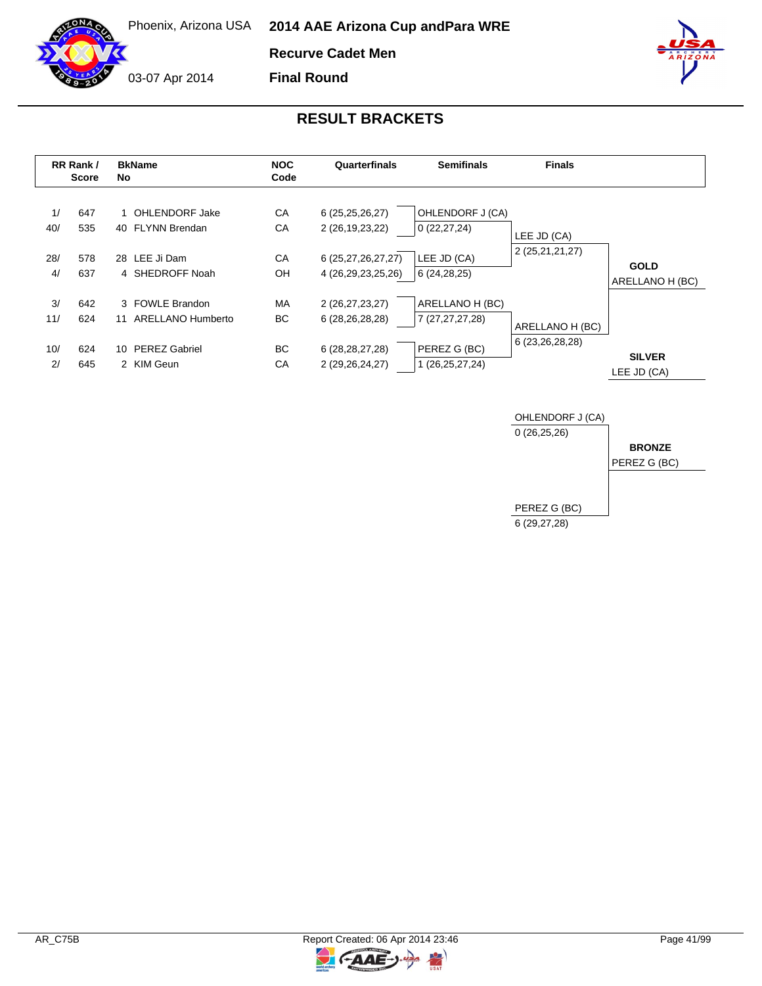**Recurve Cadet Men**

**Final Round**

03-07 Apr 2014

|                        | RR Rank /<br>Score       | No       | <b>BkName</b>                                                              | <b>NOC</b><br>Code    | Quarterfinals                                                                        | <b>Semifinals</b>                                                     | <b>Finals</b>                         |                                |
|------------------------|--------------------------|----------|----------------------------------------------------------------------------|-----------------------|--------------------------------------------------------------------------------------|-----------------------------------------------------------------------|---------------------------------------|--------------------------------|
| 1/<br>40/<br>28/<br>4/ | 647<br>535<br>578<br>637 |          | 1 OHLENDORF Jake<br>40 FLYNN Brendan<br>28 LEE Ji Dam<br>4 SHEDROFF Noah   | CA<br>CA<br>CA<br>OH  | 6(25,25,26,27)<br>2 (26, 19, 23, 22)<br>6 (25,27,26,27,27)<br>4 (26, 29, 23, 25, 26) | OHLENDORF J (CA)<br>0(22, 27, 24)<br>LEE JD (CA)<br>6 (24,28,25)      | LEE JD (CA)<br>2 (25,21,21,27)        | <b>GOLD</b><br>ARELLANO H (BC) |
| 3/<br>11/<br>10/<br>2/ | 642<br>624<br>624<br>645 | 11<br>10 | 3 FOWLE Brandon<br>ARELLANO Humberto<br><b>PEREZ Gabriel</b><br>2 KIM Geun | MA<br>ВC<br>BC.<br>CA | 2 (26,27,23,27)<br>6 (28, 26, 28, 28)<br>6 (28, 28, 27, 28)<br>2 (29, 26, 24, 27)    | ARELLANO H (BC)<br>7 (27,27,27,28)<br>PEREZ G (BC)<br>1 (26,25,27,24) | ARELLANO H (BC)<br>6 (23, 26, 28, 28) | <b>SILVER</b><br>LEE JD (CA)   |



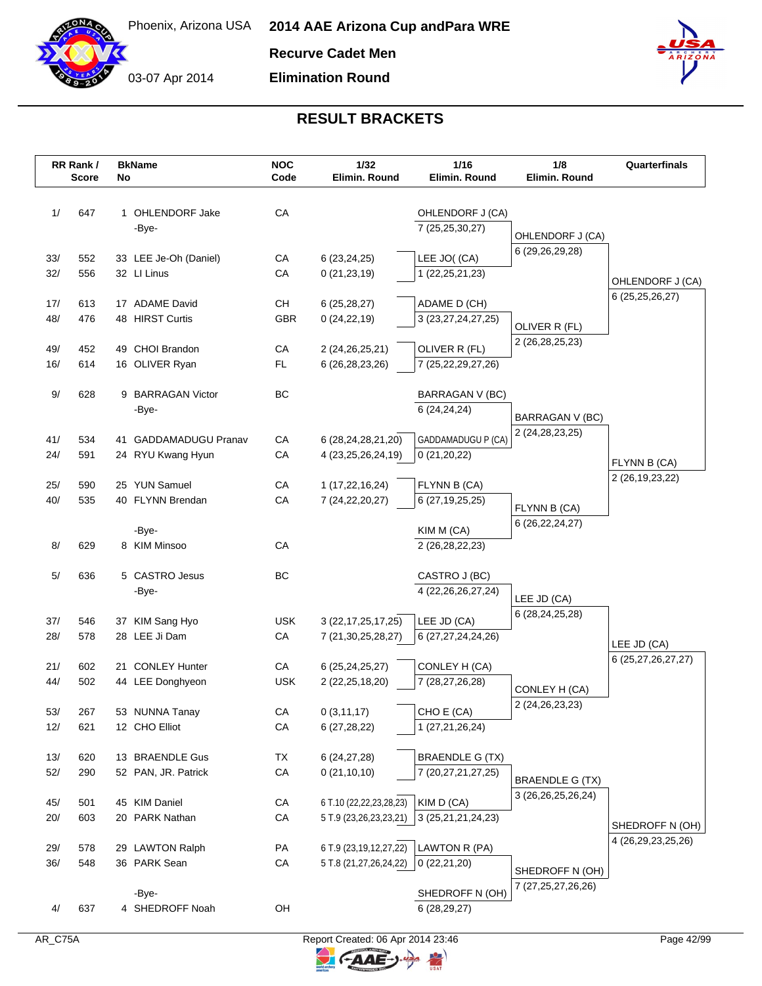

**Recurve Cadet Men**

**Elimination Round**



# **RESULT BRACKETS**

|            | RR Rank /<br><b>Score</b> | No | <b>BkName</b>                     | <b>NOC</b><br>Code | 1/32<br>Elimin. Round                 | 1/16<br>Elimin. Round               | 1/8<br>Elimin. Round                | Quarterfinals                             |
|------------|---------------------------|----|-----------------------------------|--------------------|---------------------------------------|-------------------------------------|-------------------------------------|-------------------------------------------|
| 1/         | 647                       |    | 1 OHLENDORF Jake                  | CA                 |                                       |                                     |                                     |                                           |
|            |                           |    | -Bye-                             |                    |                                       | OHLENDORF J (CA)<br>7 (25,25,30,27) |                                     |                                           |
|            |                           |    |                                   |                    |                                       |                                     | OHLENDORF J (CA)                    |                                           |
| 33/        | 552                       |    | 33 LEE Je-Oh (Daniel)             | CA                 | 6(23,24,25)                           | LEE JO((CA)                         | 6 (29,26,29,28)                     |                                           |
| 32/        | 556                       |    | 32 LI Linus                       | CA                 | 0(21, 23, 19)                         | 1 (22, 25, 21, 23)                  |                                     |                                           |
|            |                           |    |                                   |                    |                                       |                                     |                                     | OHLENDORF J (CA)                          |
| 17/        | 613                       |    | 17 ADAME David                    | CН                 | 6(25, 28, 27)                         | ADAME D (CH)                        |                                     | 6 (25, 25, 26, 27)                        |
| 48/        | 476                       |    | 48 HIRST Curtis                   | GBR                | 0(24, 22, 19)                         | 3 (23,27,24,27,25)                  | OLIVER R (FL)                       |                                           |
|            |                           |    |                                   |                    |                                       |                                     | 2 (26, 28, 25, 23)                  |                                           |
| 49/        | 452                       |    | 49 CHOI Brandon                   | CA                 | 2 (24, 26, 25, 21)                    | OLIVER R (FL)                       |                                     |                                           |
| 16/        | 614                       |    | 16 OLIVER Ryan                    | FL.                | 6 (26, 28, 23, 26)                    | 7 (25,22,29,27,26)                  |                                     |                                           |
| 9/         | 628                       |    | 9 BARRAGAN Victor                 | BC                 |                                       | BARRAGAN V (BC)                     |                                     |                                           |
|            |                           |    | -Bye-                             |                    |                                       | 6 (24,24,24)                        | <b>BARRAGAN V (BC)</b>              |                                           |
|            |                           |    |                                   |                    |                                       |                                     | 2 (24, 28, 23, 25)                  |                                           |
| 41/        | 534                       |    | 41 GADDAMADUGU Pranav             | CA                 | 6 (28,24,28,21,20)                    | GADDAMADUGU P (CA)                  |                                     |                                           |
| 24/        | 591                       |    | 24 RYU Kwang Hyun                 | CA                 | 4 (23,25,26,24,19)                    | 0(21,20,22)                         |                                     | FLYNN B (CA)                              |
|            |                           |    |                                   |                    |                                       |                                     |                                     | 2 (26, 19, 23, 22)                        |
| 25/<br>40/ | 590<br>535                |    | 25 YUN Samuel<br>40 FLYNN Brendan | CA<br>CA           | 1 (17,22,16,24)<br>7 (24, 22, 20, 27) | FLYNN B (CA)<br>6 (27,19,25,25)     |                                     |                                           |
|            |                           |    |                                   |                    |                                       |                                     | FLYNN B (CA)                        |                                           |
|            |                           |    | -Bye-                             |                    |                                       | KIM M (CA)                          | 6 (26, 22, 24, 27)                  |                                           |
| 8/         | 629                       |    | 8 KIM Minsoo                      | CA                 |                                       | 2 (26, 28, 22, 23)                  |                                     |                                           |
|            |                           |    |                                   |                    |                                       |                                     |                                     |                                           |
| 5/         | 636                       |    | 5 CASTRO Jesus                    | <b>BC</b>          |                                       | CASTRO J (BC)                       |                                     |                                           |
|            |                           |    | -Bye-                             |                    |                                       | 4 (22, 26, 26, 27, 24)              | LEE JD (CA)                         |                                           |
| 37/        | 546                       |    | 37 KIM Sang Hyo                   | <b>USK</b>         | 3 (22, 17, 25, 17, 25)                | LEE JD (CA)                         | 6 (28, 24, 25, 28)                  |                                           |
| 28/        | 578                       |    | 28 LEE Ji Dam                     | CA                 | 7 (21, 30, 25, 28, 27)                | 6 (27,27,24,24,26)                  |                                     |                                           |
|            |                           |    |                                   |                    |                                       |                                     |                                     | LEE JD (CA)                               |
| 21/        | 602                       |    | 21 CONLEY Hunter                  | CA                 | 6 (25, 24, 25, 27)                    | CONLEY H (CA)                       |                                     | 6 (25,27,26,27,27)                        |
| 44/        | 502                       |    | 44 LEE Donghyeon                  | <b>USK</b>         | 2 (22, 25, 18, 20)                    | 7 (28,27,26,28)                     |                                     |                                           |
|            |                           |    |                                   |                    |                                       |                                     | CONLEY H (CA)<br>2 (24, 26, 23, 23) |                                           |
| 53/        | 267                       |    | 53 NUNNA Tanay                    | CA                 | 0(3,11,17)                            | CHO E (CA)                          |                                     |                                           |
| 12/        | 621                       |    | 12 CHO Elliot                     | CA                 | 6(27, 28, 22)                         | 1 (27,21,26,24)                     |                                     |                                           |
| 13/        | 620                       |    | 13 BRAENDLE Gus                   | TX                 |                                       | <b>BRAENDLE G (TX)</b>              |                                     |                                           |
| 52/        | 290                       |    | 52 PAN, JR. Patrick               | CA                 | 6(24, 27, 28)<br>0(21, 10, 10)        | 7 (20,27,21,27,25)                  |                                     |                                           |
|            |                           |    |                                   |                    |                                       |                                     | <b>BRAENDLE G (TX)</b>              |                                           |
| 45/        | 501                       |    | 45 KIM Daniel                     | CA                 | 6 T.10 (22,22,23,28,23)               | KIM D (CA)                          | 3 (26, 26, 25, 26, 24)              |                                           |
| 20/        | 603                       |    | 20 PARK Nathan                    | CA                 | 5 T.9 (23,26,23,23,21)                | 3 (25, 21, 21, 24, 23)              |                                     |                                           |
|            |                           |    |                                   |                    |                                       |                                     |                                     | SHEDROFF N (OH)<br>4 (26, 29, 23, 25, 26) |
| 29/        | 578                       |    | 29 LAWTON Ralph                   | PA                 | 6 T.9 (23,19,12,27,22)                | LAWTON R (PA)                       |                                     |                                           |
| 36/        | 548                       |    | 36 PARK Sean                      | CA                 | 5 T.8 (21,27,26,24,22)                | 0(22,21,20)                         | SHEDROFF N (OH)                     |                                           |
|            |                           |    |                                   |                    |                                       |                                     | 7 (27,25,27,26,26)                  |                                           |
|            |                           |    | -Bye-                             | OH                 |                                       | SHEDROFF N (OH)                     |                                     |                                           |
| 4/         | 637                       |    | 4 SHEDROFF Noah                   |                    |                                       | 6(28, 29, 27)                       |                                     |                                           |

 $\overline{z}$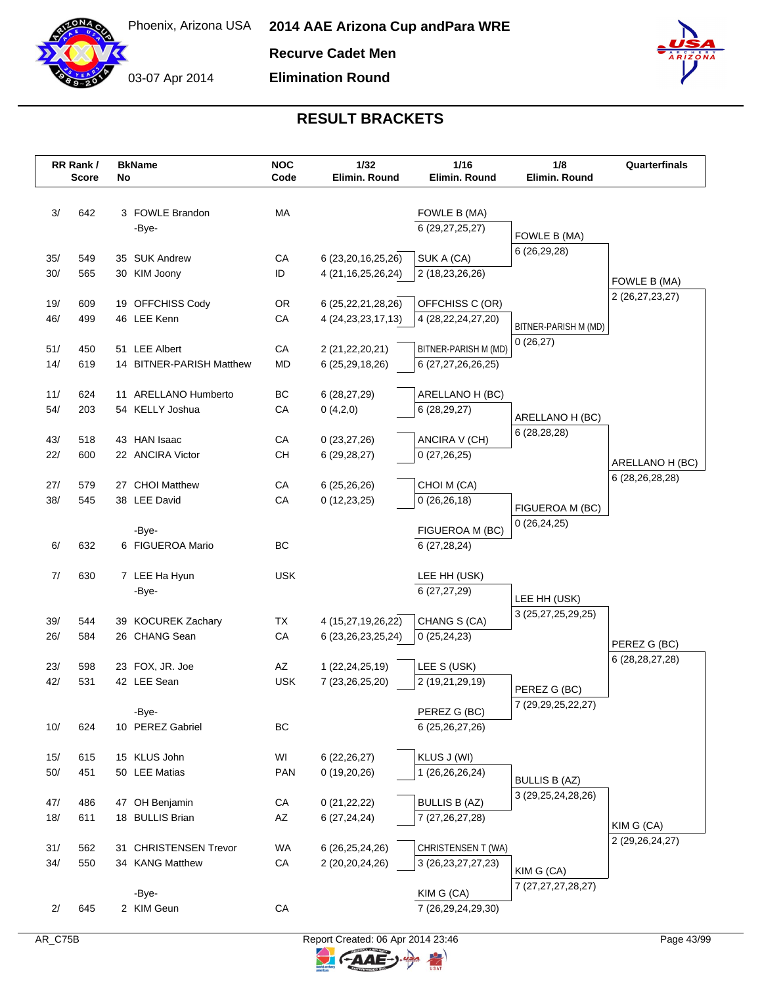

**Recurve Cadet Men**

**Elimination Round**



|            | RR Rank /<br><b>Score</b> | No | <b>BkName</b>                       | <b>NOC</b><br>Code | 1/32<br>Elimin. Round                            | 1/16<br>Elimin. Round         | 1/8<br>Elimin. Round               | Quarterfinals      |
|------------|---------------------------|----|-------------------------------------|--------------------|--------------------------------------------------|-------------------------------|------------------------------------|--------------------|
|            |                           |    |                                     |                    |                                                  |                               |                                    |                    |
| 3/         | 642                       |    | 3 FOWLE Brandon                     | MA                 |                                                  | FOWLE B (MA)                  |                                    |                    |
|            |                           |    | -Bye-                               |                    |                                                  | 6 (29,27,25,27)               | FOWLE B (MA)                       |                    |
|            | 549                       |    | 35 SUK Andrew                       | CA                 |                                                  | SUK A (CA)                    | 6 (26,29,28)                       |                    |
| 35/<br>30/ | 565                       |    | 30 KIM Joony                        | ID                 | 6 (23, 20, 16, 25, 26)<br>4 (21, 16, 25, 26, 24) | 2 (18,23,26,26)               |                                    |                    |
|            |                           |    |                                     |                    |                                                  |                               |                                    | FOWLE B (MA)       |
| 19/        | 609                       |    | 19 OFFCHISS Cody                    | OR                 | 6 (25, 22, 21, 28, 26)                           | OFFCHISS C (OR)               |                                    | 2 (26,27,23,27)    |
| 46/        | 499                       |    | 46 LEE Kenn                         | CA                 | 4 (24, 23, 23, 17, 13)                           | 4 (28,22,24,27,20)            |                                    |                    |
|            |                           |    |                                     |                    |                                                  |                               | BITNER-PARISH M (MD)<br>0(26,27)   |                    |
| 51/        | 450                       |    | 51 LEE Albert                       | CA                 | 2 (21,22,20,21)                                  | BITNER-PARISH M (MD)          |                                    |                    |
| 14/        | 619                       |    | 14 BITNER-PARISH Matthew            | <b>MD</b>          | 6 (25,29,18,26)                                  | 6 (27,27,26,26,25)            |                                    |                    |
| 11/        | 624                       |    | 11 ARELLANO Humberto                | BC                 | 6(28, 27, 29)                                    | ARELLANO H (BC)               |                                    |                    |
| 54/        | 203                       |    | 54 KELLY Joshua                     | CA                 | 0(4,2,0)                                         | 6 (28,29,27)                  | ARELLANO H (BC)                    |                    |
|            |                           |    |                                     |                    |                                                  |                               | 6(28, 28, 28)                      |                    |
| 43/        | 518                       |    | 43 HAN Isaac                        | CA                 | 0(23, 27, 26)                                    | ANCIRA V (CH)                 |                                    |                    |
| 22/        | 600                       |    | 22 ANCIRA Victor                    | <b>CH</b>          | 6(29, 28, 27)                                    | 0(27,26,25)                   |                                    | ARELLANO H (BC)    |
| 27/        | 579                       |    | 27 CHOI Matthew                     | CA                 | 6(25,26,26)                                      | CHOI M (CA)                   |                                    | 6 (28, 26, 28, 28) |
| 38/        | 545                       |    | 38 LEE David                        | CA                 | 0(12, 23, 25)                                    | 0(26, 26, 18)                 |                                    |                    |
|            |                           |    |                                     |                    |                                                  |                               | FIGUEROA M (BC)<br>0(26, 24, 25)   |                    |
|            |                           |    | -Bye-                               |                    |                                                  | FIGUEROA M (BC)               |                                    |                    |
| 6/         | 632                       |    | 6 FIGUEROA Mario                    | BC                 |                                                  | 6(27, 28, 24)                 |                                    |                    |
| 7/         | 630                       |    | 7 LEE Ha Hyun                       | <b>USK</b>         |                                                  | LEE HH (USK)                  |                                    |                    |
|            |                           |    | -Bye-                               |                    |                                                  | 6(27, 27, 29)                 | LEE HH (USK)                       |                    |
|            |                           |    |                                     | <b>TX</b>          |                                                  |                               | 3 (25,27,25,29,25)                 |                    |
| 39/<br>26/ | 544<br>584                |    | 39 KOCUREK Zachary<br>26 CHANG Sean | CA                 | 4 (15,27,19,26,22)<br>6 (23, 26, 23, 25, 24)     | CHANG S (CA)<br>0(25, 24, 23) |                                    |                    |
|            |                           |    |                                     |                    |                                                  |                               |                                    | PEREZ G (BC)       |
| 23/        | 598                       |    | 23 FOX, JR. Joe                     | AZ                 | 1 (22, 24, 25, 19)                               | LEE S (USK)                   |                                    | 6 (28, 28, 27, 28) |
| 42/        | 531                       |    | 42 LEE Sean                         | <b>USK</b>         | 7 (23, 26, 25, 20)                               | 2 (19,21,29,19)               |                                    |                    |
|            |                           |    |                                     |                    |                                                  |                               | PEREZ G (BC)<br>7 (29,29,25,22,27) |                    |
|            |                           |    | -Bye-                               |                    |                                                  | PEREZ G (BC)                  |                                    |                    |
| 10/        | 624                       |    | 10 PEREZ Gabriel                    | BC                 |                                                  | 6 (25,26,27,26)               |                                    |                    |
| 15/        | 615                       |    | 15 KLUS John                        | WI                 | 6(22, 26, 27)                                    | KLUS J (WI)                   |                                    |                    |
| $50/$      | 451                       |    | 50 LEE Matias                       | PAN                | 0(19,20,26)                                      | 1 (26,26,26,24)               | <b>BULLIS B (AZ)</b>               |                    |
|            |                           |    |                                     |                    |                                                  |                               | 3 (29,25,24,28,26)                 |                    |
| 47/        | 486                       |    | 47 OH Benjamin                      | CA                 | 0(21, 22, 22)                                    | <b>BULLIS B (AZ)</b>          |                                    |                    |
| 18/        | 611                       |    | 18 BULLIS Brian                     | AZ                 | 6(27, 24, 24)                                    | 7 (27, 26, 27, 28)            |                                    | KIM G (CA)         |
| 31/        | 562                       |    | 31 CHRISTENSEN Trevor               | WA                 | 6 (26, 25, 24, 26)                               | CHRISTENSEN T (WA)            |                                    | 2 (29, 26, 24, 27) |
| 34/        | 550                       |    | 34 KANG Matthew                     | ${\sf CA}$         | 2 (20,20,24,26)                                  | 3 (26, 23, 27, 27, 23)        |                                    |                    |
|            |                           |    |                                     |                    |                                                  |                               | KIM G (CA)                         |                    |
|            |                           |    | -Bye-                               |                    |                                                  | KIM G (CA)                    | 7 (27, 27, 27, 28, 27)             |                    |
| 2/         | 645                       |    | 2 KIM Geun                          | CA                 |                                                  | 7 (26,29,24,29,30)            |                                    |                    |

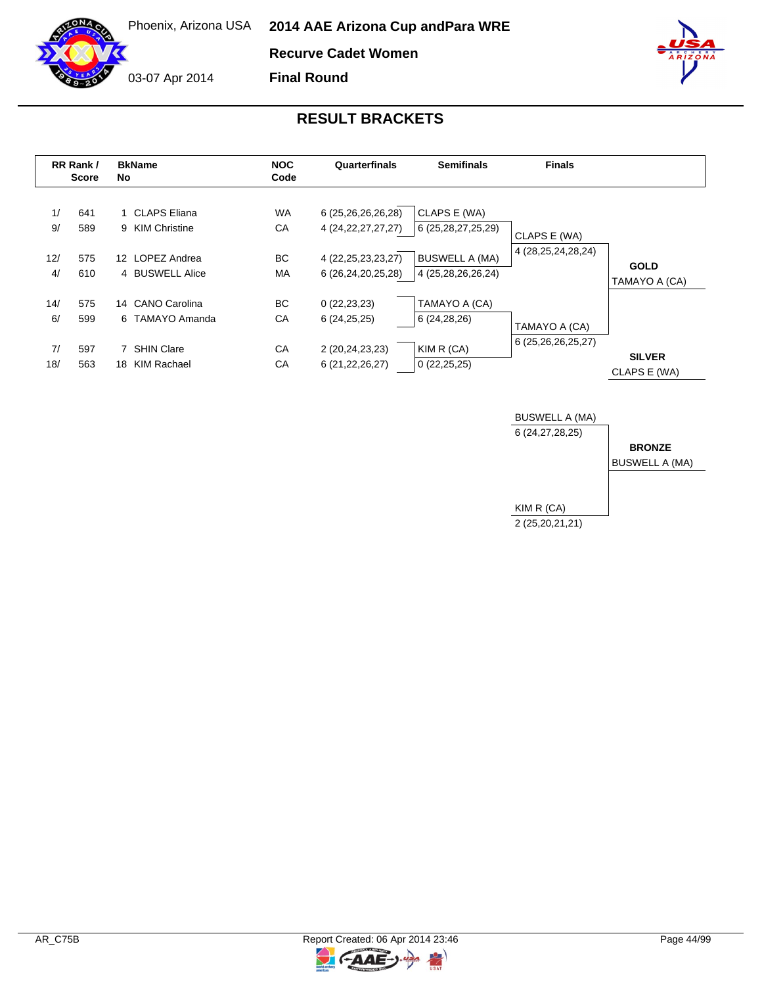**Recurve Cadet Women**

03-07 Apr 2014





|           | RR Rank /<br><b>Score</b> | <b>BkName</b><br>No.                | <b>NOC</b><br>Code | Quarterfinals                                | <b>Semifinals</b>                           | <b>Finals</b>          |                               |
|-----------|---------------------------|-------------------------------------|--------------------|----------------------------------------------|---------------------------------------------|------------------------|-------------------------------|
| 1/<br>9/  | 641<br>589                | 1 CLAPS Eliana<br>9 KIM Christine   | <b>WA</b><br>СA    | 6 (25,26,26,26,28)<br>4 (24, 22, 27, 27, 27) | CLAPS E (WA)<br>6 (25,28,27,25,29)          | CLAPS E (WA)           |                               |
| 12/<br>4/ | 575<br>610                | 12 LOPEZ Andrea<br>4 BUSWELL Alice  | BC.<br>МA          | 4 (22, 25, 23, 23, 27)<br>6 (26,24,20,25,28) | <b>BUSWELL A (MA)</b><br>4 (25,28,26,26,24) | 4 (28, 25, 24, 28, 24) | <b>GOLD</b><br>TAMAYO A (CA)  |
| 14/<br>6/ | 575<br>599                | 14 CANO Carolina<br>6 TAMAYO Amanda | BC.<br>СA          | 0(22, 23, 23)<br>6(24,25,25)                 | TAMAYO A (CA)<br>6 (24,28,26)               | TAMAYO A (CA)          |                               |
| 7/<br>18/ | 597<br>563                | 7 SHIN Clare<br>18 KIM Rachael      | СA<br>СA           | 2 (20,24,23,23)<br>6 (21, 22, 26, 27)        | KIM R (CA)<br>0(22,25,25)                   | 6 (25,26,26,25,27)     | <b>SILVER</b><br>CLAPS E (WA) |



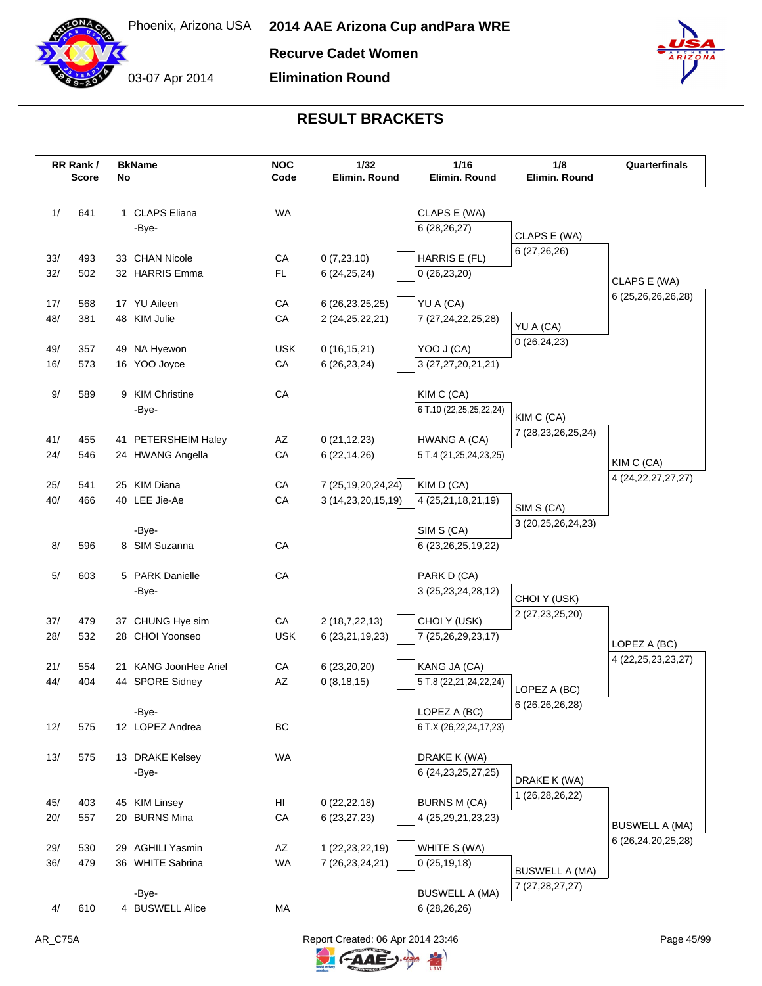

**Recurve Cadet Women**

**Elimination Round**



|            | RR Rank /<br><b>Score</b> | No | <b>BkName</b>         | <b>NOC</b><br>Code | 1/32<br>Elimin. Round       | 1/16<br>Elimin. Round                  | 1/8<br>Elimin. Round                 | Quarterfinals          |
|------------|---------------------------|----|-----------------------|--------------------|-----------------------------|----------------------------------------|--------------------------------------|------------------------|
|            |                           |    |                       |                    |                             |                                        |                                      |                        |
| 1/         | 641                       |    | 1 CLAPS Eliana        | <b>WA</b>          |                             | CLAPS E (WA)                           |                                      |                        |
|            |                           |    | -Bye-                 |                    |                             | 6(28, 26, 27)                          | CLAPS E (WA)                         |                        |
|            |                           |    |                       |                    |                             |                                        | 6 (27,26,26)                         |                        |
| 33/        | 493                       |    | 33 CHAN Nicole        | CA                 | 0(7,23,10)                  | HARRIS E (FL)                          |                                      |                        |
| 32/        | 502                       |    | 32 HARRIS Emma        | <b>FL</b>          | 6(24, 25, 24)               | 0(26, 23, 20)                          |                                      | CLAPS E (WA)           |
| 17/        | 568                       |    | 17 YU Aileen          | CA                 | 6 (26, 23, 25, 25)          | YU A (CA)                              |                                      | 6 (25,26,26,26,28)     |
| 48/        | 381                       |    | 48 KIM Julie          | CA                 | 2 (24, 25, 22, 21)          | 7 (27,24,22,25,28)                     |                                      |                        |
|            |                           |    |                       |                    |                             |                                        | YU A (CA)<br>0(26, 24, 23)           |                        |
| 49/        | 357                       |    | 49 NA Hyewon          | <b>USK</b>         | 0(16, 15, 21)               | YOO J (CA)                             |                                      |                        |
| 16/        | 573                       |    | 16 YOO Joyce          | CA                 | 6(26, 23, 24)               | 3 (27,27,20,21,21)                     |                                      |                        |
| 9/         | 589                       |    | 9 KIM Christine       | CA                 |                             | KIM C (CA)                             |                                      |                        |
|            |                           |    | -Bye-                 |                    |                             | 6 T.10 (22,25,25,22,24)                |                                      |                        |
|            |                           |    |                       |                    |                             |                                        | KIM C (CA)<br>7 (28, 23, 26, 25, 24) |                        |
| 41/        | 455                       |    | 41 PETERSHEIM Haley   | AZ                 | 0(21, 12, 23)               | HWANG A (CA)                           |                                      |                        |
| 24/        | 546                       |    | 24 HWANG Angella      | CA                 | 6(22, 14, 26)               | 5 T.4 (21,25,24,23,25)                 |                                      | KIM C (CA)             |
| 25/        | 541                       |    | 25 KIM Diana          | CA                 | 7 (25, 19, 20, 24, 24)      | KIM D (CA)                             |                                      | 4 (24, 22, 27, 27, 27) |
| 40/        | 466                       |    | 40 LEE Jie-Ae         | CA                 | 3 (14,23,20,15,19)          | 4 (25,21,18,21,19)                     |                                      |                        |
|            |                           |    |                       |                    |                             |                                        | SIM S (CA)                           |                        |
|            |                           |    | -Bye-                 |                    |                             | SIM S (CA)                             | 3 (20,25,26,24,23)                   |                        |
| 8/         | 596                       |    | 8 SIM Suzanna         | CA                 |                             | 6 (23, 26, 25, 19, 22)                 |                                      |                        |
| 5/         | 603                       |    | 5 PARK Danielle       | CA                 |                             | PARK D (CA)                            |                                      |                        |
|            |                           |    | -Bye-                 |                    |                             | 3 (25, 23, 24, 28, 12)                 |                                      |                        |
|            |                           |    |                       |                    |                             |                                        | CHOI Y (USK)                         |                        |
| 37/        | 479                       |    | 37 CHUNG Hye sim      | CA                 | 2 (18,7,22,13)              | CHOI Y (USK)                           | 2 (27, 23, 25, 20)                   |                        |
| 28/        | 532                       |    | 28 CHOI Yoonseo       | <b>USK</b>         | 6 (23, 21, 19, 23)          | 7 (25,26,29,23,17)                     |                                      | LOPEZ A (BC)           |
|            |                           |    | 21 KANG JoonHee Ariel |                    |                             |                                        |                                      | 4 (22, 25, 23, 23, 27) |
| 21/<br>44/ | 554<br>404                |    | 44 SPORE Sidney       | ${\sf CA}$<br>AZ   | 6(23,20,20)<br>0(8, 18, 15) | KANG JA (CA)<br>5 T.8 (22,21,24,22,24) |                                      |                        |
|            |                           |    |                       |                    |                             |                                        | LOPEZ A (BC)                         |                        |
|            |                           |    | -Bye-                 |                    |                             | LOPEZ A (BC)                           | 6 (26,26,26,28)                      |                        |
| 12/        | 575                       |    | 12 LOPEZ Andrea       | BC                 |                             | 6 T.X (26,22,24,17,23)                 |                                      |                        |
| 13/        | 575                       |    | 13 DRAKE Kelsey       | <b>WA</b>          |                             | DRAKE K (WA)                           |                                      |                        |
|            |                           |    | -Bye-                 |                    |                             | 6 (24, 23, 25, 27, 25)                 |                                      |                        |
|            |                           |    |                       |                    |                             |                                        | DRAKE K (WA)                         |                        |
| 45/        | 403                       |    | 45 KIM Linsey         | HI                 | 0(22, 22, 18)               | <b>BURNS M (CA)</b>                    | 1 (26,28,26,22)                      |                        |
| 20/        | 557                       |    | 20 BURNS Mina         | CA                 | 6(23, 27, 23)               | 4 (25, 29, 21, 23, 23)                 |                                      | <b>BUSWELL A (MA)</b>  |
|            |                           |    |                       |                    |                             |                                        |                                      | 6 (26,24,20,25,28)     |
| 29/        | 530                       |    | 29 AGHILI Yasmin      | AZ                 | 1 (22, 23, 22, 19)          | WHITE S (WA)                           |                                      |                        |
| 36/        | 479                       |    | 36 WHITE Sabrina      | <b>WA</b>          | 7 (26, 23, 24, 21)          | 0(25, 19, 18)                          | <b>BUSWELL A (MA)</b>                |                        |
|            |                           |    | -Bye-                 |                    |                             | <b>BUSWELL A (MA)</b>                  | 7 (27, 28, 27, 27)                   |                        |
| 4/         | 610                       |    | 4 BUSWELL Alice       | MA                 |                             | 6(28, 26, 26)                          |                                      |                        |
|            |                           |    |                       |                    |                             |                                        |                                      |                        |

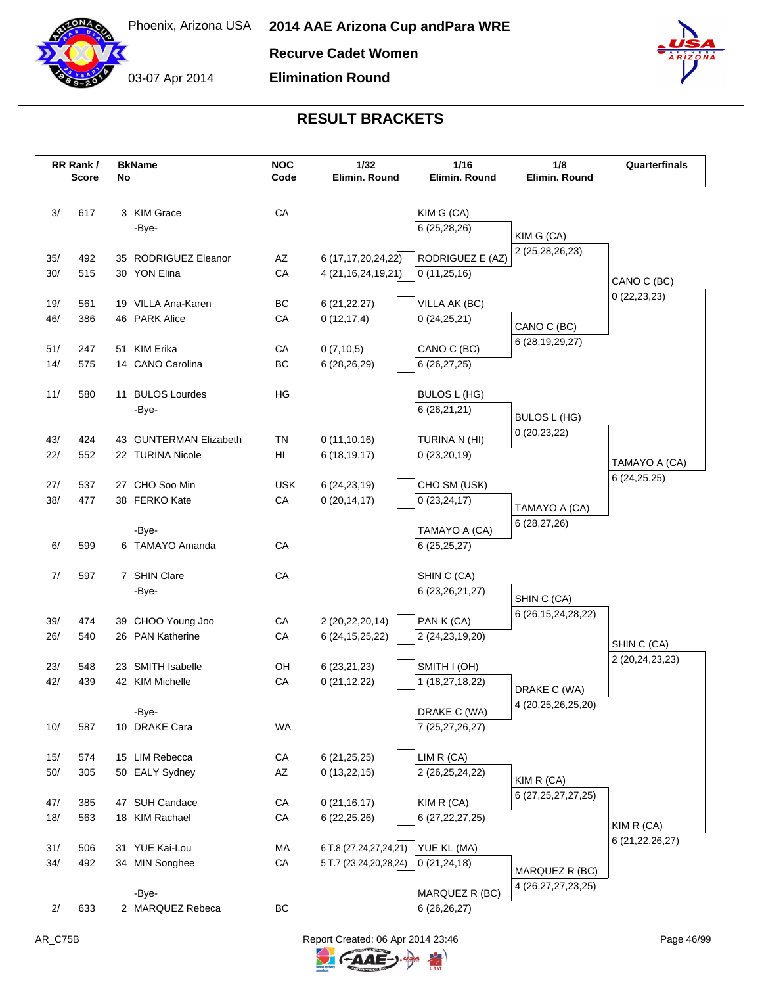

**Recurve Cadet Women**

**Elimination Round**



| CA<br>3/<br>617<br>3 KIM Grace<br>KIM G (CA)<br>6(25, 28, 26)<br>-Bye-<br>KIM G (CA)<br>2 (25,28,26,23)<br>RODRIGUEZ E (AZ)<br>492<br>AZ<br>6 (17,17,20,24,22)<br>35/<br>35 RODRIGUEZ Eleanor<br>30/<br>515<br>30 YON Elina<br>CA<br>4 (21, 16, 24, 19, 21)<br>0(11,25,16)<br>CANO C (BC)<br>0(22, 23, 23)<br>19 VILLA Ana-Karen<br>BC<br>19/<br>561<br>6(21, 22, 27)<br>VILLA AK (BC)<br>46/<br>46 PARK Alice<br>CA<br>386<br>0(12, 17, 4)<br>0(24,25,21)<br>CANO C (BC)<br>6 (28, 19, 29, 27)<br>51 KIM Erika<br>51/<br>247<br>CA<br>0(7,10,5)<br>CANO C (BC)<br>14/<br>575<br>14 CANO Carolina<br>BC<br>6(28, 26, 29)<br>6(26, 27, 25)<br>11/<br>580<br>11 BULOS Lourdes<br>HG<br>BULOS L (HG)<br>6(26,21,21)<br>-Bye-<br>BULOS L (HG)<br>0(20, 23, 22)<br>43/<br>424<br><b>TN</b><br>TURINA N (HI)<br>43 GUNTERMAN Elizabeth<br>0(11,10,16)<br>22/<br>552<br>22 TURINA Nicole<br>HI<br>6(18, 19, 17)<br>0(23,20,19)<br>TAMAYO A (CA)<br>6(24,25,25)<br>27/<br>27 CHO Soo Min<br><b>USK</b><br>537<br>CHO SM (USK)<br>6(24, 23, 19)<br>38/<br>477<br>38 FERKO Kate<br>CA<br>0(23, 24, 17)<br>0(20, 14, 17)<br>TAMAYO A (CA)<br>6 (28,27,26)<br>-Bye-<br>TAMAYO A (CA)<br>599<br>6 TAMAYO Amanda<br>CA<br>6/<br>6(25,25,27)<br>7 SHIN Clare<br>${\sf CA}$<br>7/<br>597<br>SHIN C (CA)<br>6 (23, 26, 21, 27)<br>-Bye-<br>SHIN C (CA)<br>6 (26, 15, 24, 28, 22)<br>39/<br>474<br>CA<br>39 CHOO Young Joo<br>2 (20,22,20,14)<br>PAN K (CA)<br>26/<br>540<br>26 PAN Katherine<br>CA<br>6 (24, 15, 25, 22)<br>2 (24, 23, 19, 20)<br>SHIN C (CA)<br>2 (20,24,23,23)<br>23 SMITH Isabelle<br>SMITH I (OH)<br>23/<br>548<br>OH<br>6(23,21,23)<br>42/<br>439<br>CA<br>42 KIM Michelle<br>0(21, 12, 22)<br>1 (18,27,18,22)<br>DRAKE C (WA)<br>4 (20,25,26,25,20)<br>DRAKE C (WA)<br>-Bye-<br>WA<br>7 (25,27,26,27)<br>10/<br>587<br>10 DRAKE Cara<br>15 LIM Rebecca<br>LIM R (CA)<br>15/<br>574<br>CA<br>6(21, 25, 25)<br>$50/$<br>305<br>50 EALY Sydney<br>AZ<br>2 (26,25,24,22)<br>0(13,22,15)<br>KIM R (CA)<br>6 (27, 25, 27, 27, 25)<br>47 SUH Candace<br>47/<br>385<br>CA<br>0(21, 16, 17)<br>KIM R (CA)<br>${\sf CA}$<br>18/<br>563<br>18 KIM Rachael<br>6(22, 25, 26)<br>6 (27, 22, 27, 25)<br>KIM R (CA)<br>6 (21, 22, 26, 27)<br>31 YUE Kai-Lou<br>YUE KL (MA)<br>31/<br>506<br>МA<br>6 T.8 (27,24,27,24,21)<br>34/<br>492<br>34 MIN Songhee<br>${\sf CA}$<br>5 T.7 (23,24,20,28,24)<br>0(21, 24, 18)<br>MARQUEZ R (BC)<br>4 (26, 27, 27, 23, 25)<br>MARQUEZ R (BC)<br>-Bye-<br>BC<br>633<br>2 MARQUEZ Rebeca<br>6(26,26,27)<br>2/ | RR Rank /<br><b>Score</b> | No | <b>BkName</b> | <b>NOC</b><br>Code | 1/32<br>Elimin. Round | 1/16<br>Elimin. Round | 1/8<br>Elimin. Round | Quarterfinals |
|-------------------------------------------------------------------------------------------------------------------------------------------------------------------------------------------------------------------------------------------------------------------------------------------------------------------------------------------------------------------------------------------------------------------------------------------------------------------------------------------------------------------------------------------------------------------------------------------------------------------------------------------------------------------------------------------------------------------------------------------------------------------------------------------------------------------------------------------------------------------------------------------------------------------------------------------------------------------------------------------------------------------------------------------------------------------------------------------------------------------------------------------------------------------------------------------------------------------------------------------------------------------------------------------------------------------------------------------------------------------------------------------------------------------------------------------------------------------------------------------------------------------------------------------------------------------------------------------------------------------------------------------------------------------------------------------------------------------------------------------------------------------------------------------------------------------------------------------------------------------------------------------------------------------------------------------------------------------------------------------------------------------------------------------------------------------------------------------------------------------------------------------------------------------------------------------------------------------------------------------------------------------------------------------------------------------------------------------------------------------------------------------------------------------------------------------------------------------------------------------------------------------------------------|---------------------------|----|---------------|--------------------|-----------------------|-----------------------|----------------------|---------------|
|                                                                                                                                                                                                                                                                                                                                                                                                                                                                                                                                                                                                                                                                                                                                                                                                                                                                                                                                                                                                                                                                                                                                                                                                                                                                                                                                                                                                                                                                                                                                                                                                                                                                                                                                                                                                                                                                                                                                                                                                                                                                                                                                                                                                                                                                                                                                                                                                                                                                                                                                     |                           |    |               |                    |                       |                       |                      |               |
|                                                                                                                                                                                                                                                                                                                                                                                                                                                                                                                                                                                                                                                                                                                                                                                                                                                                                                                                                                                                                                                                                                                                                                                                                                                                                                                                                                                                                                                                                                                                                                                                                                                                                                                                                                                                                                                                                                                                                                                                                                                                                                                                                                                                                                                                                                                                                                                                                                                                                                                                     |                           |    |               |                    |                       |                       |                      |               |
|                                                                                                                                                                                                                                                                                                                                                                                                                                                                                                                                                                                                                                                                                                                                                                                                                                                                                                                                                                                                                                                                                                                                                                                                                                                                                                                                                                                                                                                                                                                                                                                                                                                                                                                                                                                                                                                                                                                                                                                                                                                                                                                                                                                                                                                                                                                                                                                                                                                                                                                                     |                           |    |               |                    |                       |                       |                      |               |
|                                                                                                                                                                                                                                                                                                                                                                                                                                                                                                                                                                                                                                                                                                                                                                                                                                                                                                                                                                                                                                                                                                                                                                                                                                                                                                                                                                                                                                                                                                                                                                                                                                                                                                                                                                                                                                                                                                                                                                                                                                                                                                                                                                                                                                                                                                                                                                                                                                                                                                                                     |                           |    |               |                    |                       |                       |                      |               |
|                                                                                                                                                                                                                                                                                                                                                                                                                                                                                                                                                                                                                                                                                                                                                                                                                                                                                                                                                                                                                                                                                                                                                                                                                                                                                                                                                                                                                                                                                                                                                                                                                                                                                                                                                                                                                                                                                                                                                                                                                                                                                                                                                                                                                                                                                                                                                                                                                                                                                                                                     |                           |    |               |                    |                       |                       |                      |               |
|                                                                                                                                                                                                                                                                                                                                                                                                                                                                                                                                                                                                                                                                                                                                                                                                                                                                                                                                                                                                                                                                                                                                                                                                                                                                                                                                                                                                                                                                                                                                                                                                                                                                                                                                                                                                                                                                                                                                                                                                                                                                                                                                                                                                                                                                                                                                                                                                                                                                                                                                     |                           |    |               |                    |                       |                       |                      |               |
|                                                                                                                                                                                                                                                                                                                                                                                                                                                                                                                                                                                                                                                                                                                                                                                                                                                                                                                                                                                                                                                                                                                                                                                                                                                                                                                                                                                                                                                                                                                                                                                                                                                                                                                                                                                                                                                                                                                                                                                                                                                                                                                                                                                                                                                                                                                                                                                                                                                                                                                                     |                           |    |               |                    |                       |                       |                      |               |
|                                                                                                                                                                                                                                                                                                                                                                                                                                                                                                                                                                                                                                                                                                                                                                                                                                                                                                                                                                                                                                                                                                                                                                                                                                                                                                                                                                                                                                                                                                                                                                                                                                                                                                                                                                                                                                                                                                                                                                                                                                                                                                                                                                                                                                                                                                                                                                                                                                                                                                                                     |                           |    |               |                    |                       |                       |                      |               |
|                                                                                                                                                                                                                                                                                                                                                                                                                                                                                                                                                                                                                                                                                                                                                                                                                                                                                                                                                                                                                                                                                                                                                                                                                                                                                                                                                                                                                                                                                                                                                                                                                                                                                                                                                                                                                                                                                                                                                                                                                                                                                                                                                                                                                                                                                                                                                                                                                                                                                                                                     |                           |    |               |                    |                       |                       |                      |               |
|                                                                                                                                                                                                                                                                                                                                                                                                                                                                                                                                                                                                                                                                                                                                                                                                                                                                                                                                                                                                                                                                                                                                                                                                                                                                                                                                                                                                                                                                                                                                                                                                                                                                                                                                                                                                                                                                                                                                                                                                                                                                                                                                                                                                                                                                                                                                                                                                                                                                                                                                     |                           |    |               |                    |                       |                       |                      |               |
|                                                                                                                                                                                                                                                                                                                                                                                                                                                                                                                                                                                                                                                                                                                                                                                                                                                                                                                                                                                                                                                                                                                                                                                                                                                                                                                                                                                                                                                                                                                                                                                                                                                                                                                                                                                                                                                                                                                                                                                                                                                                                                                                                                                                                                                                                                                                                                                                                                                                                                                                     |                           |    |               |                    |                       |                       |                      |               |
|                                                                                                                                                                                                                                                                                                                                                                                                                                                                                                                                                                                                                                                                                                                                                                                                                                                                                                                                                                                                                                                                                                                                                                                                                                                                                                                                                                                                                                                                                                                                                                                                                                                                                                                                                                                                                                                                                                                                                                                                                                                                                                                                                                                                                                                                                                                                                                                                                                                                                                                                     |                           |    |               |                    |                       |                       |                      |               |
|                                                                                                                                                                                                                                                                                                                                                                                                                                                                                                                                                                                                                                                                                                                                                                                                                                                                                                                                                                                                                                                                                                                                                                                                                                                                                                                                                                                                                                                                                                                                                                                                                                                                                                                                                                                                                                                                                                                                                                                                                                                                                                                                                                                                                                                                                                                                                                                                                                                                                                                                     |                           |    |               |                    |                       |                       |                      |               |
|                                                                                                                                                                                                                                                                                                                                                                                                                                                                                                                                                                                                                                                                                                                                                                                                                                                                                                                                                                                                                                                                                                                                                                                                                                                                                                                                                                                                                                                                                                                                                                                                                                                                                                                                                                                                                                                                                                                                                                                                                                                                                                                                                                                                                                                                                                                                                                                                                                                                                                                                     |                           |    |               |                    |                       |                       |                      |               |
|                                                                                                                                                                                                                                                                                                                                                                                                                                                                                                                                                                                                                                                                                                                                                                                                                                                                                                                                                                                                                                                                                                                                                                                                                                                                                                                                                                                                                                                                                                                                                                                                                                                                                                                                                                                                                                                                                                                                                                                                                                                                                                                                                                                                                                                                                                                                                                                                                                                                                                                                     |                           |    |               |                    |                       |                       |                      |               |
|                                                                                                                                                                                                                                                                                                                                                                                                                                                                                                                                                                                                                                                                                                                                                                                                                                                                                                                                                                                                                                                                                                                                                                                                                                                                                                                                                                                                                                                                                                                                                                                                                                                                                                                                                                                                                                                                                                                                                                                                                                                                                                                                                                                                                                                                                                                                                                                                                                                                                                                                     |                           |    |               |                    |                       |                       |                      |               |
|                                                                                                                                                                                                                                                                                                                                                                                                                                                                                                                                                                                                                                                                                                                                                                                                                                                                                                                                                                                                                                                                                                                                                                                                                                                                                                                                                                                                                                                                                                                                                                                                                                                                                                                                                                                                                                                                                                                                                                                                                                                                                                                                                                                                                                                                                                                                                                                                                                                                                                                                     |                           |    |               |                    |                       |                       |                      |               |
|                                                                                                                                                                                                                                                                                                                                                                                                                                                                                                                                                                                                                                                                                                                                                                                                                                                                                                                                                                                                                                                                                                                                                                                                                                                                                                                                                                                                                                                                                                                                                                                                                                                                                                                                                                                                                                                                                                                                                                                                                                                                                                                                                                                                                                                                                                                                                                                                                                                                                                                                     |                           |    |               |                    |                       |                       |                      |               |
|                                                                                                                                                                                                                                                                                                                                                                                                                                                                                                                                                                                                                                                                                                                                                                                                                                                                                                                                                                                                                                                                                                                                                                                                                                                                                                                                                                                                                                                                                                                                                                                                                                                                                                                                                                                                                                                                                                                                                                                                                                                                                                                                                                                                                                                                                                                                                                                                                                                                                                                                     |                           |    |               |                    |                       |                       |                      |               |
|                                                                                                                                                                                                                                                                                                                                                                                                                                                                                                                                                                                                                                                                                                                                                                                                                                                                                                                                                                                                                                                                                                                                                                                                                                                                                                                                                                                                                                                                                                                                                                                                                                                                                                                                                                                                                                                                                                                                                                                                                                                                                                                                                                                                                                                                                                                                                                                                                                                                                                                                     |                           |    |               |                    |                       |                       |                      |               |
|                                                                                                                                                                                                                                                                                                                                                                                                                                                                                                                                                                                                                                                                                                                                                                                                                                                                                                                                                                                                                                                                                                                                                                                                                                                                                                                                                                                                                                                                                                                                                                                                                                                                                                                                                                                                                                                                                                                                                                                                                                                                                                                                                                                                                                                                                                                                                                                                                                                                                                                                     |                           |    |               |                    |                       |                       |                      |               |
|                                                                                                                                                                                                                                                                                                                                                                                                                                                                                                                                                                                                                                                                                                                                                                                                                                                                                                                                                                                                                                                                                                                                                                                                                                                                                                                                                                                                                                                                                                                                                                                                                                                                                                                                                                                                                                                                                                                                                                                                                                                                                                                                                                                                                                                                                                                                                                                                                                                                                                                                     |                           |    |               |                    |                       |                       |                      |               |
|                                                                                                                                                                                                                                                                                                                                                                                                                                                                                                                                                                                                                                                                                                                                                                                                                                                                                                                                                                                                                                                                                                                                                                                                                                                                                                                                                                                                                                                                                                                                                                                                                                                                                                                                                                                                                                                                                                                                                                                                                                                                                                                                                                                                                                                                                                                                                                                                                                                                                                                                     |                           |    |               |                    |                       |                       |                      |               |
|                                                                                                                                                                                                                                                                                                                                                                                                                                                                                                                                                                                                                                                                                                                                                                                                                                                                                                                                                                                                                                                                                                                                                                                                                                                                                                                                                                                                                                                                                                                                                                                                                                                                                                                                                                                                                                                                                                                                                                                                                                                                                                                                                                                                                                                                                                                                                                                                                                                                                                                                     |                           |    |               |                    |                       |                       |                      |               |
|                                                                                                                                                                                                                                                                                                                                                                                                                                                                                                                                                                                                                                                                                                                                                                                                                                                                                                                                                                                                                                                                                                                                                                                                                                                                                                                                                                                                                                                                                                                                                                                                                                                                                                                                                                                                                                                                                                                                                                                                                                                                                                                                                                                                                                                                                                                                                                                                                                                                                                                                     |                           |    |               |                    |                       |                       |                      |               |
|                                                                                                                                                                                                                                                                                                                                                                                                                                                                                                                                                                                                                                                                                                                                                                                                                                                                                                                                                                                                                                                                                                                                                                                                                                                                                                                                                                                                                                                                                                                                                                                                                                                                                                                                                                                                                                                                                                                                                                                                                                                                                                                                                                                                                                                                                                                                                                                                                                                                                                                                     |                           |    |               |                    |                       |                       |                      |               |
|                                                                                                                                                                                                                                                                                                                                                                                                                                                                                                                                                                                                                                                                                                                                                                                                                                                                                                                                                                                                                                                                                                                                                                                                                                                                                                                                                                                                                                                                                                                                                                                                                                                                                                                                                                                                                                                                                                                                                                                                                                                                                                                                                                                                                                                                                                                                                                                                                                                                                                                                     |                           |    |               |                    |                       |                       |                      |               |
|                                                                                                                                                                                                                                                                                                                                                                                                                                                                                                                                                                                                                                                                                                                                                                                                                                                                                                                                                                                                                                                                                                                                                                                                                                                                                                                                                                                                                                                                                                                                                                                                                                                                                                                                                                                                                                                                                                                                                                                                                                                                                                                                                                                                                                                                                                                                                                                                                                                                                                                                     |                           |    |               |                    |                       |                       |                      |               |
|                                                                                                                                                                                                                                                                                                                                                                                                                                                                                                                                                                                                                                                                                                                                                                                                                                                                                                                                                                                                                                                                                                                                                                                                                                                                                                                                                                                                                                                                                                                                                                                                                                                                                                                                                                                                                                                                                                                                                                                                                                                                                                                                                                                                                                                                                                                                                                                                                                                                                                                                     |                           |    |               |                    |                       |                       |                      |               |
|                                                                                                                                                                                                                                                                                                                                                                                                                                                                                                                                                                                                                                                                                                                                                                                                                                                                                                                                                                                                                                                                                                                                                                                                                                                                                                                                                                                                                                                                                                                                                                                                                                                                                                                                                                                                                                                                                                                                                                                                                                                                                                                                                                                                                                                                                                                                                                                                                                                                                                                                     |                           |    |               |                    |                       |                       |                      |               |
|                                                                                                                                                                                                                                                                                                                                                                                                                                                                                                                                                                                                                                                                                                                                                                                                                                                                                                                                                                                                                                                                                                                                                                                                                                                                                                                                                                                                                                                                                                                                                                                                                                                                                                                                                                                                                                                                                                                                                                                                                                                                                                                                                                                                                                                                                                                                                                                                                                                                                                                                     |                           |    |               |                    |                       |                       |                      |               |
|                                                                                                                                                                                                                                                                                                                                                                                                                                                                                                                                                                                                                                                                                                                                                                                                                                                                                                                                                                                                                                                                                                                                                                                                                                                                                                                                                                                                                                                                                                                                                                                                                                                                                                                                                                                                                                                                                                                                                                                                                                                                                                                                                                                                                                                                                                                                                                                                                                                                                                                                     |                           |    |               |                    |                       |                       |                      |               |
|                                                                                                                                                                                                                                                                                                                                                                                                                                                                                                                                                                                                                                                                                                                                                                                                                                                                                                                                                                                                                                                                                                                                                                                                                                                                                                                                                                                                                                                                                                                                                                                                                                                                                                                                                                                                                                                                                                                                                                                                                                                                                                                                                                                                                                                                                                                                                                                                                                                                                                                                     |                           |    |               |                    |                       |                       |                      |               |
|                                                                                                                                                                                                                                                                                                                                                                                                                                                                                                                                                                                                                                                                                                                                                                                                                                                                                                                                                                                                                                                                                                                                                                                                                                                                                                                                                                                                                                                                                                                                                                                                                                                                                                                                                                                                                                                                                                                                                                                                                                                                                                                                                                                                                                                                                                                                                                                                                                                                                                                                     |                           |    |               |                    |                       |                       |                      |               |
|                                                                                                                                                                                                                                                                                                                                                                                                                                                                                                                                                                                                                                                                                                                                                                                                                                                                                                                                                                                                                                                                                                                                                                                                                                                                                                                                                                                                                                                                                                                                                                                                                                                                                                                                                                                                                                                                                                                                                                                                                                                                                                                                                                                                                                                                                                                                                                                                                                                                                                                                     |                           |    |               |                    |                       |                       |                      |               |
|                                                                                                                                                                                                                                                                                                                                                                                                                                                                                                                                                                                                                                                                                                                                                                                                                                                                                                                                                                                                                                                                                                                                                                                                                                                                                                                                                                                                                                                                                                                                                                                                                                                                                                                                                                                                                                                                                                                                                                                                                                                                                                                                                                                                                                                                                                                                                                                                                                                                                                                                     |                           |    |               |                    |                       |                       |                      |               |
|                                                                                                                                                                                                                                                                                                                                                                                                                                                                                                                                                                                                                                                                                                                                                                                                                                                                                                                                                                                                                                                                                                                                                                                                                                                                                                                                                                                                                                                                                                                                                                                                                                                                                                                                                                                                                                                                                                                                                                                                                                                                                                                                                                                                                                                                                                                                                                                                                                                                                                                                     |                           |    |               |                    |                       |                       |                      |               |
|                                                                                                                                                                                                                                                                                                                                                                                                                                                                                                                                                                                                                                                                                                                                                                                                                                                                                                                                                                                                                                                                                                                                                                                                                                                                                                                                                                                                                                                                                                                                                                                                                                                                                                                                                                                                                                                                                                                                                                                                                                                                                                                                                                                                                                                                                                                                                                                                                                                                                                                                     |                           |    |               |                    |                       |                       |                      |               |
|                                                                                                                                                                                                                                                                                                                                                                                                                                                                                                                                                                                                                                                                                                                                                                                                                                                                                                                                                                                                                                                                                                                                                                                                                                                                                                                                                                                                                                                                                                                                                                                                                                                                                                                                                                                                                                                                                                                                                                                                                                                                                                                                                                                                                                                                                                                                                                                                                                                                                                                                     |                           |    |               |                    |                       |                       |                      |               |
|                                                                                                                                                                                                                                                                                                                                                                                                                                                                                                                                                                                                                                                                                                                                                                                                                                                                                                                                                                                                                                                                                                                                                                                                                                                                                                                                                                                                                                                                                                                                                                                                                                                                                                                                                                                                                                                                                                                                                                                                                                                                                                                                                                                                                                                                                                                                                                                                                                                                                                                                     |                           |    |               |                    |                       |                       |                      |               |
|                                                                                                                                                                                                                                                                                                                                                                                                                                                                                                                                                                                                                                                                                                                                                                                                                                                                                                                                                                                                                                                                                                                                                                                                                                                                                                                                                                                                                                                                                                                                                                                                                                                                                                                                                                                                                                                                                                                                                                                                                                                                                                                                                                                                                                                                                                                                                                                                                                                                                                                                     |                           |    |               |                    |                       |                       |                      |               |
|                                                                                                                                                                                                                                                                                                                                                                                                                                                                                                                                                                                                                                                                                                                                                                                                                                                                                                                                                                                                                                                                                                                                                                                                                                                                                                                                                                                                                                                                                                                                                                                                                                                                                                                                                                                                                                                                                                                                                                                                                                                                                                                                                                                                                                                                                                                                                                                                                                                                                                                                     |                           |    |               |                    |                       |                       |                      |               |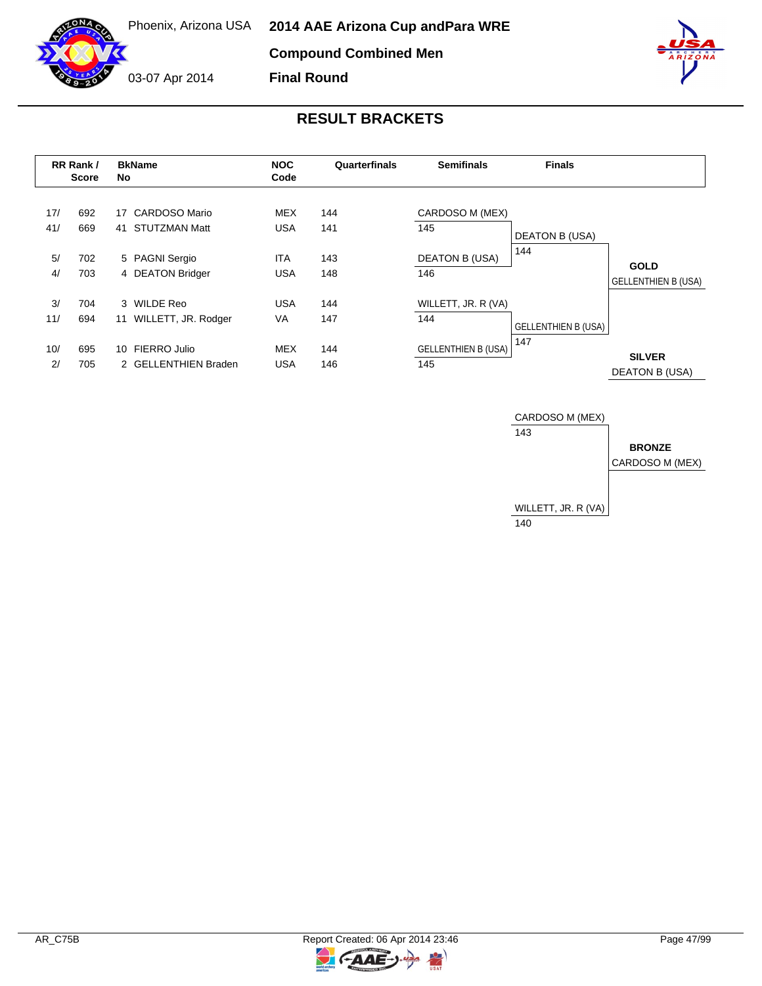

# **RESULT BRACKETS**

**Final Round**

|            | RR Rank /<br><b>Score</b> | <b>BkName</b><br>No                                      | <b>NOC</b><br>Code       | Quarterfinals | <b>Semifinals</b>                 | <b>Finals</b>                     |                                           |
|------------|---------------------------|----------------------------------------------------------|--------------------------|---------------|-----------------------------------|-----------------------------------|-------------------------------------------|
| 17/<br>41/ | 692<br>669                | <b>CARDOSO Mario</b><br>17<br><b>STUTZMAN Matt</b><br>41 | <b>MEX</b><br>USA        | 144<br>141    | CARDOSO M (MEX)<br>145            | <b>DEATON B (USA)</b>             |                                           |
| 5/<br>4/   | 702<br>703                | 5 PAGNI Sergio<br>4 DEATON Bridger                       | <b>ITA</b><br><b>USA</b> | 143<br>148    | <b>DEATON B (USA)</b><br>146      | 144                               | <b>GOLD</b><br><b>GELLENTHIEN B (USA)</b> |
| 3/<br>11/  | 704<br>694                | 3 WILDE Reo<br>11 WILLETT, JR. Rodger                    | <b>USA</b><br><b>VA</b>  | 144<br>147    | WILLETT, JR. R (VA)<br>144        |                                   |                                           |
| 10/<br>2/  | 695<br>705                | 10 FIERRO Julio<br>2 GELLENTHIEN Braden                  | <b>MEX</b><br><b>USA</b> | 144<br>146    | <b>GELLENTHIEN B (USA)</b><br>145 | <b>GELLENTHIEN B (USA)</b><br>147 | <b>SILVER</b><br>DEATON B (USA)           |

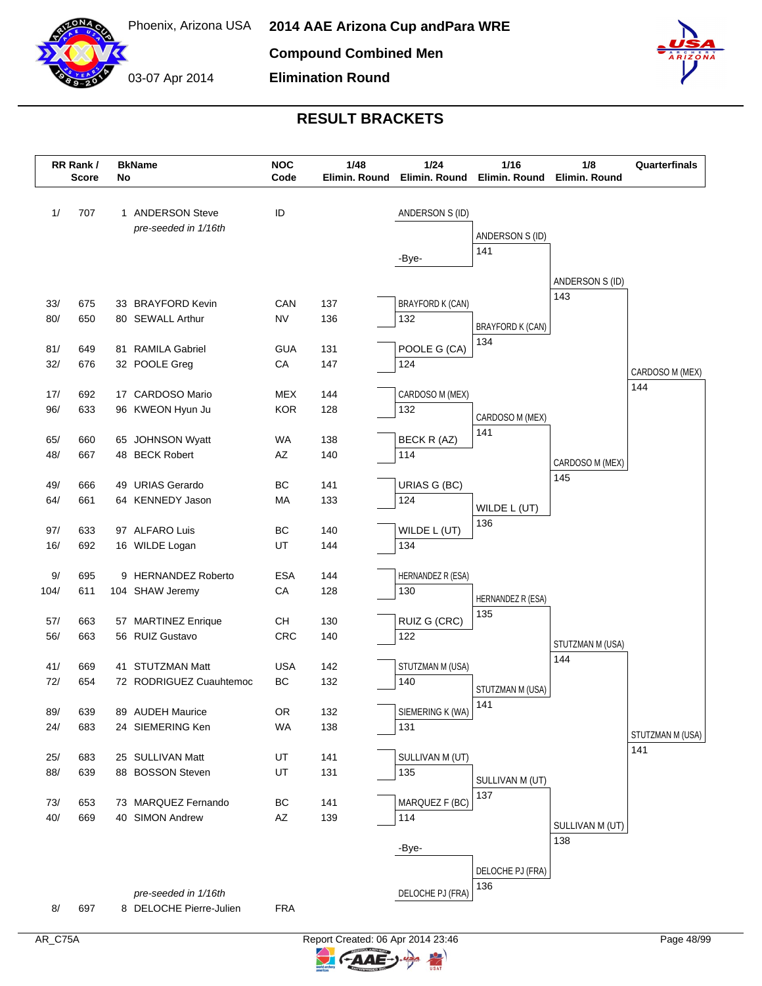

03-07 Apr 2014 **Elimination Round**



|            | RR Rank /<br><b>Score</b> | No | <b>BkName</b>                          | <b>NOC</b><br>Code | 1/48<br>Elimin. Round | $1/24$<br>Elimin. Round  | 1/16<br>Elimin. Round   | 1/8<br>Elimin. Round    | Quarterfinals    |
|------------|---------------------------|----|----------------------------------------|--------------------|-----------------------|--------------------------|-------------------------|-------------------------|------------------|
| 1/         | 707                       |    | 1 ANDERSON Steve                       | ID                 |                       | ANDERSON S (ID)          |                         |                         |                  |
|            |                           |    | pre-seeded in 1/16th                   |                    |                       |                          | ANDERSON S (ID)         |                         |                  |
|            |                           |    |                                        |                    |                       |                          | 141                     |                         |                  |
|            |                           |    |                                        |                    |                       | -Bye-                    |                         |                         |                  |
|            |                           |    |                                        |                    |                       |                          |                         | ANDERSON S (ID)         |                  |
| 33/        | 675                       |    | 33 BRAYFORD Kevin                      | CAN                | 137                   | <b>BRAYFORD K (CAN)</b>  |                         | 143                     |                  |
| 80/        | 650                       |    | 80 SEWALL Arthur                       | <b>NV</b>          | 136                   | 132                      | <b>BRAYFORD K (CAN)</b> |                         |                  |
|            |                           |    |                                        |                    |                       |                          | 134                     |                         |                  |
| 81/        | 649                       |    | 81 RAMILA Gabriel                      | <b>GUA</b>         | 131                   | POOLE G (CA)             |                         |                         |                  |
| 32/        | 676                       |    | 32 POOLE Greg                          | CA                 | 147                   | 124                      |                         |                         | CARDOSO M (MEX)  |
| 17/        | 692                       |    | 17 CARDOSO Mario                       | <b>MEX</b>         | 144                   | CARDOSO M (MEX)          |                         |                         | 144              |
| 96/        | 633                       |    | 96 KWEON Hyun Ju                       | <b>KOR</b>         | 128                   | 132                      |                         |                         |                  |
|            |                           |    |                                        |                    |                       |                          | CARDOSO M (MEX)<br>141  |                         |                  |
| 65/        | 660                       |    | 65 JOHNSON Wyatt                       | <b>WA</b>          | 138                   | BECK R (AZ)              |                         |                         |                  |
| 48/        | 667                       |    | 48 BECK Robert                         | AZ                 | 140                   | 114                      |                         | CARDOSO M (MEX)         |                  |
| 49/        | 666                       |    | 49 URIAS Gerardo                       | BC                 | 141                   | URIAS G (BC)             |                         | 145                     |                  |
| 64/        | 661                       |    | 64 KENNEDY Jason                       | MA                 | 133                   | 124                      |                         |                         |                  |
|            |                           |    |                                        |                    |                       |                          | WILDE L (UT)            |                         |                  |
| 97/        | 633                       |    | 97 ALFARO Luis                         | BC                 | 140                   | WILDE L (UT)             | 136                     |                         |                  |
| 16/        | 692                       |    | 16 WILDE Logan                         | UT                 | 144                   | 134                      |                         |                         |                  |
|            |                           |    |                                        |                    |                       |                          |                         |                         |                  |
| 9/<br>104/ | 695<br>611                |    | 9 HERNANDEZ Roberto<br>104 SHAW Jeremy | <b>ESA</b><br>CA   | 144<br>128            | HERNANDEZ R (ESA)<br>130 |                         |                         |                  |
|            |                           |    |                                        |                    |                       |                          | HERNANDEZ R (ESA)       |                         |                  |
| 57/        | 663                       |    | 57 MARTINEZ Enrique                    | CН                 | 130                   | RUIZ G (CRC)             | 135                     |                         |                  |
| 56/        | 663                       |    | 56 RUIZ Gustavo                        | CRC                | 140                   | 122                      |                         |                         |                  |
|            |                           |    |                                        |                    |                       |                          |                         | STUTZMAN M (USA)<br>144 |                  |
| 41/        | 669                       |    | 41 STUTZMAN Matt                       | <b>USA</b>         | 142                   | STUTZMAN M (USA)         |                         |                         |                  |
| 72/        | 654                       |    | 72 RODRIGUEZ Cuauhtemoc                | <b>BC</b>          | 132                   | 140                      | STUTZMAN M (USA)        |                         |                  |
| 89/        | 639                       |    | 89 AUDEH Maurice                       | OR                 | 132                   | SIEMERING K (WA)         | 141                     |                         |                  |
| 24/        | 683                       |    | 24 SIEMERING Ken                       | <b>WA</b>          | 138                   | 131                      |                         |                         |                  |
|            |                           |    |                                        |                    |                       |                          |                         |                         | STUTZMAN M (USA) |
| 25/        | 683                       |    | 25 SULLIVAN Matt                       | UT                 | 141                   | SULLIVAN M (UT)          |                         |                         | 141              |
| 88/        | 639                       |    | 88 BOSSON Steven                       | UT                 | 131                   | 135                      | SULLIVAN M (UT)         |                         |                  |
|            |                           |    |                                        |                    |                       |                          | 137                     |                         |                  |
| 73/<br>40/ | 653<br>669                |    | 73 MARQUEZ Fernando<br>40 SIMON Andrew | BC<br>AZ           | 141<br>139            | MARQUEZ F (BC)<br>114    |                         |                         |                  |
|            |                           |    |                                        |                    |                       |                          |                         | SULLIVAN M (UT)         |                  |
|            |                           |    |                                        |                    |                       | -Bye-                    |                         | 138                     |                  |
|            |                           |    |                                        |                    |                       |                          |                         |                         |                  |
|            |                           |    |                                        |                    |                       |                          | DELOCHE PJ (FRA)<br>136 |                         |                  |
|            |                           |    | pre-seeded in 1/16th                   |                    |                       | DELOCHE PJ (FRA)         |                         |                         |                  |
| 8/         | 697                       |    | 8 DELOCHE Pierre-Julien                | <b>FRA</b>         |                       |                          |                         |                         |                  |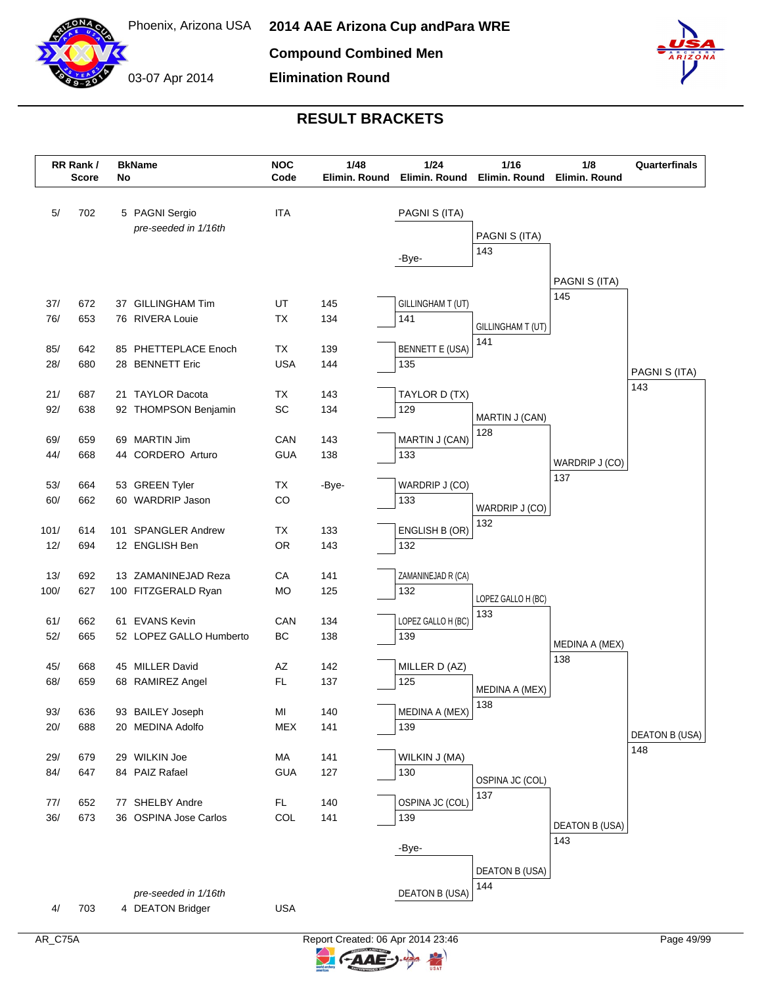



|            | RR Rank /<br><b>Score</b> | No | <b>BkName</b>                             | <b>NOC</b><br>Code                                                                                          | 1/48<br>Elimin. Round | 1/24<br>Elimin. Round         | 1/16<br>Elimin. Round | 1/8<br>Elimin. Round         | Quarterfinals         |
|------------|---------------------------|----|-------------------------------------------|-------------------------------------------------------------------------------------------------------------|-----------------------|-------------------------------|-----------------------|------------------------------|-----------------------|
| 5/         | 702                       |    | 5 PAGNI Sergio                            | <b>ITA</b>                                                                                                  |                       | PAGNI S (ITA)                 |                       |                              |                       |
|            |                           |    | pre-seeded in 1/16th                      |                                                                                                             |                       |                               | PAGNI S (ITA)         |                              |                       |
|            |                           |    |                                           |                                                                                                             |                       | -Bye-                         | 143                   |                              |                       |
|            |                           |    |                                           |                                                                                                             |                       |                               |                       |                              |                       |
|            |                           |    |                                           |                                                                                                             |                       |                               |                       | PAGNI S (ITA)<br>145         |                       |
| 37/        | 672                       |    | 37 GILLINGHAM Tim                         | UT                                                                                                          | 145                   | GILLINGHAM T (UT)             |                       |                              |                       |
| 76/        | 653                       |    | 76 RIVERA Louie                           | ТX                                                                                                          | 134                   | 141                           | GILLINGHAM T (UT)     |                              |                       |
|            |                           |    |                                           |                                                                                                             |                       |                               | 141                   |                              |                       |
| 85/<br>28/ | 642<br>680                |    | 85 PHETTEPLACE Enoch<br>28 BENNETT Eric   | TX<br><b>USA</b>                                                                                            | 139<br>144            | <b>BENNETT E (USA)</b><br>135 |                       |                              |                       |
|            |                           |    |                                           |                                                                                                             |                       |                               |                       |                              | PAGNI S (ITA)         |
| 21/        | 687                       |    | 21 TAYLOR Dacota                          | TX                                                                                                          | 143                   | TAYLOR D (TX)                 |                       |                              | 143                   |
| 92/        | 638                       |    | 92 THOMPSON Benjamin                      | SC                                                                                                          | 134                   | 129                           |                       |                              |                       |
|            |                           |    |                                           |                                                                                                             |                       |                               | MARTIN J (CAN)<br>128 |                              |                       |
| 69/        | 659                       |    | 69 MARTIN Jim                             | CAN                                                                                                         | 143                   | MARTIN J (CAN)                |                       |                              |                       |
| 44/        | 668                       |    | 44 CORDERO Arturo                         | <b>GUA</b>                                                                                                  | 138                   | 133                           |                       | WARDRIP J (CO)               |                       |
|            |                           |    |                                           |                                                                                                             |                       |                               |                       | 137                          |                       |
| 53/<br>60/ | 664<br>662                |    | 53 GREEN Tyler<br>60 WARDRIP Jason        | TX<br>CO                                                                                                    | -Bye-                 | WARDRIP J (CO)<br>133         |                       |                              |                       |
|            |                           |    |                                           |                                                                                                             |                       |                               | WARDRIP J (CO)        |                              |                       |
| 101/       | 614                       |    | 101 SPANGLER Andrew                       | TX                                                                                                          | 133                   | ENGLISH B (OR)                | 132                   |                              |                       |
| 12/        | 694                       |    | 12 ENGLISH Ben                            | <b>OR</b>                                                                                                   | 143                   | 132                           |                       |                              |                       |
|            |                           |    |                                           |                                                                                                             |                       |                               |                       |                              |                       |
| 13/        | 692                       |    | 13 ZAMANINEJAD Reza                       | CA                                                                                                          | 141                   | ZAMANINEJAD R (CA)            |                       |                              |                       |
| 100/       | 627                       |    | 100 FITZGERALD Ryan                       | MO                                                                                                          | 125                   | 132                           | LOPEZ GALLO H (BC)    |                              |                       |
|            |                           |    |                                           | CAN                                                                                                         |                       | LOPEZ GALLO H (BC)            | 133                   |                              |                       |
| 61/<br>52/ | 662<br>665                |    | 61 EVANS Kevin<br>52 LOPEZ GALLO Humberto | ВC                                                                                                          | 134<br>138            | 139                           |                       |                              |                       |
|            |                           |    |                                           |                                                                                                             |                       |                               |                       | MEDINA A (MEX)               |                       |
| 45/        | 668                       |    | 45 MILLER David                           | AZ                                                                                                          | 142                   | MILLER D (AZ)                 |                       | 138                          |                       |
| 68/        | 659                       |    | 68 RAMIREZ Angel                          | FL.                                                                                                         | 137                   | 125                           | MEDINA A (MEX)        |                              |                       |
|            |                           |    |                                           |                                                                                                             |                       |                               | 138                   |                              |                       |
| 93/        | 636                       |    | 93 BAILEY Joseph                          | $\mathsf{MI}% _{T}=\mathsf{M}_{T}\!\left( a,b\right) ,\ \mathsf{M}_{T}=\mathsf{M}_{T}\!\left( a,b\right) ,$ | 140                   | MEDINA A (MEX)                |                       |                              |                       |
| 20/        | 688                       |    | 20 MEDINA Adolfo                          | <b>MEX</b>                                                                                                  | 141                   | 139                           |                       |                              | <b>DEATON B (USA)</b> |
|            |                           |    |                                           |                                                                                                             |                       |                               |                       |                              | 148                   |
| 29/<br>84/ | 679<br>647                |    | 29 WILKIN Joe<br>84 PAIZ Rafael           | МA<br><b>GUA</b>                                                                                            | 141<br>127            | WILKIN J (MA)<br>130          |                       |                              |                       |
|            |                           |    |                                           |                                                                                                             |                       |                               | OSPINA JC (COL)       |                              |                       |
| 77/        | 652                       |    | 77 SHELBY Andre                           | <b>FL</b>                                                                                                   | 140                   | OSPINA JC (COL)               | 137                   |                              |                       |
| 36/        | 673                       |    | 36 OSPINA Jose Carlos                     | COL                                                                                                         | 141                   | 139                           |                       |                              |                       |
|            |                           |    |                                           |                                                                                                             |                       |                               |                       | <b>DEATON B (USA)</b><br>143 |                       |
|            |                           |    |                                           |                                                                                                             |                       | -Bye-                         |                       |                              |                       |
|            |                           |    |                                           |                                                                                                             |                       |                               | DEATON B (USA)        |                              |                       |
|            |                           |    |                                           |                                                                                                             |                       |                               | 144                   |                              |                       |
|            |                           |    | pre-seeded in 1/16th                      |                                                                                                             |                       | <b>DEATON B (USA)</b>         |                       |                              |                       |
| 4/         | 703                       |    | 4 DEATON Bridger                          | <b>USA</b>                                                                                                  |                       |                               |                       |                              |                       |

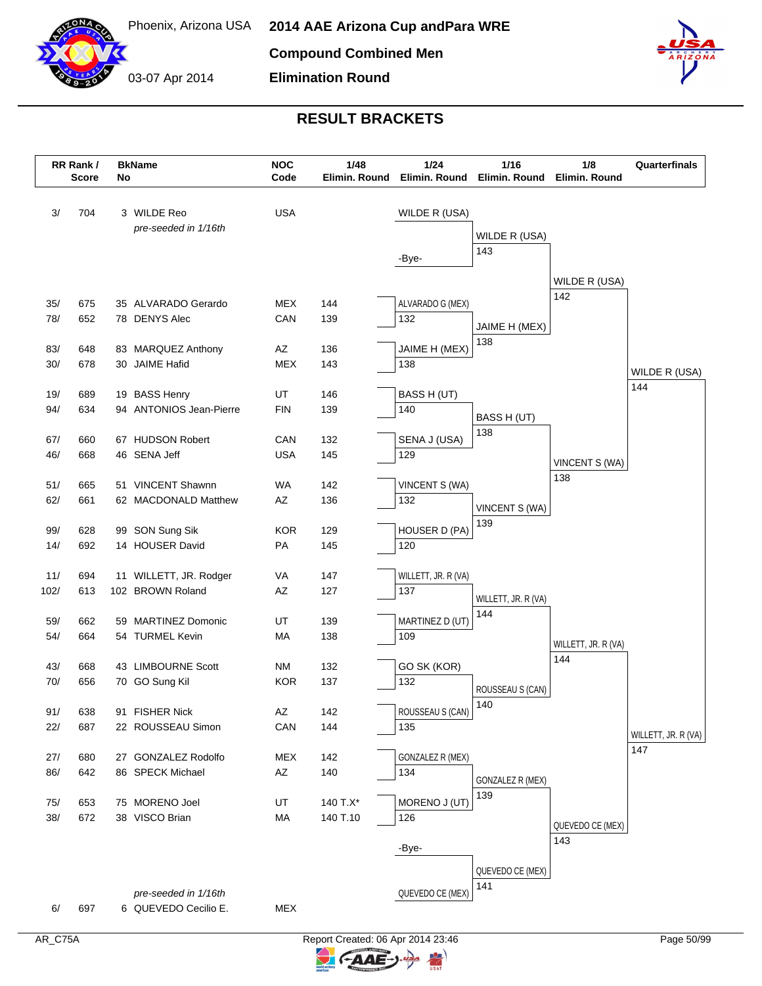



|      | RR Rank /<br><b>Score</b> | No | <b>BkName</b>                       | <b>NOC</b><br>Code     | 1/48<br>Elimin. Round | 1/24<br>Elimin. Round   | 1/16<br>Elimin. Round      | 1/8<br>Elimin. Round | Quarterfinals       |
|------|---------------------------|----|-------------------------------------|------------------------|-----------------------|-------------------------|----------------------------|----------------------|---------------------|
| 3/   | 704                       |    | 3 WILDE Reo<br>pre-seeded in 1/16th | <b>USA</b>             |                       | WILDE R (USA)           | WILDE R (USA)              |                      |                     |
|      |                           |    |                                     |                        |                       | -Bye-                   | 143                        |                      |                     |
|      |                           |    |                                     |                        |                       |                         |                            | WILDE R (USA)        |                     |
| 35/  | 675                       |    | 35 ALVARADO Gerardo                 | MEX                    | 144                   | ALVARADO G (MEX)        |                            | 142                  |                     |
| 78/  | 652                       |    | 78 DENYS Alec                       | CAN                    | 139                   | 132                     | JAIME H (MEX)              |                      |                     |
|      |                           |    |                                     |                        |                       |                         | 138                        |                      |                     |
| 83/  | 648                       |    | 83 MARQUEZ Anthony                  | AZ                     | 136                   | JAIME H (MEX)           |                            |                      |                     |
| 30/  | 678                       |    | 30 JAIME Hafid                      | <b>MEX</b>             | 143                   | 138                     |                            |                      | WILDE R (USA)       |
| 19/  | 689                       |    | 19 BASS Henry                       | UT                     | 146                   | BASS H (UT)             |                            |                      | 144                 |
| 94/  | 634                       |    | 94 ANTONIOS Jean-Pierre             | <b>FIN</b>             | 139                   | 140                     |                            |                      |                     |
|      |                           |    |                                     |                        |                       |                         | BASS H (UT)<br>138         |                      |                     |
| 67/  | 660                       |    | 67 HUDSON Robert                    | CAN                    | 132                   | SENA J (USA)            |                            |                      |                     |
| 46/  | 668                       |    | 46 SENA Jeff                        | <b>USA</b>             | 145                   | 129                     |                            | VINCENT S (WA)       |                     |
| 51/  | 665                       |    | 51 VINCENT Shawnn                   | WA                     | 142                   | VINCENT S (WA)          |                            | 138                  |                     |
| 62/  | 661                       |    | 62 MACDONALD Matthew                | AZ                     | 136                   | 132                     |                            |                      |                     |
|      |                           |    |                                     |                        |                       |                         | VINCENT S (WA)<br>139      |                      |                     |
| 99/  | 628                       |    | 99 SON Sung Sik                     | <b>KOR</b>             | 129                   | HOUSER D (PA)           |                            |                      |                     |
| 14/  | 692                       |    | 14 HOUSER David                     | PA                     | 145                   | 120                     |                            |                      |                     |
| 11/  | 694                       |    | 11 WILLETT, JR. Rodger              | VA                     | 147                   | WILLETT, JR. R (VA)     |                            |                      |                     |
| 102/ | 613                       |    | 102 BROWN Roland                    | AZ                     | 127                   | 137                     |                            |                      |                     |
|      |                           |    |                                     |                        |                       |                         | WILLETT, JR. R (VA)<br>144 |                      |                     |
| 59/  | 662                       |    | 59 MARTINEZ Domonic                 | UT                     | 139                   | MARTINEZ D (UT)         |                            |                      |                     |
| 54/  | 664                       |    | 54 TURMEL Kevin                     | MA                     | 138                   | 109                     |                            | WILLETT, JR. R (VA)  |                     |
| 43/  | 668                       |    | 43 LIMBOURNE Scott                  | <b>NM</b>              | 132                   | GO SK (KOR)             |                            | 144                  |                     |
| 70/  | 656                       |    | 70 GO Sung Kil                      | <b>KOR</b>             | 137                   | 132                     |                            |                      |                     |
|      |                           |    |                                     |                        |                       |                         | ROUSSEAU S (CAN)<br>140    |                      |                     |
| 91/  | 638                       |    | 91 FISHER Nick                      | $\mathsf{A}\mathsf{Z}$ | 142                   | ROUSSEAU S (CAN)        |                            |                      |                     |
| 22/  | 687                       |    | 22 ROUSSEAU Simon                   | CAN                    | 144                   | 135                     |                            |                      | WILLETT, JR. R (VA) |
| 27/  | 680                       |    | 27 GONZALEZ Rodolfo                 | <b>MEX</b>             |                       | <b>GONZALEZ R (MEX)</b> |                            |                      | 147                 |
| 86/  | 642                       |    | 86 SPECK Michael                    | AZ                     | 142<br>140            | 134                     |                            |                      |                     |
|      |                           |    |                                     |                        |                       |                         | GONZALEZ R (MEX)           |                      |                     |
| 75/  | 653                       |    | 75 MORENO Joel                      | UT                     | 140 T.X*              | MORENO J (UT)           | 139                        |                      |                     |
| 38/  | 672                       |    | 38 VISCO Brian                      | MA                     | 140 T.10              | 126                     |                            | QUEVEDO CE (MEX)     |                     |
|      |                           |    |                                     |                        |                       |                         |                            | 143                  |                     |
|      |                           |    |                                     |                        |                       | -Bye-                   |                            |                      |                     |
|      |                           |    |                                     |                        |                       |                         | QUEVEDO CE (MEX)           |                      |                     |
|      |                           |    | pre-seeded in 1/16th                |                        |                       | QUEVEDO CE (MEX)        | 141                        |                      |                     |
| 6/   | 697                       |    | 6 QUEVEDO Cecilio E.                | <b>MEX</b>             |                       |                         |                            |                      |                     |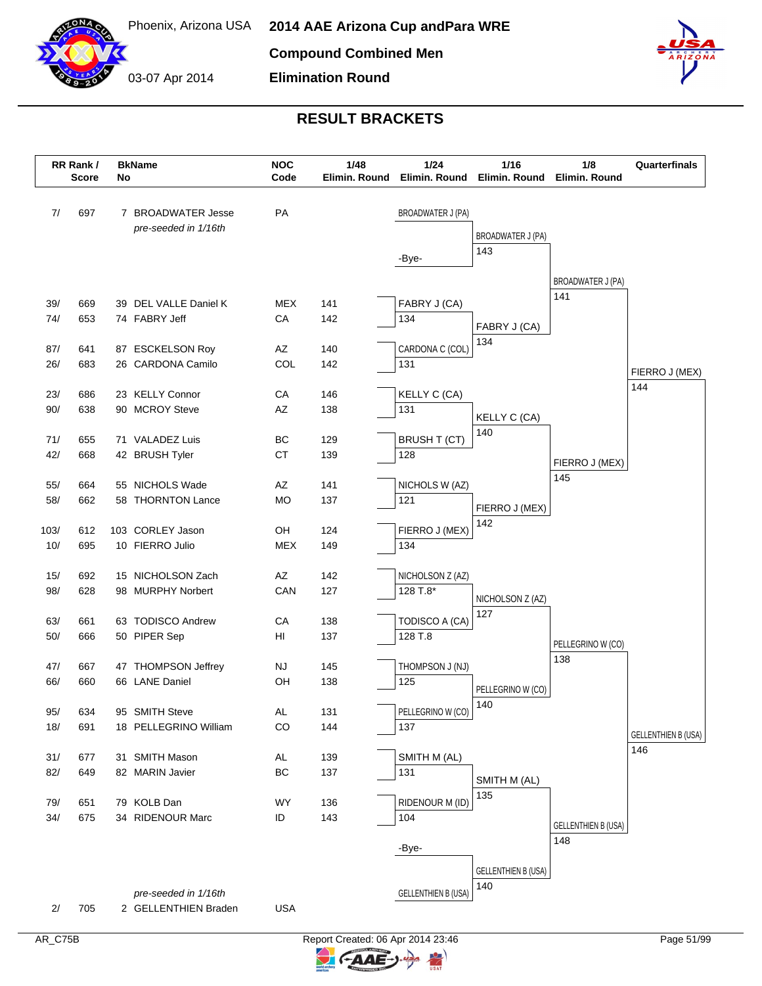

03-07 Apr 2014 **Elimination Round**



| PA<br>7/<br>697<br>7 BROADWATER Jesse<br><b>BROADWATER J (PA)</b><br>pre-seeded in 1/16th<br><b>BROADWATER J (PA)</b><br>143<br>-Bye-<br>BROADWATER J (PA)<br>141<br><b>MEX</b><br>39/<br>669<br>39 DEL VALLE Daniel K<br>141<br>FABRY J (CA)<br>74/<br>653<br>74 FABRY Jeff<br>CA<br>134<br>142<br>FABRY J (CA)<br>134<br>CARDONA C (COL)<br>87/<br>641<br>87 ESCKELSON Roy<br>AZ<br>140<br>COL<br>26/<br>683<br>26 CARDONA Camilo<br>142<br>131 | Quarterfinals |
|---------------------------------------------------------------------------------------------------------------------------------------------------------------------------------------------------------------------------------------------------------------------------------------------------------------------------------------------------------------------------------------------------------------------------------------------------|---------------|
|                                                                                                                                                                                                                                                                                                                                                                                                                                                   |               |
|                                                                                                                                                                                                                                                                                                                                                                                                                                                   |               |
|                                                                                                                                                                                                                                                                                                                                                                                                                                                   |               |
|                                                                                                                                                                                                                                                                                                                                                                                                                                                   |               |
|                                                                                                                                                                                                                                                                                                                                                                                                                                                   |               |
|                                                                                                                                                                                                                                                                                                                                                                                                                                                   |               |
|                                                                                                                                                                                                                                                                                                                                                                                                                                                   |               |
|                                                                                                                                                                                                                                                                                                                                                                                                                                                   |               |
|                                                                                                                                                                                                                                                                                                                                                                                                                                                   |               |
| FIERRO J (MEX)                                                                                                                                                                                                                                                                                                                                                                                                                                    |               |
| 144<br>23/<br>23 KELLY Connor<br>CA<br><b>KELLY C (CA)</b><br>686<br>146                                                                                                                                                                                                                                                                                                                                                                          |               |
| 90/<br>638<br>90 MCROY Steve<br>131<br>AZ<br>138                                                                                                                                                                                                                                                                                                                                                                                                  |               |
| KELLY C (CA)<br>140                                                                                                                                                                                                                                                                                                                                                                                                                               |               |
| 71/<br>71 VALADEZ Luis<br>BC<br>129<br><b>BRUSH T (CT)</b><br>655                                                                                                                                                                                                                                                                                                                                                                                 |               |
| 42/<br>668<br>42 BRUSH Tyler<br><b>CT</b><br>139<br>128<br>FIERRO J (MEX)                                                                                                                                                                                                                                                                                                                                                                         |               |
| 145<br>AZ                                                                                                                                                                                                                                                                                                                                                                                                                                         |               |
| 55/<br>664<br>55 NICHOLS Wade<br>141<br>NICHOLS W (AZ)<br>58/<br>58 THORNTON Lance<br><b>MO</b><br>121<br>662<br>137                                                                                                                                                                                                                                                                                                                              |               |
| FIERRO J (MEX)                                                                                                                                                                                                                                                                                                                                                                                                                                    |               |
| 142<br>103 CORLEY Jason<br>OH<br>FIERRO J (MEX)<br>103/<br>612<br>124                                                                                                                                                                                                                                                                                                                                                                             |               |
| 10/<br>695<br>10 FIERRO Julio<br><b>MEX</b><br>134<br>149                                                                                                                                                                                                                                                                                                                                                                                         |               |
|                                                                                                                                                                                                                                                                                                                                                                                                                                                   |               |
| 692<br>15 NICHOLSON Zach<br>AZ<br>15/<br>142<br>NICHOLSON Z (AZ)                                                                                                                                                                                                                                                                                                                                                                                  |               |
| 98/<br>628<br>98 MURPHY Norbert<br>CAN<br>127<br>128 T.8*<br>NICHOLSON Z (AZ)                                                                                                                                                                                                                                                                                                                                                                     |               |
| 127<br>63/<br>63 TODISCO Andrew<br>CA<br>138<br>TODISCO A (CA)<br>661                                                                                                                                                                                                                                                                                                                                                                             |               |
| $50/$<br>50 PIPER Sep<br>HI<br>128 T.8<br>666<br>137                                                                                                                                                                                                                                                                                                                                                                                              |               |
| PELLEGRINO W (CO)<br>138                                                                                                                                                                                                                                                                                                                                                                                                                          |               |
| THOMPSON J (NJ)<br>47/<br>667<br>47 THOMPSON Jeffrey<br><b>NJ</b><br>145                                                                                                                                                                                                                                                                                                                                                                          |               |
| 66/<br>66 LANE Daniel<br>OH<br>660<br>138<br>125<br>PELLEGRINO W (CO)                                                                                                                                                                                                                                                                                                                                                                             |               |
| 140                                                                                                                                                                                                                                                                                                                                                                                                                                               |               |
| PELLEGRINO W (CO)<br>634<br>131<br>95/<br>95 SMITH Steve<br>AL<br>18 PELLEGRINO William<br>CO<br>137<br>18/<br>691<br>144                                                                                                                                                                                                                                                                                                                         |               |
| <b>GELLENTHIEN B (USA)</b>                                                                                                                                                                                                                                                                                                                                                                                                                        |               |
| 146<br>31/<br>31 SMITH Mason<br>139<br>SMITH M (AL)<br>677<br>AL                                                                                                                                                                                                                                                                                                                                                                                  |               |
| BC<br>82/<br>649<br>82 MARIN Javier<br>131<br>137<br>SMITH M (AL)                                                                                                                                                                                                                                                                                                                                                                                 |               |
| 135                                                                                                                                                                                                                                                                                                                                                                                                                                               |               |
| RIDENOUR M (ID)<br>79 KOLB Dan<br>WY<br>79/<br>651<br>136                                                                                                                                                                                                                                                                                                                                                                                         |               |
| 34/<br>34 RIDENOUR Marc<br>104<br>675<br>ID<br>143<br><b>GELLENTHIEN B (USA)</b>                                                                                                                                                                                                                                                                                                                                                                  |               |
| 148                                                                                                                                                                                                                                                                                                                                                                                                                                               |               |
| -Bye-                                                                                                                                                                                                                                                                                                                                                                                                                                             |               |
| <b>GELLENTHIEN B (USA)</b>                                                                                                                                                                                                                                                                                                                                                                                                                        |               |
| 140<br><b>GELLENTHIEN B (USA)</b><br>pre-seeded in 1/16th                                                                                                                                                                                                                                                                                                                                                                                         |               |
| 705<br>2 GELLENTHIEN Braden<br><b>USA</b><br>2/                                                                                                                                                                                                                                                                                                                                                                                                   |               |

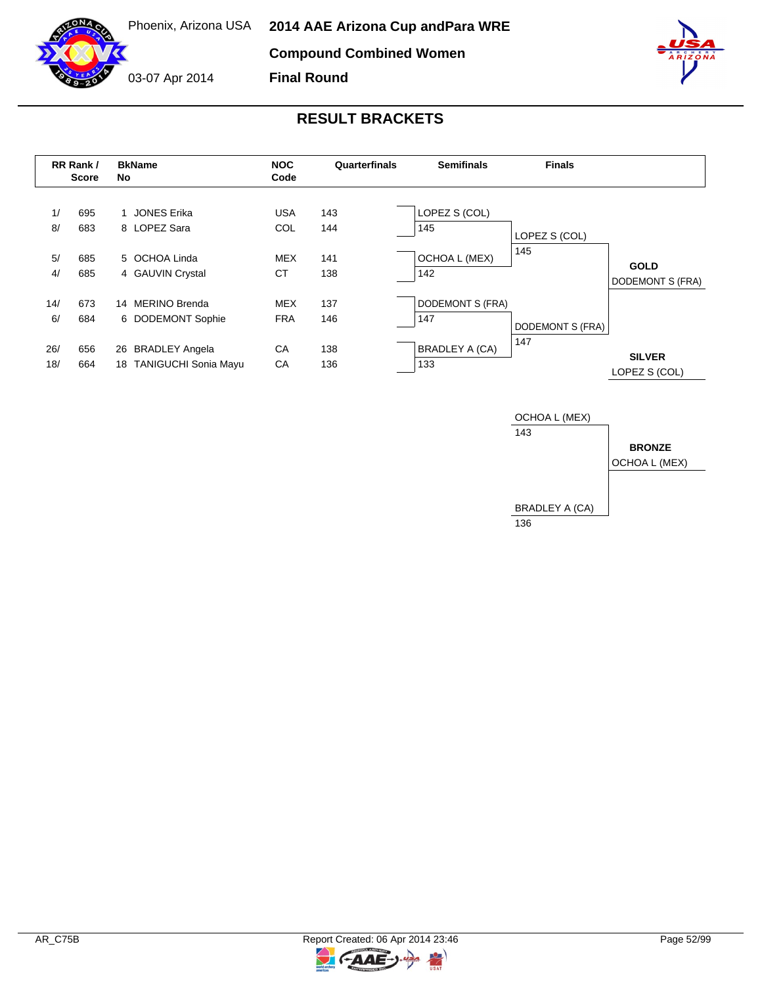**Final Round**



|            | RR Rank /<br><b>Score</b> | <b>BkName</b><br>No                                    | <b>NOC</b><br>Code       | Quarterfinals | <b>Semifinals</b>            | <b>Finals</b>           |                                 |
|------------|---------------------------|--------------------------------------------------------|--------------------------|---------------|------------------------------|-------------------------|---------------------------------|
| 1/<br>8/   | 695<br>683                | <b>JONES Erika</b><br>8 LOPEZ Sara                     | USA<br><b>COL</b>        | 143<br>144    | LOPEZ S (COL)<br>145         | LOPEZ S (COL)           |                                 |
| 5/<br>4/   | 685<br>685                | 5 OCHOA Linda<br>4 GAUVIN Crystal                      | <b>MEX</b><br><b>CT</b>  | 141<br>138    | OCHOA L (MEX)<br>142         | 145                     | <b>GOLD</b><br>DODEMONT S (FRA) |
| 14/<br>6/  | 673<br>684                | 14 MERINO Brenda<br>6 DODEMONT Sophie                  | <b>MEX</b><br><b>FRA</b> | 137<br>146    | DODEMONT S (FRA)<br>147      | <b>DODEMONT S (FRA)</b> |                                 |
| 26/<br>18/ | 656<br>664                | 26 BRADLEY Angela<br><b>TANIGUCHI Sonia Mayu</b><br>18 | CA<br>CA                 | 138<br>136    | <b>BRADLEY A (CA)</b><br>133 | 147                     | <b>SILVER</b><br>LOPEZ S (COL)  |

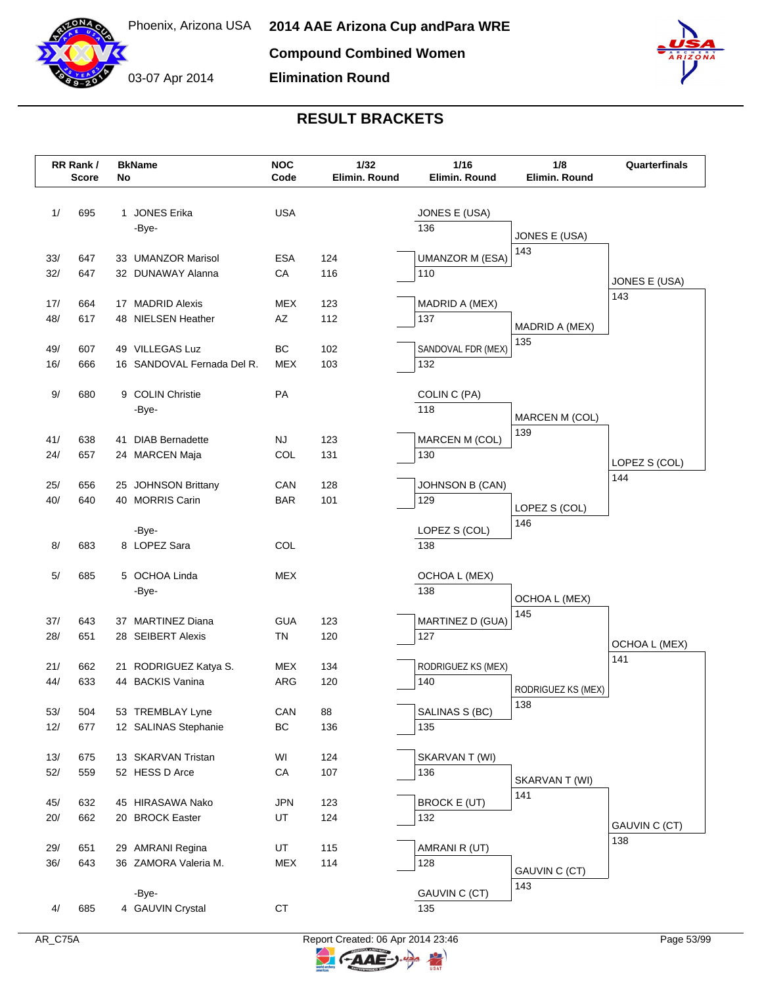

# **RESULT BRACKETS**

|     | RR Rank /<br><b>Score</b> | No | <b>BkName</b>              | <b>NOC</b><br>Code | 1/32<br>Elimin. Round | $1/16$<br>Elimin. Round | 1/8<br>Elimin. Round  | Quarterfinals        |
|-----|---------------------------|----|----------------------------|--------------------|-----------------------|-------------------------|-----------------------|----------------------|
|     |                           |    |                            |                    |                       |                         |                       |                      |
| 1/  | 695                       |    | 1 JONES Erika              | <b>USA</b>         |                       | JONES E (USA)           |                       |                      |
|     |                           |    | -Bye-                      |                    |                       | 136                     |                       |                      |
|     |                           |    |                            |                    |                       |                         | JONES E (USA)         |                      |
| 33/ | 647                       |    | 33 UMANZOR Marisol         | <b>ESA</b>         | 124                   | <b>UMANZOR M (ESA)</b>  | 143                   |                      |
| 32/ | 647                       |    | 32 DUNAWAY Alanna          | CA                 | 116                   | 110                     |                       |                      |
|     |                           |    |                            |                    |                       |                         |                       | JONES E (USA)<br>143 |
| 17/ | 664                       |    | 17 MADRID Alexis           | <b>MEX</b>         | 123                   | MADRID A (MEX)          |                       |                      |
| 48/ | 617                       |    | 48 NIELSEN Heather         | AZ                 | 112                   | 137                     | MADRID A (MEX)        |                      |
|     |                           |    |                            |                    |                       |                         | 135                   |                      |
| 49/ | 607                       |    | 49 VILLEGAS Luz            | BC                 | 102                   | SANDOVAL FDR (MEX)      |                       |                      |
| 16/ | 666                       |    | 16 SANDOVAL Fernada Del R. | <b>MEX</b>         | 103                   | 132                     |                       |                      |
| 9/  | 680                       |    | 9 COLIN Christie           | PA                 |                       | COLIN C (PA)            |                       |                      |
|     |                           |    | -Bye-                      |                    |                       | 118                     |                       |                      |
|     |                           |    |                            |                    |                       |                         | MARCEN M (COL)        |                      |
| 41/ | 638                       |    | 41 DIAB Bernadette         | NJ                 | 123                   | MARCEN M (COL)          | 139                   |                      |
| 24/ | 657                       |    | 24 MARCEN Maja             | COL                | 131                   | 130                     |                       | LOPEZ S (COL)        |
|     |                           |    |                            |                    |                       |                         |                       | 144                  |
| 25/ | 656                       |    | 25 JOHNSON Brittany        | CAN                | 128                   | <b>JOHNSON B (CAN)</b>  |                       |                      |
| 40/ | 640                       |    | 40 MORRIS Carin            | <b>BAR</b>         | 101                   | 129                     | LOPEZ S (COL)         |                      |
|     |                           |    |                            |                    |                       | LOPEZ S (COL)           | 146                   |                      |
| 8/  | 683                       |    | -Bye-<br>8 LOPEZ Sara      | COL                |                       | 138                     |                       |                      |
|     |                           |    |                            |                    |                       |                         |                       |                      |
| 5/  | 685                       |    | 5 OCHOA Linda              | <b>MEX</b>         |                       | OCHOA L (MEX)           |                       |                      |
|     |                           |    | -Bye-                      |                    |                       | 138                     |                       |                      |
|     |                           |    |                            |                    |                       |                         | OCHOA L (MEX)<br>145  |                      |
| 37/ | 643                       |    | 37 MARTINEZ Diana          | <b>GUA</b>         | 123                   | MARTINEZ D (GUA)        |                       |                      |
| 28/ | 651                       |    | 28 SEIBERT Alexis          | TN                 | 120                   | 127                     |                       | <b>OCHOA L (MEX)</b> |
|     |                           |    |                            |                    |                       |                         |                       | 141                  |
| 21/ | 662                       |    | 21 RODRIGUEZ Katya S.      | <b>MEX</b>         | 134                   | RODRIGUEZ KS (MEX)      |                       |                      |
| 44/ | 633                       |    | 44 BACKIS Vanina           | ARG                | 120                   | 140                     | RODRIGUEZ KS (MEX)    |                      |
| 53/ | 504                       |    | 53 TREMBLAY Lyne           | CAN                | 88                    | SALINAS S (BC)          | 138                   |                      |
| 12/ | 677                       |    | 12 SALINAS Stephanie       | BC                 | 136                   | 135                     |                       |                      |
|     |                           |    |                            |                    |                       |                         |                       |                      |
| 13/ | 675                       |    | 13 SKARVAN Tristan         | WI                 | 124                   | SKARVAN T (WI)          |                       |                      |
| 52/ | 559                       |    | 52 HESS D Arce             | ${\sf CA}$         | 107                   | 136                     |                       |                      |
|     |                           |    |                            |                    |                       |                         | SKARVAN T (WI)<br>141 |                      |
| 45/ | 632                       |    | 45 HIRASAWA Nako           | <b>JPN</b>         | 123                   | <b>BROCK E (UT)</b>     |                       |                      |
| 20/ | 662                       |    | 20 BROCK Easter            | UT                 | 124                   | 132                     |                       | GAUVIN C (CT)        |
|     |                           |    |                            |                    |                       |                         |                       | 138                  |
| 29/ | 651                       |    | 29 AMRANI Regina           | UT                 | 115                   | AMRANI R (UT)           |                       |                      |
| 36/ | 643                       |    | 36 ZAMORA Valeria M.       | MEX                | 114                   | 128                     | GAUVIN C (CT)         |                      |
|     |                           |    | -Bye-                      |                    |                       | GAUVIN C (CT)           | 143                   |                      |
| 4/  | 685                       |    | 4 GAUVIN Crystal           | CT                 |                       | 135                     |                       |                      |
|     |                           |    |                            |                    |                       |                         |                       |                      |



C-AAE-J-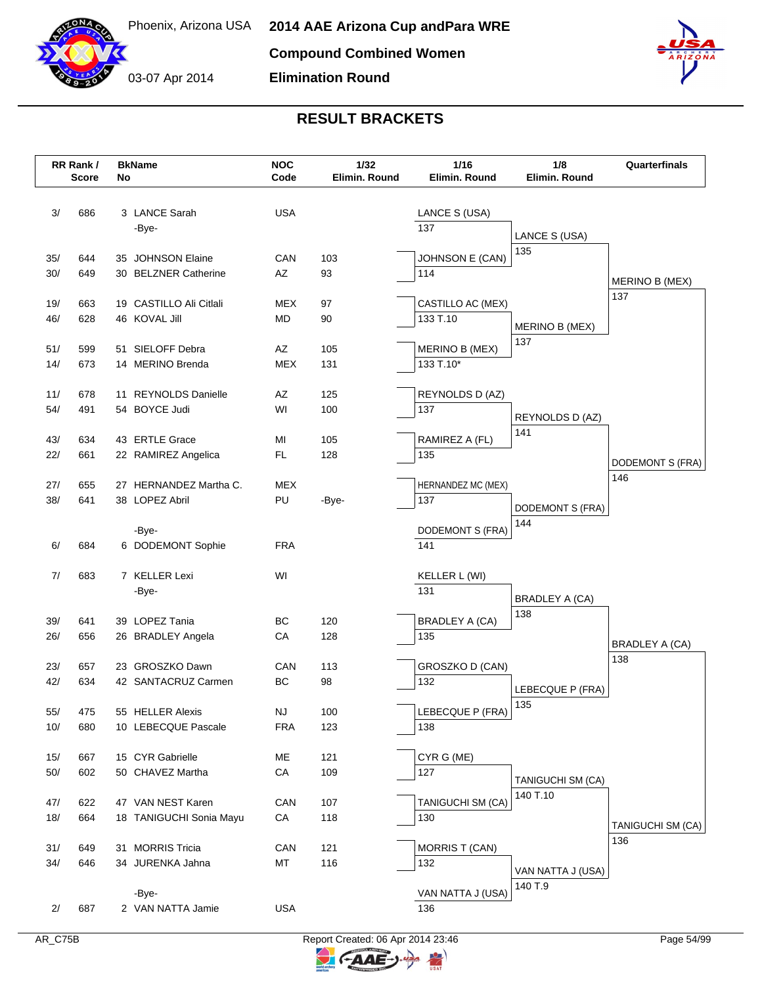



|       | RR Rank /<br><b>Score</b> |    | <b>BkName</b>           | <b>NOC</b><br>Code | 1/32<br>Elimin. Round | 1/16<br>Elimin. Round | 1/8<br>Elimin. Round  | Quarterfinals         |
|-------|---------------------------|----|-------------------------|--------------------|-----------------------|-----------------------|-----------------------|-----------------------|
|       |                           | No |                         |                    |                       |                       |                       |                       |
| 3/    | 686                       |    | 3 LANCE Sarah           | <b>USA</b>         |                       | LANCE S (USA)         |                       |                       |
|       |                           |    | -Bye-                   |                    |                       | 137                   |                       |                       |
|       |                           |    |                         |                    |                       |                       | LANCE S (USA)         |                       |
| 35/   | 644                       |    | 35 JOHNSON Elaine       | CAN                | 103                   | JOHNSON E (CAN)       | 135                   |                       |
| 30/   | 649                       |    | 30 BELZNER Catherine    | AZ                 | 93                    | 114                   |                       | MERINO B (MEX)        |
|       |                           |    |                         |                    |                       |                       |                       | 137                   |
| 19/   | 663                       |    | 19 CASTILLO Ali Citlali | <b>MEX</b>         | 97                    | CASTILLO AC (MEX)     |                       |                       |
| 46/   | 628                       |    | 46 KOVAL Jill           | <b>MD</b>          | 90                    | 133 T.10              | MERINO B (MEX)        |                       |
| 51/   | 599                       |    | 51 SIELOFF Debra        | AZ                 | 105                   | MERINO B (MEX)        | 137                   |                       |
| 14/   | 673                       |    | 14 MERINO Brenda        | <b>MEX</b>         | 131                   | 133 T.10*             |                       |                       |
|       |                           |    |                         |                    |                       |                       |                       |                       |
| 11/   | 678                       |    | 11 REYNOLDS Danielle    | AZ                 | 125                   | REYNOLDS D (AZ)       |                       |                       |
| 54/   | 491                       |    | 54 BOYCE Judi           | WI                 | 100                   | 137                   | REYNOLDS D (AZ)       |                       |
|       |                           |    |                         |                    |                       |                       | 141                   |                       |
| 43/   | 634                       |    | 43 ERTLE Grace          | MI                 | 105                   | RAMIREZ A (FL)        |                       |                       |
| 22/   | 661                       |    | 22 RAMIREZ Angelica     | <b>FL</b>          | 128                   | 135                   |                       | DODEMONT S (FRA)      |
| 27/   | 655                       |    | 27 HERNANDEZ Martha C.  | <b>MEX</b>         |                       | HERNANDEZ MC (MEX)    |                       | 146                   |
| 38/   | 641                       |    | 38 LOPEZ Abril          | PU                 | -Bye-                 | 137                   |                       |                       |
|       |                           |    |                         |                    |                       |                       | DODEMONT S (FRA)      |                       |
|       |                           |    | -Bye-                   |                    |                       | DODEMONT S (FRA)      | 144                   |                       |
| 6/    | 684                       |    | 6 DODEMONT Sophie       | <b>FRA</b>         |                       | 141                   |                       |                       |
| 7/    | 683                       |    | 7 KELLER Lexi           | WI                 |                       |                       |                       |                       |
|       |                           |    | -Bye-                   |                    |                       | KELLER L (WI)<br>131  |                       |                       |
|       |                           |    |                         |                    |                       |                       | <b>BRADLEY A (CA)</b> |                       |
| 39/   | 641                       |    | 39 LOPEZ Tania          | BC                 | 120                   | <b>BRADLEY A (CA)</b> | 138                   |                       |
| 26/   | 656                       |    | 26 BRADLEY Angela       | CA                 | 128                   | 135                   |                       | <b>BRADLEY A (CA)</b> |
|       |                           |    |                         |                    |                       |                       |                       | 138                   |
| 23/   | 657                       |    | 23 GROSZKO Dawn         | CAN                | 113                   | GROSZKO D (CAN)       |                       |                       |
| 42/   | 634                       |    | 42 SANTACRUZ Carmen     | BC                 | 98                    | 132                   | LEBECQUE P (FRA)      |                       |
| 55/   | 475                       |    | 55 HELLER Alexis        | <b>NJ</b>          | 100                   | LEBECQUE P (FRA)      | 135                   |                       |
| 10/   | 680                       |    | 10 LEBECQUE Pascale     | <b>FRA</b>         | 123                   | 138                   |                       |                       |
|       |                           |    |                         |                    |                       |                       |                       |                       |
| 15/   | 667                       |    | 15 CYR Gabrielle        | МE                 | 121                   | CYR G (ME)            |                       |                       |
| $50/$ | 602                       |    | 50 CHAVEZ Martha        | CA                 | 109                   | 127                   | TANIGUCHI SM (CA)     |                       |
|       |                           |    |                         |                    |                       |                       | 140 T.10              |                       |
| 47/   | 622                       |    | 47 VAN NEST Karen       | CAN                | 107                   | TANIGUCHI SM (CA)     |                       |                       |
| 18/   | 664                       |    | 18 TANIGUCHI Sonia Mayu | CA                 | 118                   | 130                   |                       | TANIGUCHI SM (CA)     |
| 31/   | 649                       |    | 31 MORRIS Tricia        | CAN                | 121                   | <b>MORRIS T (CAN)</b> |                       | 136                   |
| 34/   | 646                       |    | 34 JURENKA Jahna        | MT                 | 116                   | 132                   |                       |                       |
|       |                           |    |                         |                    |                       |                       | VAN NATTA J (USA)     |                       |
|       |                           |    | -Bye-                   |                    |                       | VAN NATTA J (USA)     | 140 T.9               |                       |
| 2/    | 687                       |    | 2 VAN NATTA Jamie       | <b>USA</b>         |                       | 136                   |                       |                       |
|       |                           |    |                         |                    |                       |                       |                       |                       |

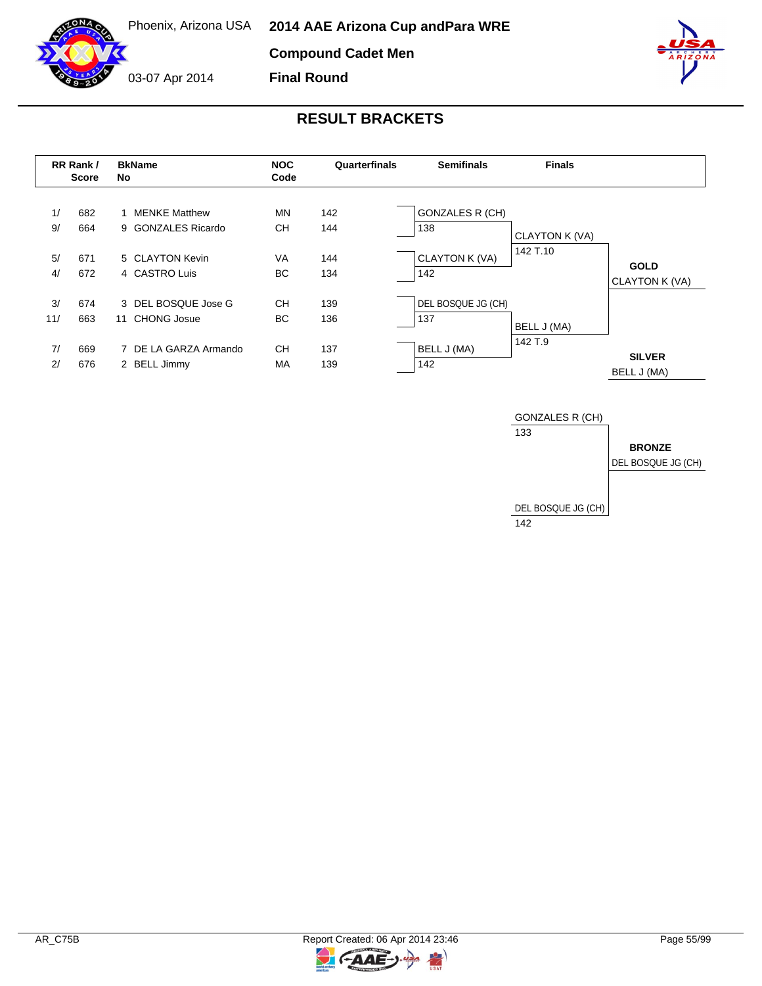**Compound Cadet Men**

03-07 Apr 2014

**Final Round**



|           | RR Rank /<br>Score | <b>BkName</b><br>No                        | <b>NOC</b><br>Code     | Quarterfinals | <b>Semifinals</b>             | <b>Finals</b>  |                               |
|-----------|--------------------|--------------------------------------------|------------------------|---------------|-------------------------------|----------------|-------------------------------|
| 1/<br>9/  | 682<br>664         | <b>MENKE Matthew</b><br>9 GONZALES Ricardo | MN<br><b>CH</b>        | 142<br>144    | <b>GONZALES R (CH)</b><br>138 | CLAYTON K (VA) |                               |
| 5/<br>4/  | 671<br>672         | 5 CLAYTON Kevin<br>4 CASTRO Luis           | <b>VA</b><br><b>BC</b> | 144<br>134    | CLAYTON K (VA)<br>142         | 142 T.10       | <b>GOLD</b><br>CLAYTON K (VA) |
| 3/<br>11/ | 674<br>663         | 3 DEL BOSQUE Jose G<br>CHONG Josue<br>11   | <b>CH</b><br>ВC        | 139<br>136    | DEL BOSQUE JG (CH)<br>137     | BELL J (MA)    |                               |
| 7/<br>2/  | 669<br>676         | 7 DE LA GARZA Armando<br>2 BELL Jimmy      | <b>CH</b><br>MA        | 137<br>139    | BELL J (MA)<br>142            | 142 T.9        | <b>SILVER</b><br>BELL J (MA)  |



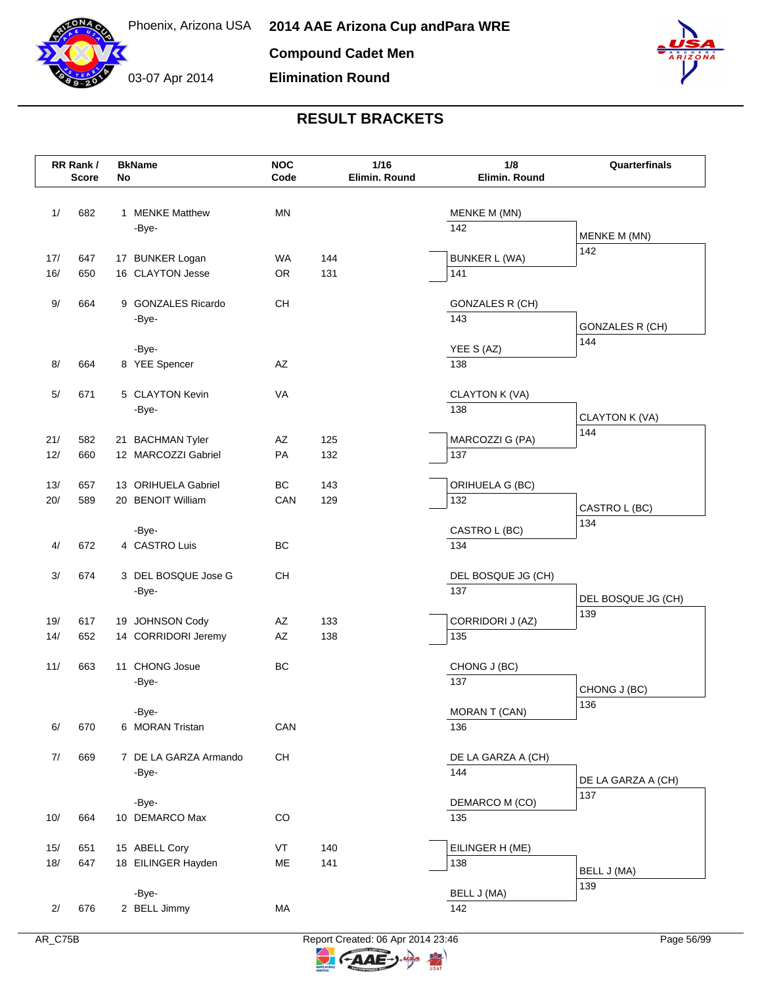

03-07 Apr 2014 **Elimination Round**



# **RESULT BRACKETS**

|            | RR Rank /<br><b>Score</b> | No | <b>BkName</b>                            | <b>NOC</b><br>Code |            | 1/16<br>Elimin. Round | 1/8<br>Elimin. Round    | Quarterfinals             |
|------------|---------------------------|----|------------------------------------------|--------------------|------------|-----------------------|-------------------------|---------------------------|
| 1/         | 682                       |    | 1 MENKE Matthew                          | <b>MN</b>          |            |                       | MENKE M (MN)            |                           |
|            |                           |    | -Bye-                                    |                    |            |                       | 142                     | MENKE M (MN)              |
| 17/        | 647                       |    | 17 BUNKER Logan                          | WA.                | 144        |                       | <b>BUNKER L (WA)</b>    | 142                       |
| 16/        | 650                       |    | 16 CLAYTON Jesse                         | <b>OR</b>          | 131        |                       | 141                     |                           |
| 9/         | 664                       |    | 9 GONZALES Ricardo                       | CH                 |            |                       | <b>GONZALES R (CH)</b>  |                           |
|            |                           |    | -Bye-                                    |                    |            |                       | 143                     | <b>GONZALES R (CH)</b>    |
|            |                           |    |                                          |                    |            |                       |                         | 144                       |
| 8/         | 664                       |    | -Bye-<br>8 YEE Spencer                   | AZ                 |            |                       | YEE S (AZ)<br>138       |                           |
|            |                           |    |                                          |                    |            |                       |                         |                           |
| 5/         | 671                       |    | 5 CLAYTON Kevin                          | <b>VA</b>          |            |                       | CLAYTON K (VA)          |                           |
|            |                           |    | -Bye-                                    |                    |            |                       | 138                     | CLAYTON K (VA)            |
| 21/        | 582                       |    | 21 BACHMAN Tyler                         | AZ                 | 125        |                       | MARCOZZI G (PA)         | 144                       |
| 12/        | 660                       |    | 12 MARCOZZI Gabriel                      | PA                 | 132        |                       | 137                     |                           |
|            |                           |    |                                          |                    |            |                       |                         |                           |
| 13/<br>20/ | 657<br>589                |    | 13 ORIHUELA Gabriel<br>20 BENOIT William | BC<br>CAN          | 143<br>129 |                       | ORIHUELA G (BC)<br>132  |                           |
|            |                           |    |                                          |                    |            |                       |                         | CASTRO L (BC)             |
|            |                           |    | -Bye-                                    |                    |            |                       | CASTRO L (BC)           | 134                       |
| 4/         | 672                       |    | 4 CASTRO Luis                            | BC                 |            |                       | 134                     |                           |
| 3/         | 674                       |    | 3 DEL BOSQUE Jose G                      | <b>CH</b>          |            |                       | DEL BOSQUE JG (CH)      |                           |
|            |                           |    | -Bye-                                    |                    |            |                       | 137                     | DEL BOSQUE JG (CH)        |
|            |                           |    |                                          |                    |            |                       |                         | 139                       |
| 19/<br>14/ | 617<br>652                |    | 19 JOHNSON Cody<br>14 CORRIDORI Jeremy   | AZ<br>AZ           | 133<br>138 |                       | CORRIDORI J (AZ)<br>135 |                           |
|            |                           |    |                                          |                    |            |                       |                         |                           |
| 11/        | 663                       |    | 11 CHONG Josue                           | BC                 |            |                       | CHONG J (BC)            |                           |
|            |                           |    | -Bye-                                    |                    |            |                       | 137                     | CHONG J (BC)              |
|            |                           |    | -Bye-                                    |                    |            |                       | MORAN T (CAN)           | 136                       |
| 6/         | 670                       |    | 6 MORAN Tristan                          | CAN                |            |                       | 136                     |                           |
| 7/         | 669                       |    | 7 DE LA GARZA Armando                    | CH                 |            |                       | DE LA GARZA A (CH)      |                           |
|            |                           |    | -Bye-                                    |                    |            |                       | 144                     |                           |
|            |                           |    |                                          |                    |            |                       |                         | DE LA GARZA A (CH)<br>137 |
| 10/        | 664                       |    | -Bye-<br>10 DEMARCO Max                  | CO                 |            |                       | DEMARCO M (CO)<br>135   |                           |
|            |                           |    |                                          |                    |            |                       |                         |                           |
| 15/        | 651                       |    | 15 ABELL Cory                            | VT                 | 140        |                       | EILINGER H (ME)         |                           |
| 18/        | 647                       |    | 18 EILINGER Hayden                       | ME                 | 141        |                       | 138                     | BELL J (MA)               |
|            |                           |    | -Bye-                                    |                    |            |                       | BELL J (MA)             | 139                       |
| 2/         | 676                       |    | 2 BELL Jimmy                             | MA                 |            |                       | 142                     |                           |
|            |                           |    |                                          |                    |            |                       |                         |                           |



 $\blacktriangleright$ 

G-AAE-J-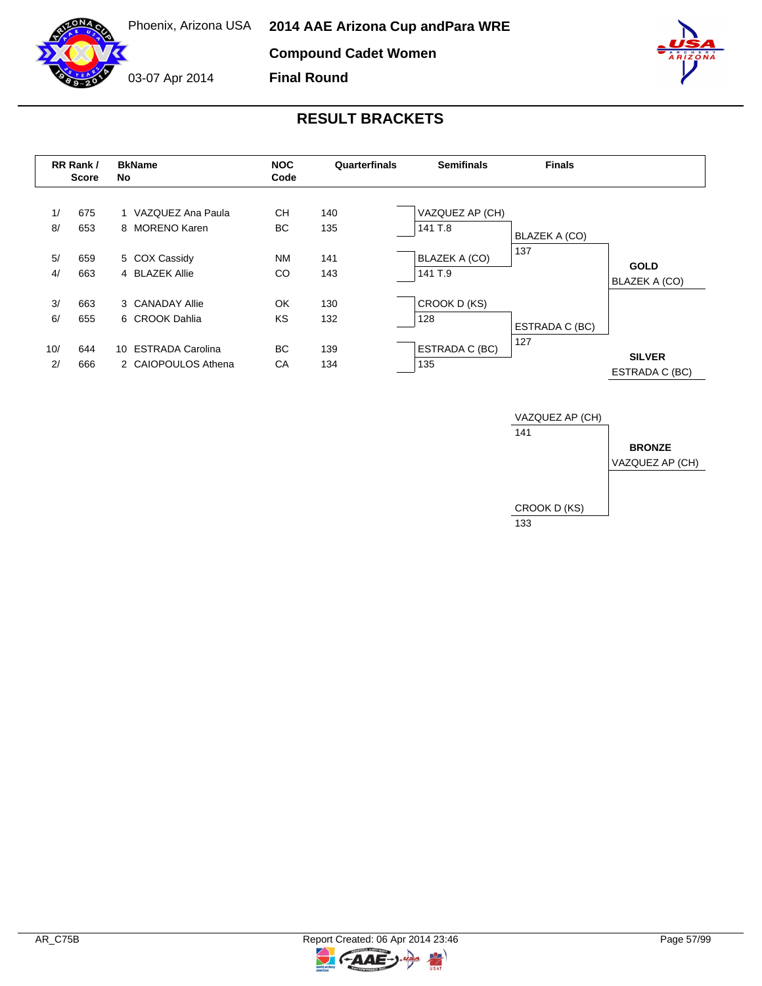**Compound Cadet Women**

**Final Round**



03-07 Apr 2014



|           | RR Rank /<br>Score | <b>BkName</b><br>No                        | <b>NOC</b><br>Code | Quarterfinals | <b>Semifinals</b>               | <b>Finals</b>        |                                 |
|-----------|--------------------|--------------------------------------------|--------------------|---------------|---------------------------------|----------------------|---------------------------------|
| 1/<br>8/  | 675<br>653         | 1 VAZQUEZ Ana Paula<br>8 MORENO Karen      | CН<br>BC.          | 140<br>135    | VAZQUEZ AP (CH)<br>141 T.8      | <b>BLAZEK A (CO)</b> |                                 |
| 5/<br>4/  | 659<br>663         | 5 COX Cassidy<br>4 BLAZEK Allie            | <b>NM</b><br>CO    | 141<br>143    | <b>BLAZEK A (CO)</b><br>141 T.9 | 137                  | <b>GOLD</b><br>BLAZEK A (CO)    |
| 3/<br>6/  | 663<br>655         | 3 CANADAY Allie<br>6 CROOK Dahlia          | OK<br>KS           | 130<br>132    | CROOK D (KS)<br>128             | ESTRADA C (BC)       |                                 |
| 10/<br>2/ | 644<br>666         | 10 ESTRADA Carolina<br>2 CAIOPOULOS Athena | BC.<br>СA          | 139<br>134    | ESTRADA C (BC)<br>135           | 127                  | <b>SILVER</b><br>ESTRADA C (BC) |

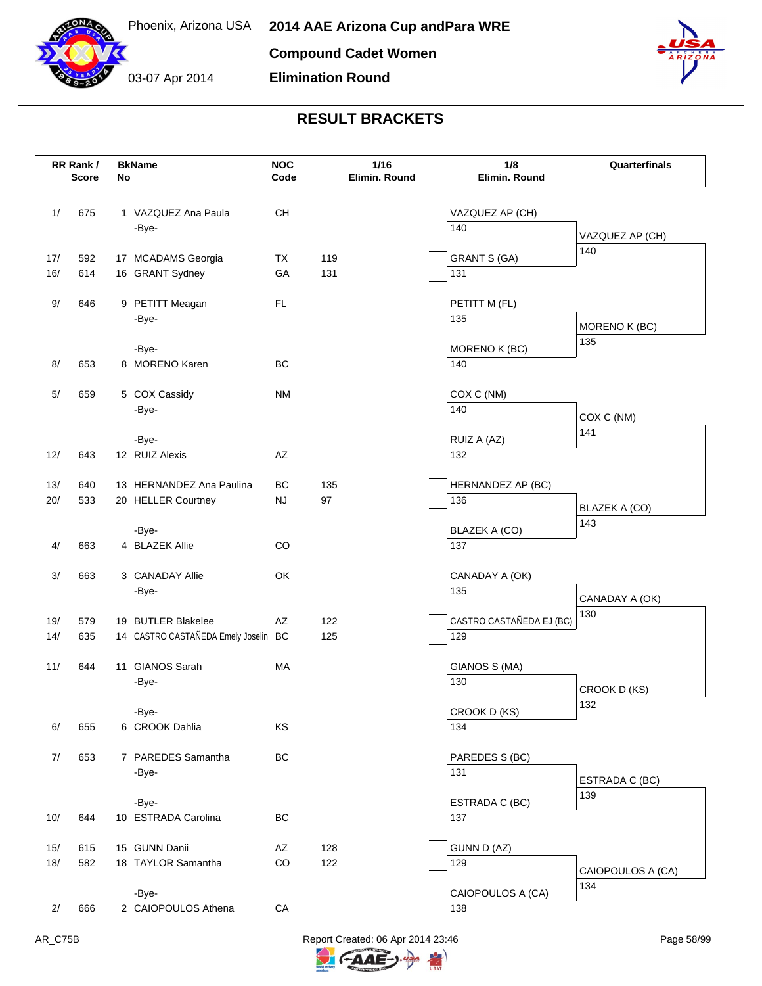



| <b>NOC</b><br>$1/16$<br>RR Rank /<br>Code<br>Elimin. Round<br><b>Score</b><br>No | 1/8<br>Quarterfinals<br>Elimin. Round |
|----------------------------------------------------------------------------------|---------------------------------------|
|                                                                                  |                                       |
| 675<br><b>CH</b><br>1/<br>1 VAZQUEZ Ana Paula                                    | VAZQUEZ AP (CH)                       |
| 140<br>-Bye-                                                                     | VAZQUEZ AP (CH)                       |
| 119<br><b>GRANT S (GA)</b><br>17/<br>592<br>17 MCADAMS Georgia<br>TX             | 140                                   |
| 16/<br>614<br>16 GRANT Sydney<br>GA<br>131<br>131                                |                                       |
|                                                                                  |                                       |
| 9 PETITT Meagan<br>FL.<br>9/<br>646<br>PETITT M (FL)<br>135                      |                                       |
| -Bye-                                                                            | MORENO K (BC)                         |
| -Bye-                                                                            | 135<br>MORENO K (BC)                  |
| 8 MORENO Karen<br>BC<br>653<br>140<br>8/                                         |                                       |
| 5 COX Cassidy<br><b>NM</b><br>COX C (NM)<br>659<br>5/                            |                                       |
| -Bye-<br>140                                                                     |                                       |
|                                                                                  | COX C (NM)<br>141                     |
| -Bye-<br>RUIZ A (AZ)                                                             |                                       |
| AZ<br>12/<br>643<br>12 RUIZ Alexis<br>132                                        |                                       |
| BC<br>135<br>13/<br>640<br>13 HERNANDEZ Ana Paulina                              | HERNANDEZ AP (BC)                     |
| 97<br>136<br>20/<br>533<br><b>NJ</b><br>20 HELLER Courtney                       | BLAZEK A (CO)                         |
|                                                                                  | 143                                   |
| BLAZEK A (CO)<br>-Bye-<br>4 BLAZEK Allie<br>CO<br>4/<br>663<br>137               |                                       |
|                                                                                  |                                       |
| 3 CANADAY Allie<br>OK<br>3/<br>663                                               | CANADAY A (OK)                        |
| 135<br>-Bye-                                                                     | CANADAY A (OK)                        |
| 579<br>19 BUTLER Blakelee<br>AZ<br>122<br>19/                                    | 130<br>CASTRO CASTAÑEDA EJ (BC)       |
| 14 CASTRO CASTAÑEDA Emely Joselin BC<br>14/<br>635<br>125<br>129                 |                                       |
| 11 GIANOS Sarah<br>11/<br>644<br>MA                                              | GIANOS S (MA)                         |
| 130<br>-Bye-                                                                     |                                       |
|                                                                                  | CROOK D (KS)<br>132                   |
| -Bye-                                                                            | CROOK D (KS)                          |
| 6 CROOK Dahlia<br>KS<br>6/<br>655<br>134                                         |                                       |
| 653<br>7 PAREDES Samantha<br>BC<br>7/                                            | PAREDES S (BC)                        |
| 131<br>-Bye-                                                                     | ESTRADA C (BC)                        |
| -Bye-                                                                            | 139<br>ESTRADA C (BC)                 |
| 10 ESTRADA Carolina<br>BC<br>137<br>10/<br>644                                   |                                       |
|                                                                                  |                                       |
| 15 GUNN Danii<br>128<br>GUNN D (AZ)<br>15/<br>615<br>AZ                          |                                       |
| CO<br>18/<br>582<br>18 TAYLOR Samantha<br>122<br>129                             | CAIOPOULOS A (CA)                     |
| -Bye-                                                                            | 134<br>CAIOPOULOS A (CA)              |
| 2 CAIOPOULOS Athena<br>666<br>${\sf CA}$<br>2/<br>138                            |                                       |



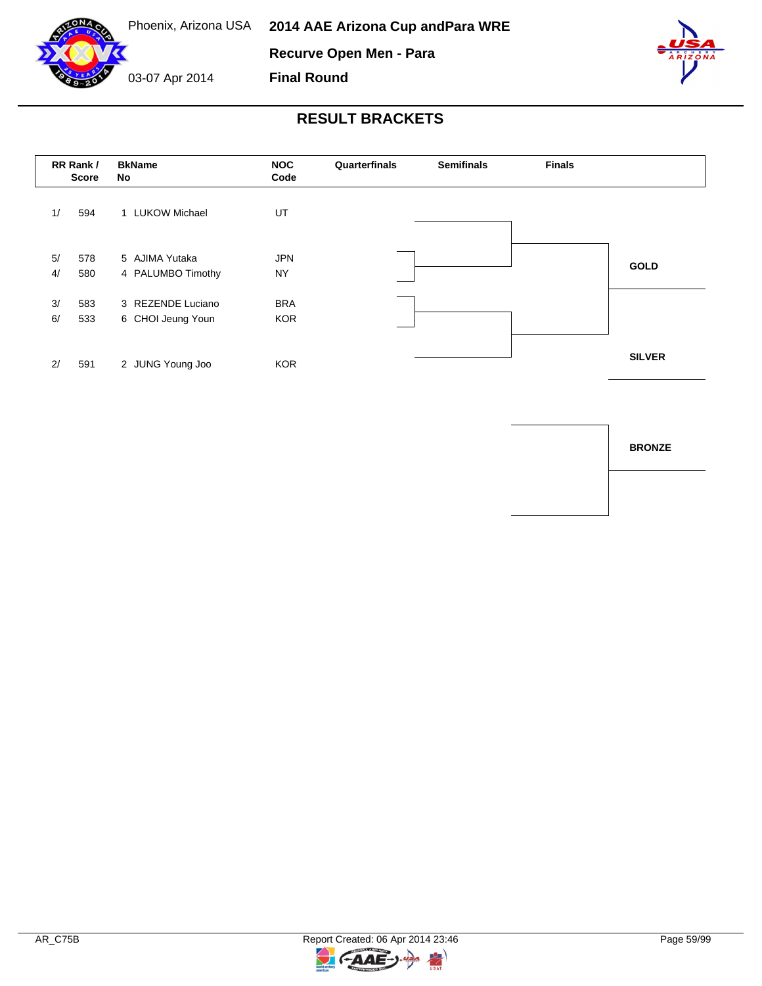





### **RESULT BRACKETS**

**Final Round**

|          | RR Rank /<br><b>Score</b> | <b>BkName</b><br>No                    | <b>NOC</b><br>Code       | Quarterfinals | <b>Semifinals</b> | <b>Finals</b> |               |
|----------|---------------------------|----------------------------------------|--------------------------|---------------|-------------------|---------------|---------------|
| 1/       | 594                       | 1 LUKOW Michael                        | UT                       |               |                   |               |               |
| 5/<br>4/ | 578<br>580                | 5 AJIMA Yutaka<br>4 PALUMBO Timothy    | <b>JPN</b><br><b>NY</b>  |               |                   |               | <b>GOLD</b>   |
| 3/<br>6/ | 583<br>533                | 3 REZENDE Luciano<br>6 CHOI Jeung Youn | <b>BRA</b><br><b>KOR</b> |               |                   |               |               |
| 2/       | 591                       | 2 JUNG Young Joo                       | <b>KOR</b>               |               |                   |               | <b>SILVER</b> |

**BRONZE**

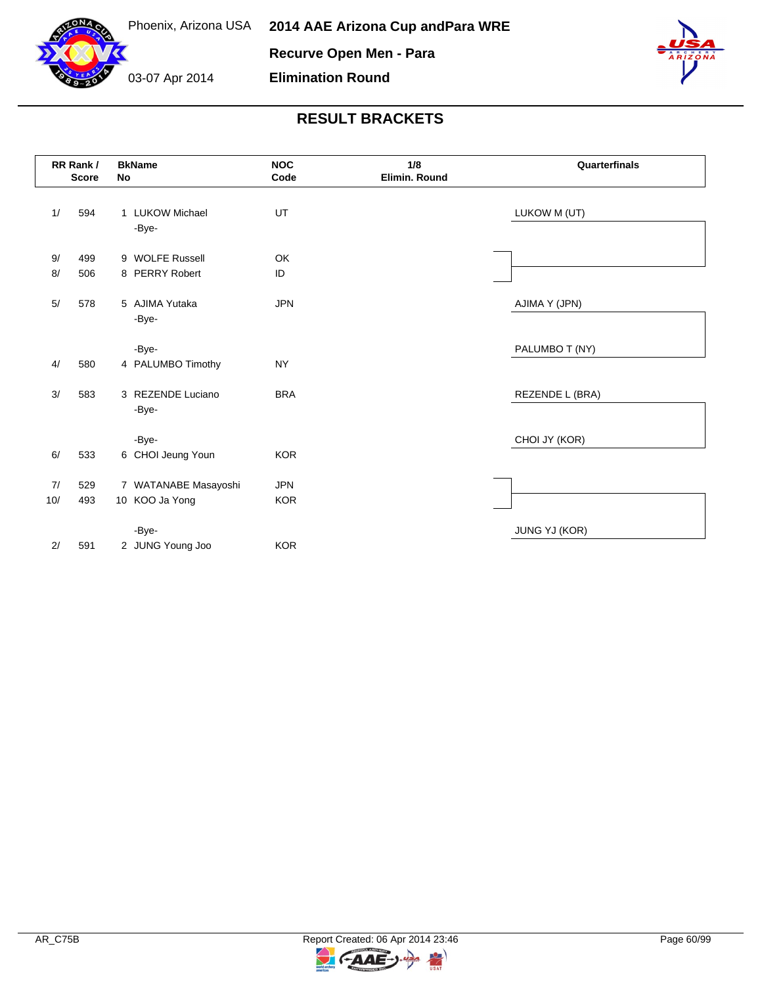



|       | RR Rank /<br><b>Score</b> | No | <b>BkName</b>              | <b>NOC</b><br>Code | 1/8<br>Elimin. Round | Quarterfinals   |
|-------|---------------------------|----|----------------------------|--------------------|----------------------|-----------------|
| 1/    | 594                       |    | 1 LUKOW Michael            | UT                 |                      | LUKOW M (UT)    |
|       |                           |    | -Bye-                      |                    |                      |                 |
| 9/    | 499                       |    | 9 WOLFE Russell            | <b>OK</b>          |                      |                 |
| 8/    | 506                       |    | 8 PERRY Robert             | ID                 |                      |                 |
| $5/$  | 578                       |    | 5 AJIMA Yutaka<br>-Bye-    | <b>JPN</b>         |                      | AJIMA Y (JPN)   |
| 4/    | 580                       |    | -Bye-<br>4 PALUMBO Timothy | <b>NY</b>          |                      | PALUMBO T (NY)  |
| 3/    | 583                       |    | 3 REZENDE Luciano          | <b>BRA</b>         |                      | REZENDE L (BRA) |
|       |                           |    | -Bye-                      |                    |                      |                 |
|       |                           |    | -Bye-                      |                    |                      | CHOI JY (KOR)   |
| 6/    | 533                       |    | 6 CHOI Jeung Youn          | <b>KOR</b>         |                      |                 |
| 7/    | 529                       |    | 7 WATANABE Masayoshi       | <b>JPN</b>         |                      |                 |
| $10/$ | 493                       |    | 10 KOO Ja Yong             | <b>KOR</b>         |                      |                 |
|       |                           |    | -Bye-                      |                    |                      | JUNG YJ (KOR)   |
| $2/$  | 591                       |    | 2 JUNG Young Joo           | <b>KOR</b>         |                      |                 |

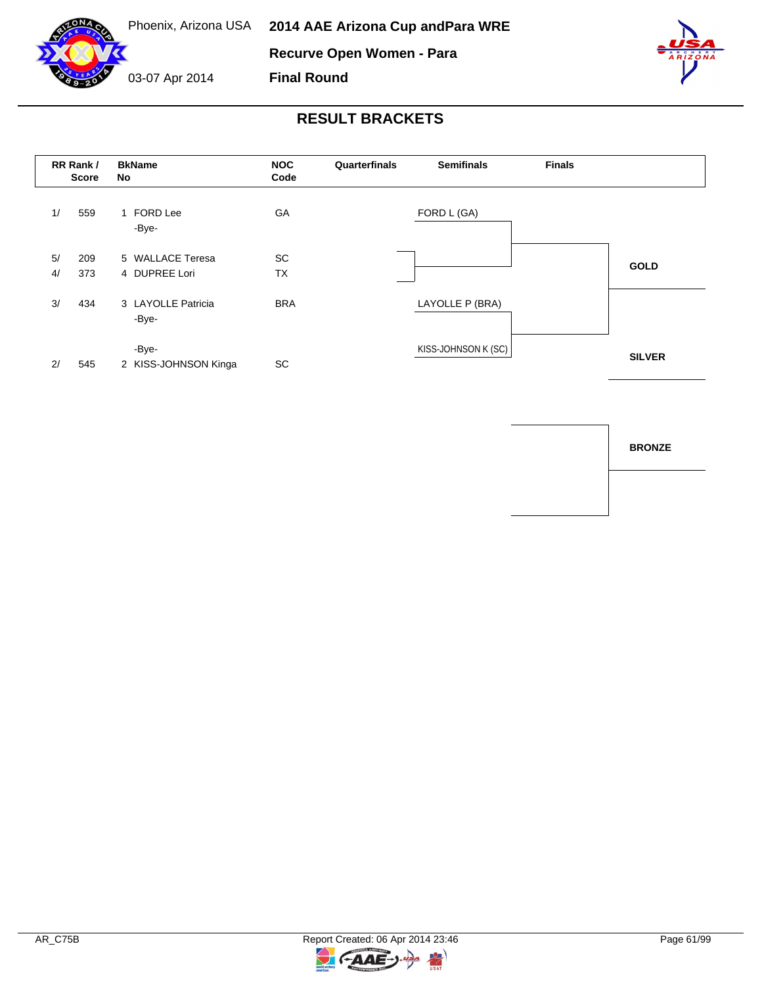

**Final Round**



#### **RESULT BRACKETS**



**BRONZE**

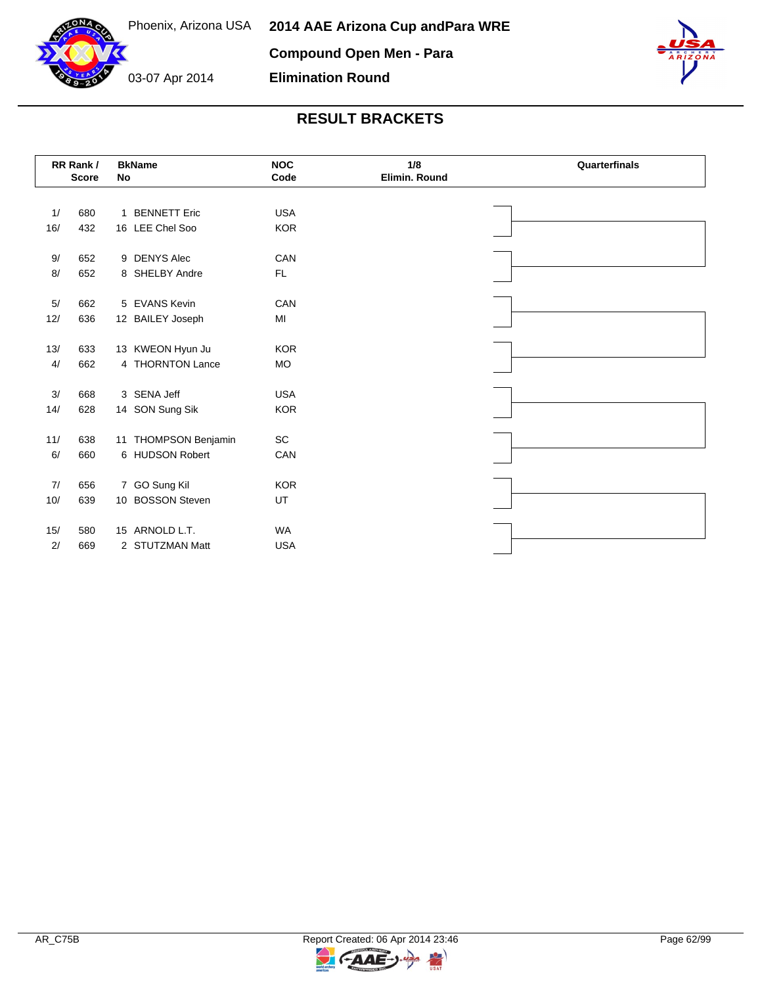

03-07 Apr 2014 **Elimination Round**



|      | RR Rank /<br><b>Score</b> | <b>BkName</b><br>No  | <b>NOC</b><br>Code | 1/8<br>Elimin. Round | Quarterfinals |  |  |  |  |
|------|---------------------------|----------------------|--------------------|----------------------|---------------|--|--|--|--|
|      |                           |                      |                    |                      |               |  |  |  |  |
| 1/   | 680                       | 1 BENNETT Eric       | <b>USA</b>         |                      |               |  |  |  |  |
| 16/  | 432                       | 16 LEE Chel Soo      | <b>KOR</b>         |                      |               |  |  |  |  |
|      |                           |                      |                    |                      |               |  |  |  |  |
| 9/   | 652                       | 9 DENYS Alec         | CAN                |                      |               |  |  |  |  |
| 8/   | 652                       | 8 SHELBY Andre       | FL.                |                      |               |  |  |  |  |
|      |                           |                      |                    |                      |               |  |  |  |  |
| 5/   | 662                       | 5 EVANS Kevin        | CAN                |                      |               |  |  |  |  |
| 12/  | 636                       | 12 BAILEY Joseph     | MI                 |                      |               |  |  |  |  |
|      |                           |                      |                    |                      |               |  |  |  |  |
| 13/  | 633                       | 13 KWEON Hyun Ju     | <b>KOR</b>         |                      |               |  |  |  |  |
| 4/   | 662                       | 4 THORNTON Lance     | <b>MO</b>          |                      |               |  |  |  |  |
|      |                           |                      |                    |                      |               |  |  |  |  |
| $3/$ | 668                       | 3 SENA Jeff          | <b>USA</b>         |                      |               |  |  |  |  |
| 14/  | 628                       | 14 SON Sung Sik      | <b>KOR</b>         |                      |               |  |  |  |  |
|      |                           |                      |                    |                      |               |  |  |  |  |
| 11/  | 638                       | 11 THOMPSON Benjamin | SC                 |                      |               |  |  |  |  |
| 6/   | 660                       | 6 HUDSON Robert      | CAN                |                      |               |  |  |  |  |
|      |                           |                      |                    |                      |               |  |  |  |  |
| 7/   | 656                       | 7 GO Sung Kil        | <b>KOR</b>         |                      |               |  |  |  |  |
| 10/  | 639                       | 10 BOSSON Steven     | UT                 |                      |               |  |  |  |  |
|      |                           |                      |                    |                      |               |  |  |  |  |
| 15/  | 580                       | 15 ARNOLD L.T.       | <b>WA</b>          |                      |               |  |  |  |  |
| 2/   | 669                       | 2 STUTZMAN Matt      | <b>USA</b>         |                      |               |  |  |  |  |

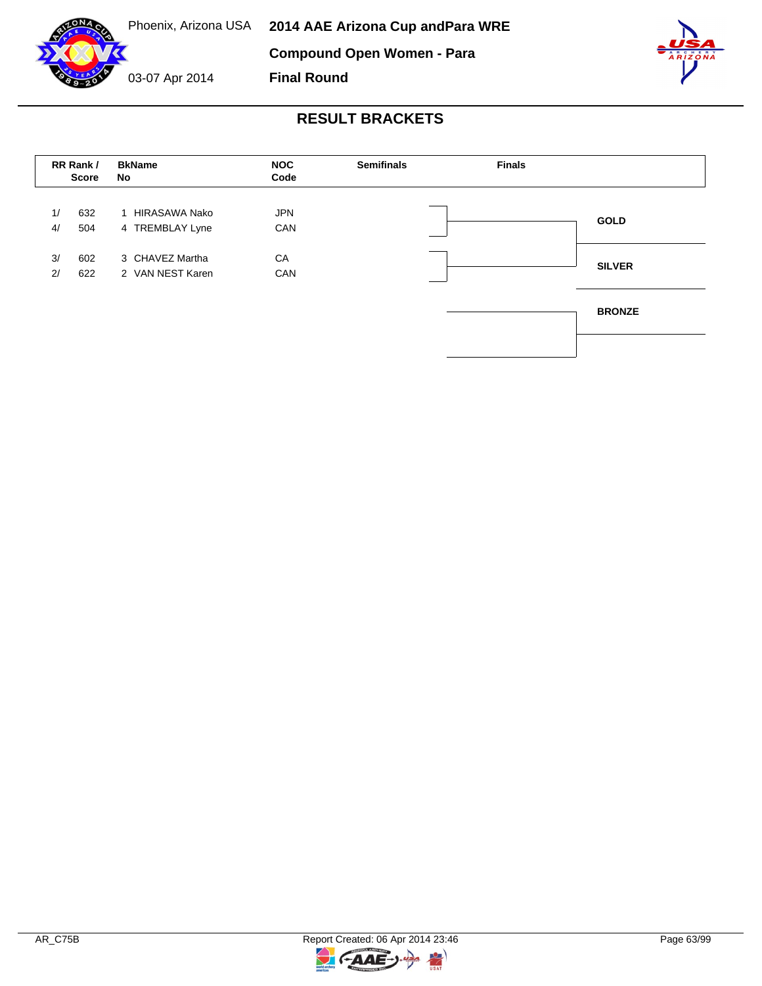

### **RESULT BRACKETS**

**Final Round**

|          | RR Rank /<br><b>Score</b> | <b>BkName</b><br>No                 | <b>NOC</b><br>Code | <b>Semifinals</b> | <b>Finals</b> |               |
|----------|---------------------------|-------------------------------------|--------------------|-------------------|---------------|---------------|
| 1/<br>4/ | 632<br>504                | 1 HIRASAWA Nako<br>4 TREMBLAY Lyne  | <b>JPN</b><br>CAN  |                   |               | <b>GOLD</b>   |
| 3/<br>2/ | 602<br>622                | 3 CHAVEZ Martha<br>2 VAN NEST Karen | CA<br>CAN          |                   |               | <b>SILVER</b> |
|          |                           |                                     |                    |                   |               | <b>BRONZE</b> |
|          |                           |                                     |                    |                   |               |               |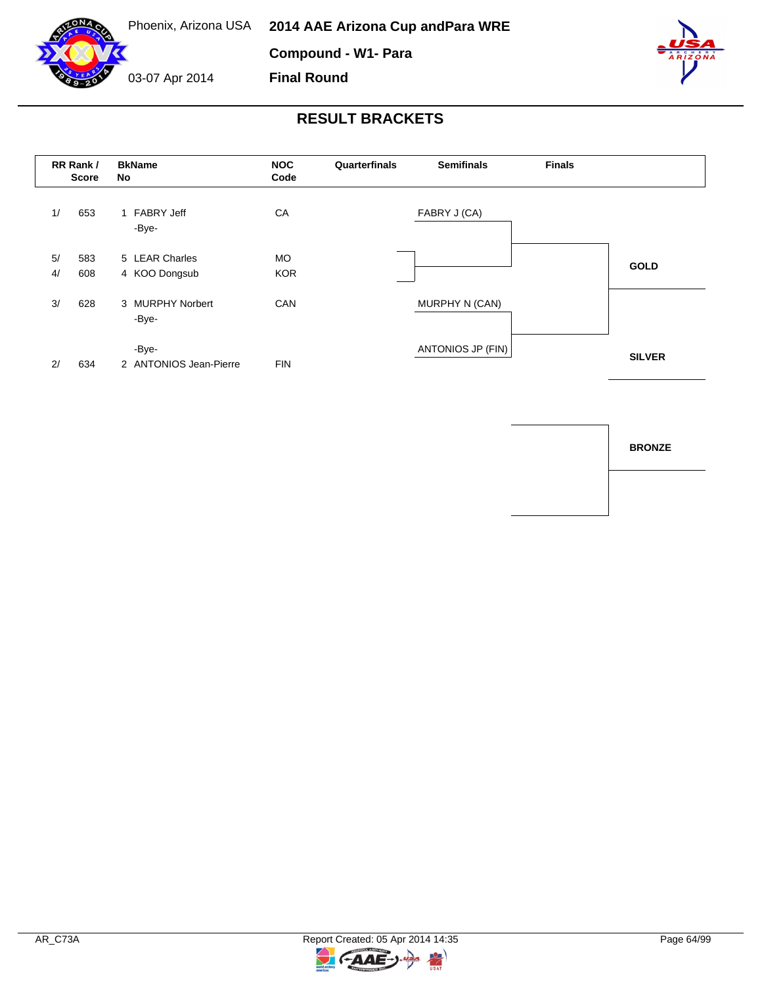

**Compound - W1- Para**

**Final Round**

03-07 Apr 2014



#### **RESULT BRACKETS**



**BRONZE**

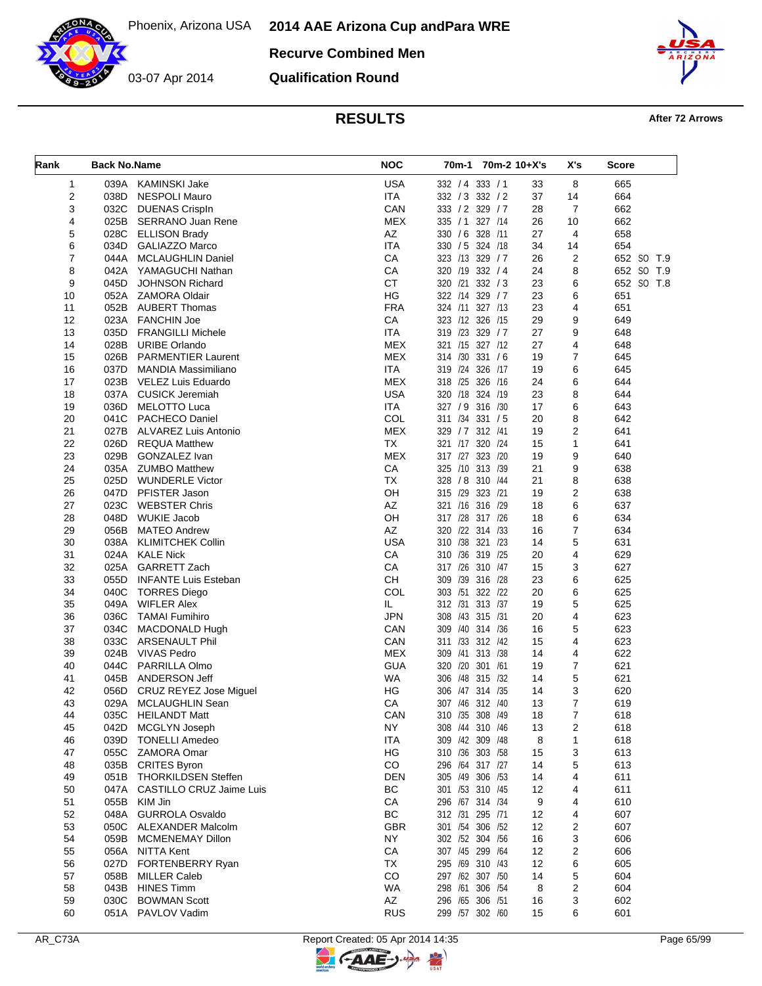**Recurve Combined Men**

03-07 Apr 2014

**Qualification Round**



**RESULTS After 72 Arrows** 

| Rank           | <b>Back No.Name</b> |                                              | <b>NOC</b>        | 70m-1 70m-2 10+X's                 |           | X's            | Score      |
|----------------|---------------------|----------------------------------------------|-------------------|------------------------------------|-----------|----------------|------------|
| $\mathbf{1}$   |                     | 039A KAMINSKI Jake                           | <b>USA</b>        | 332 / 4 333 / 1                    | 33        | 8              | 665        |
| $\overline{c}$ | 038D                | <b>NESPOLI Mauro</b>                         | <b>ITA</b>        | 332 / 3 332 / 2                    | 37        | 14             | 664        |
| 3              | 032C                | <b>DUENAS Crispln</b>                        | CAN               | 333 / 2 329 / 7                    | 28        | $\overline{7}$ | 662        |
| 4              |                     | 025B SERRANO Juan Rene                       | <b>MEX</b>        | 335 / 1 327 / 14                   | 26        | 10             | 662        |
| 5              | 028C                | <b>ELLISON Brady</b>                         | AZ                | 330 / 6 328 /11                    | 27        | $\overline{4}$ | 658        |
| 6              |                     | 034D GALIAZZO Marco                          | <b>ITA</b>        | 330 / 5 324 / 18                   | 34        | 14             | 654        |
| $\overline{7}$ |                     | 044A MCLAUGHLIN Daniel                       | CA                | 323 /13 329 / 7                    | 26        | 2              | 652 SO T.9 |
| 8              | 042A                | YAMAGUCHI Nathan                             | CA                | 320 /19 332 / 4                    | 24        | 8              | 652 SO T.9 |
| 9              | 045D                | <b>JOHNSON Richard</b>                       | <b>CT</b>         | 320 /21 332 / 3                    | 23        | 6              | 652 SO T.8 |
| 10             |                     | 052A ZAMORA Oldair                           | HG                | 322 /14 329 / 7                    | 23        | 6              | 651        |
| 11             | 052B                | <b>AUBERT Thomas</b>                         | <b>FRA</b>        | 324 /11 327 /13                    | 23        | 4              | 651        |
| 12<br>13       | 035D                | 023A FANCHIN Joe<br><b>FRANGILLI Michele</b> | CA<br><b>ITA</b>  | 323 /12 326 /15<br>319 /23 329 / 7 | 29<br>27  | 9<br>9         | 649<br>648 |
| 14             | 028B                | <b>URIBE Orlando</b>                         | <b>MEX</b>        | 321 /15 327 /12                    | 27        | 4              | 648        |
| 15             | 026B                | <b>PARMENTIER Laurent</b>                    | <b>MEX</b>        | 314 /30 331 /6                     | 19        | $\overline{7}$ | 645        |
| 16             | 037D                | MANDIA Massimiliano                          | <b>ITA</b>        | 319 /24 326                        | 19<br>/17 | 6              | 645        |
| 17             |                     | 023B VELEZ Luis Eduardo                      | MEX               | 318 /25 326 /16                    | 24        | 6              | 644        |
| 18             |                     | 037A CUSICK Jeremiah                         | <b>USA</b>        | 320 /18 324 /19                    | 23        | 8              | 644        |
| 19             | 036D                | MELOTTO Luca                                 | <b>ITA</b>        | 327 / 9 316 / 30                   | 17        | 6              | 643        |
| 20             | 041C                | <b>PACHECO Daniel</b>                        | COL               | 311 /34 331 / 5                    | 20        | 8              | 642        |
| 21             | 027B                | ALVAREZ Luis Antonio                         | <b>MEX</b>        | 329 / 7<br>312 /41                 | 19        | 2              | 641        |
| 22             | 026D                | <b>REQUA Matthew</b>                         | <b>TX</b>         | 321 /17 320 /24                    | 15        | 1              | 641        |
| 23             | 029B                | GONZALEZ Ivan                                | <b>MEX</b>        | 317 /27 323 /20                    | 19        | 9              | 640        |
| 24             |                     | 035A ZUMBO Matthew                           | CA                | 325 /10 313 /39                    | 21        | 9              | 638        |
| 25             | 025D                | <b>WUNDERLE Victor</b>                       | <b>TX</b>         | 328 / 8 310 / 44                   | 21        | 8              | 638        |
| 26             |                     | 047D PFISTER Jason                           | OH                | 315 /29 323 /21                    | 19        | 2              | 638        |
| 27             | 023C                | <b>WEBSTER Chris</b>                         | AZ                | 321 /16 316 /29                    | 18        | 6              | 637        |
| 28             | 048D                | <b>WUKIE Jacob</b>                           | OH                | 317 /28 317 /26                    | 18        | 6              | 634        |
| 29             | 056B                | <b>MATEO Andrew</b>                          | AZ                | 320 /22 314 /33                    | 16        | $\overline{7}$ | 634        |
| 30             |                     | 038A KLIMITCHEK Collin                       | <b>USA</b>        | 310 /38 321 /23                    | 14        | 5              | 631        |
| 31             |                     | 024A KALE Nick                               | CA                | 310 /36 319 /25                    | 20        | 4              | 629        |
| 32             | 025A                | <b>GARRETT Zach</b>                          | CA                | 317 /26 310 /47                    | 15        | 3              | 627        |
| 33             | 055D                | <b>INFANTE Luis Esteban</b>                  | CH                | /39<br>309<br>316 /28              | 23        | 6              | 625        |
| 34             | 040C                | <b>TORRES Diego</b>                          | COL               | 303 /51 322 /22                    | 20        | 6              | 625        |
| 35             | 049A                | <b>WIFLER Alex</b>                           | IL                | 312 /31 313 /37                    | 19        | 5              | 625        |
| 36             | 036C                | <b>TAMAI Fumihiro</b>                        | <b>JPN</b>        | 308 /43 315 /31                    | 20        | 4              | 623        |
| 37             | 034C                | MACDONALD Hugh                               | CAN               | 309 /40 314 /36                    | 16        | 5              | 623        |
| 38             | 033C<br>024B        | <b>ARSENAULT Phil</b>                        | CAN<br><b>MEX</b> | 311 /33 312 /42<br>/41 313 /38     | 15        | $\overline{4}$ | 623        |
| 39<br>40       | 044C                | <b>VIVAS Pedro</b>                           | <b>GUA</b>        | 309<br>320 /20 301 /61             | 14<br>19  | 4<br>7         | 622<br>621 |
| 41             | 045B                | PARRILLA Olmo<br>ANDERSON Jeff               | <b>WA</b>         | /48 315 /32<br>306                 | 14        | 5              | 621        |
| 42             | 056D                | <b>CRUZ REYEZ Jose Miguel</b>                | ΗG                | /47 314 /35<br>306                 | 14        | 3              | 620        |
| 43             | 029A                | MCLAUGHLIN Sean                              | CA                | 307 /46 312 /40                    | 13        | 7              | 619        |
| 44             |                     | 035C HEILANDT Matt                           | CAN               | 310 /35 308 /49                    | 18        | 7              | 618        |
| 45             | 042D                | MCGLYN Joseph                                | NY.               | 308 /44 310 /46                    | 13        | 2              | 618        |
| 46             | 039D                | <b>TONELLI Amedeo</b>                        | <b>ITA</b>        | 309 /42 309 /48                    | 8         | 1              | 618        |
| 47             |                     | 055C ZAMORA Omar                             | HG                | 310 /36 303 /58                    | 15        | 3              | 613        |
| 48             |                     | 035B CRITES Byron                            | CO                | 296 /64 317 /27                    | 14        | 5              | 613        |
| 49             |                     | 051B THORKILDSEN Steffen                     | <b>DEN</b>        | 305 /49 306 /53                    | 14        | 4              | 611        |
| 50             |                     | 047A CASTILLO CRUZ Jaime Luis                | BC                | 301 /53 310 /45                    | 12        | 4              | 611        |
| 51             |                     | 055B KIM Jin                                 | CA                | 296 /67 314 /34                    | 9         | 4              | 610        |
| 52             | 048A                | <b>GURROLA Osvaldo</b>                       | ВC                | 312 /31 295 /71                    | 12        | 4              | 607        |
| 53             | 050C                | ALEXANDER Malcolm                            | GBR               | 301 /54 306 /52                    | 12        | 2              | 607        |
| 54             | 059B                | MCMENEMAY Dillon                             | ΝY                | 302 /52 304 /56                    | 16        | 3              | 606        |
| 55             |                     | 056A NITTA Kent                              | CA                | 307 /45 299 /64                    | 12        | 2              | 606        |
| 56             | 027D                | <b>FORTENBERRY Ryan</b>                      | TX                | 295 /69 310 /43                    | 12        | 6              | 605        |
| 57             | 058B                | <b>MILLER Caleb</b>                          | CO                | 297 /62 307 /50                    | 14        | 5              | 604        |
| 58             |                     | 043B HINES Timm                              | <b>WA</b>         | 298<br>/61 306 /54                 | 8         | 2              | 604        |
| 59             | 030C                | <b>BOWMAN Scott</b>                          | AZ                | 296 /65 306 /51                    | 16        | 3              | 602        |
| 60             |                     | 051A PAVLOV Vadim                            | <b>RUS</b>        | 299 /57 302 /60                    | 15        | 6              | 601        |

키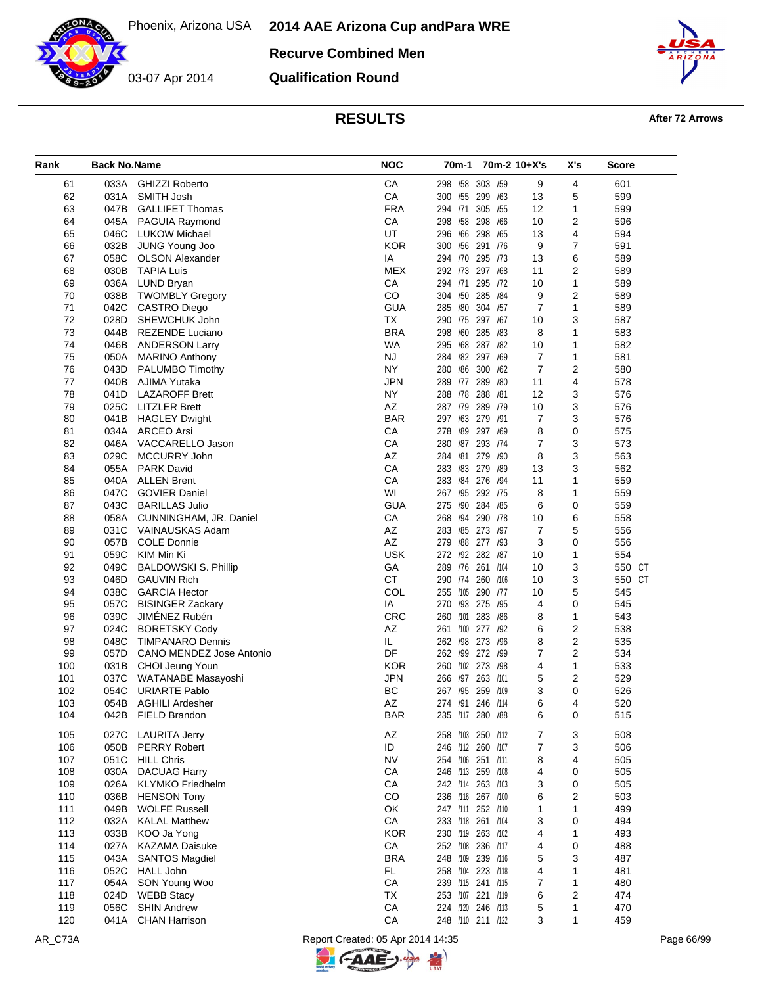**Recurve Combined Men**

03-07 Apr 2014

**Qualification Round**



**RESULTS After 72 Arrows** 

| Rank | <b>Back No.Name</b> |                             | <b>NOC</b> |                   | 70m-1 70m-2 10+X's |                | X's            | Score  |
|------|---------------------|-----------------------------|------------|-------------------|--------------------|----------------|----------------|--------|
| 61   |                     | 033A GHIZZI Roberto         | CA         | 298 /58 303 /59   |                    | 9              | 4              | 601    |
| 62   |                     | 031A SMITH Josh             | CA         | 300 /55 299 /63   |                    | 13             | 5              | 599    |
| 63   | 047B                | <b>GALLIFET Thomas</b>      | <b>FRA</b> | 294 /71           | 305 /55            | 12             | 1              | 599    |
| 64   |                     | 045A PAGUIA Raymond         | CA         | 298 /58 298 /66   |                    | 10             | $\overline{2}$ | 596    |
| 65   |                     | 046C LUKOW Michael          | UT         | 296 /66 298 /65   |                    | 13             | 4              | 594    |
| 66   |                     | 032B JUNG Young Joo         | <b>KOR</b> | 300 /56 291 /76   |                    | 9              | $\overline{7}$ | 591    |
| 67   | 058C                | <b>OLSON Alexander</b>      | IA         | 294 /70 295 /73   |                    | 13             | 6              | 589    |
| 68   | 030B                | <b>TAPIA Luis</b>           | <b>MEX</b> | 292 /73 297 /68   |                    | 11             | $\overline{2}$ | 589    |
| 69   |                     | 036A LUND Bryan             | CA         | 294 /71           | 295 /72            | 10             | 1              | 589    |
| 70   | 038B                | <b>TWOMBLY Gregory</b>      | CO         | 304 /50 285 /84   |                    | 9              | $\overline{2}$ | 589    |
| 71   | 042C                | <b>CASTRO Diego</b>         | <b>GUA</b> | 285 /80 304 /57   |                    | $\overline{7}$ | $\mathbf{1}$   | 589    |
| 72   | 028D                | SHEWCHUK John               | <b>TX</b>  | 290 /75 297 /67   |                    | 10             | 3              | 587    |
| 73   | 044B                | <b>REZENDE Luciano</b>      | <b>BRA</b> | 298 /60 285 /83   |                    | 8              | 1              | 583    |
| 74   | 046B                | <b>ANDERSON Larry</b>       | WA         | 295 /68 287 /82   |                    | 10             | 1              | 582    |
| 75   |                     | 050A MARINO Anthony         | <b>NJ</b>  | 284 /82 297 /69   |                    | $\overline{7}$ | 1              | 581    |
| 76   | 043D                | PALUMBO Timothy             | NY.        | 280 /86 300 /62   |                    | $\overline{7}$ | $\overline{2}$ | 580    |
| 77   | 040B                | AJIMA Yutaka                | <b>JPN</b> | 289 /77 289 /80   |                    | 11             | 4              | 578    |
| 78   | 041D                | <b>LAZAROFF Brett</b>       | <b>NY</b>  | 288 /78 288 /81   |                    | 12             | 3              | 576    |
| 79   |                     | 025C LITZLER Brett          | AZ         | 287 /79 289 /79   |                    | 10             | 3              | 576    |
| 80   |                     | 041B HAGLEY Dwight          | <b>BAR</b> | 297 /63 279 /91   |                    | 7              | 3              | 576    |
| 81   |                     | 034A ARCEO Arsi             | CA         | 278 /89 297 /69   |                    | 8              | 0              | 575    |
| 82   |                     | 046A VACCARELLO Jason       | CA         | 280 /87 293 /74   |                    | 7              | 3              | 573    |
| 83   | 029C                | MCCURRY John                | AZ         | 284 /81 279 /90   |                    | 8              | 3              | 563    |
| 84   |                     | 055A PARK David             | CA         | 283 /83 279 /89   |                    | 13             | 3              | 562    |
| 85   |                     | 040A ALLEN Brent            | CA         | 283 /84 276 /94   |                    | 11             | 1              | 559    |
| 86   | 047C                | <b>GOVIER Daniel</b>        | WI         | 267 /95 292 /75   |                    | 8              | 1              | 559    |
| 87   |                     | 043C BARILLAS Julio         | <b>GUA</b> | 275 /90 284 /85   |                    | 6              | 0              | 559    |
| 88   | 058A                | CUNNINGHAM, JR. Daniel      | CA         | 268 /94 290 /78   |                    | 10             | 6              | 558    |
| 89   |                     | 031C VAINAUSKAS Adam        | AZ         | 283 / 85 273 / 97 |                    | $\overline{7}$ | 5              | 556    |
| 90   | 057B                | <b>COLE Donnie</b>          | AZ         | 279 /88 277 /93   |                    | 3              | 0              | 556    |
| 91   | 059C                | KIM Min Ki                  | <b>USK</b> | 272 /92 282 /87   |                    | 10             | 1              | 554    |
| 92   | 049C                | <b>BALDOWSKI S. Phillip</b> | GA         | 289 /76 261 /104  |                    | 10             | 3              | 550 CT |
| 93   | 046D                | <b>GAUVIN Rich</b>          | <b>CT</b>  | 290 /74 260 /106  |                    | 10             | 3              | 550 CT |
| 94   | 038C                | <b>GARCIA Hector</b>        | COL        | 255 /105 290 /77  |                    | 10             | 5              | 545    |
| 95   |                     | 057C BISINGER Zackary       | IA         | 270 /93 275 /95   |                    | 4              | 0              | 545    |
| 96   |                     | 039C JIMÉNEZ Rubén          | <b>CRC</b> | 260 /101          | 283 /86            | 8              | 1              | 543    |
| 97   | 024C                | <b>BORETSKY Cody</b>        | AZ         | 261 /100 277 /92  |                    | 6              | $\overline{2}$ | 538    |
| 98   | 048C                | TIMPANARO Dennis            | IL.        | 262 /98 273 /96   |                    | 8              | $\overline{2}$ | 535    |
| 99   | 057D                | CANO MENDEZ Jose Antonio    | DF         | 262 /99 272 /99   |                    | $\overline{7}$ | $\overline{2}$ | 534    |
| 100  |                     | 031B CHOI Jeung Youn        | <b>KOR</b> | 260 /102 273 /98  |                    | 4              | 1              | 533    |
| 101  |                     | 037C WATANABE Masayoshi     | <b>JPN</b> | 266 /97           | 263 /101           | 5              | 2              | 529    |
| 102  | 054C                | <b>URIARTE Pablo</b>        | <b>BC</b>  | 267 /95 259 /109  |                    | 3              | 0              | 526    |
| 103  | 054B                | <b>AGHILI Ardesher</b>      | ΑZ         | 274 /91 246 /114  |                    | 6              | 4              | 520    |
| 104  |                     | 042B FIELD Brandon          | <b>BAR</b> | 235 /117 280 /88  |                    | 6              | 0              | 515    |
| 105  | 027C                | <b>LAURITA Jerry</b>        | AZ         | 258 /103 250 /112 |                    | 7              | 3              | 508    |
| 106  |                     | 050B PERRY Robert           | ID         | 246 /112 260 /107 |                    | 7              | 3              | 506    |
| 107  | 051C                | <b>HILL Chris</b>           | <b>NV</b>  | 254 /106 251 /111 |                    | 8              | 4              | 505    |
| 108  | 030A                | <b>DACUAG Harry</b>         | СA         | 246 /113 259 /108 |                    | 4              | 0              | 505    |
| 109  | 026A                | <b>KLYMKO</b> Friedhelm     | CA         | 242 /114 263 /103 |                    | 3              | 0              | 505    |
| 110  | 036B                | <b>HENSON Tony</b>          | CO         | 236 /116 267 /100 |                    | 6              | 2              | 503    |
| 111  | 049B                | <b>WOLFE Russell</b>        | OK         | 247 /111 252 /110 |                    |                | 1              | 499    |
| 112  | 032A                | <b>KALAL Matthew</b>        | СA         |                   |                    | 1              | 0              | 494    |
|      |                     |                             |            | 233 /118 261 /104 |                    | 3              |                |        |
| 113  | 033B                | KOO Ja Yong                 | <b>KOR</b> | 230 /119 263 /102 |                    | 4              | 1              | 493    |
| 114  | 027A                | <b>KAZAMA Daisuke</b>       | СA         | 252 /108 236 /117 |                    | 4              | 0              | 488    |
| 115  | 043A                | <b>SANTOS Magdiel</b>       | <b>BRA</b> | 248 /109 239 /116 |                    | 5              | 3              | 487    |
| 116  | 052C                | HALL John                   | FL         | 258 /104 223 /118 |                    | 4              | 1              | 481    |
| 117  | 054A                | SON Young Woo               | СA         | 239 /115 241 /115 |                    | 7              | 1              | 480    |
| 118  | 024D                | <b>WEBB Stacy</b>           | TX         | 253 /107 221 /119 |                    | 6              | 2              | 474    |
| 119  | 056C                | <b>SHIN Andrew</b>          | ${\sf CA}$ | 224 /120 246 /113 |                    | 5              | 1              | 470    |
| 120  |                     | 041A CHAN Harrison          | ${\sf CA}$ | 248 /110 211 /122 |                    | 3              | 1              | 459    |

키

**C-AAE-**

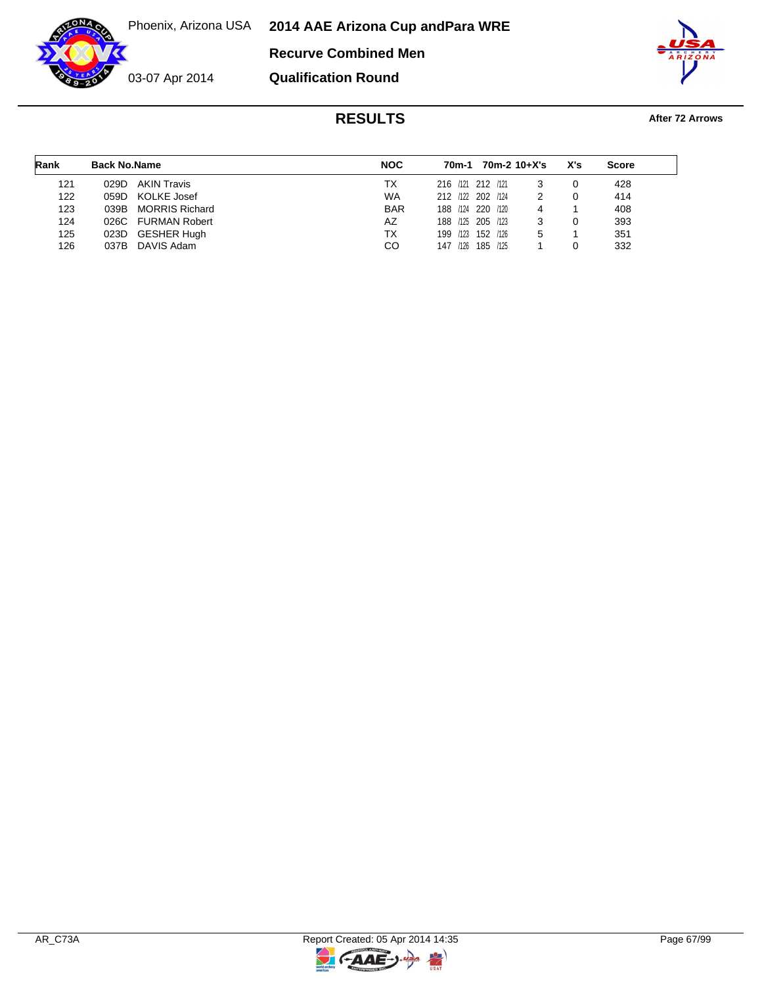Phoenix, Arizona USA **2014 AAE Arizona Cup and Para WRE**

**Recurve Combined Men**



**Qualification Round**



# **RESULTS After 72 Arrows**

| Rank | <b>Back No.Name</b> |                      | <b>NOC</b> |                   | 70m-1 |          | 70m-2 10+X's | X's | <b>Score</b> |  |
|------|---------------------|----------------------|------------|-------------------|-------|----------|--------------|-----|--------------|--|
| 121  | 029D.               | <b>AKIN Travis</b>   | TX.        | 216 /121 212 /121 |       |          |              |     | 428          |  |
| 122  | 059D KOLKE Josef    |                      | <b>WA</b>  | 212 /122 202 /124 |       |          |              |     | 414          |  |
| 123  |                     | 039B MORRIS Richard  | <b>BAR</b> | 188 /124 220 /120 |       |          | 4            |     | 408          |  |
| 124  | 026C                | <b>FURMAN Robert</b> | AZ         | 188 /125 205 /123 |       |          |              |     | 393          |  |
| 125  | 023D GESHER Hugh    |                      | TX         | 199 /123 152 /126 |       |          | 5            |     | 351          |  |
| 126  | 037B                | DAVIS Adam           | CO         | 147               | /126  | 185 /125 |              |     | 332          |  |

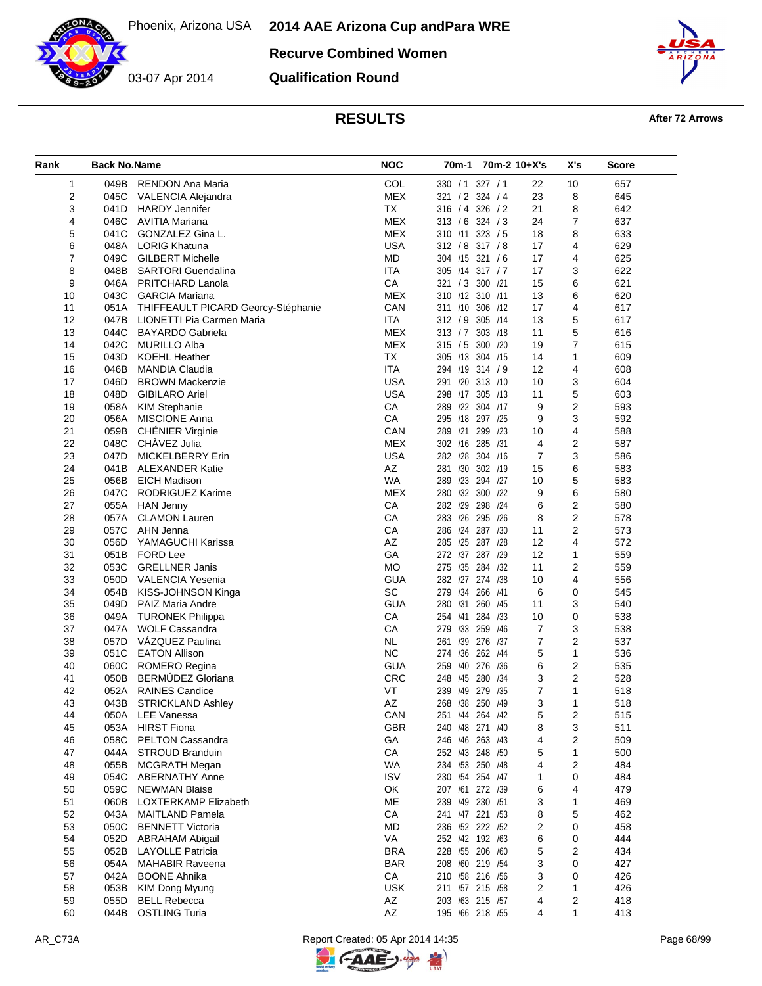**Recurve Combined Women**



**Qualification Round**



# **RESULTS After 72 Arrows**

| Rank           | <b>Back No.Name</b> |                                             | <b>NOC</b>       | 70m-1                              |         | 70m-2 10+X's   | X's              | Score |
|----------------|---------------------|---------------------------------------------|------------------|------------------------------------|---------|----------------|------------------|-------|
| $\mathbf{1}$   |                     | 049B RENDON Ana Maria                       | COL              | 330 / 1 327 / 1                    |         | 22             | 10               | 657   |
| 2              | 045C                | VALENCIA Alejandra                          | <b>MEX</b>       | 321 / 2 324 / 4                    |         | 23             | 8                | 645   |
| 3              | 041D                | <b>HARDY Jennifer</b>                       | <b>TX</b>        | 316 / 4 326 / 2                    |         | 21             | 8                | 642   |
| 4              | 046C                | AVITIA Mariana                              | <b>MEX</b>       | $313 / 6$ 324 / 3                  |         | 24             | $\overline{7}$   | 637   |
| 5              | 041C                | GONZALEZ Gina L.                            | <b>MEX</b>       | 310 /11 323 / 5                    |         | 18             | 8                | 633   |
| 6              |                     | 048A LORIG Khatuna                          | <b>USA</b>       | 312 / 8 317 / 8                    |         | 17             | 4                | 629   |
| $\overline{7}$ | 049C                | <b>GILBERT Michelle</b>                     | MD               | 304 /15 321 /6                     |         | 17             | 4                | 625   |
| 8              | 048B                | SARTORI Guendalina                          | <b>ITA</b>       | 305 /14 317 / 7                    |         | 17             | 3                | 622   |
| 9              |                     | 046A PRITCHARD Lanola                       | CA               | 321 / 3 300 / 21                   |         | 15             | 6                | 621   |
| 10             | 043C                | <b>GARCIA Mariana</b>                       | <b>MEX</b>       | 310 /12 310 /11                    |         | 13             | 6                | 620   |
| 11             |                     | 051A THIFFEAULT PICARD Georcy-Stéphanie     | CAN              | 311 /10 306 /12                    |         | 17             | 4                | 617   |
| 12             | 047B                | LIONETTI Pia Carmen Maria                   | <b>ITA</b>       | 312 / 9 305 /14                    |         | 13             | 5                | 617   |
| 13             | 044C                | BAYARDO Gabriela                            | <b>MEX</b>       | 313 / 7 303 / 18                   |         | 11             | 5                | 616   |
| 14             | 042C                | <b>MURILLO Alba</b>                         | <b>MEX</b>       | 315 / 5 300 /20                    |         | 19             | 7                | 615   |
| 15             | 043D                | <b>KOEHL Heather</b>                        | <b>TX</b>        | 305 /13 304 /15                    |         | 14             | 1                | 609   |
| 16             | 046B                | MANDIA Claudia                              | <b>ITA</b>       | 294 /19 314 / 9                    |         | 12             | 4                | 608   |
| 17             | 046D                | <b>BROWN Mackenzie</b>                      | <b>USA</b>       | 291 /20 313 /10                    |         | 10             | 3                | 604   |
| 18             | 048D                | <b>GIBILARO Ariel</b>                       | <b>USA</b>       | 298 /17 305 /13                    |         | 11             | 5                | 603   |
| 19             |                     | 058A KIM Stephanie                          | CA               | 289 /22 304 /17                    |         | 9              | 2                | 593   |
| 20             |                     | 056A MISCIONE Anna                          | СA               | 295 /18 297 /25                    |         | 9              | 3                | 592   |
| 21             | 059B                | CHÉNIER Virginie                            | CAN              | 289 /21                            | 299 /23 | 10             | 4                | 588   |
| 22             | 048C                | CHAVEZ Julia                                | <b>MEX</b>       | 302 /16 285 /31                    |         | 4              | $\overline{2}$   | 587   |
| 23             | 047D                | <b>MICKELBERRY Erin</b>                     | USA              | 282 /28 304 /16                    |         | $\overline{7}$ | 3                | 586   |
| 24             | 041B                | <b>ALEXANDER Katie</b>                      | AZ               | 281 /30 302 /19                    |         | 15             | 6                | 583   |
| 25             |                     | 056B EICH Madison                           | <b>WA</b>        | 289 /23 294 /27                    |         | 10             | 5                | 583   |
| 26             | 047C                | RODRIGUEZ Karime                            | MEX              | 280 /32 300 /22                    |         | 9              | 6                | 580   |
| 27             |                     | 055A HAN Jenny                              | CA               | 282 /29                            | 298 /24 | 6              | $\overline{2}$   | 580   |
| 28             | 057A                | <b>CLAMON Lauren</b>                        | CA               | 283 /26 295 /26                    |         | 8              | 2                | 578   |
| 29             | 057C                |                                             | CA               | 286 /24 287 /30                    |         | 11             | 2                |       |
|                |                     | AHN Jenna                                   | AZ               | 285 /25 287 /28                    |         | 12             | 4                | 573   |
| 30             | 056D                | YAMAGUCHI Karissa                           | GA               | 272 /37 287 /29                    |         | 12             |                  | 572   |
| 31             |                     | 051B FORD Lee                               | <b>MO</b>        |                                    |         |                | 1                | 559   |
| 32             | 053C                | <b>GRELLNER Janis</b>                       |                  | 275 /35 284 /32<br>282 /27 274 /38 |         | 11             | 2                | 559   |
| 33             | 050D                | VALENCIA Yesenia                            | <b>GUA</b><br>SC |                                    |         | 10             | 4                | 556   |
| 34             | 054B                | KISS-JOHNSON Kinga                          | <b>GUA</b>       | 279 /34 266 /41                    |         | 6              | 0                | 545   |
| 35             |                     | 049D PAIZ Maria Andre                       | CA               | 280 /31 260 /45<br>254 /41 284 /33 |         | 11             | 3<br>$\mathbf 0$ | 540   |
| 36             |                     | 049A TURONEK Philippa                       |                  |                                    |         | 10             |                  | 538   |
| 37             |                     | 047A WOLF Cassandra<br>057D VÁZQUEZ Paulina | CA               | 279 /33 259 /46                    |         | $\overline{7}$ | 3                | 538   |
| 38             |                     |                                             | <b>NL</b>        | 261 /39 276 /37                    |         | 7              | 2                | 537   |
| 39             | 051C                | <b>EATON Allison</b>                        | <b>NC</b>        | 274 /36 262 /44                    |         | 5              | $\mathbf{1}$     | 536   |
| 40             | 060C                | ROMERO Regina                               | <b>GUA</b>       | 259 /40 276 /36                    |         | 6              | 2                | 535   |
| 41             | 050B                | BERMÚDEZ Gloriana                           | <b>CRC</b>       | 248 /45 280 /34                    |         | 3              | $\overline{2}$   | 528   |
| 42             |                     | 052A RAINES Candice                         | VT               | 239 /49 279 /35                    |         | 7              | $\mathbf{1}$     | 518   |
| 43             |                     | 043B STRICKLAND Ashley                      | AZ               | 268 /38 250 /49                    |         | 3              | 1                | 518   |
| 44             |                     | 050A LEE Vanessa                            | CAN              | 251 /44 264 /42                    |         | 5              | 2                | 515   |
| 45             | 053A                | <b>HIRST Fiona</b>                          | <b>GBR</b>       | 240 /48 271 /40                    |         | 8              | 3                | 511   |
| 46             | 058C                | PELTON Cassandra                            | GA               | 246 /46 263 /43                    |         | 4              | 2                | 509   |
| 47             | 044A                | STROUD Branduin                             | CA               | 252 /43 248 /50                    |         | 5              | 1                | 500   |
| 48             | 055B                | <b>MCGRATH Megan</b>                        | <b>WA</b>        | 234 /53 250 /48                    |         | 4              | 2                | 484   |
| 49             | 054C                | <b>ABERNATHY Anne</b>                       | <b>ISV</b>       | 230 /54 254 /47                    |         | 1              | 0                | 484   |
| 50             | 059C                | <b>NEWMAN Blaise</b>                        | OK               | 207 /61 272 /39                    |         | 6              | 4                | 479   |
| 51             | 060B                | LOXTERKAMP Elizabeth                        | ME               | 239 /49 230 /51                    |         | 3              | 1                | 469   |
| 52             | 043A                | MAITLAND Pamela                             | CA               | 241 /47 221 /53                    |         | 8              | 5                | 462   |
| 53             | 050C                | <b>BENNETT Victoria</b>                     | <b>MD</b>        | 236 /52 222 /52                    |         | 2              | 0                | 458   |
| 54             | 052D                | <b>ABRAHAM Abigail</b>                      | VA               | 252 /42 192 /63                    |         | 6              | 0                | 444   |
| 55             | 052B                | <b>LAYOLLE Patricia</b>                     | <b>BRA</b>       | 228 /55 206 /60                    |         | 5              | 2                | 434   |
| 56             | 054A                | <b>MAHABIR Raveena</b>                      | <b>BAR</b>       | 208 /60 219 /54                    |         | 3              | 0                | 427   |
| 57             | 042A                | <b>BOONE Ahnika</b>                         | CA               | 210 /58 216 /56                    |         | 3              | 0                | 426   |
| 58             | 053B                | KIM Dong Myung                              | <b>USK</b>       | 211 /57 215 /58                    |         | 2              | 1                | 426   |
| 59             | 055D                | <b>BELL Rebecca</b>                         | AZ               | 203 /63 215 /57                    |         | 4              | 2                | 418   |
| 60             |                     | 044B OSTLING Turia                          | AZ               | 195 /66 218 /55                    |         | 4              | 1                | 413   |

 $\overline{a}$ 

**C-AAE-**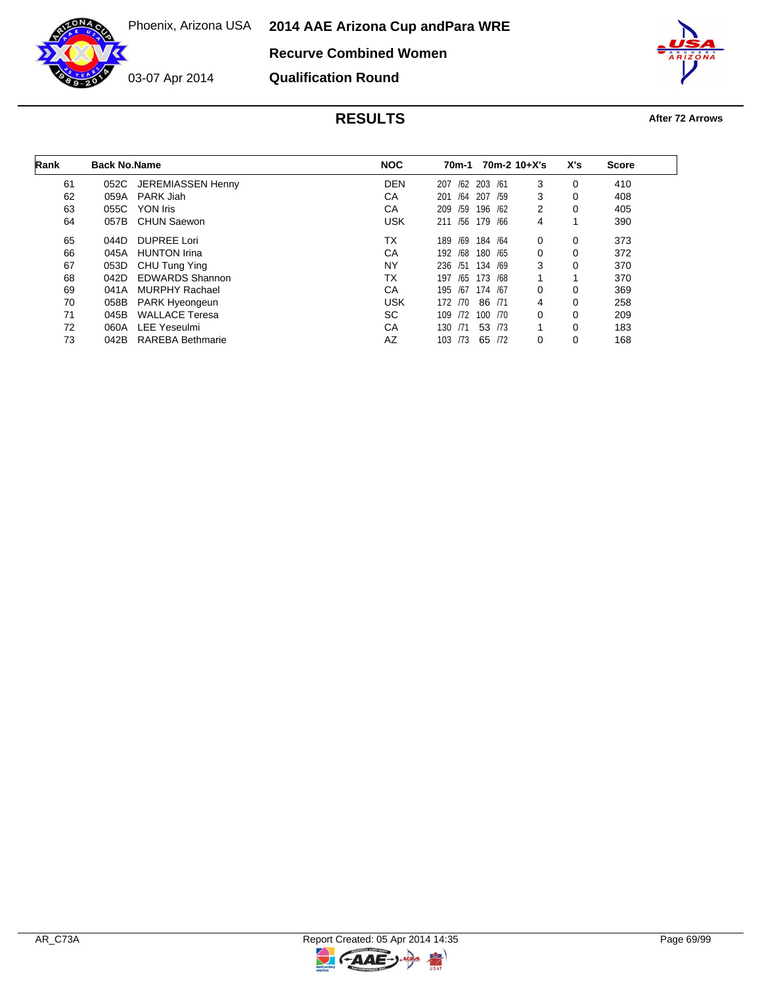Phoenix, Arizona USA **2014 AAE Arizona Cup and Para WRE**



03-07 Apr 2014

**Recurve Combined Women**

**Qualification Round**



# **RESULTS After 72 Arrows**

| Rank | <b>Back No.Name</b> |                         | <b>NOC</b> | 70m-1      | $70m-2$ 10+X's |   | X's | <b>Score</b> |  |
|------|---------------------|-------------------------|------------|------------|----------------|---|-----|--------------|--|
| 61   | 052C                | JEREMIASSEN Henny       | <b>DEN</b> | /62<br>207 | 203 /61        | 3 | 0   | 410          |  |
| 62   | 059A                | PARK Jiah               | CA         | /64<br>201 | 207<br>/59     | 3 | 0   | 408          |  |
| 63   | 055C                | YON Iris                | CA         | 209<br>/59 | 196 /62        | 2 | 0   | 405          |  |
| 64   | 057B                | <b>CHUN Saewon</b>      | <b>USK</b> | /56<br>211 | 179 /66        | 4 |     | 390          |  |
| 65   | 044D                | <b>DUPREE Lori</b>      | ТX         | /69<br>189 | 184 /64        | 0 | 0   | 373          |  |
| 66   | 045A                | <b>HUNTON Irina</b>     | CA         | /68<br>192 | 180 / 65       | 0 | 0   | 372          |  |
| 67   | 053D                | CHU Tung Ying           | <b>NY</b>  | 236 /51    | 134 /69        | 3 | 0   | 370          |  |
| 68   | 042D                | <b>EDWARDS Shannon</b>  | ТX         | /65<br>197 | 173 /68        |   |     | 370          |  |
| 69   | 041A                | <b>MURPHY Rachael</b>   | CA         | 195<br>/67 | 174 /67        | 0 | 0   | 369          |  |
| 70   | 058B                | PARK Hyeongeun          | <b>USK</b> | 172 /70    | 86 /71         | 4 | 0   | 258          |  |
| 71   | 045B                | <b>WALLACE Teresa</b>   | SC.        | /72<br>109 | 100 /70        | 0 | 0   | 209          |  |
| 72   | 060A                | <b>LEE Yeseulmi</b>     | CA         | /71<br>130 | 53 /73         |   | 0   | 183          |  |
| 73   | 042B                | <b>RAREBA Bethmarie</b> | AZ         | 103 /73    | 65 /72         | 0 | 0   | 168          |  |

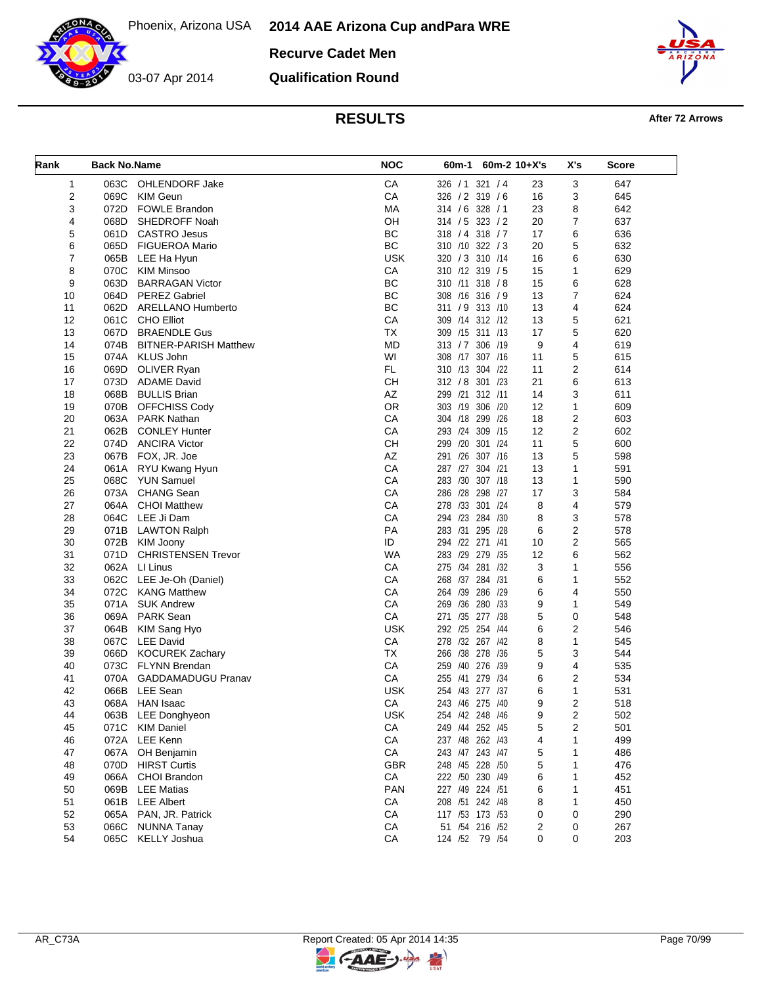**Recurve Cadet Men**

**Qualification Round**



# **RESULTS After 72 Arrows**

| Rank | <b>Back No.Name</b> |                              | <b>NOC</b> | 60m-1<br>$60m-2$ 10+X's |    | X's            | Score |
|------|---------------------|------------------------------|------------|-------------------------|----|----------------|-------|
| 1    |                     | 063C OHLENDORF Jake          | CA         | 326 / 1 321 / 4         | 23 | 3              | 647   |
| 2    | 069C                | <b>KIM Geun</b>              | CA         | 326 / 2 319 / 6         | 16 | 3              | 645   |
| 3    | 072D                | <b>FOWLE Brandon</b>         | MA         | 314 / 6 328 / 1         | 23 | 8              | 642   |
| 4    | 068D                | SHEDROFF Noah                | OH         | 314 / 5 323 / 2         | 20 | $\overline{7}$ | 637   |
| 5    | 061D                | <b>CASTRO Jesus</b>          | BC         | 318 / 4 318 / 7         | 17 | 6              | 636   |
| 6    | 065D                | <b>FIGUEROA Mario</b>        | BC         | 310 /10 322 / 3         | 20 | 5              | 632   |
| 7    |                     | 065B LEE Ha Hyun             | <b>USK</b> | 320 / 3 310 / 14        | 16 | 6              | 630   |
| 8    | 070C                | <b>KIM Minsoo</b>            | CA         | 310 /12 319 / 5         | 15 | 1              | 629   |
| 9    | 063D                | <b>BARRAGAN Victor</b>       | BC         | 310 /11 318 / 8         | 15 | 6              | 628   |
| 10   |                     | 064D PEREZ Gabriel           | BC         | 308 /16 316 / 9         | 13 | 7              | 624   |
| 11   | 062D                | ARELLANO Humberto            | BC         | 311 / 9 313 / 10        | 13 | 4              | 624   |
| 12   | 061C                | <b>CHO Elliot</b>            | CA         | 309 /14 312 /12         | 13 | 5              | 621   |
| 13   | 067D                | <b>BRAENDLE Gus</b>          | <b>TX</b>  | 309 /15 311 /13         | 17 | 5              | 620   |
| 14   | 074B                | <b>BITNER-PARISH Matthew</b> | <b>MD</b>  | 313 / 7 306 / 19        | 9  | 4              | 619   |
| 15   |                     | 074A KLUS John               | WI         | 308 /17<br>307 /16      | 11 | 5              | 615   |
| 16   | 069D                | OLIVER Ryan                  | FL.        | 310 /13 304 /22         | 11 | $\overline{2}$ | 614   |
| 17   |                     | 073D ADAME David             | <b>CH</b>  | 312 / 8 301 /23         | 21 | 6              | 613   |
| 18   |                     | 068B BULLIS Brian            | AZ         | 299 /21 312 /11         | 14 | 3              | 611   |
| 19   |                     | 070B OFFCHISS Cody           | <b>OR</b>  | 303 /19 306 /20         | 12 | 1              | 609   |
| 20   |                     | 063A PARK Nathan             | CA         | 304 /18 299<br>/26      | 18 | 2              | 603   |
| 21   | 062B                | <b>CONLEY Hunter</b>         | CA         | 309<br>293 /24<br>/15   | 12 | $\overline{2}$ | 602   |
| 22   | 074D                | <b>ANCIRA Victor</b>         | <b>CH</b>  | 299 /20 301 /24         | 11 | 5              | 600   |
|      |                     |                              |            |                         |    |                |       |
| 23   |                     | 067B FOX, JR. Joe            | AZ         | 291 /26 307 /16         | 13 | 5              | 598   |
| 24   |                     | 061A RYU Kwang Hyun          | CA         | 287 /27<br>304 /21      | 13 | 1              | 591   |
| 25   |                     | 068C YUN Samuel              | CA         | 283 /30 307 /18         | 13 | 1              | 590   |
| 26   |                     | 073A CHANG Sean              | CA         | 286 /28<br>298 /27      | 17 | 3              | 584   |
| 27   |                     | 064A CHOI Matthew            | CA         | 278 /33<br>301 /24      | 8  | 4              | 579   |
| 28   |                     | 064C LEE Ji Dam              | CA         | 294 /23 284 /30         | 8  | 3              | 578   |
| 29   |                     | 071B LAWTON Ralph            | PA         | 283 /31 295<br>/28      | 6  | 2              | 578   |
| 30   |                     | 072B KIM Joony               | ID         | 294 /22 271 /41         | 10 | $\overline{2}$ | 565   |
| 31   | 071D                | <b>CHRISTENSEN Trevor</b>    | <b>WA</b>  | 283 /29 279 /35         | 12 | 6              | 562   |
| 32   |                     | 062A LI Linus                | CA         | 275 /34 281 /32         | 3  | 1              | 556   |
| 33   |                     | 062C LEE Je-Oh (Daniel)      | CA         | 268 /37 284 /31         | 6  | 1              | 552   |
| 34   | 072C                | <b>KANG Matthew</b>          | CA         | 264 /39 286<br>/29      | 6  | 4              | 550   |
| 35   |                     | 071A SUK Andrew              | CA         | 269 /36 280 /33         | 9  | 1              | 549   |
| 36   |                     | 069A PARK Sean               | CA         | 271 /35 277 /38         | 5  | 0              | 548   |
| 37   | 064B                | KIM Sang Hyo                 | <b>USK</b> | 292 /25 254 /44         | 6  | $\overline{2}$ | 546   |
| 38   |                     | 067C LEE David               | CA         | 278 /32 267 /42         | 8  | 1              | 545   |
| 39   | 066D                | <b>KOCUREK Zachary</b>       | <b>TX</b>  | 266 /38<br>278<br>/36   | 5  | 3              | 544   |
| 40   |                     | 073C FLYNN Brendan           | CA         | 259 /40 276 /39         | 9  | 4              | 535   |
| 41   | 070A                | <b>GADDAMADUGU Pranav</b>    | CA         | 255 /41 279 /34         | 6  | 2              | 534   |
| 42   | 066B                | LEE Sean                     | <b>USK</b> | 254 /43 277 /37         | 6  | 1              | 531   |
| 43   | 068A                | <b>HAN Isaac</b>             | CA         | 243 /46 275 /40         | 9  | $\overline{2}$ | 518   |
| 44   |                     | 063B LEE Donghyeon           | <b>USK</b> | 254 /42 248 /46         | 9  | 2              | 502   |
| 45   | 071C                | <b>KIM Daniel</b>            | CA         | 249 /44 252 /45         | 5  | $\overline{2}$ | 501   |
| 46   |                     | 072A LEE Kenn                | CA         | 237 /48 262 /43         | 4  | 1              | 499   |
| 47   | 067A                | OH Benjamin                  | CA         | 243 /47 243 /47         | 5  | 1              | 486   |
| 48   | 070D                | <b>HIRST Curtis</b>          | <b>GBR</b> | 248 /45 228 /50         | 5  | 1              | 476   |
| 49   | 066A                | CHOI Brandon                 | ${\sf CA}$ | 222 /50 230 /49         | 6  | 1              | 452   |
| 50   | 069B                | <b>LEE Matias</b>            | PAN        | 227 /49 224 /51         | 6  | 1              | 451   |
| 51   |                     | 061B LEE Albert              | ${\sf CA}$ | 208 /51 242 /48         | 8  | 1              | 450   |
| 52   | 065A                | PAN, JR. Patrick             | CA         | 117 /53 173 /53         | 0  | 0              | 290   |
| 53   | 066C                | NUNNA Tanay                  | CA         | 51 /54 216 /52          | 2  | 0              | 267   |
| 54   | 065C                | <b>KELLY Joshua</b>          | CA         | 124 /52 79 /54          | 0  | 0              | 203   |
|      |                     |                              |            |                         |    |                |       |

키

G-AAE-

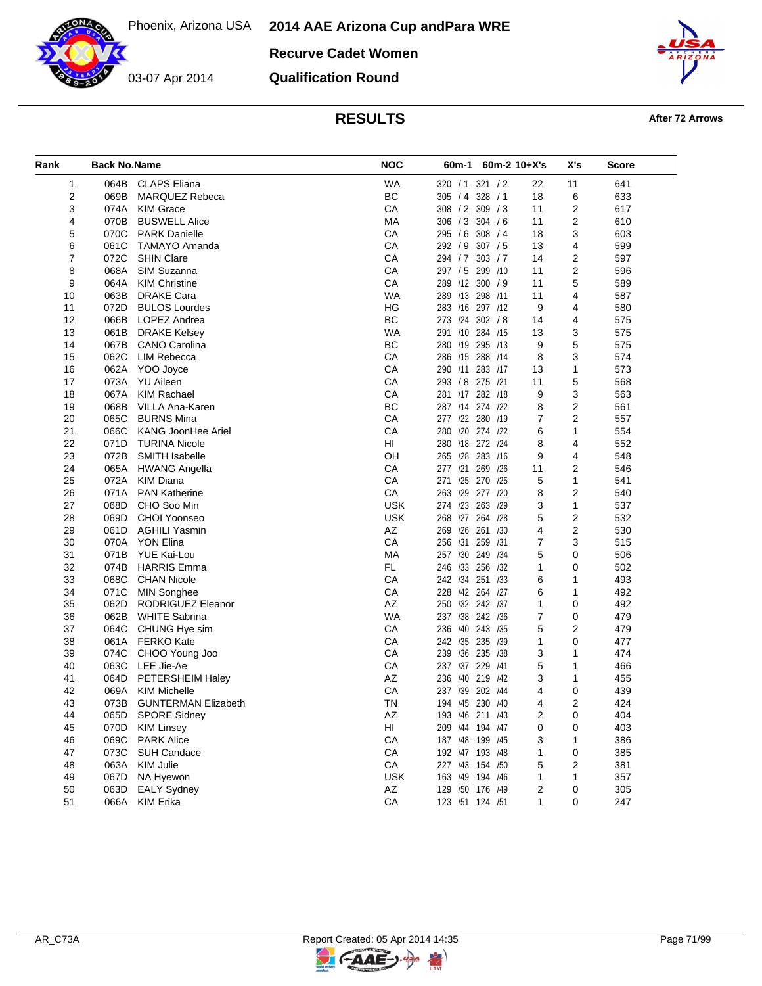**Recurve Cadet Women**

03-07 Apr 2014

**Qualification Round**



**RESULTS After 72 Arrows** 

| Rank | <b>Back No.Name</b> |                            | <b>NOC</b> | 60m-2 10+X's<br>60m-1 |                | X's            | Score |
|------|---------------------|----------------------------|------------|-----------------------|----------------|----------------|-------|
| 1    | 064B                | <b>CLAPS Eliana</b>        | <b>WA</b>  | 320 / 1 321 / 2       | 22             | 11             | 641   |
| 2    | 069B                | <b>MARQUEZ Rebeca</b>      | BC         | 305 / 4 328 / 1       | 18             | 6              | 633   |
| 3    | 074A                | <b>KIM Grace</b>           | CA         | 308 / 2 309 / 3       | 11             | 2              | 617   |
| 4    | 070B                | <b>BUSWELL Alice</b>       | МA         | 306 / 3 304 / 6       | 11             | 2              | 610   |
| 5    | 070C                | <b>PARK Danielle</b>       | CA         | 295 / 6 308 / 4       | 18             | 3              | 603   |
| 6    | 061C                | TAMAYO Amanda              | CA         | 292 / 9 307 / 5       | 13             | 4              | 599   |
| 7    | 072C                | <b>SHIN Clare</b>          | CA         | 294 / 7 303 / 7       | 14             | 2              | 597   |
| 8    | 068A                | SIM Suzanna                | CA         | 297 / 5 299 / 10      | 11             | 2              | 596   |
| 9    | 064A                | <b>KIM Christine</b>       | CA         | 289 /12 300 / 9       | 11             | 5              | 589   |
| 10   | 063B                | <b>DRAKE Cara</b>          | <b>WA</b>  | 289 /13 298 /11       | 11             | 4              | 587   |
| 11   | 072D                | <b>BULOS Lourdes</b>       | HG         | 283 /16 297 /12       | 9              | 4              | 580   |
| 12   |                     | 066B LOPEZ Andrea          | BC         | 273 /24 302 / 8       | 14             | 4              | 575   |
| 13   | 061B                | <b>DRAKE Kelsey</b>        | WA         | 291 /10 284 /15       | 13             | 3              | 575   |
| 14   | 067B                | <b>CANO Carolina</b>       | BC         | 280 /19 295 /13       | 9              | 5              | 575   |
| 15   | 062C                | <b>LIM Rebecca</b>         | CA         | 286 /15 288<br>/14    | 8              | 3              | 574   |
| 16   |                     | 062A YOO Joyce             | CA         | 290 /11 283 /17       | 13             | 1              | 573   |
| 17   | 073A                | YU Aileen                  | CA         | 293 / 8 275 /21       | 11             | 5              | 568   |
| 18   | 067A                | KIM Rachael                | CA         | 281 /17 282 /18       | 9              | 3              | 563   |
|      |                     |                            |            |                       |                |                |       |
| 19   | 068B                | <b>VILLA Ana-Karen</b>     | <b>BC</b>  | 287 /14 274 /22       | 8              | 2              | 561   |
| 20   | 065C                | <b>BURNS Mina</b>          | CA         | 277 /22 280 /19       | $\overline{7}$ | $\overline{2}$ | 557   |
| 21   | 066C                | KANG JoonHee Ariel         | CA         | 280 /20 274 /22       | 6              | $\mathbf{1}$   | 554   |
| 22   | 071D                | <b>TURINA Nicole</b>       | HI         | 280 /18 272 /24       | 8              | 4              | 552   |
| 23   | 072B                | SMITH Isabelle             | OH         | 265 /28<br>283 /16    | 9              | 4              | 548   |
| 24   | 065A                | <b>HWANG Angella</b>       | CA         | 269 /26<br>277 /21    | 11             | 2              | 546   |
| 25   | 072A                | <b>KIM Diana</b>           | CA         | 271 /25 270 /25       | 5              | $\mathbf{1}$   | 541   |
| 26   | 071A                | <b>PAN Katherine</b>       | CA         | 263 /29<br>277<br>/20 | 8              | 2              | 540   |
| 27   | 068D                | CHO Soo Min                | <b>USK</b> | 274 /23 263 /29       | 3              | 1              | 537   |
| 28   | 069D                | <b>CHOI Yoonseo</b>        | <b>USK</b> | 268 /27 264 /28       | 5              | $\overline{c}$ | 532   |
| 29   | 061D                | AGHILI Yasmin              | AZ         | 269 /26<br>261 /30    | 4              | 2              | 530   |
| 30   |                     | 070A YON Elina             | CA         | 256 /31 259 /31       | 7              | 3              | 515   |
| 31   | 071B                | YUE Kai-Lou                | MA         | 257 /30 249 /34       | 5              | 0              | 506   |
| 32   | 074B                | <b>HARRIS Emma</b>         | <b>FL</b>  | 246 /33<br>256 /32    | 1              | 0              | 502   |
| 33   | 068C                | <b>CHAN Nicole</b>         | СA         | 242 /34 251 /33       | 6              | 1              | 493   |
| 34   | 071C                | <b>MIN Songhee</b>         | CA         | 228 /42 264 /27       | 6              | 1              | 492   |
| 35   | 062D                | RODRIGUEZ Eleanor          | AZ         | 250 /32 242 /37       | 1              | $\mathbf 0$    | 492   |
| 36   | 062B                | <b>WHITE Sabrina</b>       | <b>WA</b>  | 237 /38 242 /36       | 7              | 0              | 479   |
| 37   | 064C                | CHUNG Hye sim              | CA         | 236 /40 243 /35       | 5              | 2              | 479   |
| 38   |                     | 061A FERKO Kate            | CA         | 242 /35 235<br>/39    | 1              | 0              | 477   |
| 39   | 074C                | CHOO Young Joo             | СA         | 239 /36 235 /38       | 3              | 1              | 474   |
| 40   |                     | 063C LEE Jie-Ae            | CA         | 237 /37 229 /41       | 5              | 1              | 466   |
| 41   | 064D                | PETERSHEIM Haley           | AZ         | /40 219 /42<br>236    | 3              | 1              | 455   |
| 42   | 069A                | <b>KIM Michelle</b>        | СA         | 237 /39<br>202 /44    | 4              | 0              | 439   |
| 43   | 073B                | <b>GUNTERMAN Elizabeth</b> | TN         | 194 /45 230 /40       | 4              | 2              | 424   |
| 44   | 065D                | <b>SPORE Sidney</b>        | AZ         | 193 /46 211 /43       | 2              | 0              | 404   |
| 45   | 070D                | <b>KIM Linsey</b>          | HI         | 209 /44 194 /47       | 0              | 0              | 403   |
| 46   | 069C                | <b>PARK Alice</b>          | CA         | 187 /48 199 /45       | 3              | 1              | 386   |
| 47   | 073C                | SUH Candace                | CA         | 192 /47 193 /48       | 1              | 0              | 385   |
| 48   | 063A                | KIM Julie                  | CA         | 227 /43 154 /50       | 5              | 2              | 381   |
| 49   | 067D                | NA Hyewon                  | <b>USK</b> | 163 /49 194 /46       | 1              | 1              | 357   |
|      |                     |                            |            |                       |                |                |       |
| 50   | 063D                | <b>EALY Sydney</b>         | AZ         | 129 /50 176 /49       | 2              | 0              | 305   |
| 51   | 066A                | <b>KIM Erika</b>           | ${\sf CA}$ | 123 /51 124 /51       | 1              | 0              | 247   |

키

**CAAE**-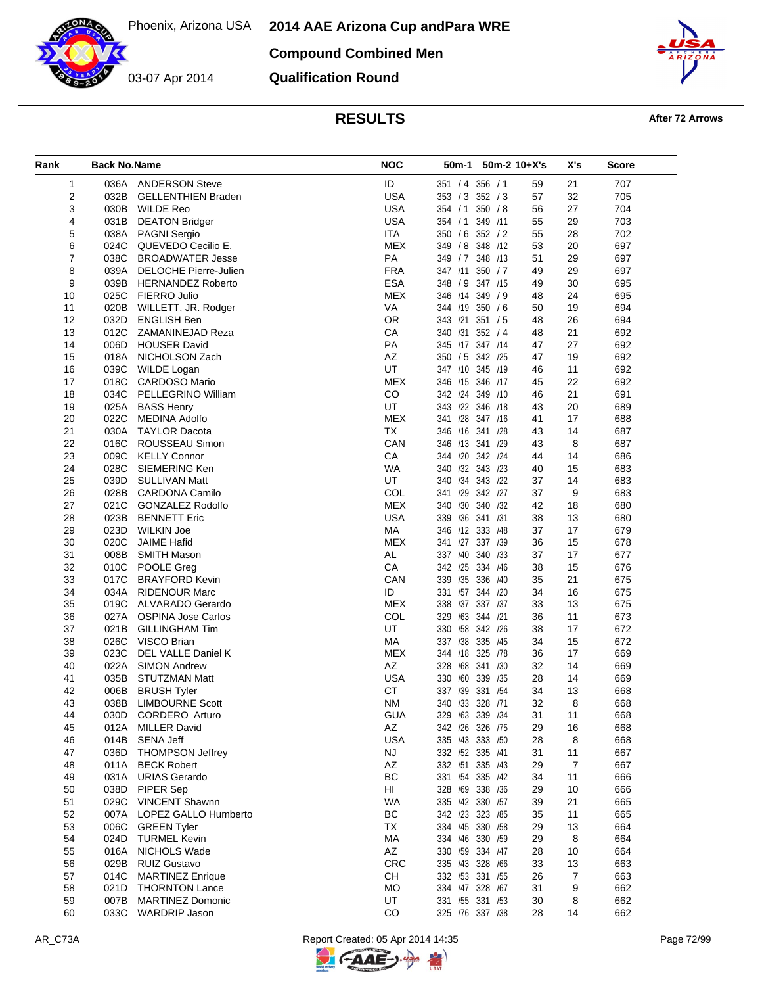Phoenix, Arizona USA



03-07 Apr 2014

**Compound Combined Men**

**Qualification Round**



**RESULTS After 72 Arrows** 

| Rank           | <b>Back No.Name</b> |                                        | <b>NOC</b>       | 50m-1<br>$50m-2$ 10+X's            |          | X's     | <b>Score</b> |
|----------------|---------------------|----------------------------------------|------------------|------------------------------------|----------|---------|--------------|
| 1              |                     | 036A ANDERSON Steve                    | ID               | 351 / 4 356 / 1                    | 59       | 21      | 707          |
| $\overline{2}$ | 032B                | <b>GELLENTHIEN Braden</b>              | <b>USA</b>       | 353 / 3 352 / 3                    | 57       | 32      | 705          |
| 3              | 030B                | WILDE Reo                              | <b>USA</b>       | 350 / 8<br>354 / 1                 | 56       | 27      | 704          |
| 4              | 031B                | <b>DEATON Bridger</b>                  | <b>USA</b>       | 354 / 1 349 / 11                   | 55       | 29      | 703          |
| 5              |                     | 038A PAGNI Sergio                      | <b>ITA</b>       | 350 / 6 352 / 2                    | 55       | 28      | 702          |
| 6              | 024C                | QUEVEDO Cecilio E.                     | <b>MEX</b>       | 348 /12<br>349 / 8                 | 53       | 20      | 697          |
| 7              |                     | 038C BROADWATER Jesse                  | PA               | 349 / 7 348 / 13                   | 51       | 29      | 697          |
| 8              |                     | 039A DELOCHE Pierre-Julien             | <b>FRA</b>       | 347 /11 350 / 7                    | 49       | 29      | 697          |
| 9              |                     | 039B HERNANDEZ Roberto                 | <b>ESA</b>       | 348 / 9<br>347 /15                 | 49       | 30      | 695          |
| 10             | 025C                | <b>FIERRO Julio</b>                    | <b>MEX</b>       | 346 /14 349 / 9                    | 48       | 24      | 695          |
| 11             | 020B                | WILLETT, JR. Rodger                    | VA               | 344 /19 350 / 6                    | 50       | 19      | 694          |
| 12             | 032D                | <b>ENGLISH Ben</b>                     | <b>OR</b>        | 343 /21<br>351 / 5                 | 48       | 26      | 694          |
| 13             | 012C                | ZAMANINEJAD Reza                       | CA               | 340 /31 352 / 4                    | 48       | 21      | 692          |
| 14             | 006D                | <b>HOUSER David</b>                    | PA               | 345 /17 347 /14                    | 47       | 27      | 692          |
| 15             |                     | 018A NICHOLSON Zach                    | AZ               | 342 /25<br>350 / 5                 | 47       | 19      | 692          |
| 16             | 039C                | WILDE Logan                            | UT               | 347 /10 345 /19                    | 46       | 11      | 692          |
| 17             | 018C                | <b>CARDOSO Mario</b>                   | <b>MEX</b>       | 346 /15 346 /17                    | 45       | 22      | 692          |
| 18             |                     | 034C PELLEGRINO William                | CO               | 342 /24 349 /10                    | 46       | 21      | 691          |
| 19             |                     | 025A BASS Henry                        | UT               | 343 /22 346 /18                    | 43       | 20      | 689          |
| 20             | 022C                | MEDINA Adolfo                          | <b>MEX</b>       | 341 /28 347 /16                    | 41       | 17      | 688          |
| 21             |                     | 030A TAYLOR Dacota                     | <b>TX</b>        | 346 /16 341 /28                    | 43       | 14      | 687          |
| 22             | 016C                | ROUSSEAU Simon                         | CAN              | 346 /13 341 /29                    | 43       | 8       | 687          |
| 23             | 009C                | <b>KELLY Connor</b>                    | CA               | 344 /20 342 /24                    | 44       | 14      | 686          |
| 24             | 028C                | SIEMERING Ken                          | <b>WA</b>        | 340 /32 343 /23                    | 40       | 15      | 683          |
| 25             | 039D                | <b>SULLIVAN Matt</b>                   | UT               | 340 /34 343 /22                    | 37       | 14      | 683          |
| 26             |                     | 028B CARDONA Camilo                    | COL              | 341 /29 342 /27                    | 37       | 9       | 683          |
| 27             | 021C                | GONZALEZ Rodolfo                       | <b>MEX</b>       | 340 /30 340 /32                    | 42       | 18      | 680          |
| 28             |                     | 023B BENNETT Eric                      | <b>USA</b>       | 339 /36 341 /31                    | 38       | 13      | 680          |
| 29             | 023D                | WILKIN Joe                             | MA               | 346 /12 333 /48                    | 37       | 17      | 679          |
| 30             | 020C                | <b>JAIME Hafid</b>                     | <b>MEX</b>       | 341 /27 337 /39                    | 36       | 15      | 678          |
| 31             | 008B                | SMITH Mason                            | AL               | 337 /40 340 /33                    | 37       | 17      | 677          |
| 32             | 010C                | <b>POOLE Greg</b>                      | CA               | 342 /25<br>334 /46                 | 38       | 15      | 676          |
| 33             | 017C                | <b>BRAYFORD Kevin</b>                  | CAN              | 339 /35 336 /40                    | 35       | 21      | 675          |
| 34             | 034A                | <b>RIDENOUR Marc</b>                   | ID               | 331 /57 344 /20                    | 34       | 16      | 675          |
| 35             | 019C                | ALVARADO Gerardo                       | <b>MEX</b>       | 338 /37 337 /37                    | 33       | 13      | 675          |
| 36             |                     | 027A OSPINA Jose Carlos                | COL              | 329 /63 344 /21                    | 36       | 11      | 673          |
| 37             | 021B                | <b>GILLINGHAM Tim</b>                  | UT               | 330 /58<br>342 /26                 | 38       | 17      | 672          |
| 38             |                     | 026C VISCO Brian                       | MA               | 335 /45<br>337 /38                 | 34       | 15      | 672          |
| 39             | 023C                | DEL VALLE Daniel K                     | <b>MEX</b>       | 344 /18 325 /78                    | 36       | 17      | 669          |
| 40             |                     | 022A SIMON Andrew                      | AZ               | 328 /68 341 /30                    | 32       | 14      | 669          |
| 41             | 035B                | STUTZMAN Matt                          | <b>USA</b>       | 330 /60<br>339 /35                 | 28       | 14      | 669          |
| 42             | 006B                | <b>BRUSH Tyler</b>                     | <b>CT</b>        | 337 /39 331 /54                    | 34       | 13      | 668          |
| 43             | 038B                | <b>LIMBOURNE Scott</b>                 | <b>NM</b>        | 340 /33 328 /71                    | 32       | 8       | 668          |
| 44             | 030D                | CORDERO Arturo                         | <b>GUA</b>       | 329 /63 339 /34<br>342 /26 326 /75 | 31       | 11      | 668          |
| 45             | 012A<br>014B        | <b>MILLER David</b><br>SENA Jeff       | AZ<br><b>USA</b> | 335 /43 333 /50                    | 29       | 16<br>8 | 668<br>668   |
| 46             |                     |                                        |                  |                                    | 28       |         |              |
| 47             | 036D                | <b>THOMPSON Jeffrey</b>                | <b>NJ</b>        | 332 /52 335 /41<br>332 /51 335 /43 | 31       | 11<br>7 | 667<br>667   |
| 48             |                     | 011A BECK Robert<br>031A URIAS Gerardo | AZ<br>BC         | 331 /54 335 /42                    | 29       | 11      | 666          |
| 49             |                     | 038D PIPER Sep                         | HI               | 328 /69 338 /36                    | 34<br>29 | 10      | 666          |
| 50             |                     | 029C VINCENT Shawnn                    | WA               |                                    |          | 21      |              |
| 51<br>52       |                     | 007A LOPEZ GALLO Humberto              | BC               | 335 /42 330 /57<br>342 /23 323 /85 | 39<br>35 | 11      | 665<br>665   |
| 53             | 006C                | <b>GREEN Tyler</b>                     | TX               | 334 /45 330 /58                    | 29       | 13      | 664          |
|                | 024D                | <b>TURMEL Kevin</b>                    | МA               | 334 /46 330 /59                    |          | 8       | 664          |
| 54<br>55       |                     | 016A NICHOLS Wade                      | AZ               | 330 /59 334 /47                    | 29<br>28 | 10      | 664          |
| 56             |                     | 029B RUIZ Gustavo                      | <b>CRC</b>       | 335 /43 328 /66                    | 33       | 13      | 663          |
| 57             | 014C                | <b>MARTINEZ Enrique</b>                | СH               | 332 /53 331 /55                    | 26       | 7       | 663          |
| 58             | 021D                | <b>THORNTON Lance</b>                  | MO               | 334 /47 328 /67                    | 31       | 9       | 662          |
| 59             | 007B                | <b>MARTINEZ Domonic</b>                | UT               | 331 /55 331 /53                    | 30       | 8       | 662          |
| 60             |                     | 033C WARDRIP Jason                     | CO               | 325 /76 337 /38                    | 28       | 14      | 662          |
|                |                     |                                        |                  |                                    |          |         |              |

 $\mathbb{F}$ 

G-AAE-J-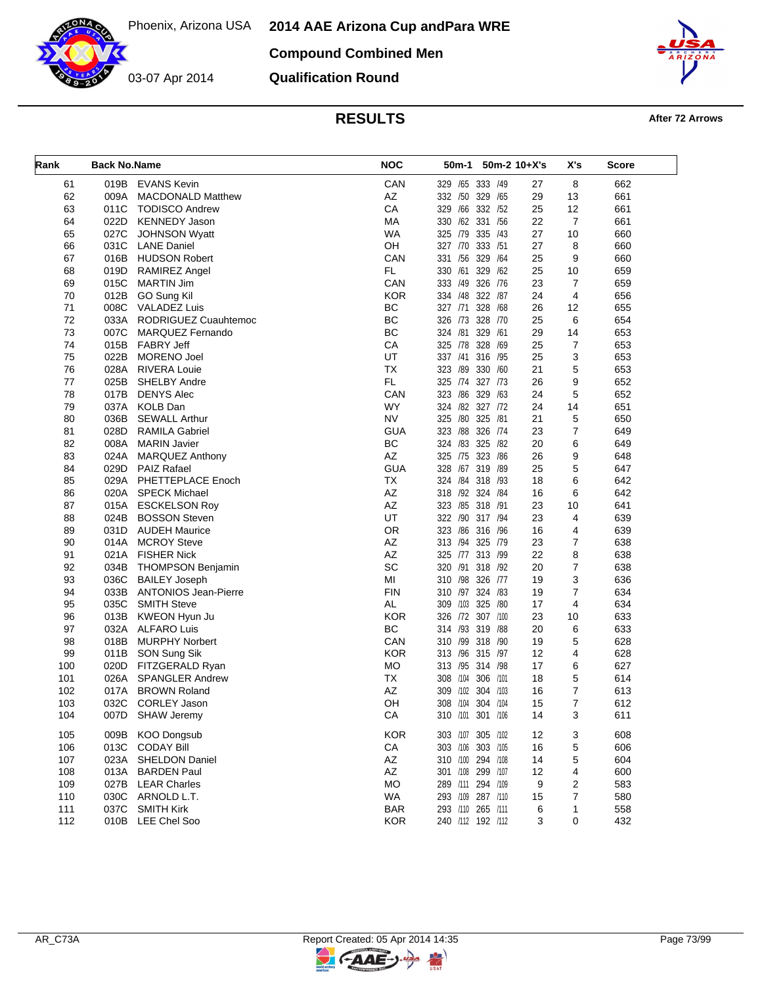**2014 AAE Arizona Cup and Para WRE**



**Compound Combined Men**

**Qualification Round**



**RESULTS After 72 Arrows** 

| Rank | <b>Back No.Name</b> |                             | <b>NOC</b> | 50m-1<br>$50m-2$ 10+X's    |    | X's            | Score |
|------|---------------------|-----------------------------|------------|----------------------------|----|----------------|-------|
| 61   | 019B                | <b>EVANS Kevin</b>          | CAN        | 333 /49<br>329 /65         | 27 | 8              | 662   |
| 62   | 009A                | <b>MACDONALD Matthew</b>    | AZ         | 332 /50<br>329<br>/65      | 29 | 13             | 661   |
| 63   | 011C                | <b>TODISCO Andrew</b>       | CA         | /66<br>332<br>329<br>/52   | 25 | 12             | 661   |
| 64   | 022D                | <b>KENNEDY Jason</b>        | МA         | 330 /62 331<br>/56         | 22 | $\overline{7}$ | 661   |
| 65   | 027C                | <b>JOHNSON Wyatt</b>        | <b>WA</b>  | 325 /79<br>335 /43         | 27 | 10             | 660   |
| 66   | 031C                | <b>LANE Daniel</b>          | OH         | 333<br>327 /70<br>/51      | 27 | 8              | 660   |
| 67   | 016B                | <b>HUDSON Robert</b>        | CAN        | 331 /56<br>329<br>/64      | 25 | 9              | 660   |
| 68   | 019D                | <b>RAMIREZ Angel</b>        | FL.        | /61<br>329<br>330<br>/62   | 25 | 10             | 659   |
| 69   | 015C                | <b>MARTIN Jim</b>           | CAN        | 326<br>333 /49<br>/76      | 23 | 7              | 659   |
| 70   | 012B                | GO Sung Kil                 | <b>KOR</b> | 334 /48<br>322 /87         | 24 | $\overline{4}$ | 656   |
| 71   | 008C                | VALADEZ Luis                | BC         | 328<br>327 /71<br>/68      | 26 | 12             | 655   |
| 72   | 033A                | RODRIGUEZ Cuauhtemoc        | BC         | 326 /73<br>328<br>/70      | 25 | 6              | 654   |
| 73   | 007C                | MARQUEZ Fernando            | BC         | 324 /81<br>329 /61         | 29 | 14             | 653   |
| 74   | 015B                | <b>FABRY Jeff</b>           | CA         | 328<br>325 /78<br>/69      | 25 | $\overline{7}$ | 653   |
| 75   | 022B                | <b>MORENO Joel</b>          | UT         | 337 /41<br>316<br>/95      | 25 | 3              | 653   |
| 76   | 028A                | RIVERA Louie                | <b>TX</b>  | 323 /89 330<br>/60         | 21 | 5              | 653   |
| 77   | 025B                | <b>SHELBY Andre</b>         | FL.        | 325 /74 327 /73            | 26 | 9              | 652   |
| 78   | 017B                | <b>DENYS Alec</b>           | CAN        | 323 /86<br>329<br>/63      | 24 | 5              | 652   |
| 79   | 037A                | <b>KOLB Dan</b>             | <b>WY</b>  | 324 /82 327 /72            | 24 | 14             | 651   |
| 80   | 036B                | <b>SEWALL Arthur</b>        | <b>NV</b>  | /80<br>325<br>325<br>/81   | 21 | 5              | 650   |
| 81   | 028D                | <b>RAMILA Gabriel</b>       | <b>GUA</b> | 323 /88<br>326<br>/74      | 23 | 7              | 649   |
| 82   |                     |                             | ВC         | 324 /83<br>325<br>/82      | 20 | 6              | 649   |
|      | 008A                | <b>MARIN Javier</b>         |            |                            |    |                |       |
| 83   | 024A                | <b>MARQUEZ Anthony</b>      | AZ         | /75 323<br>/86<br>325      | 26 | 9              | 648   |
| 84   | 029D                | <b>PAIZ Rafael</b>          | <b>GUA</b> | /67 319 /89<br>328         | 25 | 5              | 647   |
| 85   | 029A                | PHETTEPLACE Enoch           | ТX         | 324 /84 318 /93            | 18 | 6              | 642   |
| 86   | 020A                | <b>SPECK Michael</b>        | AZ         | 318 /92 324 /84            | 16 | 6              | 642   |
| 87   | 015A                | <b>ESCKELSON Roy</b>        | AZ         | 323 /85 318 /91            | 23 | 10             | 641   |
| 88   | 024B                | <b>BOSSON Steven</b>        | UT         | 322 /90 317 /94            | 23 | 4              | 639   |
| 89   | 031D                | <b>AUDEH Maurice</b>        | <b>OR</b>  | 323<br>/86 316 /96         | 16 | 4              | 639   |
| 90   | 014A                | <b>MCROY Steve</b>          | AZ         | 313 /94 325 /79            | 23 | $\overline{7}$ | 638   |
| 91   | 021A                | <b>FISHER Nick</b>          | AZ         | 325 /77 313 /99            | 22 | 8              | 638   |
| 92   | 034B                | <b>THOMPSON Benjamin</b>    | SC         | /91<br>320<br>318<br>/92   | 20 | 7              | 638   |
| 93   | 036C                | <b>BAILEY Joseph</b>        | MI         | 310 /98 326<br>/77         | 19 | 3              | 636   |
| 94   | 033B                | <b>ANTONIOS Jean-Pierre</b> | <b>FIN</b> | 310 /97 324 /83            | 19 | 7              | 634   |
| 95   | 035C                | <b>SMITH Steve</b>          | <b>AL</b>  | 325<br>309<br>/103<br>/80  | 17 | 4              | 634   |
| 96   | 013B                | KWEON Hyun Ju               | <b>KOR</b> | 326 /72 307 /100           | 23 | 10             | 633   |
| 97   | 032A                | ALFARO Luis                 | BC         | 314 /93 319 /88            | 20 | 6              | 633   |
| 98   | 018B                | <b>MURPHY Norbert</b>       | CAN        | /99<br>318 /90<br>310      | 19 | 5              | 628   |
| 99   | 011B                | SON Sung Sik                | <b>KOR</b> | 313 /96 315 /97            | 12 | 4              | 628   |
| 100  | 020D                | FITZGERALD Ryan             | MO         | 313 /95 314 /98            | 17 | 6              | 627   |
| 101  | 026A                | <b>SPANGLER Andrew</b>      | ТX         | /104<br>306<br>/101<br>308 | 18 | 5              | 614   |
| 102  | 017A                | <b>BROWN Roland</b>         | AZ         | /102<br>304<br>/103<br>309 | 16 | 7              | 613   |
| 103  | 032C                | <b>CORLEY Jason</b>         | OΗ         | 308 /104 304 /104          | 15 | $\overline{7}$ | 612   |
| 104  | 007D                | <b>SHAW Jeremy</b>          | CA         | 310 /101 301 /106          | 14 | 3              | 611   |
| 105  | 009B                | <b>KOO Dongsub</b>          | <b>KOR</b> | 303 /107 305 /102          | 12 | 3              | 608   |
| 106  | 013C                | <b>CODAY Bill</b>           | ${\sf CA}$ | 303 /106 303 /105          | 16 | 5              | 606   |
| 107  | 023A                | <b>SHELDON Daniel</b>       | AZ         | 310 /100 294 /108          | 14 | 5              | 604   |
| 108  | 013A                | <b>BARDEN Paul</b>          | AZ         | 301 /108 299 /107          | 12 | 4              | 600   |
| 109  |                     | 027B LEAR Charles           | MO         | 289 /111 294 /109          | 9  | 2              | 583   |
| 110  |                     | 030C ARNOLD L.T.            | <b>WA</b>  | 293 /109 287 /110          | 15 | 7              | 580   |
| 111  | 037C                | <b>SMITH Kirk</b>           | <b>BAR</b> | 293 /110 265 /111          | 6  | 1              | 558   |
| 112  |                     | 010B LEE Chel Soo           | <b>KOR</b> | 240 /112 192 /112          | 3  | 0              | 432   |

뮈

GAAE-J-

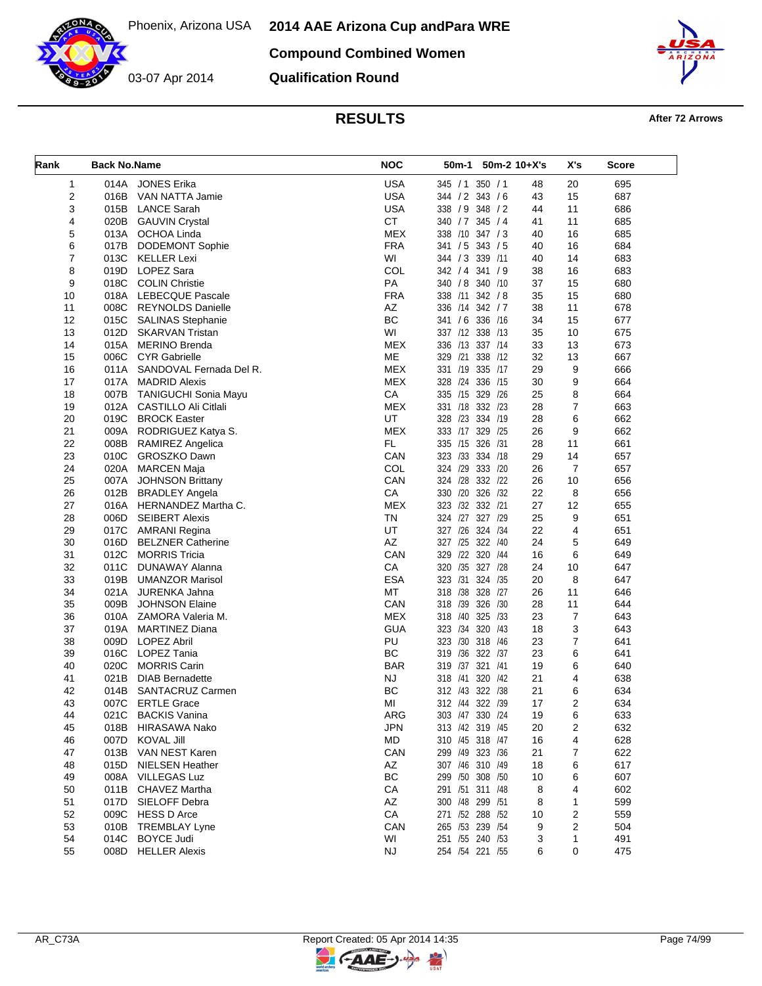**2014 AAE Arizona Cup and Para WRE**

**Compound Combined Women**

03-07 Apr 2014 **Qualification Round**



## **RESULTS After 72 Arrows**

| Rank | <b>Back No.Name</b> |                                          | <b>NOC</b> | 50m-2 10+X's<br>50m-1              |    | X's            | Score |
|------|---------------------|------------------------------------------|------------|------------------------------------|----|----------------|-------|
| 1    | 014A                | <b>JONES Erika</b>                       | <b>USA</b> | 350 / 1<br>345 / 1                 | 48 | 20             | 695   |
| 2    | 016B                | VAN NATTA Jamie                          | <b>USA</b> | 344 / 2 343 / 6                    | 43 | 15             | 687   |
| 3    | 015B                | <b>LANCE Sarah</b>                       | <b>USA</b> | 338 / 9 348 / 2                    | 44 | 11             | 686   |
| 4    | 020B                | <b>GAUVIN Crystal</b>                    | <b>CT</b>  | 340 / 7 345 / 4                    | 41 | 11             | 685   |
| 5    |                     | 013A OCHOA Linda                         | <b>MEX</b> | 338 /10 347 / 3                    | 40 | 16             | 685   |
| 6    | 017B                | <b>DODEMONT Sophie</b>                   | <b>FRA</b> | 341 / 5 343 / 5                    | 40 | 16             | 684   |
| 7    |                     | 013C KELLER Lexi                         | WI         | 344 / 3 339 /11                    | 40 | 14             | 683   |
| 8    | 019D                | LOPEZ Sara                               | COL        | 342 / 4 341 / 9                    | 38 | 16             | 683   |
| 9    | 018C                | <b>COLIN Christie</b>                    | PA         | 340 / 8<br>340 /10                 | 37 | 15             | 680   |
| 10   |                     | 018A LEBECQUE Pascale                    | <b>FRA</b> | 338 /11 342 / 8                    | 35 | 15             | 680   |
| 11   |                     | 008C REYNOLDS Danielle                   | AZ         | 336 /14 342 / 7                    | 38 | 11             | 678   |
| 12   | 015C                | <b>SALINAS Stephanie</b>                 | BC         | 341 / 6 336 /16                    | 34 | 15             | 677   |
| 13   | 012D                | SKARVAN Tristan                          | WI         | 337 /12 338 /13                    | 35 | 10             | 675   |
| 14   | 015A                | <b>MERINO Brenda</b>                     | <b>MEX</b> | 336 /13 337 /14                    | 33 | 13             | 673   |
| 15   | 006C                | CYR Gabrielle                            | ME         | 329 /21<br>338<br>/12              | 32 | 13             | 667   |
| 16   |                     | 011A SANDOVAL Fernada Del R.             | <b>MEX</b> | 331 /19 335 /17                    | 29 | 9              | 666   |
| 17   | 017A                | <b>MADRID Alexis</b>                     | <b>MEX</b> | 328 /24 336 /15                    | 30 | 9              | 664   |
| 18   | 007B                | TANIGUCHI Sonia Mayu                     | CA         | 335 /15 329 /26                    | 25 | 8              | 664   |
| 19   | 012A                | CASTILLO Ali Citlali                     | <b>MEX</b> | 331 /18 332 /23                    | 28 | 7              | 663   |
| 20   | 019C                | <b>BROCK Easter</b>                      | UT.        | 328 /23 334 /19                    | 28 | 6              | 662   |
| 21   | 009A                | RODRIGUEZ Katya S.                       | <b>MEX</b> | 333 /17 329 /25                    | 26 | 9              | 662   |
| 22   | 008B                | RAMIREZ Angelica                         | FL.        | 335 /15 326<br>/31                 | 28 | 11             | 661   |
| 23   | 010C                | GROSZKO Dawn                             | CAN        | 323 /33 334 /18                    | 29 | 14             | 657   |
| 24   | 020A                | <b>MARCEN Maja</b>                       | COL        | 324 /29<br>333 /20                 | 26 | $\overline{7}$ | 657   |
| 25   | 007A                | <b>JOHNSON Brittany</b>                  | CAN        | 324 /28 332 /22                    | 26 | 10             | 656   |
| 26   | 012B                | <b>BRADLEY Angela</b>                    | CA         | 330 /20 326<br>/32                 | 22 | 8              | 656   |
| 27   | 016A                | HERNANDEZ Martha C.                      | <b>MEX</b> | 323 /32 332 /21                    | 27 | 12             | 655   |
| 28   | 006D                | <b>SEIBERT Alexis</b>                    | ΤN         | 324 /27 327 /29                    | 25 | 9              | 651   |
| 29   |                     | 017C AMRANI Regina                       | UT.        | 327 /26 324 /34                    | 22 | 4              | 651   |
| 30   | 016D                | <b>BELZNER Catherine</b>                 | AZ         | 327 /25<br>322 /40                 | 24 | 5              | 649   |
| 31   | 012C                | <b>MORRIS Tricia</b>                     | CAN        | 329 /22 320 /44                    | 16 | 6              | 649   |
| 32   | 011C                | DUNAWAY Alanna                           | CA         | 320 /35 327 /28                    | 24 | 10             | 647   |
| 33   | 019B                | <b>UMANZOR Marisol</b>                   | <b>ESA</b> | 323 /31<br>324 /35                 | 20 | 8              | 647   |
| 34   |                     | 021A JURENKA Jahna                       | MT         | 318 /38<br>328<br>/27              | 26 | 11             | 646   |
| 35   | 009B                | <b>JOHNSON Elaine</b>                    | CAN        | 326<br>318 /39<br>/30              | 28 | 11             | 644   |
| 36   |                     | 010A ZAMORA Valeria M.                   | <b>MEX</b> | 318 /40<br>325<br>/33              | 23 | $\overline{7}$ | 643   |
| 37   | 019A                | <b>MARTINEZ Diana</b>                    | <b>GUA</b> | 323 /34 320 /43                    | 18 | 3              | 643   |
| 38   | 009D                | <b>LOPEZ Abril</b>                       | PU         | 323 /30<br>318<br>/46              | 23 | $\overline{7}$ | 641   |
| 39   | 016C                | LOPEZ Tania                              | <b>BC</b>  | 319 /36 322 /37                    | 23 | 6              | 641   |
| 40   | 020C                | <b>MORRIS Carin</b>                      | <b>BAR</b> | 319 /37 321 /41                    | 19 | 6              | 640   |
| 41   | 021B                | <b>DIAB Bernadette</b>                   | <b>NJ</b>  | 318 /41<br>320 /42                 | 21 | $\overline{4}$ | 638   |
| 42   | 014B                | SANTACRUZ Carmen                         | <b>BC</b>  | 312 /43 322 /38                    | 21 | 6              | 634   |
| 43   | 007C                | <b>ERTLE Grace</b>                       | MI         | 312 /44 322 /39                    | 17 | 2              | 634   |
| 44   | 021C                | <b>BACKIS Vanina</b>                     | ARG        | 303 /47 330 /24                    | 19 | 6              | 633   |
| 45   | 018B                | <b>HIRASAWA Nako</b>                     | <b>JPN</b> | 313 /42 319 /45                    | 20 | 2              | 632   |
| 46   | 007D                | KOVAL Jill                               | MD         | 310 /45 318 /47                    | 16 | 4              | 628   |
| 47   |                     | 013B VAN NEST Karen                      | CAN        | 299 /49 323 /36                    | 21 | 7              | 622   |
| 48   | 015D                | NIELSEN Heather                          | AZ         | 307 /46 310 /49                    | 18 | 6              | 617   |
| 49   | 008A                | <b>VILLEGAS Luz</b>                      | ВC         |                                    |    |                | 607   |
|      | 011B                | CHAVEZ Martha                            | CA         | 299 /50 308 /50<br>291 /51 311 /48 | 10 | 6<br>4         | 602   |
| 50   |                     |                                          | AZ         | 300 /48 299 /51                    | 8  |                | 599   |
| 51   | 017D                | SIELOFF Debra                            |            |                                    | 8  | 1              |       |
| 52   | 009C                | <b>HESS D Arce</b><br>010B TREMBLAY Lyne | CA         | 271 /52 288 /52                    | 10 | 2              | 559   |
| 53   |                     |                                          | CAN        | 265 /53 239 /54                    | 9  | 2              | 504   |
| 54   | 014C                | <b>BOYCE Judi</b>                        | WI         | 251 /55 240 /53                    | 3  | 1              | 491   |
| 55   |                     | 008D HELLER Alexis                       | <b>NJ</b>  | 254 /54 221 /55                    | 6  | 0              | 475   |

키

**C-AAE-**

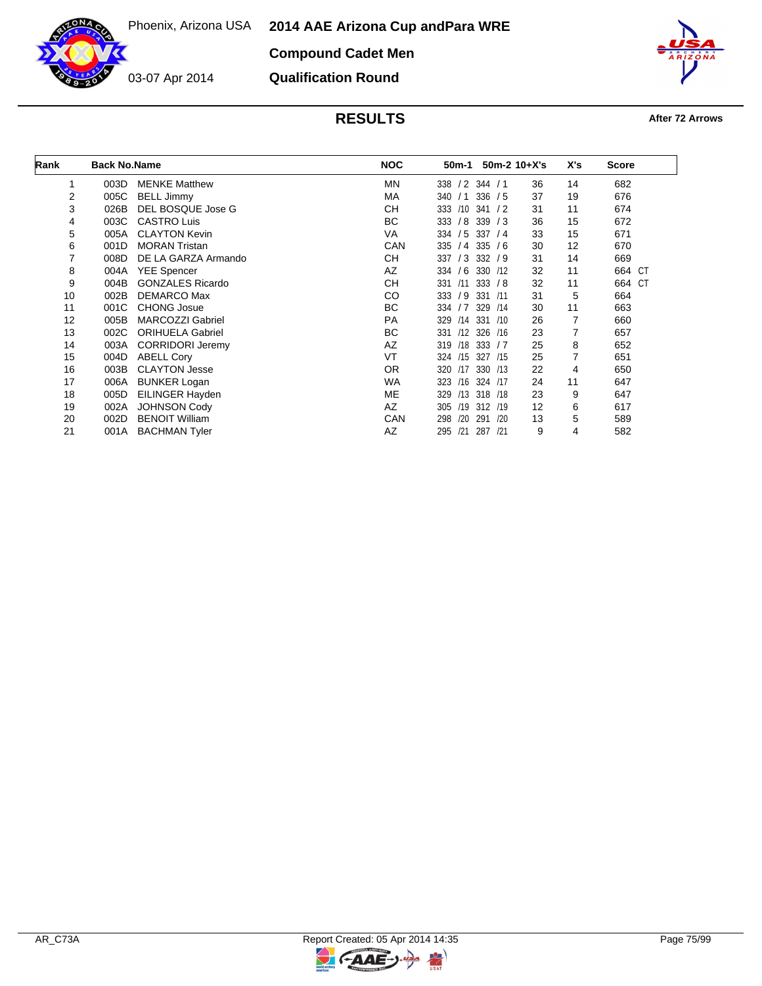**Compound Cadet Men**



03-07 Apr 2014

**Qualification Round**



| Rank | <b>Back No.Name</b> |                         | <b>NOC</b> | 50m-1                 | $50m-2$ 10+X's | X's | <b>Score</b> |
|------|---------------------|-------------------------|------------|-----------------------|----------------|-----|--------------|
| 1    | 003D                | <b>MENKE Matthew</b>    | ΜN         | 338 / 2 344 / 1       | 36             | 14  | 682          |
| 2    | 005C                | <b>BELL Jimmy</b>       | МA         | 336 / 5<br>340 / 1    | 37             | 19  | 676          |
| 3    | 026B                | DEL BOSQUE Jose G       | <b>CH</b>  | 333 /10 341           | /2<br>31       | 11  | 674          |
| 4    | 003C                | <b>CASTRO Luis</b>      | BC         | 333 / 8 339 / 3       | 36             | 15  | 672          |
| 5    | 005A                | <b>CLAYTON Kevin</b>    | VA         | 334<br>$/5$ 337 $/4$  | 33             | 15  | 671          |
| 6    | 001D                | <b>MORAN Tristan</b>    | CAN        | $335 / 4$ 335 / 6     | 30             | 12  | 670          |
| 7    | 008D                | DE LA GARZA Armando     | CН         | $/3$ 332 $/9$<br>337  | 31             | 14  | 669          |
| 8    | 004A                | <b>YEE Spencer</b>      | AZ         | 334 / 6 330 / 12      | 32             | 11  | 664 CT       |
| 9    | 004B                | <b>GONZALES Ricardo</b> | <b>CH</b>  | 333 / 8<br>331<br>/11 | 32             | 11  | 664 CT       |
| 10   | 002B                | <b>DEMARCO Max</b>      | CO         | 333 / 9<br>331 /11    | 31             | 5   | 664          |
| 11   | 001C                | <b>CHONG Josue</b>      | BC         | 334 / 7 329 / 14      | 30             | 11  | 663          |
| 12   | 005B                | <b>MARCOZZI Gabriel</b> | <b>PA</b>  | /14 331<br>329        | 26<br>/10      | 7   | 660          |
| 13   | 002C                | <b>ORIHUELA Gabriel</b> | BC         | /12 326 /16<br>331    | 23             | 7   | 657          |
| 14   | 003A                | <b>CORRIDORI Jeremy</b> | AZ         | 319 /18 333 / 7       | 25             | 8   | 652          |
| 15   | 004D                | <b>ABELL Cory</b>       | VT         | 324 /15 327 /15       | 25             |     | 651          |
| 16   | 003B                | <b>CLAYTON Jesse</b>    | OR.        | 330 /13<br>320 /17    | 22             | 4   | 650          |
| 17   | 006A                | <b>BUNKER Logan</b>     | <b>WA</b>  | /16<br>324 /17<br>323 | 24             | 11  | 647          |
| 18   | 005D                | EILINGER Hayden         | ME         | 329<br>/13 318 /18    | 23             | 9   | 647          |
| 19   | 002A                | <b>JOHNSON Cody</b>     | AZ         | 305 /19 312 /19       | 12             | 6   | 617          |
| 20   | 002D                | <b>BENOIT William</b>   | CAN        | /20<br>291<br>298     | /20<br>13      | 5   | 589          |
| 21   | 001A                | <b>BACHMAN Tyler</b>    | AZ         | 295<br>/21<br>287 /21 | 9              | 4   | 582          |

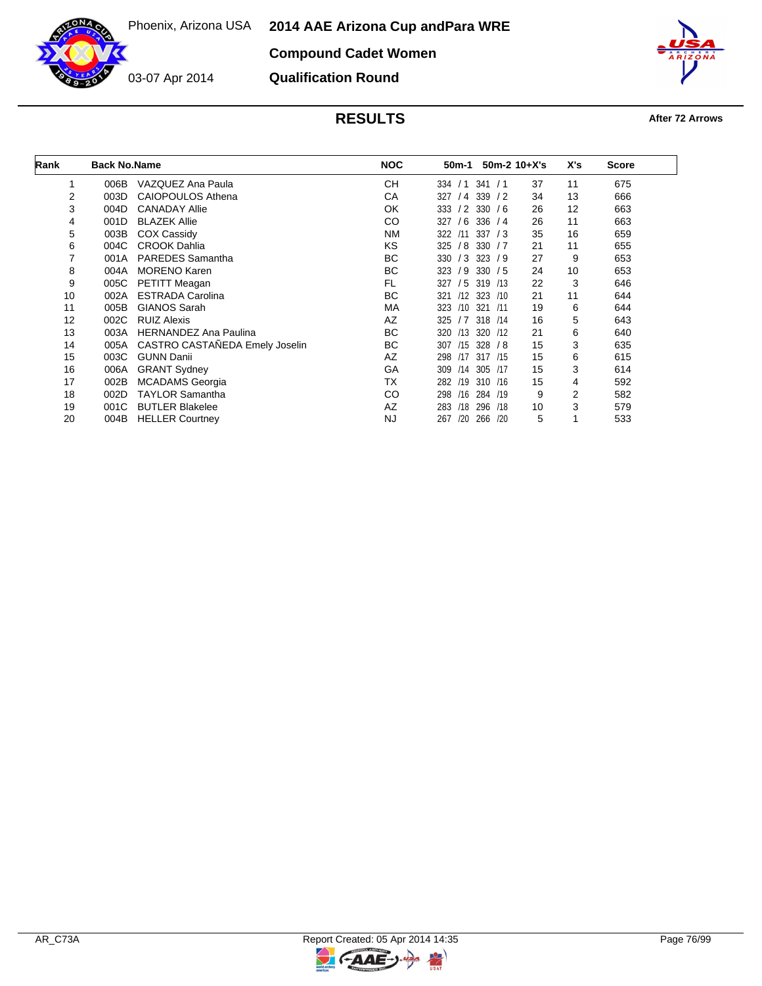**2014 AAE Arizona Cup and Para WRE**

**Compound Cadet Women**



03-07 Apr 2014

**Qualification Round**



| Rank | <b>Back No.Name</b> |                                | <b>NOC</b> | 50m-1      |                   | $50m-2$ 10+X's | X's | Score |
|------|---------------------|--------------------------------|------------|------------|-------------------|----------------|-----|-------|
| 1    | 006B                | VAZQUEZ Ana Paula              | <b>CH</b>  | 334<br>/1  | 341 / 1           | 37             | 11  | 675   |
| 2    | 003D                | <b>CAIOPOULOS Athena</b>       | СA         | 327<br>/4  | 339<br>/2         | 34             | 13  | 666   |
| 3    | 004D                | <b>CANADAY Allie</b>           | OK         | /2<br>333  | 330<br>/6         | 26             | 12  | 663   |
| 4    | 001D                | <b>BLAZEK Allie</b>            | CO         | /6<br>327  | 336<br>/4         | 26             | 11  | 663   |
| 5    | 003B                | <b>COX Cassidy</b>             | NM         | 322<br>/11 | 337<br>$\sqrt{3}$ | 35             | 16  | 659   |
| 6    | 004C                | <b>CROOK Dahlia</b>            | KS.        | /8<br>325  | 330<br>/7         | 21             | 11  | 655   |
| 7    | 001A                | <b>PAREDES</b> Samantha        | ВC         | /3<br>330  | 323 / 9           | 27             | 9   | 653   |
| 8    | 004A                | <b>MORENO Karen</b>            | BC         | 323<br>/9  | 330 / 5           | 24             | 10  | 653   |
| 9    | 005C                | <b>PETITT Meagan</b>           | FL         | /5<br>327  | 319 /13           | 22             | 3   | 646   |
| 10   | 002A                | <b>ESTRADA Carolina</b>        | <b>BC</b>  | /12<br>321 | 323 / 10          | 21             | 11  | 644   |
| 11   | 005B                | <b>GIANOS Sarah</b>            | МA         | 323<br>/10 | 321<br>/11        | 19             | 6   | 644   |
| 12   | 002C                | <b>RUIZ Alexis</b>             | AZ         | 325<br>/7  | 318 /14           | 16             | 5   | 643   |
| 13   | 003A                | <b>HERNANDEZ Ana Paulina</b>   | ВC         | /13<br>320 | 320 /12           | 21             | 6   | 640   |
| 14   | 005A                | CASTRO CASTAÑEDA Emely Joselin | BC         | 307<br>/15 | 328 / 8           | 15             | 3   | 635   |
| 15   | 003C                | <b>GUNN Danii</b>              | AZ         | /17<br>298 | 317 /15           | 15             | 6   | 615   |
| 16   | 006A                | <b>GRANT Sydney</b>            | GA         | 309<br>/14 | 305<br>/17        | 15             | 3   | 614   |
| 17   | 002B                | <b>MCADAMS</b> Georgia         | TX         | /19<br>282 | 310 /16           | 15             | 4   | 592   |
| 18   | 002D                | <b>TAYLOR Samantha</b>         | CO         | /16<br>298 | 284<br>/19        | 9              | 2   | 582   |
| 19   | 001C                | <b>BUTLER Blakelee</b>         | AZ         | /18<br>283 | 296<br>/18        | 10             | 3   | 579   |
| 20   | 004B                | <b>HELLER Courtney</b>         | <b>NJ</b>  | 267<br>/20 | 266<br>/20        | 5              |     | 533   |

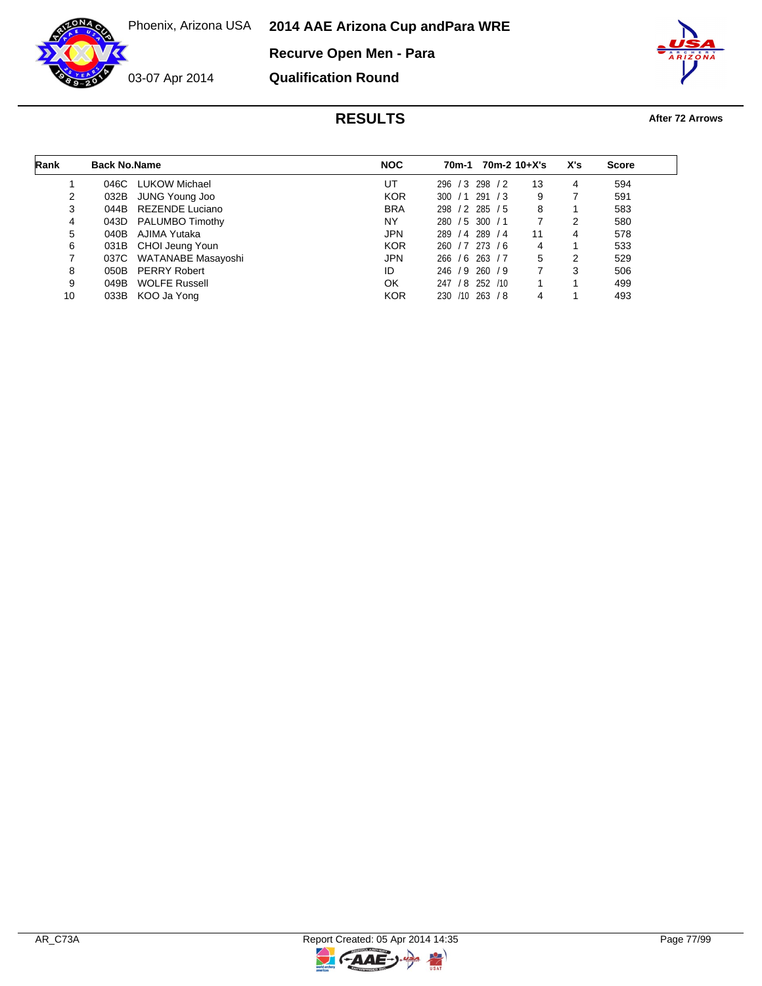**2014 AAE Arizona Cup and Para WRE**

**Recurve Open Men - Para**



03-07 Apr 2014





| Rank | <b>Back No.Name</b> |                         | <b>NOC</b> | 70m-2 10+X's<br>70m-1 |    | X's | <b>Score</b> |  |
|------|---------------------|-------------------------|------------|-----------------------|----|-----|--------------|--|
|      | 046C                | LUKOW Michael           | UT         | 298 / 2<br>296 / 3    | 13 | 4   | 594          |  |
| 2    | 032B                | JUNG Young Joo          | <b>KOR</b> | 291 / 3<br>300 / 1    | 9  |     | 591          |  |
| 3    | 044B                | REZENDE Luciano         | <b>BRA</b> | 298 / 2 285 / 5       | 8  |     | 583          |  |
| 4    | 043D                | <b>PALUMBO Timothy</b>  | NY         | 280 / 5 300 / 1       |    | 2   | 580          |  |
| 5    | 040B                | AJIMA Yutaka            | <b>JPN</b> | 289 / 4<br>289/4      | 11 | 4   | 578          |  |
| 6    |                     | 031B CHOI Jeung Youn    | <b>KOR</b> | 260 / 7 273 / 6       | 4  |     | 533          |  |
| 7    |                     | 037C WATANABE Masayoshi | <b>JPN</b> | 266 / 6 263 / 7       | 5  | 2   | 529          |  |
| 8    |                     | 050B PERRY Robert       | ID         | 246 / 9 260 / 9       |    | 3   | 506          |  |
| 9    | 049B                | <b>WOLFE Russell</b>    | OK         | / 8 252 /10<br>247    |    |     | 499          |  |
| 10   | 033B                | KOO Ja Yong             | <b>KOR</b> | 263 / 8<br>230 /10    |    |     | 493          |  |

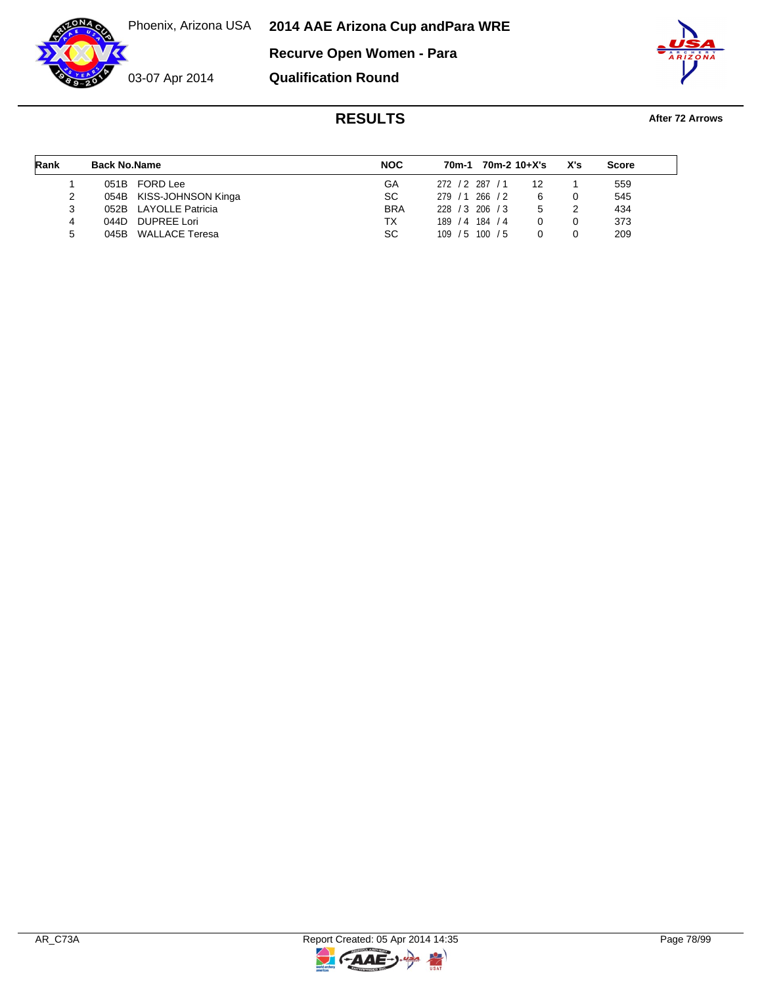Phoenix, Arizona USA **2014 AAE Arizona Cup and Para WRE**

**Recurve Open Women - Para**



**Qualification Round**



| Rank | <b>Back No.Name</b> |                         | <b>NOC</b> | 70m-1           | 70m-2 10+X's |    | X's | <b>Score</b> |
|------|---------------------|-------------------------|------------|-----------------|--------------|----|-----|--------------|
|      | 051B                | FORD Lee                | GA         | 272 / 2 287 / 1 |              | 12 |     | 559          |
|      |                     | 054B KISS-JOHNSON Kinga | SC.        | 279/1           | 266 / 2      |    |     | 545          |
|      |                     | 052B LAYOLLE Patricia   | <b>BRA</b> | 228 / 3 206 / 3 |              | 5  |     | 434          |
| 4    | 044D.               | <b>DUPREE Lori</b>      | ТX         | 189<br>/4       | 184 / 4      |    |     | 373          |
| 5    | 045B                | WALLACE Teresa          | SC.        | 109<br>/5       | 100 / 5      |    |     | 209          |

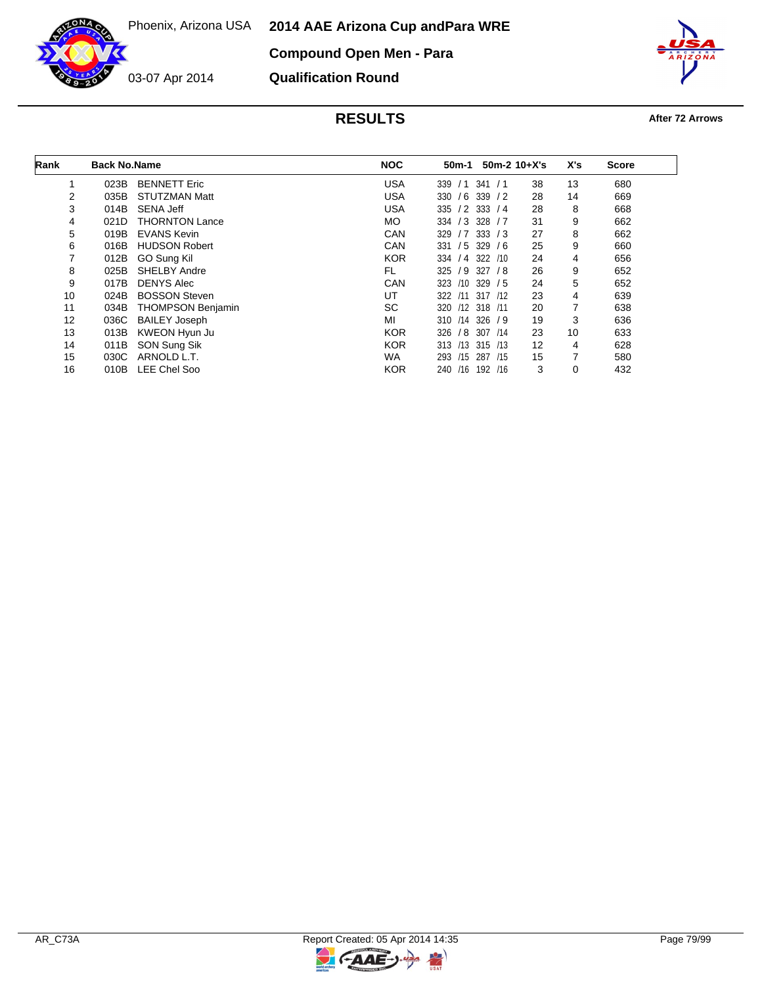**2014 AAE Arizona Cup and Para WRE**

**Compound Open Men - Para**

03-07 Apr 2014

**Qualification Round**



| Rank | <b>Back No.Name</b> |                          | <b>NOC</b> | 50m-1             | $50m-2$ 10+X's |    | X's | <b>Score</b> |
|------|---------------------|--------------------------|------------|-------------------|----------------|----|-----|--------------|
| 1    | 023B                | <b>BENNETT Eric</b>      | <b>USA</b> | 339 / 1           | 341<br>/1      | 38 | 13  | 680          |
| 2    | 035B                | <b>STUTZMAN Matt</b>     | <b>USA</b> | 330 / 6 339 / 2   |                | 28 | 14  | 669          |
| 3    | 014B                | <b>SENA Jeff</b>         | <b>USA</b> | $335 / 2$ 333 / 4 |                | 28 | 8   | 668          |
| 4    | 021D                | <b>THORNTON Lance</b>    | MO.        | 334 / 3 328 / 7   |                | 31 | 9   | 662          |
| 5    | 019B                | <b>EVANS Kevin</b>       | CAN        | 329               | $/7$ 333 $/3$  | 27 | 8   | 662          |
| 6    | 016B                | <b>HUDSON Robert</b>     | CAN        | 331               | $/5$ 329 $/6$  | 25 | 9   | 660          |
| 7    | 012B                | GO Sung Kil              | <b>KOR</b> | 334 / 4 322 / 10  |                | 24 | 4   | 656          |
| 8    | 025B                | <b>SHELBY Andre</b>      | FL.        | $325 / 9$ 327 / 8 |                | 26 | 9   | 652          |
| 9    | 017B                | <b>DENYS Alec</b>        | CAN        | 323 /10 329 / 5   |                | 24 | 5   | 652          |
| 10   | 024B                | <b>BOSSON Steven</b>     | UT         | 322 / 11          | 317 /12        | 23 | 4   | 639          |
| 11   | 034B                | <b>THOMPSON Benjamin</b> | <b>SC</b>  | 320 /12 318 /11   |                | 20 | 7   | 638          |
| 12   | 036C                | <b>BAILEY Joseph</b>     | MI         | 310 /14 326 / 9   |                | 19 | 3   | 636          |
| 13   | 013B                | KWEON Hyun Ju            | <b>KOR</b> | 326               | / 8 307 /14    | 23 | 10  | 633          |
| 14   | 011B                | SON Sung Sik             | <b>KOR</b> | 313 /13 315 /13   |                | 12 | 4   | 628          |
| 15   | 030C                | ARNOLD L.T.              | <b>WA</b>  | 293               | /15 287 /15    | 15 |     | 580          |
| 16   | 010B                | LEE Chel Soo             | <b>KOR</b> | /16<br>240        | 192 /16        | 3  | 0   | 432          |

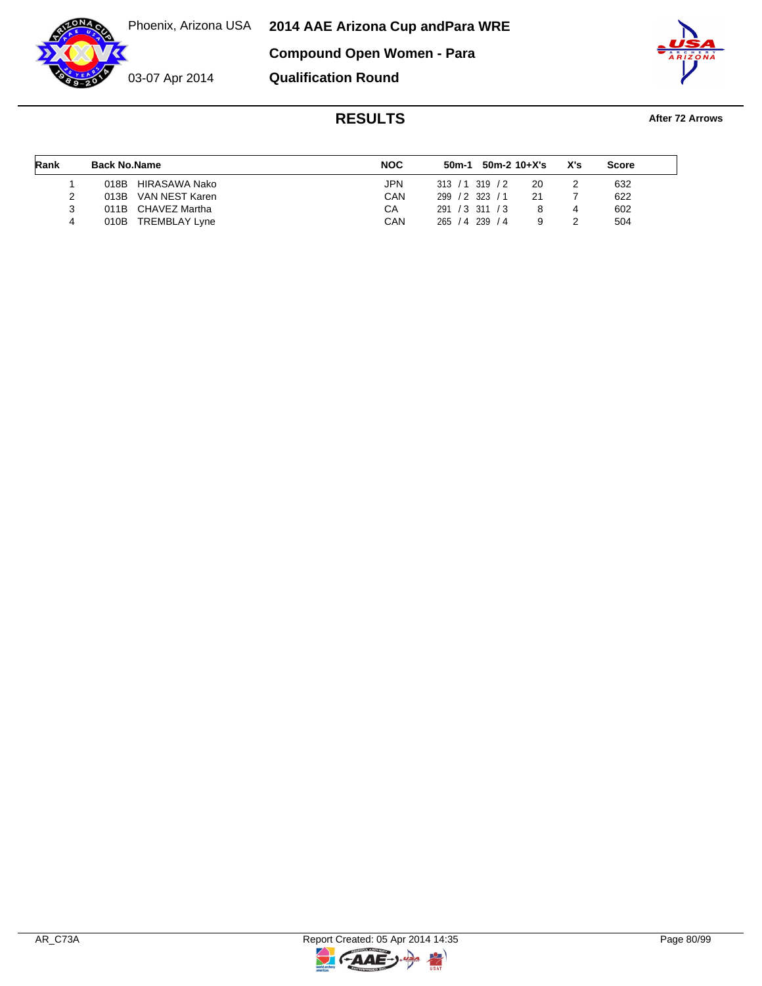03-07 Apr 2014

**2014 AAE Arizona Cup and Para WRE Compound Open Women - Para**

**Qualification Round**



| Rank | <b>Back No.Name</b>          | <b>NOC</b> | 50m-1           | 50m-2 10+X's      |    | X's | Score |  |
|------|------------------------------|------------|-----------------|-------------------|----|-----|-------|--|
|      | 018B HIRASAWA Nako           | JPN        | 313 / 1319 / 2  |                   | 20 |     | 632   |  |
|      | 013B VAN NEST Karen          | CAN        | 299 / 2 323 / 1 |                   |    |     | 622   |  |
|      | 011B CHAVEZ Martha           | СA         | 291 / 3 311 / 3 |                   |    | 4   | 602   |  |
| 4    | 010B<br><b>TREMBLAY Lyne</b> | CAN        | 265<br>/4       | 239<br>$\sqrt{4}$ |    |     | 504   |  |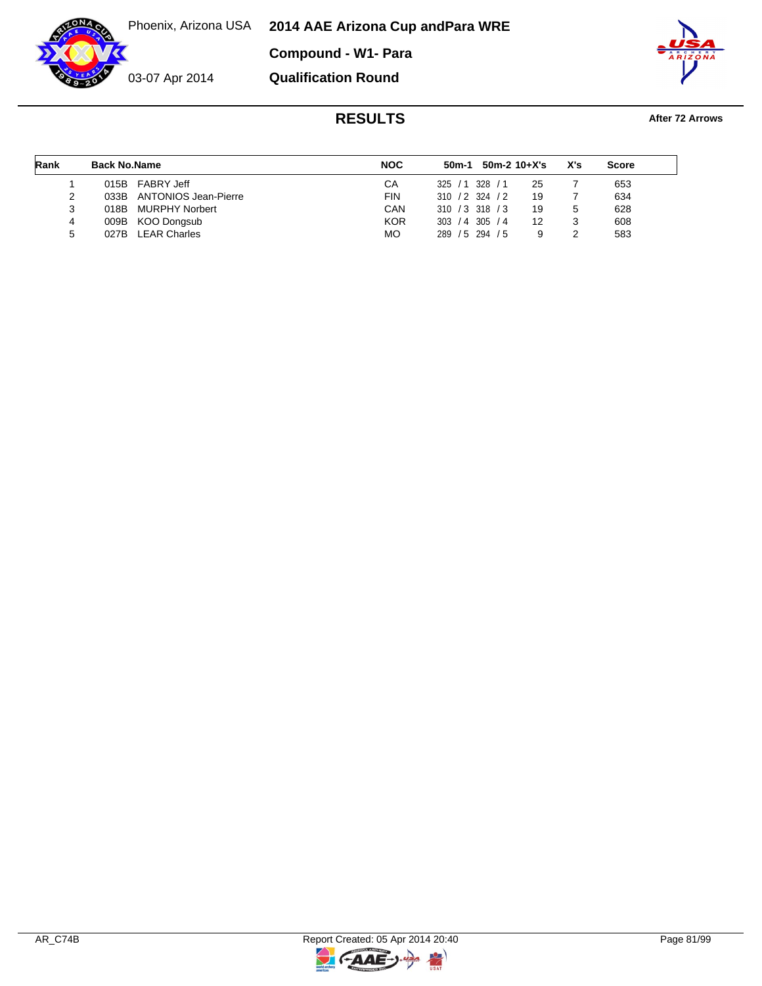Phoenix, Arizona USA **2014 AAE Arizona Cup and Para WRE**

**Compound - W1- Para**



**Qualification Round**



| Rank | <b>Back No.Name</b> |                           | <b>NOC</b> |                   | $50m-1$ 50m-2 10+X's |    | X's | <b>Score</b> |
|------|---------------------|---------------------------|------------|-------------------|----------------------|----|-----|--------------|
|      | 015B                | FABRY Jeff                | CA         | 325/1             | 328 / 1              | 25 |     | 653          |
|      |                     | 033B ANTONIOS Jean-Pierre | FIN        | $310 / 2$ 324 / 2 |                      | 19 |     | 634          |
| 3    | 018B                | <b>MURPHY Norbert</b>     | CAN        | $310 / 3$ 318 / 3 |                      | 19 |     | 628          |
| 4    | 009B                | KOO Dongsub               | <b>KOR</b> | $303 / 4$ 305 / 4 |                      | 12 |     | 608          |
| 5    | 027B                | <b>LEAR Charles</b>       | <b>MO</b>  | 289 / 5 294 / 5   |                      |    |     | 583          |



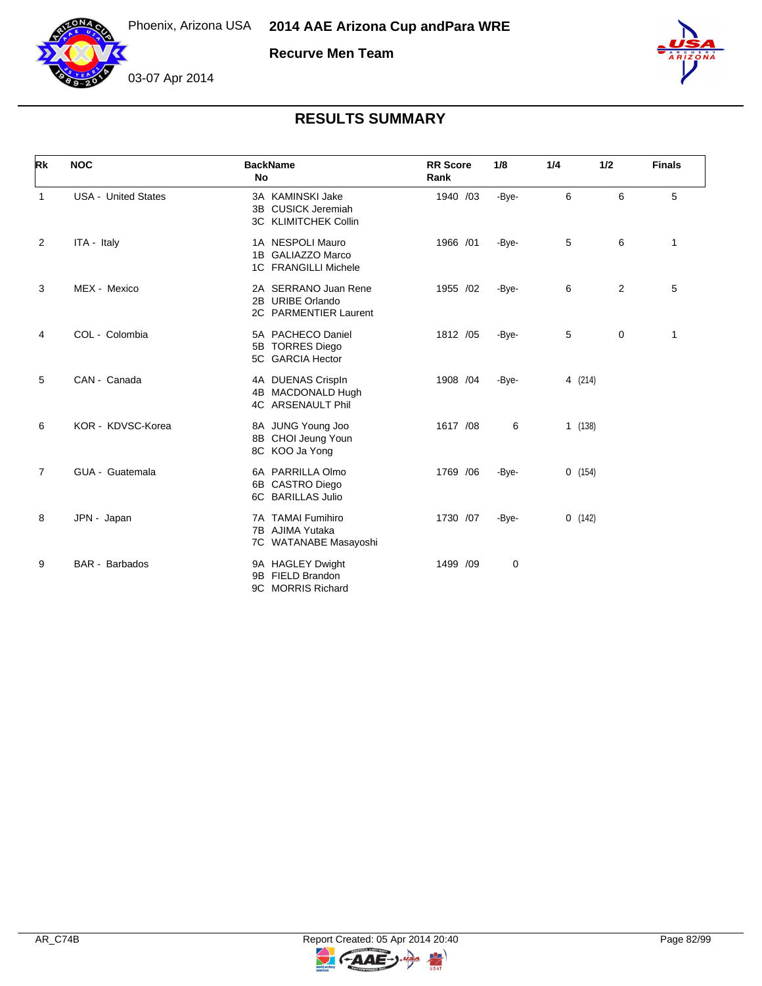

**Recurve Men Team**



## **RESULTS SUMMARY**

| Rk             | <b>NOC</b>                 | <b>BackName</b><br>No                                                   | <b>RR</b> Score<br>Rank | 1/8   | 1/4     | 1/2 | <b>Finals</b> |
|----------------|----------------------------|-------------------------------------------------------------------------|-------------------------|-------|---------|-----|---------------|
| 1              | <b>USA - United States</b> | 3A KAMINSKI Jake<br>3B CUSICK Jeremiah<br>3C KLIMITCHEK Collin          | 1940 /03                | -Bye- | 6       | 6   | 5             |
| 2              | ITA - Italy                | 1A NESPOLI Mauro<br>1B GALIAZZO Marco<br>1C FRANGILLI Michele           | 1966 /01                | -Bye- | 5       | 6   | $\mathbf{1}$  |
| 3              | MEX - Mexico               | 2A SERRANO Juan Rene<br>2B URIBE Orlando<br>2C PARMENTIER Laurent       | 1955 /02                | -Bye- | 6       | 2   | 5             |
| 4              | COL - Colombia             | 5A PACHECO Daniel<br>5B TORRES Diego<br>5C GARCIA Hector                | 1812 /05                | -Bye- | 5       | 0   | $\mathbf{1}$  |
| 5              | CAN - Canada               | 4A DUENAS Crispln<br>4B MACDONALD Hugh<br>4C ARSENAULT Phil             | 1908 /04                | -Bye- | 4 (214) |     |               |
| 6              | KOR - KDVSC-Korea          | 8A JUNG Young Joo<br>8B CHOI Jeung Youn<br>8C KOO Ja Yong               | 1617 /08                | 6     | 1(138)  |     |               |
| $\overline{7}$ | GUA - Guatemala            | 6A PARRILLA Olmo<br>6B CASTRO Diego<br>6C BARILLAS Julio                | 1769 / 06               | -Bye- | 0(154)  |     |               |
| 8              | JPN - Japan                | <b>TAMAI Fumihiro</b><br>7A<br>7B AJIMA Yutaka<br>7C WATANABE Masayoshi | 1730 /07                | -Bye- | 0(142)  |     |               |
| 9              | <b>BAR</b> - Barbados      | 9A HAGLEY Dwight<br><b>FIELD Brandon</b><br>9B<br>9C MORRIS Richard     | 1499 /09                | 0     |         |     |               |



 $\overline{z}$ 

G-AAE-J-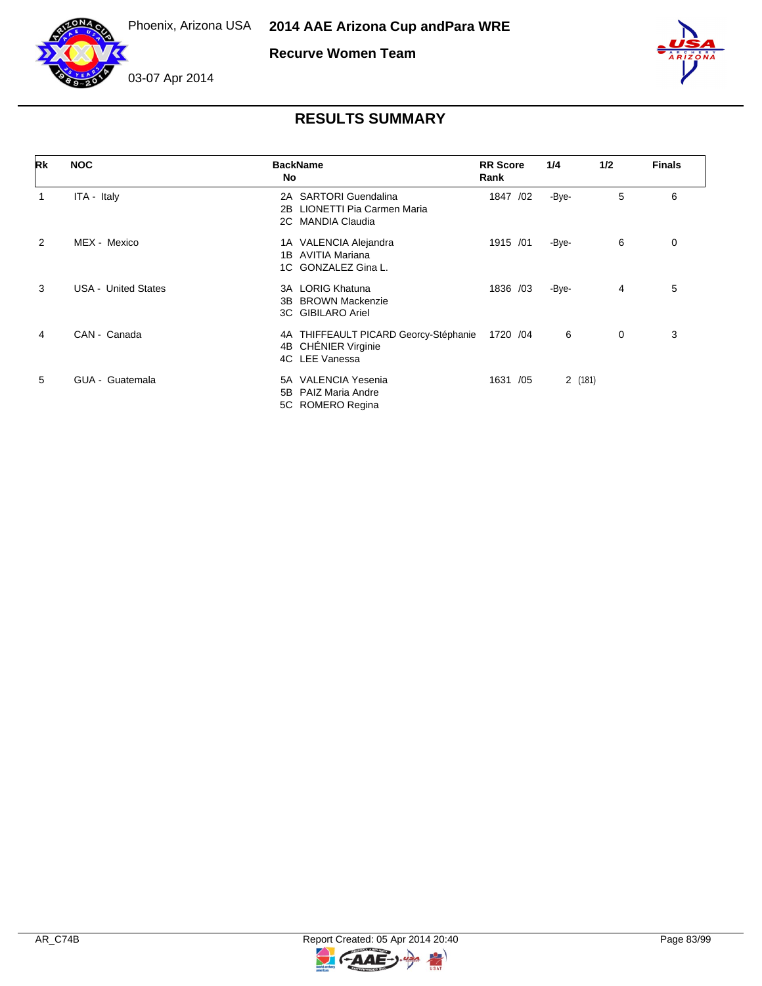



**Recurve Women Team**



### 03-07 Apr 2014

| Rk | <b>NOC</b>                 | <b>BackName</b><br>No                                                                | <b>RR</b> Score<br>Rank | 1/4    | 1/2 | <b>Finals</b> |
|----|----------------------------|--------------------------------------------------------------------------------------|-------------------------|--------|-----|---------------|
| 1  | ITA - Italy                | 2A SARTORI Guendalina<br><b>LIONETTI Pia Carmen Maria</b><br>2B<br>2C MANDIA Claudia | 1847<br>/02             | -Bye-  | 5   | 6             |
| 2  | MEX - Mexico               | 1A VALENCIA Alejandra<br>AVITIA Mariana<br>1B<br>1C GONZALEZ Gina L.                 | 1915 /01                | -Bye-  | 6   | 0             |
| 3  | <b>USA - United States</b> | LORIG Khatuna<br>3A<br><b>BROWN Mackenzie</b><br>3B.<br>3C GIBILARO Ariel            | 1836 /03                | -Bye-  | 4   | 5             |
| 4  | CAN - Canada               | 4A THIFFEAULT PICARD Georcy-Stéphanie<br>4B CHÉNIER Virginie<br>4C LEE Vanessa       | 1720 / 04               | 6      | 0   | 3             |
| 5  | GUA - Guatemala            | <b>VALENCIA Yesenia</b><br>5A<br>PAIZ Maria Andre<br>5B<br>5C ROMERO Regina          | /05<br>1631             | 2(181) |     |               |



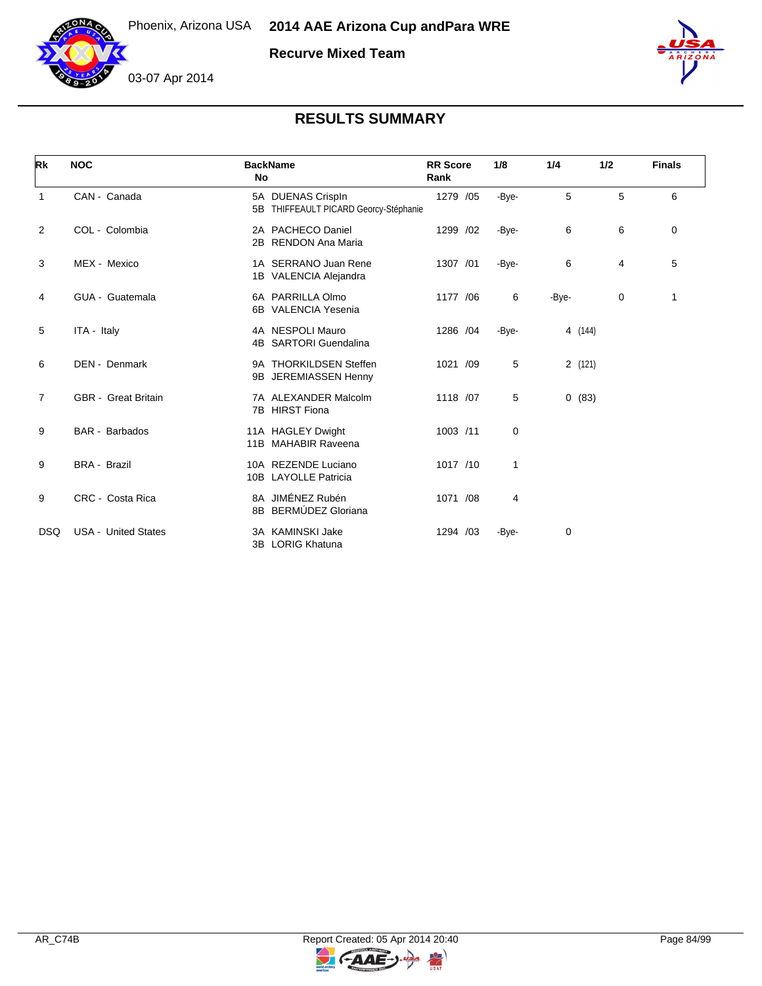

**Recurve Mixed Team**





# **RESULTS SUMMARY**

| Rk             | <b>NOC</b>                 | <b>BackName</b><br>No                                         | <b>RR</b> Score<br>Rank | 1/8   | 1/4     | 1/2 | <b>Finals</b> |
|----------------|----------------------------|---------------------------------------------------------------|-------------------------|-------|---------|-----|---------------|
| 1              | CAN - Canada               | 5A DUENAS Crispln<br>THIFFEAULT PICARD Georcy-Stéphanie<br>5B | 1279 /05                | -Bye- | 5       | 5   | 6             |
| $\overline{2}$ | COL - Colombia             | 2A PACHECO Daniel<br><b>RENDON Ana Maria</b><br>2B            | 1299 /02                | -Bye- | 6       | 6   | 0             |
| 3              | MEX - Mexico               | 1A SERRANO Juan Rene<br>1B VALENCIA Alejandra                 | 1307 /01                | -Bye- | 6       | 4   | 5             |
| 4              | GUA - Guatemala            | 6A PARRILLA Olmo<br>6B VALENCIA Yesenia                       | 1177 /06                | 6     | -Bye-   | 0   | 1             |
| 5              | ITA - Italy                | 4A NESPOLI Mauro<br><b>SARTORI Guendalina</b><br>4B           | 1286 /04                | -Bye- | 4 (144) |     |               |
| 6              | DEN - Denmark              | 9A THORKILDSEN Steffen<br>JEREMIASSEN Henny<br>9B             | 1021 /09                | 5     | 2(121)  |     |               |
| $\overline{7}$ | <b>GBR</b> - Great Britain | 7A ALEXANDER Malcolm<br><b>HIRST Fiona</b><br>7B              | 1118 /07                | 5     | 0(83)   |     |               |
| 9              | <b>BAR</b> - Barbados      | 11A HAGLEY Dwight<br><b>MAHABIR Raveena</b><br>11B            | 1003 /11                | 0     |         |     |               |
| 9              | <b>BRA - Brazil</b>        | 10A REZENDE Luciano<br>10B LAYOLLE Patricia                   | 1017 /10                | 1     |         |     |               |
| 9              | CRC - Costa Rica           | 8A JIMÉNEZ Rubén<br>BERMÚDEZ Gloriana<br>8B                   | 1071 /08                | 4     |         |     |               |
| <b>DSQ</b>     | <b>USA - United States</b> | 3A KAMINSKI Jake<br><b>LORIG Khatuna</b><br>3B                | 1294 /03                | -Bye- | 0       |     |               |

 $\blacktriangleright$ 

G-AAE-J-

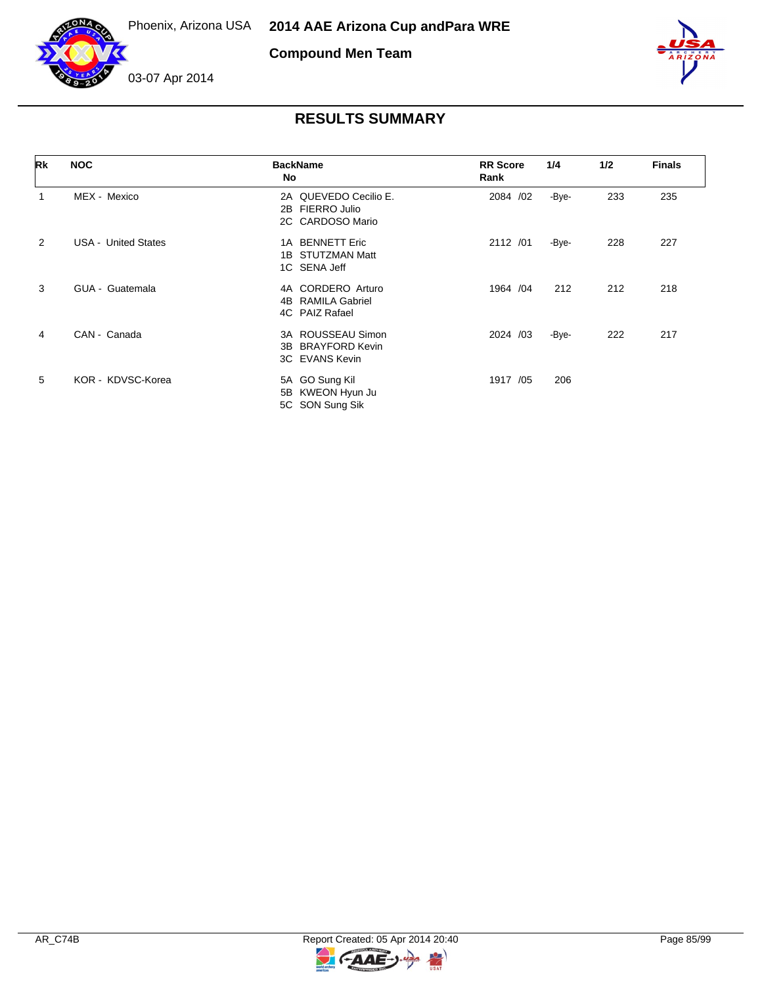



**Compound Men Team**



| Rk             | <b>NOC</b>                 | <b>BackName</b><br>No                                              | <b>RR</b> Score<br>Rank | 1/4   | 1/2 | <b>Finals</b> |
|----------------|----------------------------|--------------------------------------------------------------------|-------------------------|-------|-----|---------------|
|                | MEX - Mexico               | 2A QUEVEDO Cecilio E.<br>FIERRO Julio<br>2B<br>2C CARDOSO Mario    | 2084 /02                | -Bye- | 233 | 235           |
| $\overline{2}$ | <b>USA - United States</b> | <b>BENNETT Eric</b><br>1A<br>1B STUTZMAN Matt<br>1C SENA Jeff      | 2112 /01                | -Bye- | 228 | 227           |
| 3              | GUA - Guatemala            | 4A CORDERO Arturo<br>4B RAMILA Gabriel<br>4C PAIZ Rafael           | 1964 / 04               | 212   | 212 | 218           |
| 4              | CAN - Canada               | 3A ROUSSEAU Simon<br><b>BRAYFORD Kevin</b><br>3B<br>3C EVANS Kevin | 2024 /03                | -Bye- | 222 | 217           |
| 5              | KOR - KDVSC-Korea          | 5A GO Sung Kil<br>5B KWEON Hyun Ju<br>5C SON Sung Sik              | 1917 /05                | 206   |     |               |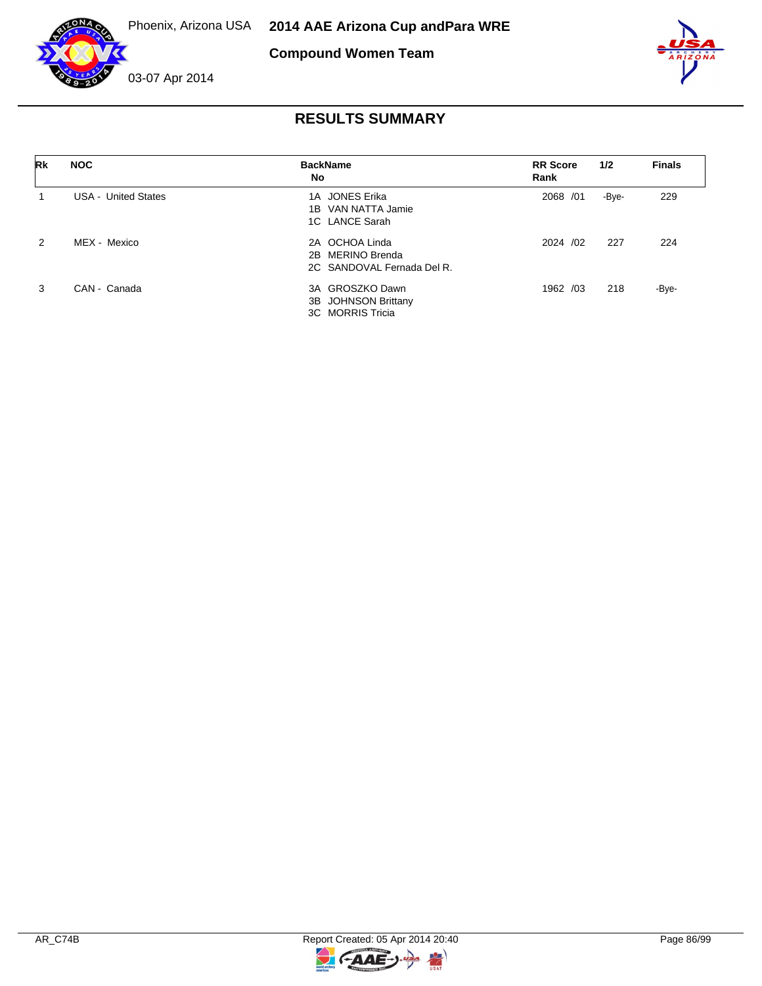





| Rk            | <b>NOC</b>                 | <b>BackName</b><br>No                                            | <b>RR</b> Score<br>Rank | 1/2   | <b>Finals</b> |
|---------------|----------------------------|------------------------------------------------------------------|-------------------------|-------|---------------|
|               | <b>USA - United States</b> | 1A JONES Erika<br>1B VAN NATTA Jamie<br>1C LANCE Sarah           | 2068 / 01               | -Bye- | 229           |
| $\mathcal{P}$ | MEX - Mexico               | 2A OCHOA Linda<br>2B MERINO Brenda<br>2C SANDOVAL Fernada Del R. | 2024 /02                | 227   | 224           |
| 3             | CAN - Canada               | 3A GROSZKO Dawn<br>3B JOHNSON Brittany<br>3C MORRIS Tricia       | 1962 /03                | 218   | -Bye-         |

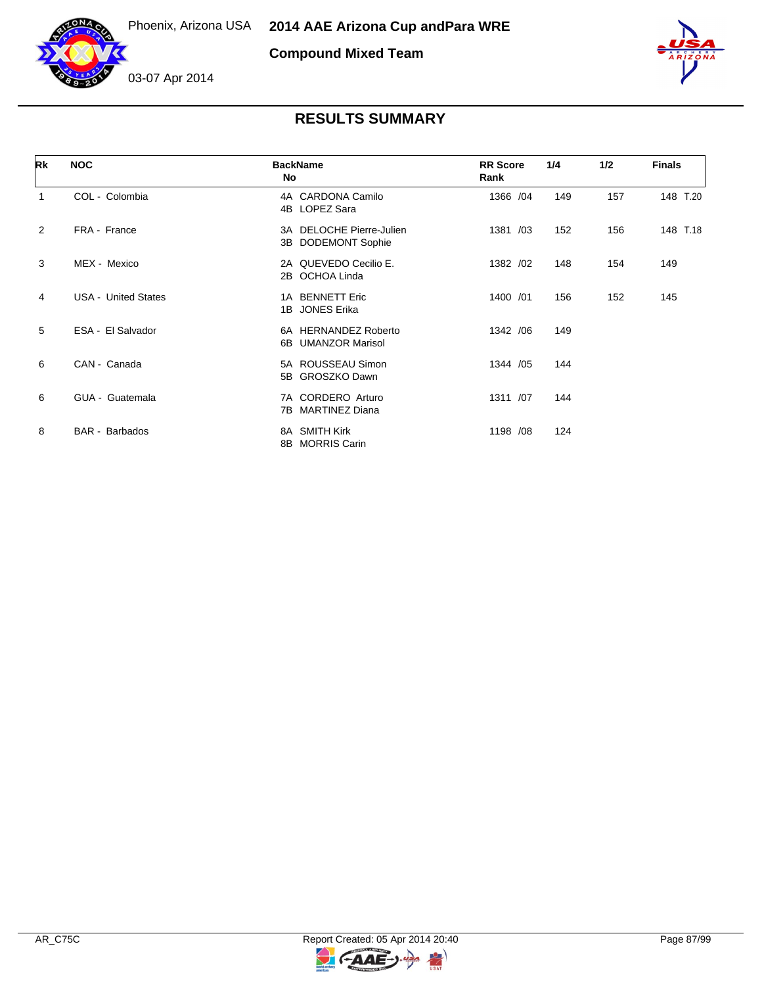



**Compound Mixed Team**



| Rk             | <b>NOC</b>                 | <b>BackName</b><br>No                                    | <b>RR</b> Score<br>Rank | 1/4 | 1/2 | <b>Finals</b> |
|----------------|----------------------------|----------------------------------------------------------|-------------------------|-----|-----|---------------|
| 1              | COL - Colombia             | 4A CARDONA Camilo<br>4B LOPEZ Sara                       | 1366 /04                | 149 | 157 | 148 T.20      |
| $\overline{2}$ | FRA - France               | 3A DELOCHE Pierre-Julien<br><b>DODEMONT Sophie</b><br>3B | 1381 /03                | 152 | 156 | 148 T.18      |
| 3              | MEX - Mexico               | 2A QUEVEDO Cecilio E.<br>OCHOA Linda<br>2B               | 1382 /02                | 148 | 154 | 149           |
| 4              | <b>USA - United States</b> | 1A BENNETT Eric<br>1B JONES Erika                        | 1400 /01                | 156 | 152 | 145           |
| 5              | ESA - El Salvador          | 6A HERNANDEZ Roberto<br><b>UMANZOR Marisol</b><br>6B.    | 1342 / 06               | 149 |     |               |
| 6              | CAN - Canada               | 5A ROUSSEAU Simon<br>5B GROSZKO Dawn                     | 1344 / 05               | 144 |     |               |
| 6              | GUA - Guatemala            | 7A CORDERO Arturo<br><b>MARTINEZ Diana</b><br>7B.        | 1311 /07                | 144 |     |               |
| 8              | <b>BAR</b> - Barbados      | 8A SMITH Kirk<br>8B MORRIS Carin                         | 1198 /08                | 124 |     |               |

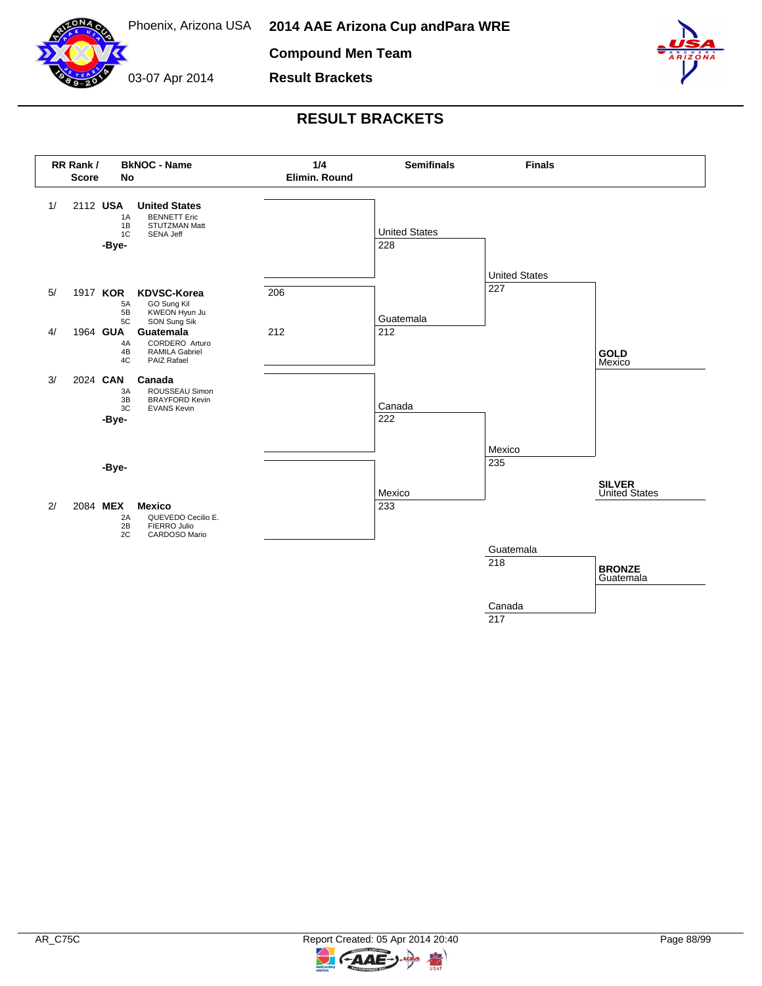

**Compound Men Team**

**Result Brackets**

03-07 Apr 2014



### **RESULT BRACKETS**



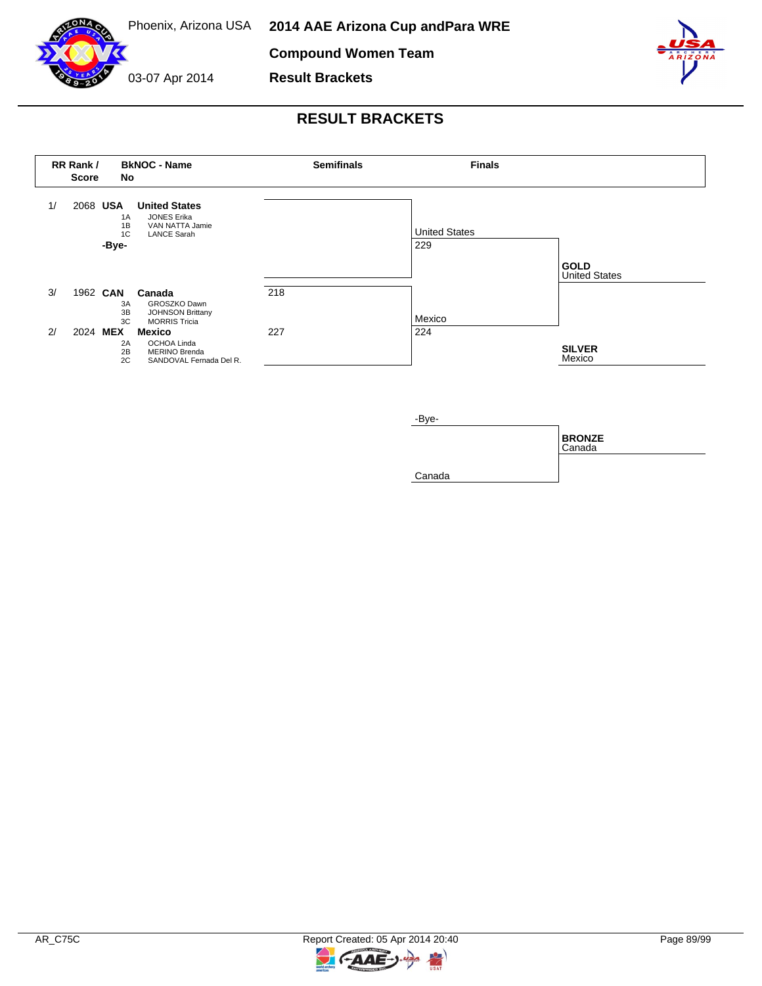

**Compound Women Team**

**Result Brackets**

03-07 Apr 2014



### **RESULT BRACKETS**





R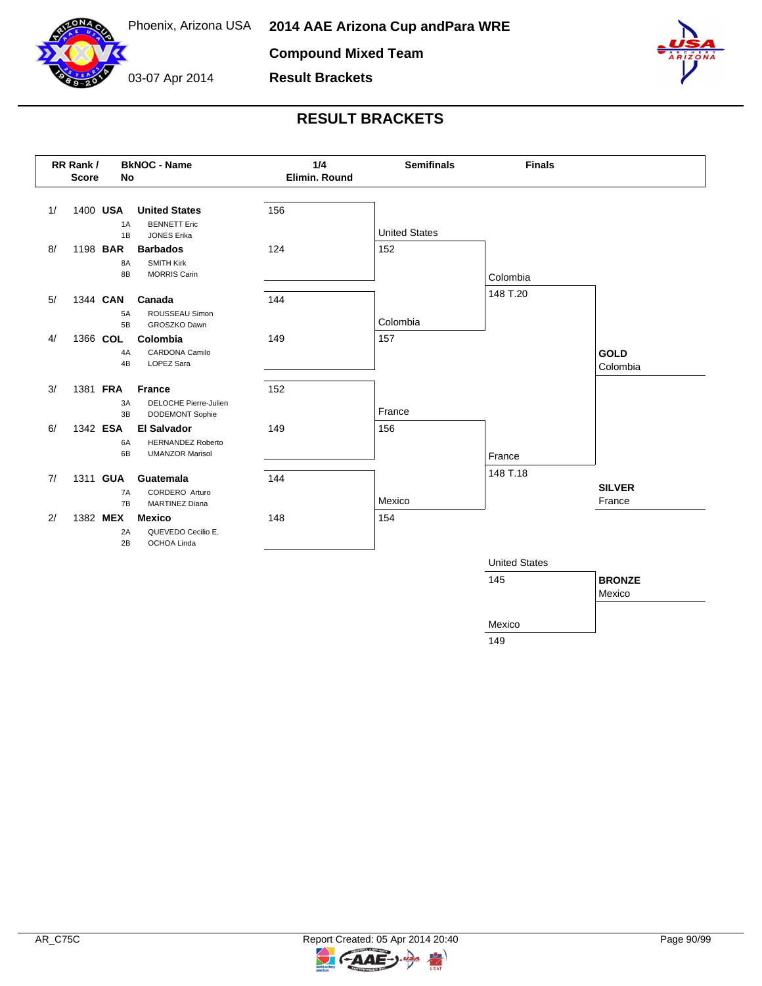

**Compound Mixed Team**



**Result Brackets**



### **RESULT BRACKETS**



149

-AAE

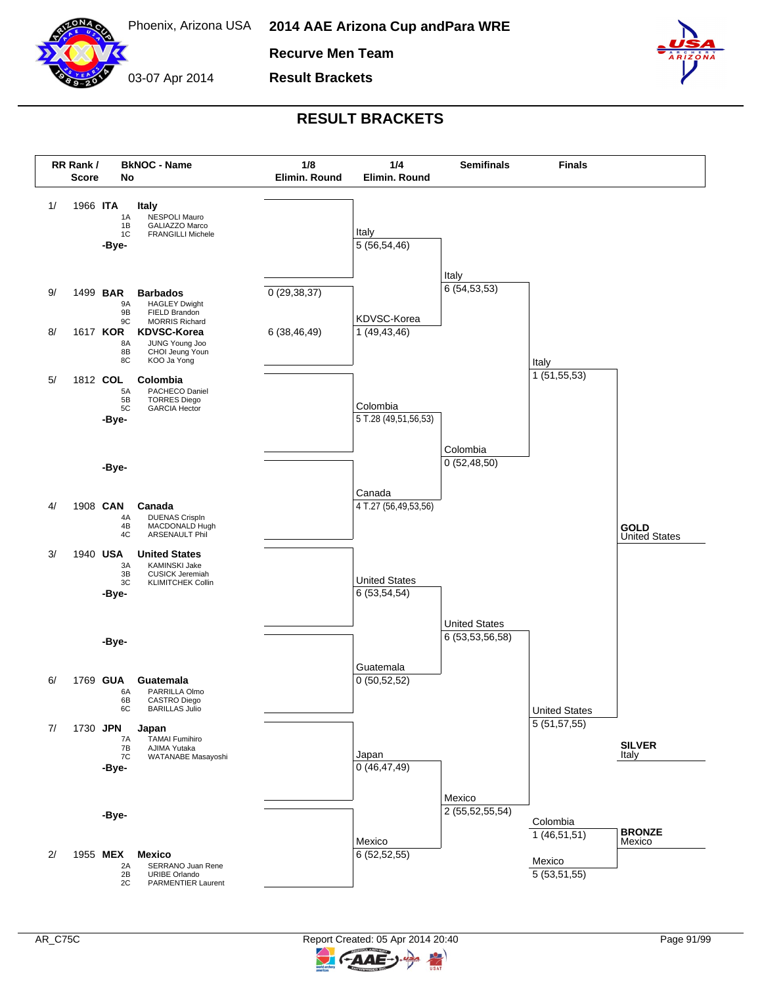

Phoenix, Arizona USA **2014 AAE Arizona Cup and Para WRE**

**Recurve Men Team**

**Result Brackets**

03-07 Apr 2014



#### **RESULT BRACKETS**



AAE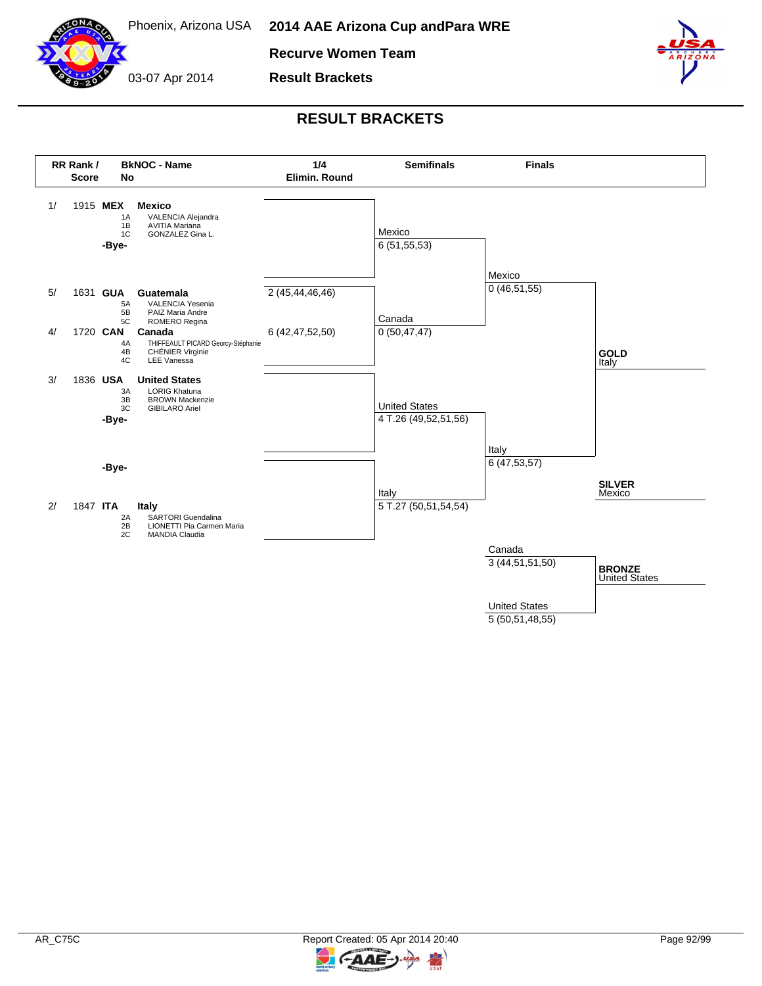

**Recurve Women Team**



**Result Brackets**



### **RESULT BRACKETS**



5 (50,51,48,55)

-AAE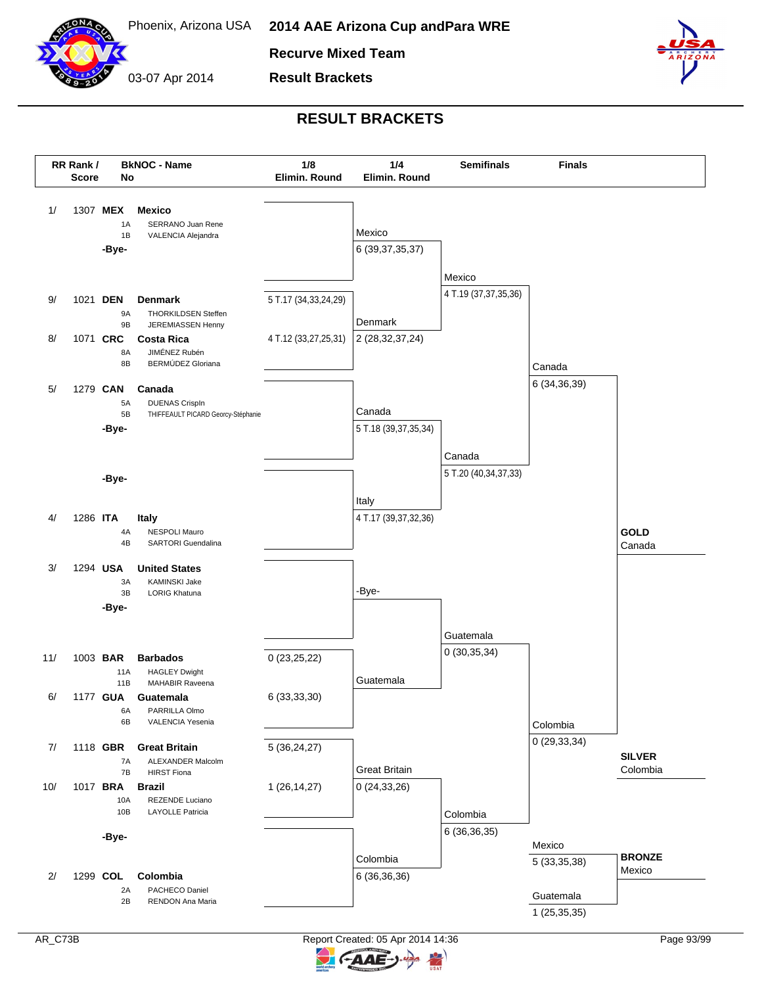

03-07 Apr 2014

**Recurve Mixed Team**

**Result Brackets**



#### **RESULT BRACKETS**



AAE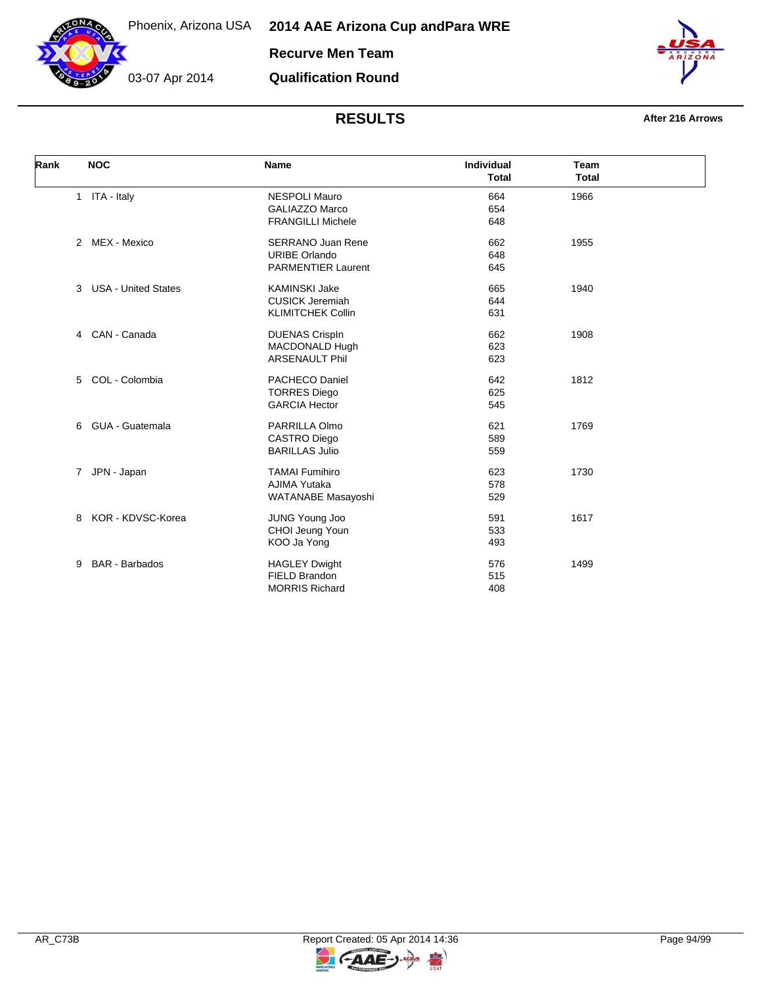

03-07 Apr 2014

**Qualification Round**



| Rank | <b>NOC</b>                      | <b>Name</b>                                                                   | Individual<br><b>Total</b> | <b>Team</b><br><b>Total</b> |
|------|---------------------------------|-------------------------------------------------------------------------------|----------------------------|-----------------------------|
|      | 1 ITA - Italy                   | <b>NESPOLI Mauro</b><br><b>GALIAZZO Marco</b><br><b>FRANGILLI Michele</b>     | 664<br>654<br>648          | 1966                        |
|      | 2 MEX - Mexico                  | <b>SERRANO Juan Rene</b><br><b>URIBE Orlando</b><br><b>PARMENTIER Laurent</b> | 662<br>648<br>645          | 1955                        |
|      | <b>USA - United States</b><br>3 | <b>KAMINSKI Jake</b><br><b>CUSICK Jeremiah</b><br><b>KLIMITCHEK Collin</b>    | 665<br>644<br>631          | 1940                        |
|      | CAN - Canada<br>$\overline{4}$  | <b>DUENAS CrispIn</b><br>MACDONALD Hugh<br>ARSENAULT Phil                     | 662<br>623<br>623          | 1908                        |
|      | 5 COL - Colombia                | PACHECO Daniel<br><b>TORRES Diego</b><br><b>GARCIA Hector</b>                 | 642<br>625<br>545          | 1812                        |
|      | GUA - Guatemala<br>6            | PARRILLA Olmo<br><b>CASTRO Diego</b><br><b>BARILLAS Julio</b>                 | 621<br>589<br>559          | 1769                        |
|      | JPN - Japan<br>$\overline{7}$   | <b>TAMAI Fumihiro</b><br>AJIMA Yutaka<br>WATANABE Masayoshi                   | 623<br>578<br>529          | 1730                        |
|      | KOR - KDVSC-Korea<br>8          | <b>JUNG Young Joo</b><br>CHOI Jeung Youn<br>KOO Ja Yong                       | 591<br>533<br>493          | 1617                        |
|      | <b>BAR</b> - Barbados<br>9      | <b>HAGLEY Dwight</b><br>FIELD Brandon<br><b>MORRIS Richard</b>                | 576<br>515<br>408          | 1499                        |

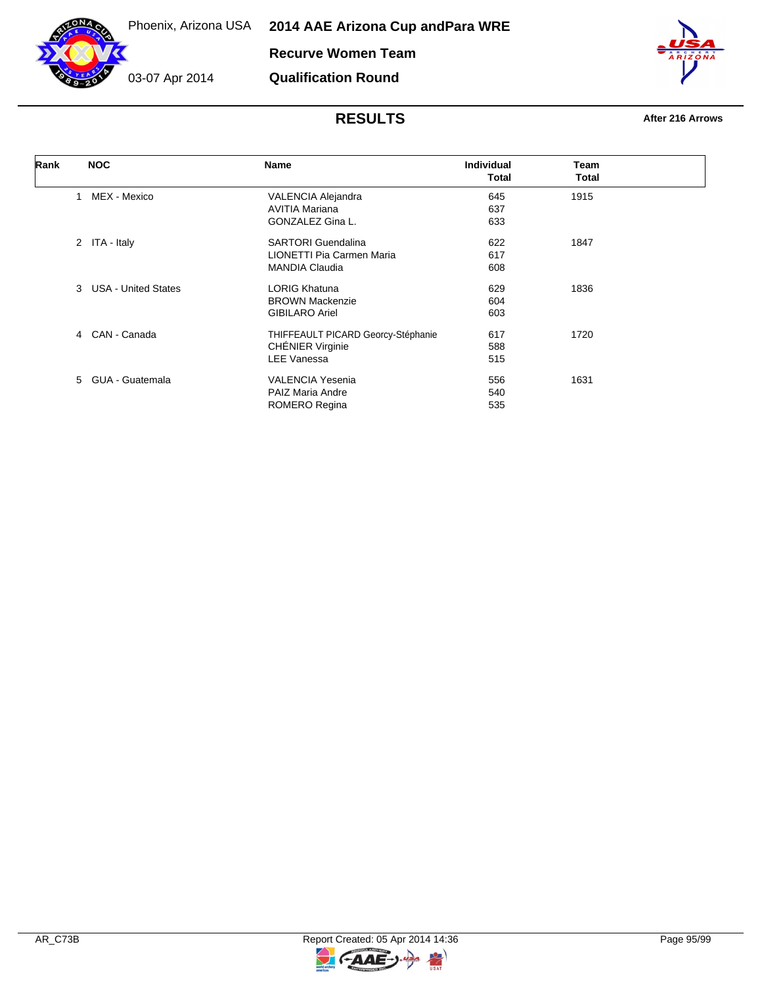

**Recurve Women Team**

**Qualification Round**

03-07 Apr 2014

| Rank | <b>NOC</b>                      | Name                               | <b>Individual</b> | Team  |  |
|------|---------------------------------|------------------------------------|-------------------|-------|--|
|      |                                 |                                    | <b>Total</b>      | Total |  |
|      | MEX - Mexico<br>1               | VALENCIA Alejandra                 | 645               | 1915  |  |
|      |                                 | <b>AVITIA Mariana</b>              | 637               |       |  |
|      |                                 | GONZALEZ Gina L.                   | 633               |       |  |
|      | 2 ITA - Italy                   | <b>SARTORI</b> Guendalina          | 622               | 1847  |  |
|      |                                 | LIONETTI Pia Carmen Maria          | 617               |       |  |
|      |                                 | <b>MANDIA Claudia</b>              | 608               |       |  |
|      | 3<br><b>USA - United States</b> | <b>LORIG Khatuna</b>               | 629               | 1836  |  |
|      |                                 | <b>BROWN Mackenzie</b>             | 604               |       |  |
|      |                                 | <b>GIBILARO Ariel</b>              | 603               |       |  |
|      | CAN - Canada<br>4               | THIFFEAULT PICARD Georcy-Stéphanie | 617               | 1720  |  |
|      |                                 | <b>CHÉNIER Virginie</b>            | 588               |       |  |
|      |                                 | <b>LEE Vanessa</b>                 | 515               |       |  |
|      | 5 GUA - Guatemala               | <b>VALENCIA Yesenia</b>            | 556               | 1631  |  |
|      |                                 | <b>PAIZ Maria Andre</b>            | 540               |       |  |
|      |                                 | ROMERO Regina                      | 535               |       |  |

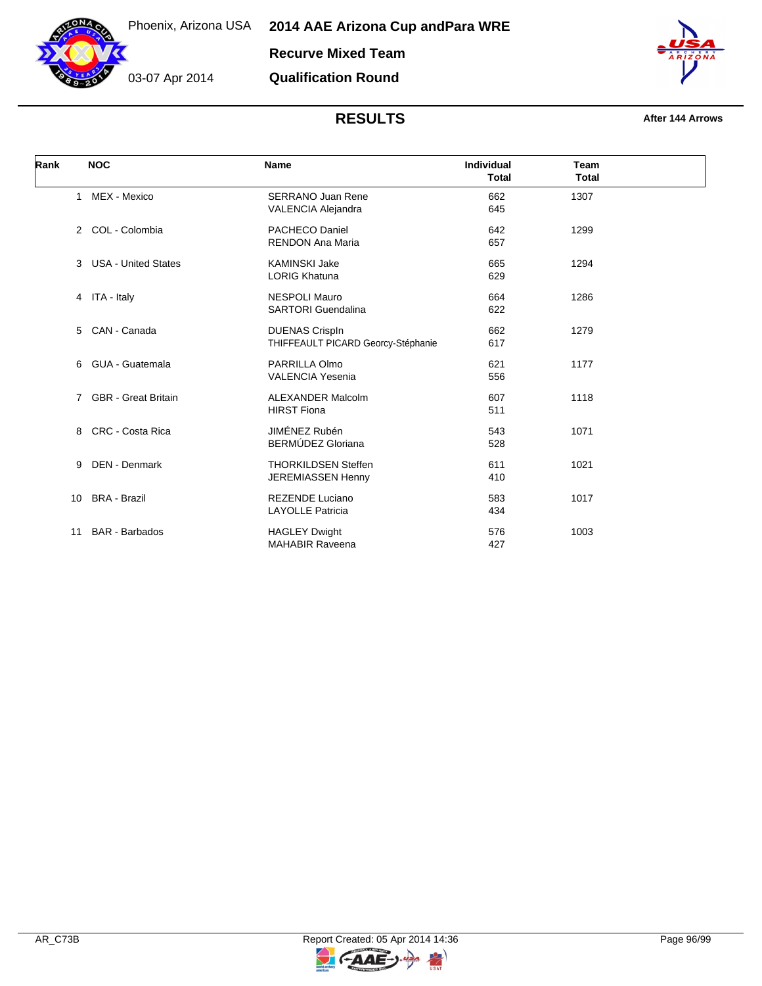

03-07 Apr 2014



#### **RESULTS After 144 Arrows**

| Rank |              | <b>NOC</b>                 | <b>Name</b>                        | <b>Individual</b><br><b>Total</b> | <b>Team</b><br><b>Total</b> |  |
|------|--------------|----------------------------|------------------------------------|-----------------------------------|-----------------------------|--|
|      | $\mathbf{1}$ | MEX - Mexico               | <b>SERRANO Juan Rene</b>           | 662                               | 1307                        |  |
|      |              |                            | <b>VALENCIA Alejandra</b>          | 645                               |                             |  |
|      | 2            | COL - Colombia             | <b>PACHECO Daniel</b>              | 642                               | 1299                        |  |
|      |              |                            | <b>RENDON Ana Maria</b>            | 657                               |                             |  |
|      |              | 3 USA - United States      | <b>KAMINSKI Jake</b>               | 665                               | 1294                        |  |
|      |              |                            | <b>LORIG Khatuna</b>               | 629                               |                             |  |
|      |              | 4 ITA - Italy              | <b>NESPOLI Mauro</b>               | 664                               | 1286                        |  |
|      |              |                            | <b>SARTORI</b> Guendalina          | 622                               |                             |  |
|      | 5            | CAN - Canada               | <b>DUENAS CrispIn</b>              | 662                               | 1279                        |  |
|      |              |                            | THIFFEAULT PICARD Georcy-Stéphanie | 617                               |                             |  |
|      | 6            | GUA - Guatemala            | PARRILLA Olmo                      | 621                               | 1177                        |  |
|      |              |                            | <b>VALENCIA Yesenia</b>            | 556                               |                             |  |
|      | 7            | <b>GBR</b> - Great Britain | <b>ALEXANDER Malcolm</b>           | 607                               | 1118                        |  |
|      |              |                            | <b>HIRST Fiona</b>                 | 511                               |                             |  |
|      | 8            | <b>CRC - Costa Rica</b>    | JIMÉNEZ Rubén                      | 543                               | 1071                        |  |
|      |              |                            | <b>BERMÚDEZ Gloriana</b>           | 528                               |                             |  |
|      | 9            | <b>DEN</b> - Denmark       | <b>THORKILDSEN Steffen</b>         | 611                               | 1021                        |  |
|      |              |                            | JEREMIASSEN Henny                  | 410                               |                             |  |
|      | 10           | <b>BRA - Brazil</b>        | <b>REZENDE Luciano</b>             | 583                               | 1017                        |  |
|      |              |                            | <b>LAYOLLE Patricia</b>            | 434                               |                             |  |
|      | 11           | <b>BAR</b> - Barbados      | <b>HAGLEY Dwight</b>               | 576                               | 1003                        |  |
|      |              |                            | <b>MAHABIR Raveena</b>             | 427                               |                             |  |

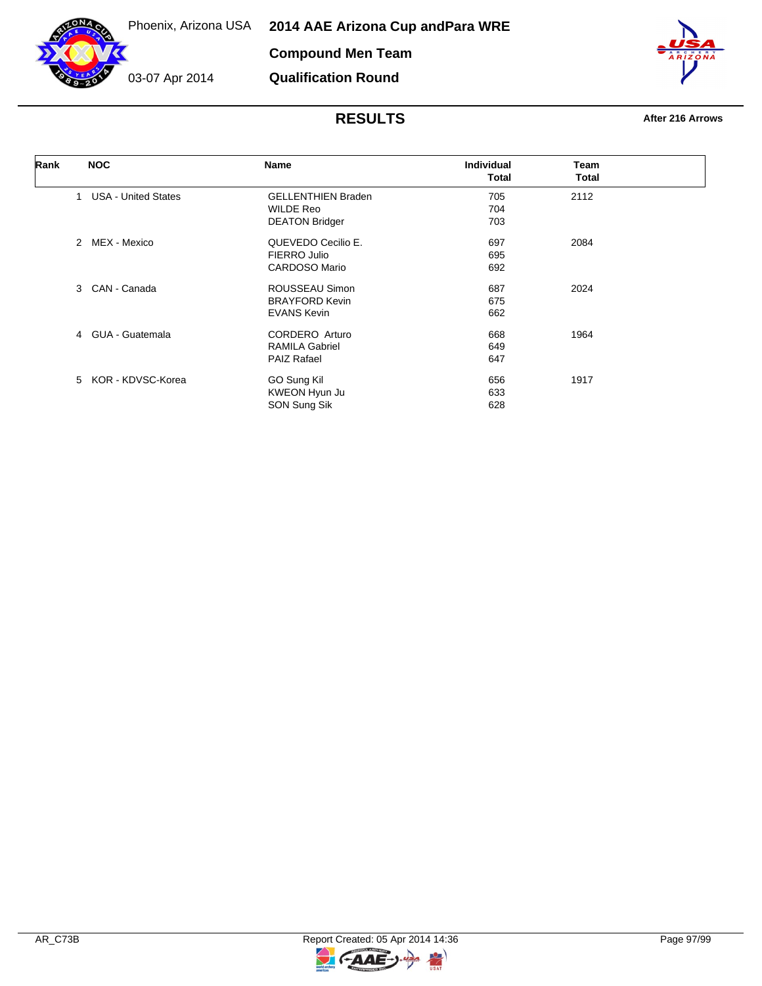

03-07 Apr 2014

**Qualification Round**

| Rank | <b>NOC</b>                      | <b>Name</b>               | <b>Individual</b> | Team         |  |
|------|---------------------------------|---------------------------|-------------------|--------------|--|
|      |                                 |                           | Total             | <b>Total</b> |  |
|      | <b>USA - United States</b><br>1 | <b>GELLENTHIEN Braden</b> | 705               | 2112         |  |
|      |                                 | <b>WILDE Reo</b>          | 704               |              |  |
|      |                                 | <b>DEATON Bridger</b>     | 703               |              |  |
|      | MEX - Mexico<br>$\mathcal{P}$   | QUEVEDO Cecilio E.        | 697               | 2084         |  |
|      |                                 | FIERRO Julio              | 695               |              |  |
|      |                                 | <b>CARDOSO Mario</b>      | 692               |              |  |
|      | CAN - Canada<br>3               | ROUSSEAU Simon            | 687               | 2024         |  |
|      |                                 | <b>BRAYFORD Kevin</b>     | 675               |              |  |
|      |                                 | <b>EVANS Kevin</b>        | 662               |              |  |
|      | GUA - Guatemala<br>4            | CORDERO Arturo            | 668               | 1964         |  |
|      |                                 | <b>RAMILA Gabriel</b>     | 649               |              |  |
|      |                                 | <b>PAIZ Rafael</b>        | 647               |              |  |
|      | 5 KOR - KDVSC-Korea             | GO Sung Kil               | 656               | 1917         |  |
|      |                                 | KWEON Hyun Ju             | 633               |              |  |
|      |                                 | SON Sung Sik              | 628               |              |  |

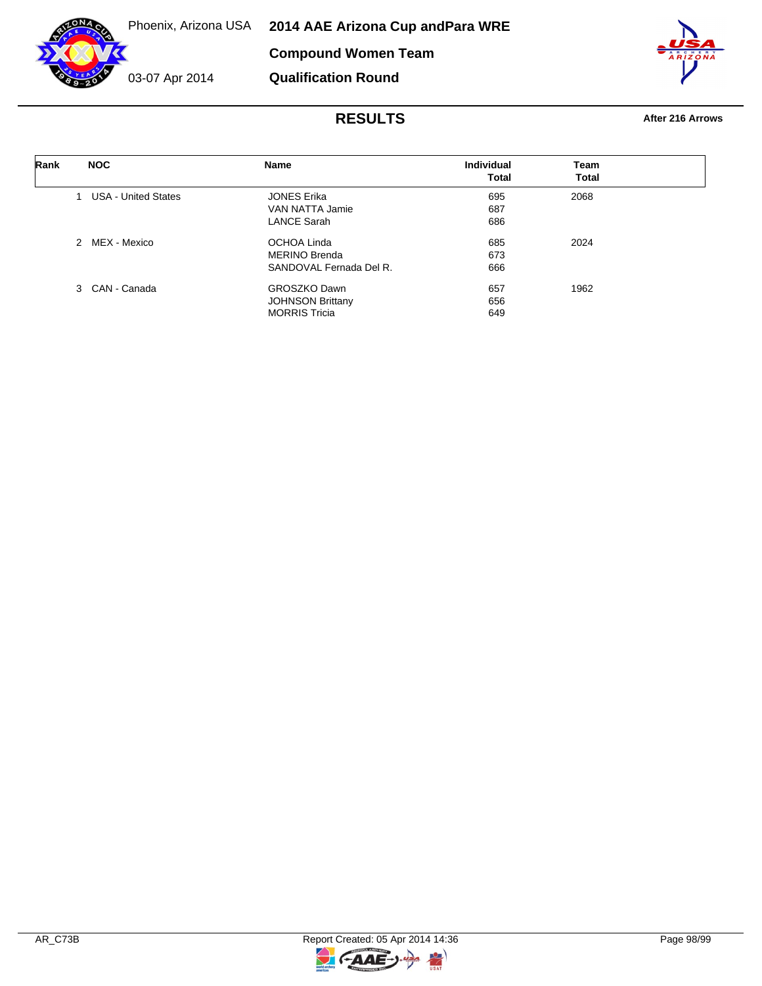



**Qualification Round**



| Rank | <b>NOC</b>                 | <b>Name</b>             | Individual | Team         |
|------|----------------------------|-------------------------|------------|--------------|
|      |                            |                         | Total      | <b>Total</b> |
|      | <b>USA - United States</b> | <b>JONES Erika</b>      | 695        | 2068         |
|      |                            | VAN NATTA Jamie         | 687        |              |
|      |                            | <b>LANCE Sarah</b>      | 686        |              |
|      | 2 MEX - Mexico             | OCHOA Linda             | 685        | 2024         |
|      |                            | <b>MERINO Brenda</b>    | 673        |              |
|      |                            | SANDOVAL Fernada Del R. | 666        |              |
|      | 3 CAN - Canada             | <b>GROSZKO Dawn</b>     | 657        | 1962         |
|      |                            | <b>JOHNSON Brittany</b> | 656        |              |
|      |                            | <b>MORRIS Tricia</b>    | 649        |              |